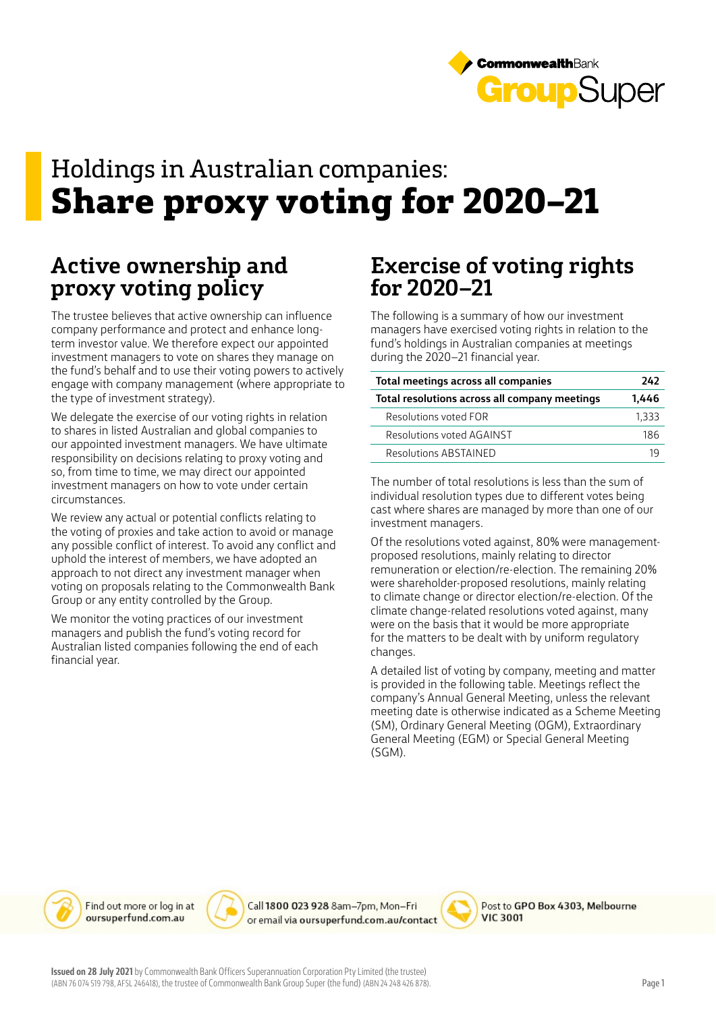

## Holdings in Australian companies: **Share proxy voting for 2020–21**

## **Active ownership and proxy voting policy**

The trustee believes that active ownership can influence company performance and protect and enhance longterm investor value. We therefore expect our appointed investment managers to vote on shares they manage on the fund's behalf and to use their voting powers to actively engage with company management (where appropriate to the type of investment strategy).

We delegate the exercise of our voting rights in relation to shares in listed Australian and global companies to our appointed investment managers. We have ultimate responsibility on decisions relating to proxy voting and so, from time to time, we may direct our appointed investment managers on how to vote under certain circumstances.

We review any actual or potential conflicts relating to the voting of proxies and take action to avoid or manage any possible conflict of interest. To avoid any conflict and uphold the interest of members, we have adopted an approach to not direct any investment manager when voting on proposals relating to the Commonwealth Bank Group or any entity controlled by the Group.

We monitor the voting practices of our investment managers and publish the fund's voting record for Australian listed companies following the end of each financial year.

## **Exercise of voting rights for 2020–21**

The following is a summary of how our investment managers have exercised voting rights in relation to the fund's holdings in Australian companies at meetings during the 2020–21 financial year.

| Total meetings across all companies           | 242   |
|-----------------------------------------------|-------|
| Total resolutions across all company meetings | 1.446 |
| Resolutions voted FOR                         | 1,333 |
| Resolutions voted AGAINST                     | 186   |
| Resolutions ABSTAINED                         |       |

The number of total resolutions is less than the sum of individual resolution types due to different votes being cast where shares are managed by more than one of our investment managers.

Of the resolutions voted against, 80% were managementproposed resolutions, mainly relating to director remuneration or election/re-election. The remaining 20% were shareholder-proposed resolutions, mainly relating to climate change or director election/re-election. Of the climate change-related resolutions voted against, many were on the basis that it would be more appropriate for the matters to be dealt with by uniform regulatory changes.

A detailed list of voting by company, meeting and matter is provided in the following table. Meetings reflect the company's Annual General Meeting, unless the relevant meeting date is otherwise indicated as a Scheme Meeting (SM), Ordinary General Meeting (OGM), Extraordinary General Meeting (EGM) or Special General Meeting (SGM).



Call 1800 023 928 8am-7pm, Mon-Fri or email via oursuperfund.com.au/contact



Post to GPO Box 4303, Melbourne **VIC 3001**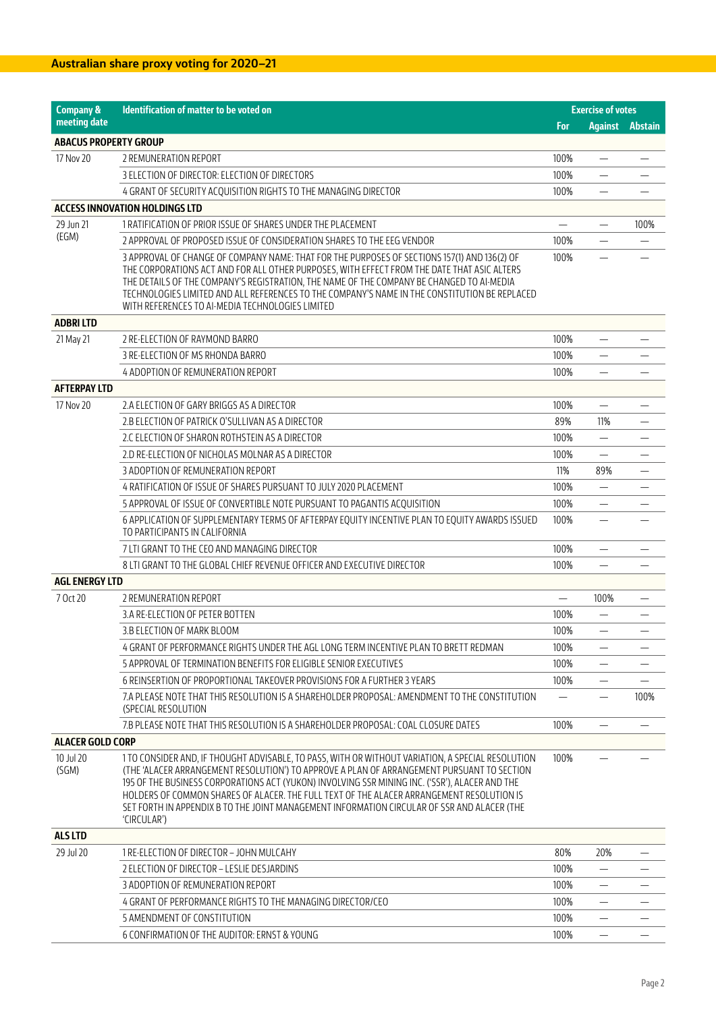| <b>Company &amp;</b>         | Identification of matter to be voted on                                                                                                                                                                                                                                                                                                                                                                                                                                                                      |      | <b>Exercise of votes</b>       |                        |
|------------------------------|--------------------------------------------------------------------------------------------------------------------------------------------------------------------------------------------------------------------------------------------------------------------------------------------------------------------------------------------------------------------------------------------------------------------------------------------------------------------------------------------------------------|------|--------------------------------|------------------------|
| meeting date                 |                                                                                                                                                                                                                                                                                                                                                                                                                                                                                                              | For  |                                | <b>Against Abstain</b> |
| <b>ABACUS PROPERTY GROUP</b> |                                                                                                                                                                                                                                                                                                                                                                                                                                                                                                              |      |                                |                        |
| 17 Nov 20                    | 2 REMUNERATION REPORT                                                                                                                                                                                                                                                                                                                                                                                                                                                                                        | 100% | $\qquad \qquad -$              |                        |
|                              | 3 ELECTION OF DIRECTOR: ELECTION OF DIRECTORS                                                                                                                                                                                                                                                                                                                                                                                                                                                                | 100% | $\equiv$                       |                        |
|                              | 4 GRANT OF SECURITY ACQUISITION RIGHTS TO THE MANAGING DIRECTOR                                                                                                                                                                                                                                                                                                                                                                                                                                              | 100% |                                |                        |
|                              | <b>ACCESS INNOVATION HOLDINGS LTD</b>                                                                                                                                                                                                                                                                                                                                                                                                                                                                        |      |                                |                        |
| 29 Jun 21                    | 1 RATIFICATION OF PRIOR ISSUE OF SHARES UNDER THE PLACEMENT                                                                                                                                                                                                                                                                                                                                                                                                                                                  |      |                                | 100%                   |
| (EGM)                        | 2 APPROVAL OF PROPOSED ISSUE OF CONSIDERATION SHARES TO THE EEG VENDOR                                                                                                                                                                                                                                                                                                                                                                                                                                       | 100% | $\overline{\phantom{0}}$       |                        |
|                              | 3 APPROVAL OF CHANGE OF COMPANY NAME: THAT FOR THE PURPOSES OF SECTIONS 157(1) AND 136(2) OF<br>THE CORPORATIONS ACT AND FOR ALL OTHER PURPOSES, WITH EFFECT FROM THE DATE THAT ASIC ALTERS<br>THE DETAILS OF THE COMPANY'S REGISTRATION, THE NAME OF THE COMPANY BE CHANGED TO AI-MEDIA<br>TECHNOLOGIES LIMITED AND ALL REFERENCES TO THE COMPANY'S NAME IN THE CONSTITUTION BE REPLACED<br>WITH REFERENCES TO AI-MEDIA TECHNOLOGIES LIMITED                                                                | 100% |                                |                        |
| <b>ADBRILTD</b>              |                                                                                                                                                                                                                                                                                                                                                                                                                                                                                                              |      |                                |                        |
| 21 May 21                    | 2 RE-ELECTION OF RAYMOND BARRO                                                                                                                                                                                                                                                                                                                                                                                                                                                                               | 100% | $\qquad \qquad -$              |                        |
|                              | 3 RE-ELECTION OF MS RHONDA BARRO                                                                                                                                                                                                                                                                                                                                                                                                                                                                             | 100% |                                |                        |
|                              | 4 ADOPTION OF REMUNERATION REPORT                                                                                                                                                                                                                                                                                                                                                                                                                                                                            | 100% |                                |                        |
| <b>AFTERPAY LTD</b>          |                                                                                                                                                                                                                                                                                                                                                                                                                                                                                                              |      |                                |                        |
| 17 Nov 20                    | 2.A ELECTION OF GARY BRIGGS AS A DIRECTOR                                                                                                                                                                                                                                                                                                                                                                                                                                                                    | 100% |                                |                        |
|                              | 2.B ELECTION OF PATRICK O'SULLIVAN AS A DIRECTOR                                                                                                                                                                                                                                                                                                                                                                                                                                                             | 89%  | 11%                            |                        |
|                              | 2.C ELECTION OF SHARON ROTHSTEIN AS A DIRECTOR                                                                                                                                                                                                                                                                                                                                                                                                                                                               | 100% | $\overline{\phantom{0}}$       |                        |
|                              | 2.D RE-ELECTION OF NICHOLAS MOLNAR AS A DIRECTOR                                                                                                                                                                                                                                                                                                                                                                                                                                                             | 100% |                                |                        |
|                              | 3 ADOPTION OF REMUNERATION REPORT                                                                                                                                                                                                                                                                                                                                                                                                                                                                            | 11%  | 89%                            |                        |
|                              | 4 RATIFICATION OF ISSUE OF SHARES PURSUANT TO JULY 2020 PLACEMENT                                                                                                                                                                                                                                                                                                                                                                                                                                            | 100% |                                |                        |
|                              | 5 APPROVAL OF ISSUE OF CONVERTIBLE NOTE PURSUANT TO PAGANTIS ACQUISITION                                                                                                                                                                                                                                                                                                                                                                                                                                     | 100% |                                |                        |
|                              | 6 APPLICATION OF SUPPLEMENTARY TERMS OF AFTERPAY EQUITY INCENTIVE PLAN TO EQUITY AWARDS ISSUED<br>TO PARTICIPANTS IN CALIFORNIA                                                                                                                                                                                                                                                                                                                                                                              | 100% | $\overline{\phantom{0}}$       |                        |
|                              | 7 LTI GRANT TO THE CEO AND MANAGING DIRECTOR                                                                                                                                                                                                                                                                                                                                                                                                                                                                 | 100% | $\qquad \qquad \longleftarrow$ |                        |
|                              | 8 LTI GRANT TO THE GLOBAL CHIEF REVENUE OFFICER AND EXECUTIVE DIRECTOR                                                                                                                                                                                                                                                                                                                                                                                                                                       | 100% |                                |                        |
| <b>AGL ENERGY LTD</b>        |                                                                                                                                                                                                                                                                                                                                                                                                                                                                                                              |      |                                |                        |
| 7 Oct 20                     | 2 REMUNERATION REPORT                                                                                                                                                                                                                                                                                                                                                                                                                                                                                        |      | 100%                           |                        |
|                              | 3.A RE-ELECTION OF PETER BOTTEN                                                                                                                                                                                                                                                                                                                                                                                                                                                                              | 100% | $\overline{\phantom{0}}$       |                        |
|                              | 3.B ELECTION OF MARK BLOOM                                                                                                                                                                                                                                                                                                                                                                                                                                                                                   | 100% |                                |                        |
|                              | 4 GRANT OF PERFORMANCE RIGHTS UNDER THE AGL LONG TERM INCENTIVE PLAN TO BRETT REDMAN                                                                                                                                                                                                                                                                                                                                                                                                                         | 100% | $\overline{\phantom{0}}$       |                        |
|                              | 5 APPROVAL OF TERMINATION BENEFITS FOR ELIGIBLE SENIOR EXECUTIVES                                                                                                                                                                                                                                                                                                                                                                                                                                            | 100% | $\qquad \qquad -$              |                        |
|                              | 6 REINSERTION OF PROPORTIONAL TAKEOVER PROVISIONS FOR A FURTHER 3 YEARS                                                                                                                                                                                                                                                                                                                                                                                                                                      | 100% |                                |                        |
|                              | 7.A PLEASE NOTE THAT THIS RESOLUTION IS A SHAREHOLDER PROPOSAL: AMENDMENT TO THE CONSTITUTION<br>(SPECIAL RESOLUTION                                                                                                                                                                                                                                                                                                                                                                                         |      | —                              | 100%                   |
|                              | 7.B PLEASE NOTE THAT THIS RESOLUTION IS A SHAREHOLDER PROPOSAL: COAL CLOSURE DATES                                                                                                                                                                                                                                                                                                                                                                                                                           | 100% |                                |                        |
| <b>ALACER GOLD CORP</b>      |                                                                                                                                                                                                                                                                                                                                                                                                                                                                                                              |      |                                |                        |
| 10 Jul 20<br>(SGM)           | 1 TO CONSIDER AND. IF THOUGHT ADVISABLE, TO PASS, WITH OR WITHOUT VARIATION, A SPECIAL RESOLUTION<br>(THE 'ALACER ARRANGEMENT RESOLUTION') TO APPROVE A PLAN OF ARRANGEMENT PURSUANT TO SECTION<br>195 OF THE BUSINESS CORPORATIONS ACT (YUKON) INVOLVING SSR MINING INC. ('SSR'), ALACER AND THE<br>HOLDERS OF COMMON SHARES OF ALACER. THE FULL TEXT OF THE ALACER ARRANGEMENT RESOLUTION IS<br>SET FORTH IN APPENDIX B TO THE JOINT MANAGEMENT INFORMATION CIRCULAR OF SSR AND ALACER (THE<br>'CIRCULAR') | 100% |                                |                        |
| <b>ALS LTD</b>               |                                                                                                                                                                                                                                                                                                                                                                                                                                                                                                              |      |                                |                        |
| 29 Jul 20                    | 1 RE-ELECTION OF DIRECTOR - JOHN MULCAHY                                                                                                                                                                                                                                                                                                                                                                                                                                                                     | 80%  | 20%                            |                        |
|                              | 2 ELECTION OF DIRECTOR - LESLIE DESJARDINS                                                                                                                                                                                                                                                                                                                                                                                                                                                                   | 100% |                                |                        |
|                              | 3 ADOPTION OF REMUNERATION REPORT                                                                                                                                                                                                                                                                                                                                                                                                                                                                            | 100% | $\overline{\phantom{0}}$       |                        |
|                              | 4 GRANT OF PERFORMANCE RIGHTS TO THE MANAGING DIRECTOR/CEO                                                                                                                                                                                                                                                                                                                                                                                                                                                   | 100% | $\qquad \qquad -$              |                        |
|                              | 5 AMENDMENT OF CONSTITUTION                                                                                                                                                                                                                                                                                                                                                                                                                                                                                  | 100% |                                |                        |
|                              | 6 CONFIRMATION OF THE AUDITOR: ERNST & YOUNG                                                                                                                                                                                                                                                                                                                                                                                                                                                                 | 100% |                                |                        |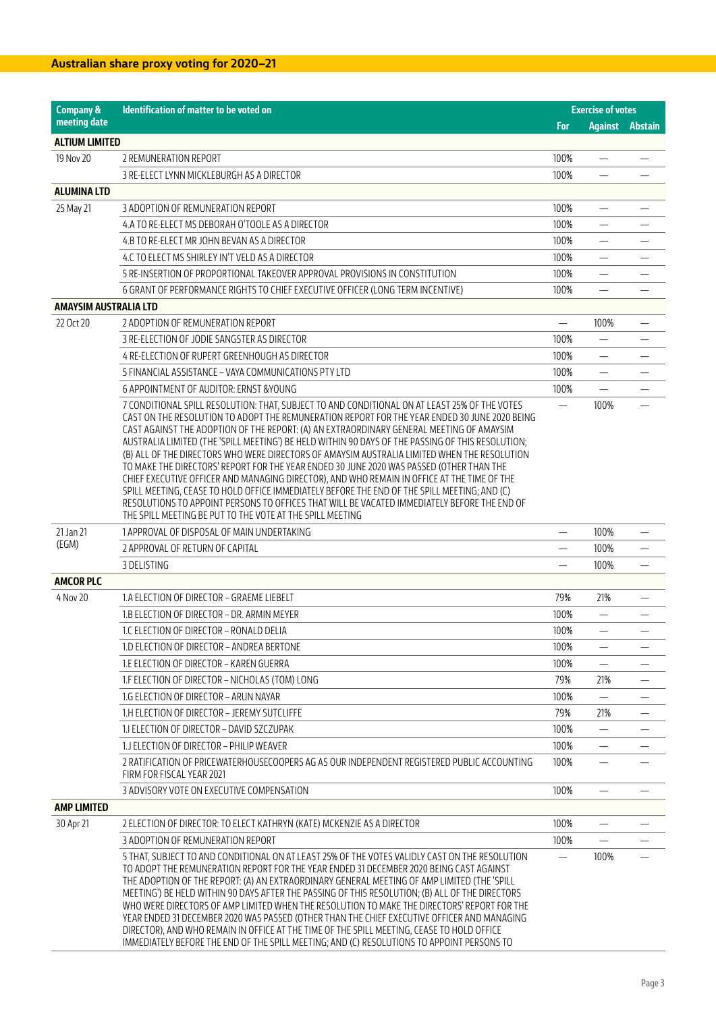| <b>Company &amp;</b>         | Identification of matter to be voted on                                                                                                                                                                                                                                                                                                                                                                                                                                                                                                                                                                                                                                                                                                                                                                                                                                                                                                                 |                          | <b>Exercise of votes</b> |                          |
|------------------------------|---------------------------------------------------------------------------------------------------------------------------------------------------------------------------------------------------------------------------------------------------------------------------------------------------------------------------------------------------------------------------------------------------------------------------------------------------------------------------------------------------------------------------------------------------------------------------------------------------------------------------------------------------------------------------------------------------------------------------------------------------------------------------------------------------------------------------------------------------------------------------------------------------------------------------------------------------------|--------------------------|--------------------------|--------------------------|
| meeting date                 |                                                                                                                                                                                                                                                                                                                                                                                                                                                                                                                                                                                                                                                                                                                                                                                                                                                                                                                                                         | For                      | <b>Against Abstain</b>   |                          |
| <b>ALTIUM LIMITED</b>        |                                                                                                                                                                                                                                                                                                                                                                                                                                                                                                                                                                                                                                                                                                                                                                                                                                                                                                                                                         |                          |                          |                          |
| 19 Nov 20                    | 2 REMUNERATION REPORT                                                                                                                                                                                                                                                                                                                                                                                                                                                                                                                                                                                                                                                                                                                                                                                                                                                                                                                                   | 100%                     |                          |                          |
|                              | 3 RE-ELECT LYNN MICKLEBURGH AS A DIRECTOR                                                                                                                                                                                                                                                                                                                                                                                                                                                                                                                                                                                                                                                                                                                                                                                                                                                                                                               | 100%                     |                          |                          |
| <b>ALUMINA LTD</b>           |                                                                                                                                                                                                                                                                                                                                                                                                                                                                                                                                                                                                                                                                                                                                                                                                                                                                                                                                                         |                          |                          |                          |
| 25 May 21                    | 3 ADOPTION OF REMUNERATION REPORT                                                                                                                                                                                                                                                                                                                                                                                                                                                                                                                                                                                                                                                                                                                                                                                                                                                                                                                       | 100%                     |                          |                          |
|                              | 4.A TO RE-ELECT MS DEBORAH O'TOOLE AS A DIRECTOR                                                                                                                                                                                                                                                                                                                                                                                                                                                                                                                                                                                                                                                                                                                                                                                                                                                                                                        | 100%                     | $\qquad \qquad -$        |                          |
|                              | 4.B TO RE-ELECT MR JOHN BEVAN AS A DIRECTOR                                                                                                                                                                                                                                                                                                                                                                                                                                                                                                                                                                                                                                                                                                                                                                                                                                                                                                             | 100%                     |                          |                          |
|                              | 4.C TO ELECT MS SHIRLEY IN'T VELD AS A DIRECTOR                                                                                                                                                                                                                                                                                                                                                                                                                                                                                                                                                                                                                                                                                                                                                                                                                                                                                                         | 100%                     | $\overline{\phantom{0}}$ |                          |
|                              | 5 RE-INSERTION OF PROPORTIONAL TAKEOVER APPROVAL PROVISIONS IN CONSTITUTION                                                                                                                                                                                                                                                                                                                                                                                                                                                                                                                                                                                                                                                                                                                                                                                                                                                                             | 100%                     | $\overline{\phantom{0}}$ |                          |
|                              | 6 GRANT OF PERFORMANCE RIGHTS TO CHIEF EXECUTIVE OFFICER (LONG TERM INCENTIVE)                                                                                                                                                                                                                                                                                                                                                                                                                                                                                                                                                                                                                                                                                                                                                                                                                                                                          | 100%                     | $\equiv$                 |                          |
| <b>AMAYSIM AUSTRALIA LTD</b> |                                                                                                                                                                                                                                                                                                                                                                                                                                                                                                                                                                                                                                                                                                                                                                                                                                                                                                                                                         |                          |                          |                          |
| 22 Oct 20                    | 2 ADOPTION OF REMUNERATION REPORT                                                                                                                                                                                                                                                                                                                                                                                                                                                                                                                                                                                                                                                                                                                                                                                                                                                                                                                       | $\overline{\phantom{0}}$ | 100%                     |                          |
|                              | 3 RE-ELECTION OF JODIE SANGSTER AS DIRECTOR                                                                                                                                                                                                                                                                                                                                                                                                                                                                                                                                                                                                                                                                                                                                                                                                                                                                                                             | 100%                     |                          |                          |
|                              | 4 RE-ELECTION OF RUPERT GREENHOUGH AS DIRECTOR                                                                                                                                                                                                                                                                                                                                                                                                                                                                                                                                                                                                                                                                                                                                                                                                                                                                                                          | 100%                     | $\qquad \qquad -$        |                          |
|                              | 5 FINANCIAL ASSISTANCE – VAYA COMMUNICATIONS PTY LTD                                                                                                                                                                                                                                                                                                                                                                                                                                                                                                                                                                                                                                                                                                                                                                                                                                                                                                    | 100%                     |                          |                          |
|                              | 6 APPOINTMENT OF AUDITOR: ERNST &YOUNG                                                                                                                                                                                                                                                                                                                                                                                                                                                                                                                                                                                                                                                                                                                                                                                                                                                                                                                  | 100%                     |                          |                          |
|                              | 7 CONDITIONAL SPILL RESOLUTION: THAT, SUBJECT TO AND CONDITIONAL ON AT LEAST 25% OF THE VOTES<br>CAST ON THE RESOLUTION TO ADOPT THE REMUNERATION REPORT FOR THE YEAR ENDED 30 JUNE 2020 BEING<br>CAST AGAINST THE ADOPTION OF THE REPORT: (A) AN EXTRAORDINARY GENERAL MEETING OF AMAYSIM<br>AUSTRALIA LIMITED (THE 'SPILL MEETING') BE HELD WITHIN 90 DAYS OF THE PASSING OF THIS RESOLUTION;<br>(B) ALL OF THE DIRECTORS WHO WERE DIRECTORS OF AMAYSIM AUSTRALIA LIMITED WHEN THE RESOLUTION<br>TO MAKE THE DIRECTORS' REPORT FOR THE YEAR ENDED 30 JUNE 2020 WAS PASSED (OTHER THAN THE<br>CHIEF EXECUTIVE OFFICER AND MANAGING DIRECTOR), AND WHO REMAIN IN OFFICE AT THE TIME OF THE<br>SPILL MEETING, CEASE TO HOLD OFFICE IMMEDIATELY BEFORE THE END OF THE SPILL MEETING; AND (C)<br>RESOLUTIONS TO APPOINT PERSONS TO OFFICES THAT WILL BE VACATED IMMEDIATELY BEFORE THE END OF<br>THE SPILL MEETING BE PUT TO THE VOTE AT THE SPILL MEETING |                          | 100%                     |                          |
| 21 Jan 21                    | 1 APPROVAL OF DISPOSAL OF MAIN UNDERTAKING                                                                                                                                                                                                                                                                                                                                                                                                                                                                                                                                                                                                                                                                                                                                                                                                                                                                                                              | $\overline{\phantom{0}}$ | 100%                     |                          |
| (EGM)                        | 2 APPROVAL OF RETURN OF CAPITAL                                                                                                                                                                                                                                                                                                                                                                                                                                                                                                                                                                                                                                                                                                                                                                                                                                                                                                                         | —                        | 100%                     | $\overline{\phantom{m}}$ |
|                              | 3 DELISTING                                                                                                                                                                                                                                                                                                                                                                                                                                                                                                                                                                                                                                                                                                                                                                                                                                                                                                                                             |                          | 100%                     |                          |
| <b>AMCOR PLC</b>             |                                                                                                                                                                                                                                                                                                                                                                                                                                                                                                                                                                                                                                                                                                                                                                                                                                                                                                                                                         |                          |                          |                          |
| 4 Nov 20                     | 1.A ELECTION OF DIRECTOR – GRAEME LIEBELT                                                                                                                                                                                                                                                                                                                                                                                                                                                                                                                                                                                                                                                                                                                                                                                                                                                                                                               | 79%                      | 21%                      |                          |
|                              | 1.B ELECTION OF DIRECTOR - DR. ARMIN MEYER                                                                                                                                                                                                                                                                                                                                                                                                                                                                                                                                                                                                                                                                                                                                                                                                                                                                                                              | 100%                     |                          |                          |
|                              | 1.C ELECTION OF DIRECTOR - RONALD DELIA                                                                                                                                                                                                                                                                                                                                                                                                                                                                                                                                                                                                                                                                                                                                                                                                                                                                                                                 | 100%                     |                          |                          |
|                              | 1.D ELECTION OF DIRECTOR - ANDREA BERTONE                                                                                                                                                                                                                                                                                                                                                                                                                                                                                                                                                                                                                                                                                                                                                                                                                                                                                                               | 100%                     | $\qquad \qquad -$        | $\overline{\phantom{m}}$ |
|                              | 1.E ELECTION OF DIRECTOR – KAREN GUERRA                                                                                                                                                                                                                                                                                                                                                                                                                                                                                                                                                                                                                                                                                                                                                                                                                                                                                                                 | 100%                     | $\qquad \qquad -$        |                          |
|                              | 1.F ELECTION OF DIRECTOR - NICHOLAS (TOM) LONG                                                                                                                                                                                                                                                                                                                                                                                                                                                                                                                                                                                                                                                                                                                                                                                                                                                                                                          | 79%                      | 21%                      |                          |
|                              | 1.G ELECTION OF DIRECTOR - ARUN NAYAR                                                                                                                                                                                                                                                                                                                                                                                                                                                                                                                                                                                                                                                                                                                                                                                                                                                                                                                   | 100%                     |                          |                          |
|                              | 1.H ELECTION OF DIRECTOR - JEREMY SUTCLIFFE                                                                                                                                                                                                                                                                                                                                                                                                                                                                                                                                                                                                                                                                                                                                                                                                                                                                                                             | 79%                      | 21%                      |                          |
|                              | 1. IELECTION OF DIRECTOR - DAVID SZCZUPAK                                                                                                                                                                                                                                                                                                                                                                                                                                                                                                                                                                                                                                                                                                                                                                                                                                                                                                               | 100%                     | $\overline{\phantom{0}}$ |                          |
|                              | 1. J ELECTION OF DIRECTOR - PHILIP WEAVER                                                                                                                                                                                                                                                                                                                                                                                                                                                                                                                                                                                                                                                                                                                                                                                                                                                                                                               | 100%                     | $\overline{\phantom{0}}$ |                          |
|                              | 2 RATIFICATION OF PRICEWATERHOUSECOOPERS AG AS OUR INDEPENDENT REGISTERED PUBLIC ACCOUNTING<br>FIRM FOR FISCAL YEAR 2021                                                                                                                                                                                                                                                                                                                                                                                                                                                                                                                                                                                                                                                                                                                                                                                                                                | 100%                     |                          |                          |
|                              | 3 ADVISORY VOTE ON EXECUTIVE COMPENSATION                                                                                                                                                                                                                                                                                                                                                                                                                                                                                                                                                                                                                                                                                                                                                                                                                                                                                                               | 100%                     | $\overline{\phantom{0}}$ |                          |
| <b>AMP LIMITED</b>           |                                                                                                                                                                                                                                                                                                                                                                                                                                                                                                                                                                                                                                                                                                                                                                                                                                                                                                                                                         |                          |                          |                          |
| 30 Apr 21                    | 2 ELECTION OF DIRECTOR: TO ELECT KATHRYN (KATE) MCKENZIE AS A DIRECTOR                                                                                                                                                                                                                                                                                                                                                                                                                                                                                                                                                                                                                                                                                                                                                                                                                                                                                  | 100%                     | $\overline{\phantom{0}}$ |                          |
|                              | 3 ADOPTION OF REMUNERATION REPORT                                                                                                                                                                                                                                                                                                                                                                                                                                                                                                                                                                                                                                                                                                                                                                                                                                                                                                                       | 100%                     |                          |                          |
|                              | 5 THAT, SUBJECT TO AND CONDITIONAL ON AT LEAST 25% OF THE VOTES VALIDLY CAST ON THE RESOLUTION<br>TO ADOPT THE REMUNERATION REPORT FOR THE YEAR ENDED 31 DECEMBER 2020 BEING CAST AGAINST<br>THE ADOPTION OF THE REPORT: (A) AN EXTRAORDINARY GENERAL MEETING OF AMP LIMITED (THE 'SPILL<br>MEETING') BE HELD WITHIN 90 DAYS AFTER THE PASSING OF THIS RESOLUTION; (B) ALL OF THE DIRECTORS<br>WHO WERE DIRECTORS OF AMP LIMITED WHEN THE RESOLUTION TO MAKE THE DIRECTORS' REPORT FOR THE<br>YEAR ENDED 31 DECEMBER 2020 WAS PASSED (OTHER THAN THE CHIEF EXECUTIVE OFFICER AND MANAGING<br>DIRECTOR), AND WHO REMAIN IN OFFICE AT THE TIME OF THE SPILL MEETING, CEASE TO HOLD OFFICE<br>IMMEDIATELY BEFORE THE END OF THE SPILL MEETING; AND (C) RESOLUTIONS TO APPOINT PERSONS TO                                                                                                                                                                   | $\overline{\phantom{0}}$ | 100%                     |                          |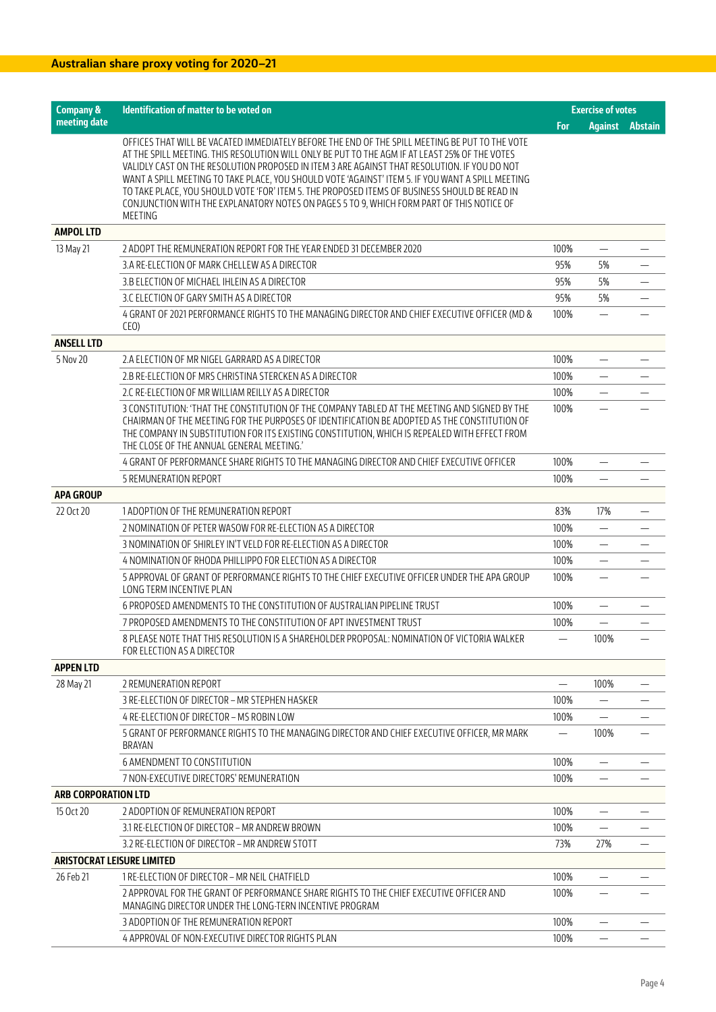| <b>Company &amp;</b>              | Identification of matter to be voted on                                                                                                                                                                                                                                                                                                                                                                                                                                                                                                                                                                                |      | <b>Exercise of votes</b> |                        |
|-----------------------------------|------------------------------------------------------------------------------------------------------------------------------------------------------------------------------------------------------------------------------------------------------------------------------------------------------------------------------------------------------------------------------------------------------------------------------------------------------------------------------------------------------------------------------------------------------------------------------------------------------------------------|------|--------------------------|------------------------|
| meeting date                      |                                                                                                                                                                                                                                                                                                                                                                                                                                                                                                                                                                                                                        | For  |                          | <b>Against Abstain</b> |
|                                   | OFFICES THAT WILL BE VACATED IMMEDIATELY BEFORE THE END OF THE SPILL MEETING BE PUT TO THE VOTE<br>AT THE SPILL MEETING. THIS RESOLUTION WILL ONLY BE PUT TO THE AGM IF AT LEAST 25% OF THE VOTES<br>VALIDLY CAST ON THE RESOLUTION PROPOSED IN ITEM 3 ARE AGAINST THAT RESOLUTION. IF YOU DO NOT<br>WANT A SPILL MEETING TO TAKE PLACE, YOU SHOULD VOTE 'AGAINST' ITEM 5. IF YOU WANT A SPILL MEETING<br>TO TAKE PLACE, YOU SHOULD VOTE 'FOR' ITEM 5. THE PROPOSED ITEMS OF BUSINESS SHOULD BE READ IN<br>CONJUNCTION WITH THE EXPLANATORY NOTES ON PAGES 5 TO 9, WHICH FORM PART OF THIS NOTICE OF<br><b>MEETING</b> |      |                          |                        |
| <b>AMPOL LTD</b>                  |                                                                                                                                                                                                                                                                                                                                                                                                                                                                                                                                                                                                                        |      |                          |                        |
| 13 May 21                         | 2 ADOPT THE REMUNERATION REPORT FOR THE YEAR ENDED 31 DECEMBER 2020                                                                                                                                                                                                                                                                                                                                                                                                                                                                                                                                                    | 100% |                          |                        |
|                                   | 3.A RE-ELECTION OF MARK CHELLEW AS A DIRECTOR                                                                                                                                                                                                                                                                                                                                                                                                                                                                                                                                                                          | 95%  | 5%                       |                        |
|                                   | 3.B ELECTION OF MICHAEL IHLEIN AS A DIRECTOR                                                                                                                                                                                                                                                                                                                                                                                                                                                                                                                                                                           | 95%  | 5%                       |                        |
|                                   | 3.C ELECTION OF GARY SMITH AS A DIRECTOR                                                                                                                                                                                                                                                                                                                                                                                                                                                                                                                                                                               | 95%  | 5%                       |                        |
|                                   | 4 GRANT OF 2021 PERFORMANCE RIGHTS TO THE MANAGING DIRECTOR AND CHIEF EXECUTIVE OFFICER (MD &<br>(EO)                                                                                                                                                                                                                                                                                                                                                                                                                                                                                                                  | 100% |                          |                        |
| <b>ANSELL LTD</b>                 |                                                                                                                                                                                                                                                                                                                                                                                                                                                                                                                                                                                                                        |      |                          |                        |
| 5 Nov 20                          | 2.A ELECTION OF MR NIGEL GARRARD AS A DIRECTOR                                                                                                                                                                                                                                                                                                                                                                                                                                                                                                                                                                         | 100% |                          |                        |
|                                   | 2.B RE-ELECTION OF MRS CHRISTINA STERCKEN AS A DIRECTOR                                                                                                                                                                                                                                                                                                                                                                                                                                                                                                                                                                | 100% |                          |                        |
|                                   | 2.C RE-ELECTION OF MR WILLIAM REILLY AS A DIRECTOR                                                                                                                                                                                                                                                                                                                                                                                                                                                                                                                                                                     | 100% |                          |                        |
|                                   | 3 CONSTITUTION: 'THAT THE CONSTITUTION OF THE COMPANY TABLED AT THE MEETING AND SIGNED BY THE<br>CHAIRMAN OF THE MEETING FOR THE PURPOSES OF IDENTIFICATION BE ADOPTED AS THE CONSTITUTION OF<br>THE COMPANY IN SUBSTITUTION FOR ITS EXISTING CONSTITUTION, WHICH IS REPEALED WITH EFFECT FROM<br>THE CLOSE OF THE ANNUAL GENERAL MEETING.                                                                                                                                                                                                                                                                             | 100% |                          |                        |
|                                   | 4 GRANT OF PERFORMANCE SHARE RIGHTS TO THE MANAGING DIRECTOR AND CHIEF EXECUTIVE OFFICER                                                                                                                                                                                                                                                                                                                                                                                                                                                                                                                               | 100% | $\overline{\phantom{0}}$ |                        |
|                                   | 5 REMUNERATION REPORT                                                                                                                                                                                                                                                                                                                                                                                                                                                                                                                                                                                                  | 100% | $\equiv$                 |                        |
| <b>APA GROUP</b>                  |                                                                                                                                                                                                                                                                                                                                                                                                                                                                                                                                                                                                                        |      |                          |                        |
| 22 Oct 20                         | 1 ADOPTION OF THE REMUNERATION REPORT                                                                                                                                                                                                                                                                                                                                                                                                                                                                                                                                                                                  | 83%  | 17%                      |                        |
|                                   | 2 NOMINATION OF PETER WASOW FOR RE-ELECTION AS A DIRECTOR                                                                                                                                                                                                                                                                                                                                                                                                                                                                                                                                                              | 100% | $\overline{\phantom{0}}$ |                        |
|                                   | 3 NOMINATION OF SHIRLEY IN'T VELD FOR RE-ELECTION AS A DIRECTOR                                                                                                                                                                                                                                                                                                                                                                                                                                                                                                                                                        | 100% | $\overline{\phantom{0}}$ |                        |
|                                   | 4 NOMINATION OF RHODA PHILLIPPO FOR ELECTION AS A DIRECTOR                                                                                                                                                                                                                                                                                                                                                                                                                                                                                                                                                             | 100% |                          |                        |
|                                   | 5 APPROVAL OF GRANT OF PERFORMANCE RIGHTS TO THE CHIEF EXECUTIVE OFFICER UNDER THE APA GROUP<br><b>LONG TERM INCENTIVE PLAN</b>                                                                                                                                                                                                                                                                                                                                                                                                                                                                                        | 100% | $\overline{\phantom{0}}$ |                        |
|                                   | 6 PROPOSED AMENDMENTS TO THE CONSTITUTION OF AUSTRALIAN PIPELINE TRUST                                                                                                                                                                                                                                                                                                                                                                                                                                                                                                                                                 | 100% | —                        |                        |
|                                   | 7 PROPOSED AMENDMENTS TO THE CONSTITUTION OF APT INVESTMENT TRUST                                                                                                                                                                                                                                                                                                                                                                                                                                                                                                                                                      | 100% |                          |                        |
|                                   | 8 PLEASE NOTE THAT THIS RESOLUTION IS A SHAREHOLDER PROPOSAL: NOMINATION OF VICTORIA WALKER<br>FOR ELECTION AS A DIRECTOR                                                                                                                                                                                                                                                                                                                                                                                                                                                                                              |      | 100%                     |                        |
| <b>APPEN LTD</b>                  |                                                                                                                                                                                                                                                                                                                                                                                                                                                                                                                                                                                                                        |      |                          |                        |
| 28 May 21                         | 2 REMUNERATION REPORT                                                                                                                                                                                                                                                                                                                                                                                                                                                                                                                                                                                                  |      | 100%                     |                        |
|                                   | 3 RE-ELECTION OF DIRECTOR - MR STEPHEN HASKER                                                                                                                                                                                                                                                                                                                                                                                                                                                                                                                                                                          | 100% |                          |                        |
|                                   | 4 RE-ELECTION OF DIRECTOR - MS ROBIN LOW                                                                                                                                                                                                                                                                                                                                                                                                                                                                                                                                                                               | 100% | $\equiv$                 |                        |
|                                   | 5 GRANT OF PERFORMANCE RIGHTS TO THE MANAGING DIRECTOR AND CHIEF EXECUTIVE OFFICER. MR MARK<br><b>BRAYAN</b>                                                                                                                                                                                                                                                                                                                                                                                                                                                                                                           |      | 100%                     |                        |
|                                   | 6 AMENDMENT TO CONSTITUTION                                                                                                                                                                                                                                                                                                                                                                                                                                                                                                                                                                                            | 100% | —                        |                        |
|                                   | 7 NON-EXECUTIVE DIRECTORS' REMUNERATION                                                                                                                                                                                                                                                                                                                                                                                                                                                                                                                                                                                | 100% |                          |                        |
| <b>ARB CORPORATION LTD</b>        |                                                                                                                                                                                                                                                                                                                                                                                                                                                                                                                                                                                                                        |      |                          |                        |
| 15 Oct 20                         | 2 ADOPTION OF REMUNERATION REPORT                                                                                                                                                                                                                                                                                                                                                                                                                                                                                                                                                                                      | 100% |                          |                        |
|                                   | 3.1 RE-ELECTION OF DIRECTOR – MR ANDREW BROWN                                                                                                                                                                                                                                                                                                                                                                                                                                                                                                                                                                          | 100% |                          |                        |
|                                   | 3.2 RE-ELECTION OF DIRECTOR - MR ANDREW STOTT                                                                                                                                                                                                                                                                                                                                                                                                                                                                                                                                                                          | 73%  | 27%                      |                        |
| <b>ARISTOCRAT LEISURE LIMITED</b> |                                                                                                                                                                                                                                                                                                                                                                                                                                                                                                                                                                                                                        |      |                          |                        |
| 26 Feb 21                         | 1 RE-ELECTION OF DIRECTOR - MR NEIL CHATFIELD                                                                                                                                                                                                                                                                                                                                                                                                                                                                                                                                                                          | 100% |                          |                        |
|                                   | 2 APPROVAL FOR THE GRANT OF PERFORMANCE SHARE RIGHTS TO THE CHIEF EXECUTIVE OFFICER AND<br>MANAGING DIRECTOR UNDER THE LONG-TERN INCENTIVE PROGRAM                                                                                                                                                                                                                                                                                                                                                                                                                                                                     | 100% |                          |                        |
|                                   | 3 ADOPTION OF THE REMUNERATION REPORT                                                                                                                                                                                                                                                                                                                                                                                                                                                                                                                                                                                  | 100% |                          |                        |
|                                   | 4 APPROVAL OF NON-EXECUTIVE DIRECTOR RIGHTS PLAN                                                                                                                                                                                                                                                                                                                                                                                                                                                                                                                                                                       | 100% | $\overline{\phantom{0}}$ |                        |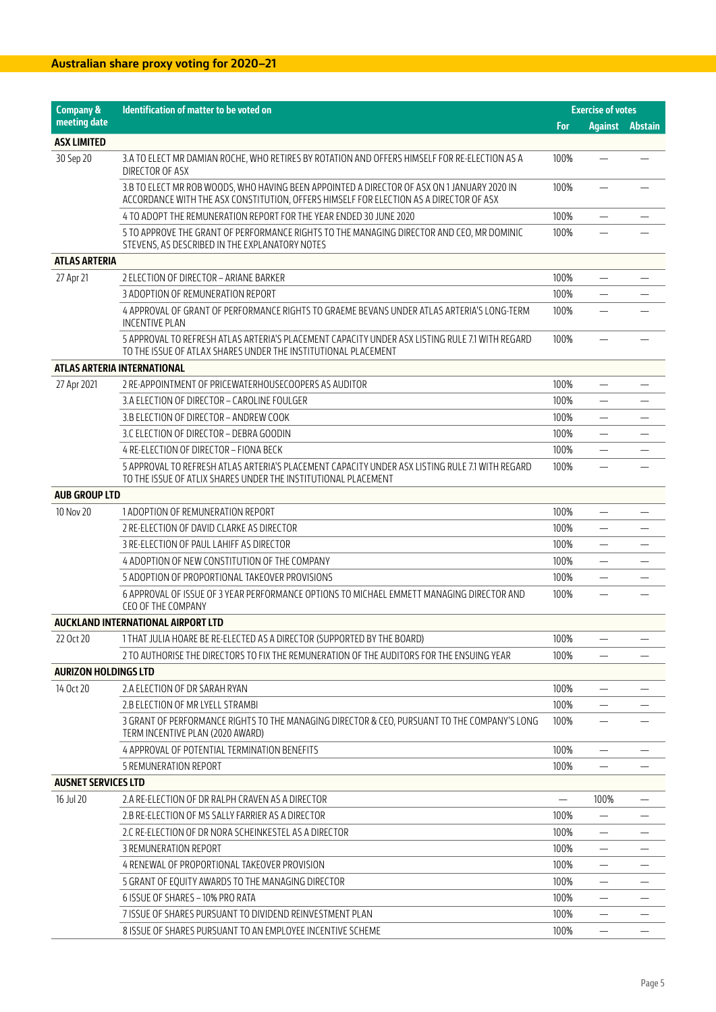| <b>Company &amp;</b>        | <b>Identification of matter to be voted on</b>                                                                                                                                        | <b>Exercise of votes</b> |                          |  |
|-----------------------------|---------------------------------------------------------------------------------------------------------------------------------------------------------------------------------------|--------------------------|--------------------------|--|
| meeting date                |                                                                                                                                                                                       | For                      | <b>Against Abstain</b>   |  |
| <b>ASX LIMITED</b>          |                                                                                                                                                                                       |                          |                          |  |
| 30 Sep 20                   | 3.A TO ELECT MR DAMIAN ROCHE, WHO RETIRES BY ROTATION AND OFFERS HIMSELF FOR RE-ELECTION AS A<br>DIRECTOR OF ASX                                                                      | 100%                     |                          |  |
|                             | 3.B TO ELECT MR ROB WOODS, WHO HAVING BEEN APPOINTED A DIRECTOR OF ASX ON 1 JANUARY 2020 IN<br>ACCORDANCE WITH THE ASX CONSTITUTION, OFFERS HIMSELF FOR ELECTION AS A DIRECTOR OF ASX | 100%                     |                          |  |
|                             | 4 TO ADOPT THE REMUNERATION REPORT FOR THE YEAR ENDED 30 JUNE 2020                                                                                                                    | 100%                     |                          |  |
|                             | 5 TO APPROVE THE GRANT OF PERFORMANCE RIGHTS TO THE MANAGING DIRECTOR AND CEO, MR DOMINIC<br>STEVENS, AS DESCRIBED IN THE EXPLANATORY NOTES                                           | 100%                     |                          |  |
| <b>ATLAS ARTERIA</b>        |                                                                                                                                                                                       |                          |                          |  |
| 27 Apr 21                   | 2 ELECTION OF DIRECTOR - ARIANE BARKER                                                                                                                                                | 100%                     |                          |  |
|                             | 3 ADOPTION OF REMUNERATION REPORT                                                                                                                                                     | 100%                     | —                        |  |
|                             | 4 APPROVAL OF GRANT OF PERFORMANCE RIGHTS TO GRAEME BEVANS UNDER ATLAS ARTERIA'S LONG-TERM<br><b>INCENTIVE PLAN</b>                                                                   | 100%                     |                          |  |
|                             | 5 APPROVAL TO REFRESH ATLAS ARTERIA'S PLACEMENT CAPACITY UNDER ASX LISTING RULE 7.1 WITH REGARD<br>TO THE ISSUE OF ATLAX SHARES UNDER THE INSTITUTIONAL PLACEMENT                     | 100%                     |                          |  |
|                             | ATLAS ARTERIA INTERNATIONAL                                                                                                                                                           |                          |                          |  |
| 27 Apr 2021                 | 2 RE-APPOINTMENT OF PRICEWATERHOUSECOOPERS AS AUDITOR                                                                                                                                 | 100%                     |                          |  |
|                             | 3.A ELECTION OF DIRECTOR - CAROLINE FOULGER                                                                                                                                           | 100%                     |                          |  |
|                             | 3.B ELECTION OF DIRECTOR - ANDREW COOK                                                                                                                                                | 100%                     |                          |  |
|                             | 3.C ELECTION OF DIRECTOR - DEBRA GOODIN                                                                                                                                               | 100%                     |                          |  |
|                             | 4 RE-ELECTION OF DIRECTOR - FIONA BECK                                                                                                                                                | 100%                     |                          |  |
|                             | 5 APPROVAL TO REFRESH ATLAS ARTERIA'S PLACEMENT CAPACITY UNDER ASX LISTING RULE 7.1 WITH REGARD<br>TO THE ISSUE OF ATLIX SHARES UNDER THE INSTITUTIONAL PLACEMENT                     | 100%                     |                          |  |
| <b>AUB GROUP LTD</b>        |                                                                                                                                                                                       |                          |                          |  |
| 10 Nov 20                   | 1 ADOPTION OF REMUNERATION REPORT                                                                                                                                                     | 100%                     | $\qquad \qquad -$        |  |
|                             | 2 RE-ELECTION OF DAVID CLARKE AS DIRECTOR                                                                                                                                             | 100%                     |                          |  |
|                             | 3 RE-ELECTION OF PAUL LAHIFF AS DIRECTOR                                                                                                                                              | 100%                     |                          |  |
|                             | 4 ADOPTION OF NEW CONSTITUTION OF THE COMPANY                                                                                                                                         | 100%                     | —                        |  |
|                             | 5 ADOPTION OF PROPORTIONAL TAKEOVER PROVISIONS                                                                                                                                        | 100%                     | $\overline{\phantom{0}}$ |  |
|                             | 6 APPROVAL OF ISSUE OF 3 YEAR PERFORMANCE OPTIONS TO MICHAEL EMMETT MANAGING DIRECTOR AND<br>CEO OF THE COMPANY                                                                       | 100%                     |                          |  |
|                             | AUCKLAND INTERNATIONAL AIRPORT LTD                                                                                                                                                    |                          |                          |  |
| 22 Oct 20                   | 1 THAT JULIA HOARE BE RE-ELECTED AS A DIRECTOR (SUPPORTED BY THE BOARD)                                                                                                               | 100%                     |                          |  |
|                             | 2 TO AUTHORISE THE DIRECTORS TO FIX THE REMUNERATION OF THE AUDITORS FOR THE ENSUING YEAR                                                                                             | 100%                     | —                        |  |
| <b>AURIZON HOLDINGS LTD</b> |                                                                                                                                                                                       |                          |                          |  |
| 14 Oct 20                   | 2.A ELECTION OF DR SARAH RYAN                                                                                                                                                         | 100%                     |                          |  |
|                             | 2.B ELECTION OF MR LYELL STRAMBI                                                                                                                                                      | 100%                     |                          |  |
|                             | 3 GRANT OF PERFORMANCE RIGHTS TO THE MANAGING DIRECTOR & CEO, PURSUANT TO THE COMPANY'S LONG<br>TERM INCENTIVE PLAN (2020 AWARD)                                                      | 100%                     | —                        |  |
|                             | 4 APPROVAL OF POTENTIAL TERMINATION BENEFITS                                                                                                                                          | 100%                     | $\overline{\phantom{0}}$ |  |
|                             | 5 REMUNERATION REPORT                                                                                                                                                                 | 100%                     |                          |  |
| <b>AUSNET SERVICES LTD</b>  |                                                                                                                                                                                       |                          |                          |  |
| 16 Jul 20                   | 2.A RE-ELECTION OF DR RALPH CRAVEN AS A DIRECTOR                                                                                                                                      |                          | 100%                     |  |
|                             | 2.B RE-ELECTION OF MS SALLY FARRIER AS A DIRECTOR                                                                                                                                     | 100%                     |                          |  |
|                             | 2.C RE-ELECTION OF DR NORA SCHEINKESTEL AS A DIRECTOR                                                                                                                                 | 100%                     |                          |  |
|                             | 3 REMUNERATION REPORT                                                                                                                                                                 | 100%                     |                          |  |
|                             | 4 RENEWAL OF PROPORTIONAL TAKEOVER PROVISION                                                                                                                                          | 100%                     |                          |  |
|                             | 5 GRANT OF EQUITY AWARDS TO THE MANAGING DIRECTOR                                                                                                                                     | 100%                     |                          |  |
|                             | 6 ISSUE OF SHARES - 10% PRO RATA                                                                                                                                                      | 100%                     |                          |  |
|                             | 7 ISSUE OF SHARES PURSUANT TO DIVIDEND REINVESTMENT PLAN                                                                                                                              | 100%                     | —                        |  |
|                             | 8 ISSUE OF SHARES PURSUANT TO AN EMPLOYEE INCENTIVE SCHEME                                                                                                                            | 100%                     |                          |  |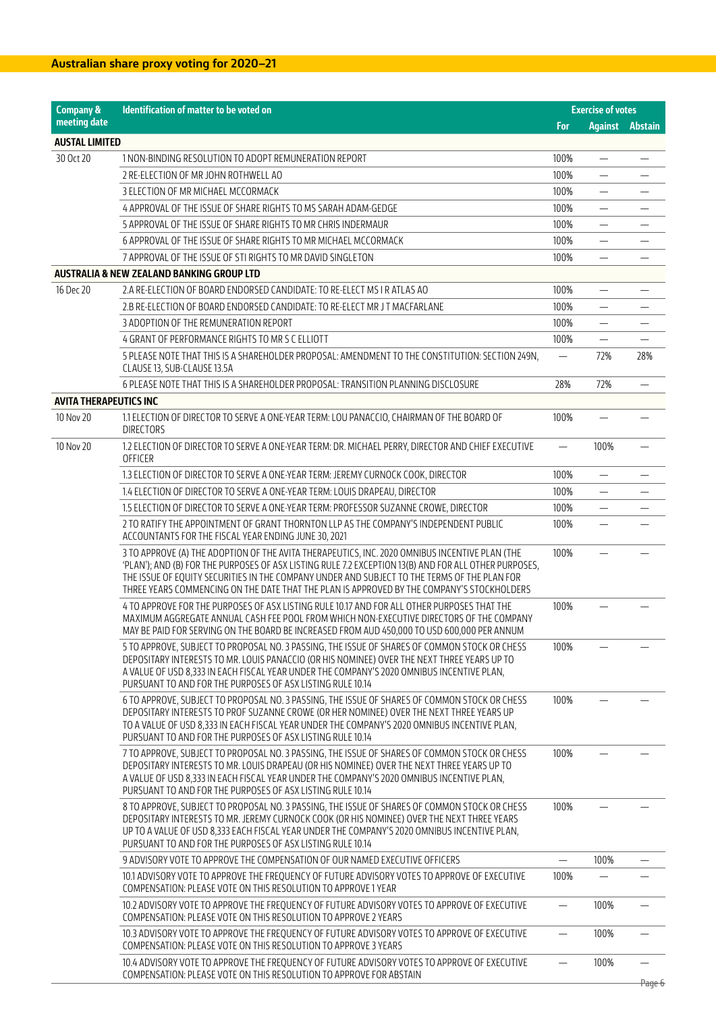| <b>Company &amp;</b>          | <b>Identification of matter to be voted on</b>                                                                                                                                                                                                                                                                                                                                                        | <b>Exercise of votes</b> |                          |                |
|-------------------------------|-------------------------------------------------------------------------------------------------------------------------------------------------------------------------------------------------------------------------------------------------------------------------------------------------------------------------------------------------------------------------------------------------------|--------------------------|--------------------------|----------------|
| meeting date                  |                                                                                                                                                                                                                                                                                                                                                                                                       | For                      | <b>Against</b>           | <b>Abstain</b> |
| <b>AUSTAL LIMITED</b>         |                                                                                                                                                                                                                                                                                                                                                                                                       |                          |                          |                |
| 30 Oct 20                     | 1 NON-BINDING RESOLUTION TO ADOPT REMUNERATION REPORT                                                                                                                                                                                                                                                                                                                                                 | 100%                     |                          |                |
|                               | 2 RE-ELECTION OF MR JOHN ROTHWELL AO                                                                                                                                                                                                                                                                                                                                                                  | 100%                     | $\overline{\phantom{0}}$ |                |
|                               | 3 ELECTION OF MR MICHAEL MCCORMACK                                                                                                                                                                                                                                                                                                                                                                    | 100%                     |                          |                |
|                               | 4 APPROVAL OF THE ISSUE OF SHARE RIGHTS TO MS SARAH ADAM-GEDGE                                                                                                                                                                                                                                                                                                                                        | 100%                     |                          |                |
|                               | 5 APPROVAL OF THE ISSUE OF SHARE RIGHTS TO MR CHRIS INDERMAUR                                                                                                                                                                                                                                                                                                                                         | 100%                     |                          |                |
|                               | 6 APPROVAL OF THE ISSUE OF SHARE RIGHTS TO MR MICHAEL MCCORMACK                                                                                                                                                                                                                                                                                                                                       | 100%                     |                          |                |
|                               | 7 APPROVAL OF THE ISSUE OF STI RIGHTS TO MR DAVID SINGLETON                                                                                                                                                                                                                                                                                                                                           | 100%                     | $\overline{\phantom{0}}$ | —              |
|                               | <b>AUSTRALIA &amp; NEW ZEALAND BANKING GROUP LTD</b>                                                                                                                                                                                                                                                                                                                                                  |                          |                          |                |
| 16 Dec 20                     | 2.A RE-ELECTION OF BOARD ENDORSED CANDIDATE: TO RE-ELECT MS I RATLAS AO                                                                                                                                                                                                                                                                                                                               | 100%                     |                          |                |
|                               | 2.B RE-ELECTION OF BOARD ENDORSED CANDIDATE: TO RE-ELECT MR J T MACFARLANE                                                                                                                                                                                                                                                                                                                            | 100%                     |                          |                |
|                               | 3 ADOPTION OF THE REMUNERATION REPORT                                                                                                                                                                                                                                                                                                                                                                 | 100%                     |                          |                |
|                               | 4 GRANT OF PERFORMANCE RIGHTS TO MR S C ELLIOTT                                                                                                                                                                                                                                                                                                                                                       | 100%                     |                          |                |
|                               | 5 PLEASE NOTE THAT THIS IS A SHAREHOLDER PROPOSAL: AMENDMENT TO THE CONSTITUTION: SECTION 249N,<br>CLAUSE 13, SUB-CLAUSE 13.5A                                                                                                                                                                                                                                                                        | $\overline{\phantom{0}}$ | 72%                      | 28%            |
|                               | 6 PLEASE NOTE THAT THIS IS A SHAREHOLDER PROPOSAL: TRANSITION PLANNING DISCLOSURE                                                                                                                                                                                                                                                                                                                     | 28%                      | 72%                      |                |
| <b>AVITA THERAPEUTICS INC</b> |                                                                                                                                                                                                                                                                                                                                                                                                       |                          |                          |                |
| 10 Nov 20                     | 1.1 ELECTION OF DIRECTOR TO SERVE A ONE-YEAR TERM: LOU PANACCIO, CHAIRMAN OF THE BOARD OF<br><b>DIRECTORS</b>                                                                                                                                                                                                                                                                                         | 100%                     |                          |                |
| 10 Nov 20                     | 1.2 ELECTION OF DIRECTOR TO SERVE A ONE-YEAR TERM: DR. MICHAEL PERRY, DIRECTOR AND CHIEF EXECUTIVE<br>OFFICER                                                                                                                                                                                                                                                                                         |                          | 100%                     |                |
|                               | 1.3 ELECTION OF DIRECTOR TO SERVE A ONE-YEAR TERM: JEREMY CURNOCK COOK, DIRECTOR                                                                                                                                                                                                                                                                                                                      | 100%                     | $\overline{\phantom{0}}$ |                |
|                               | 1.4 ELECTION OF DIRECTOR TO SERVE A ONE-YEAR TERM: LOUIS DRAPEAU, DIRECTOR                                                                                                                                                                                                                                                                                                                            | 100%                     |                          |                |
|                               | 1.5 ELECTION OF DIRECTOR TO SERVE A ONE-YEAR TERM: PROFESSOR SUZANNE CROWE, DIRECTOR                                                                                                                                                                                                                                                                                                                  | 100%                     | $\overline{\phantom{0}}$ |                |
|                               | 2 TO RATIFY THE APPOINTMENT OF GRANT THORNTON LLP AS THE COMPANY'S INDEPENDENT PUBLIC<br>ACCOUNTANTS FOR THE FISCAL YEAR ENDING JUNE 30, 2021                                                                                                                                                                                                                                                         | 100%                     |                          |                |
|                               | 3 TO APPROVE (A) THE ADOPTION OF THE AVITA THERAPEUTICS, INC. 2020 OMNIBUS INCENTIVE PLAN (THE<br>'PLAN'); AND (B) FOR THE PURPOSES OF ASX LISTING RULE 7.2 EXCEPTION 13(B) AND FOR ALL OTHER PURPOSES,<br>THE ISSUE OF EQUITY SECURITIES IN THE COMPANY UNDER AND SUBJECT TO THE TERMS OF THE PLAN FOR<br>THREE YEARS COMMENCING ON THE DATE THAT THE PLAN IS APPROVED BY THE COMPANY'S STOCKHOLDERS | 100%                     |                          |                |
|                               | 4 TO APPROVE FOR THE PURPOSES OF ASX LISTING RULE 10.17 AND FOR ALL OTHER PURPOSES THAT THE<br>MAXIMUM AGGREGATE ANNUAL CASH FEE POOL FROM WHICH NON-EXECUTIVE DIRECTORS OF THE COMPANY<br>MAY BE PAID FOR SERVING ON THE BOARD BE INCREASED FROM AUD 450,000 TO USD 600,000 PER ANNUM                                                                                                                | 100%                     |                          |                |
|                               | 5 TO APPROVE, SUBJECT TO PROPOSAL NO. 3 PASSING, THE ISSUE OF SHARES OF COMMON STOCK OR CHESS<br>DEPOSITARY INTERESTS TO MR. LOUIS PANACCIO (OR HIS NOMINEE) OVER THE NEXT THREE YEARS UP TO<br>A VALUE OF USD 8,333 IN EACH FISCAL YEAR UNDER THE COMPANY'S 2020 OMNIBUS INCENTIVE PLAN,<br>PURSUANT TO AND FOR THE PURPOSES OF ASX LISTING RULE 10.14                                               | 100%                     |                          |                |
|                               | 6 TO APPROVE, SUBJECT TO PROPOSAL NO. 3 PASSING, THE ISSUE OF SHARES OF COMMON STOCK OR CHESS<br>DEPOSITARY INTERESTS TO PROF SUZANNE CROWE (OR HER NOMINEE) OVER THE NEXT THREE YEARS UP<br>TO A VALUE OF USD 8,333 IN EACH FISCAL YEAR UNDER THE COMPANY'S 2020 OMNIBUS INCENTIVE PLAN,<br>PURSUANT TO AND FOR THE PURPOSES OF ASX LISTING RULE 10.14                                               | 100%                     |                          |                |
|                               | 7 TO APPROVE, SUBJECT TO PROPOSAL NO. 3 PASSING, THE ISSUE OF SHARES OF COMMON STOCK OR CHESS<br>DEPOSITARY INTERESTS TO MR. LOUIS DRAPEAU (OR HIS NOMINEE) OVER THE NEXT THREE YEARS UP TO<br>A VALUE OF USD 8,333 IN EACH FISCAL YEAR UNDER THE COMPANY'S 2020 OMNIBUS INCENTIVE PLAN.<br>PURSUANT TO AND FOR THE PURPOSES OF ASX LISTING RULE 10.14                                                | 100%                     |                          |                |
|                               | 8 TO APPROVE, SUBJECT TO PROPOSAL NO. 3 PASSING, THE ISSUE OF SHARES OF COMMON STOCK OR CHESS<br>DEPOSITARY INTERESTS TO MR. JEREMY CURNOCK COOK (OR HIS NOMINEE) OVER THE NEXT THREE YEARS<br>UP TO A VALUE OF USD 8,333 EACH FISCAL YEAR UNDER THE COMPANY'S 2020 OMNIBUS INCENTIVE PLAN,<br>PURSUANT TO AND FOR THE PURPOSES OF ASX LISTING RULE 10.14                                             | 100%                     |                          |                |
|                               | 9 ADVISORY VOTE TO APPROVE THE COMPENSATION OF OUR NAMED EXECUTIVE OFFICERS                                                                                                                                                                                                                                                                                                                           |                          | 100%                     |                |
|                               | 10.1 ADVISORY VOTE TO APPROVE THE FREQUENCY OF FUTURE ADVISORY VOTES TO APPROVE OF EXECUTIVE<br>COMPENSATION: PLEASE VOTE ON THIS RESOLUTION TO APPROVE 1 YEAR                                                                                                                                                                                                                                        | 100%                     |                          |                |
|                               | 10.2 ADVISORY VOTE TO APPROVE THE FREQUENCY OF FUTURE ADVISORY VOTES TO APPROVE OF EXECUTIVE<br>COMPENSATION: PLEASE VOTE ON THIS RESOLUTION TO APPROVE 2 YEARS                                                                                                                                                                                                                                       |                          | 100%                     |                |
|                               | 10.3 ADVISORY VOTE TO APPROVE THE FREQUENCY OF FUTURE ADVISORY VOTES TO APPROVE OF EXECUTIVE<br>COMPENSATION: PLEASE VOTE ON THIS RESOLUTION TO APPROVE 3 YEARS                                                                                                                                                                                                                                       |                          | 100%                     |                |
|                               | 10.4 ADVISORY VOTE TO APPROVE THE FREQUENCY OF FUTURE ADVISORY VOTES TO APPROVE OF EXECUTIVE<br>COMPENSATION: PLEASE VOTE ON THIS RESOLUTION TO APPROVE FOR ABSTAIN                                                                                                                                                                                                                                   |                          | 100%                     |                |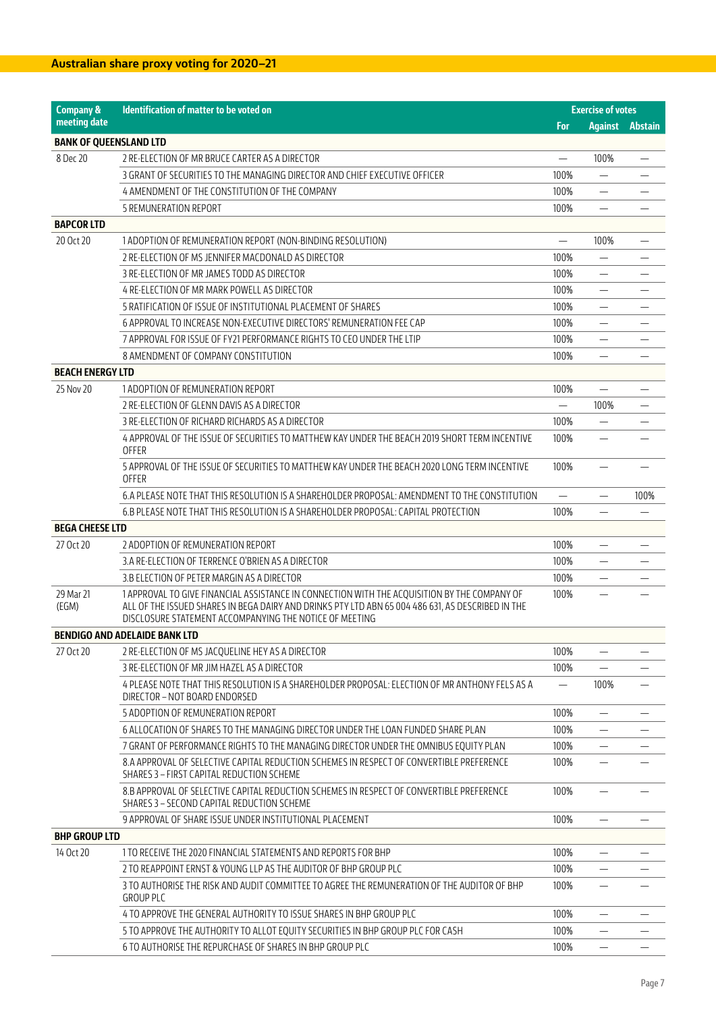| <b>Company &amp;</b>          | <b>Identification of matter to be voted on</b>                                                                                                               |                          | <b>Exercise of votes</b> |                |
|-------------------------------|--------------------------------------------------------------------------------------------------------------------------------------------------------------|--------------------------|--------------------------|----------------|
| meeting date                  |                                                                                                                                                              | For                      | <b>Against</b>           | <b>Abstain</b> |
| <b>BANK OF QUEENSLAND LTD</b> |                                                                                                                                                              |                          |                          |                |
| 8 Dec 20                      | 2 RE-ELECTION OF MR BRUCE CARTER AS A DIRECTOR                                                                                                               |                          | 100%                     |                |
|                               | 3 GRANT OF SECURITIES TO THE MANAGING DIRECTOR AND CHIEF EXECUTIVE OFFICER                                                                                   | 100%                     | $\overline{\phantom{0}}$ |                |
|                               | 4 AMENDMENT OF THE CONSTITUTION OF THE COMPANY                                                                                                               | 100%                     |                          |                |
|                               | 5 REMUNERATION REPORT                                                                                                                                        | 100%                     |                          |                |
| <b>BAPCOR LTD</b>             |                                                                                                                                                              |                          |                          |                |
| 20 Oct 20                     | 1 ADOPTION OF REMUNERATION REPORT (NON-BINDING RESOLUTION)                                                                                                   | $\overline{\phantom{0}}$ | 100%                     |                |
|                               | 2 RE-ELECTION OF MS JENNIFER MACDONALD AS DIRECTOR                                                                                                           | 100%                     |                          |                |
|                               | 3 RE-ELECTION OF MR JAMES TODD AS DIRECTOR                                                                                                                   | 100%                     | $\overline{\phantom{0}}$ |                |
|                               | 4 RE-ELECTION OF MR MARK POWELL AS DIRECTOR                                                                                                                  | 100%                     | —                        |                |
|                               | 5 RATIFICATION OF ISSUE OF INSTITUTIONAL PLACEMENT OF SHARES                                                                                                 | 100%                     | $\overline{\phantom{0}}$ |                |
|                               | 6 APPROVAL TO INCREASE NON-EXECUTIVE DIRECTORS' REMUNERATION FEE CAP                                                                                         | 100%                     |                          |                |
|                               | 7 APPROVAL FOR ISSUE OF FY21 PERFORMANCE RIGHTS TO CEO UNDER THE LTIP                                                                                        | 100%                     | —                        |                |
|                               | 8 AMENDMENT OF COMPANY CONSTITUTION                                                                                                                          | 100%                     | $\overline{\phantom{0}}$ |                |
| <b>BEACH ENERGY LTD</b>       |                                                                                                                                                              |                          |                          |                |
| 25 Nov 20                     | 1 ADOPTION OF REMUNERATION REPORT                                                                                                                            | 100%                     |                          |                |
|                               | 2 RE-ELECTION OF GLENN DAVIS AS A DIRECTOR                                                                                                                   |                          | 100%                     |                |
|                               | 3 RE-ELECTION OF RICHARD RICHARDS AS A DIRECTOR                                                                                                              | 100%                     |                          |                |
|                               | 4 APPROVAL OF THE ISSUE OF SECURITIES TO MATTHEW KAY UNDER THE BEACH 2019 SHORT TERM INCENTIVE<br><b>OFFER</b>                                               | 100%                     |                          |                |
|                               | 5 APPROVAL OF THE ISSUE OF SECURITIES TO MATTHEW KAY UNDER THE BEACH 2020 LONG TERM INCENTIVE<br><b>OFFER</b>                                                | 100%                     |                          |                |
|                               | 6.A PLEASE NOTE THAT THIS RESOLUTION IS A SHAREHOLDER PROPOSAL: AMENDMENT TO THE CONSTITUTION                                                                |                          |                          | 100%           |
|                               | 6.B PLEASE NOTE THAT THIS RESOLUTION IS A SHAREHOLDER PROPOSAL: CAPITAL PROTECTION                                                                           | 100%                     |                          |                |
| <b>BEGA CHEESE LTD</b>        |                                                                                                                                                              |                          |                          |                |
| 27 Oct 20                     | 2 ADOPTION OF REMUNERATION REPORT                                                                                                                            | 100%                     |                          |                |
|                               | 3.A RE-ELECTION OF TERRENCE O'BRIEN AS A DIRECTOR                                                                                                            | 100%                     |                          |                |
|                               | 3.B ELECTION OF PETER MARGIN AS A DIRECTOR                                                                                                                   | 100%                     |                          |                |
| 29 Mar 21                     | 1 APPROVAL TO GIVE FINANCIAL ASSISTANCE IN CONNECTION WITH THE ACQUISITION BY THE COMPANY OF                                                                 | 100%                     | $\equiv$                 |                |
| (EGM)                         | ALL OF THE ISSUED SHARES IN BEGA DAIRY AND DRINKS PTY LTD ABN 65 004 486 631, AS DESCRIBED IN THE<br>DISCLOSURE STATEMENT ACCOMPANYING THE NOTICE OF MEETING |                          |                          |                |
|                               | <b>BENDIGO AND ADELAIDE BANK LTD</b>                                                                                                                         |                          |                          |                |
| 27 Oct 20                     | 2 RE-ELECTION OF MS JACQUELINE HEY AS A DIRECTOR                                                                                                             | 100%                     | $\overline{\phantom{0}}$ |                |
|                               | 3 RE-ELECTION OF MR JIM HAZEL AS A DIRECTOR                                                                                                                  | 100%                     |                          |                |
|                               | 4 PLEASE NOTE THAT THIS RESOLUTION IS A SHAREHOLDER PROPOSAL: ELECTION OF MR ANTHONY FELS AS A<br>DIRECTOR - NOT BOARD ENDORSED                              |                          | 100%                     |                |
|                               | 5 ADOPTION OF REMUNERATION REPORT                                                                                                                            | 100%                     |                          |                |
|                               | 6 ALLOCATION OF SHARES TO THE MANAGING DIRECTOR UNDER THE LOAN FUNDED SHARE PLAN                                                                             | 100%                     |                          |                |
|                               | 7 GRANT OF PERFORMANCE RIGHTS TO THE MANAGING DIRECTOR UNDER THE OMNIBUS EQUITY PLAN                                                                         | 100%                     |                          |                |
|                               | 8.A APPROVAL OF SELECTIVE CAPITAL REDUCTION SCHEMES IN RESPECT OF CONVERTIBLE PREFERENCE<br>SHARES 3 - FIRST CAPITAL REDUCTION SCHEME                        | 100%                     |                          |                |
|                               | 8.B APPROVAL OF SELECTIVE CAPITAL REDUCTION SCHEMES IN RESPECT OF CONVERTIBLE PREFERENCE<br>SHARES 3 - SECOND CAPITAL REDUCTION SCHEME                       | 100%                     |                          |                |
|                               | 9 APPROVAL OF SHARE ISSUE UNDER INSTITUTIONAL PLACEMENT                                                                                                      | 100%                     |                          |                |
| <b>BHP GROUP LTD</b>          |                                                                                                                                                              |                          |                          |                |
| 14 Oct 20                     | 1 TO RECEIVE THE 2020 FINANCIAL STATEMENTS AND REPORTS FOR BHP                                                                                               | 100%                     | -                        |                |
|                               | 2 TO REAPPOINT ERNST & YOUNG LLP AS THE AUDITOR OF BHP GROUP PLC                                                                                             | 100%                     | —                        |                |
|                               | 3 TO AUTHORISE THE RISK AND AUDIT COMMITTEE TO AGREE THE REMUNERATION OF THE AUDITOR OF BHP<br><b>GROUP PLC</b>                                              | 100%                     |                          |                |
|                               | 4 TO APPROVE THE GENERAL AUTHORITY TO ISSUE SHARES IN BHP GROUP PLC                                                                                          | 100%                     |                          |                |
|                               | 5 TO APPROVE THE AUTHORITY TO ALLOT EQUITY SECURITIES IN BHP GROUP PLC FOR CASH                                                                              | 100%                     |                          |                |
|                               | 6 TO AUTHORISE THE REPURCHASE OF SHARES IN BHP GROUP PLC                                                                                                     | 100%                     | $\overline{\phantom{0}}$ |                |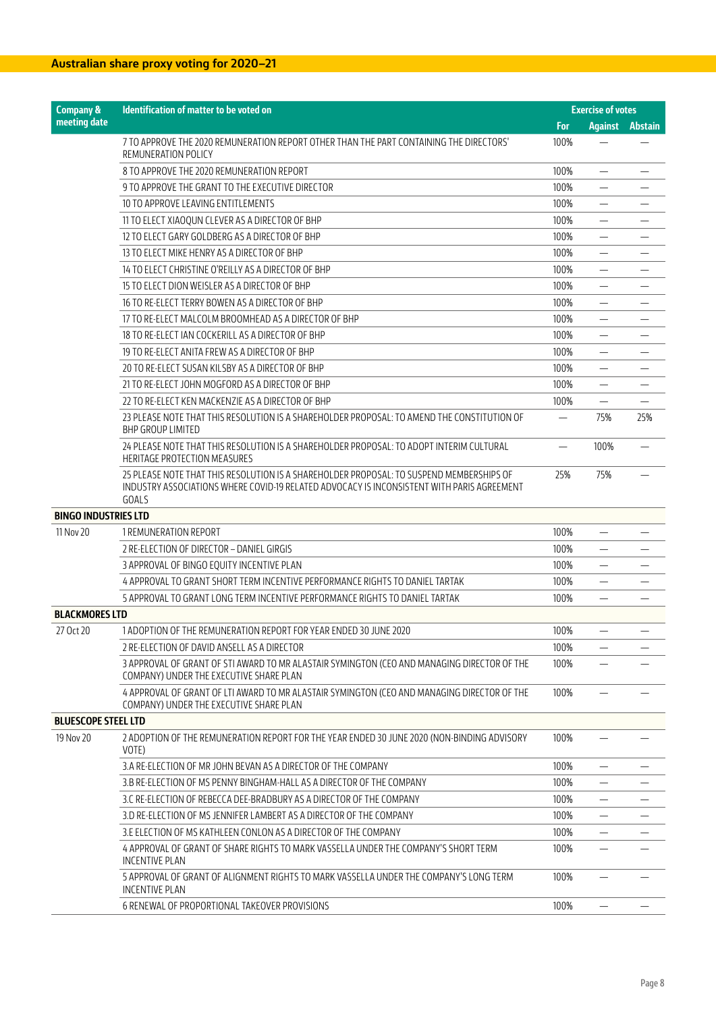| For<br><b>Against</b><br><b>Abstain</b><br>100%<br>7 TO APPROVE THE 2020 REMUNERATION REPORT OTHER THAN THE PART CONTAINING THE DIRECTORS'<br>REMUNERATION POLICY<br>8 TO APPROVE THE 2020 REMUNERATION REPORT<br>100%<br>$\overline{\phantom{0}}$<br>9 TO APPROVE THE GRANT TO THE EXECUTIVE DIRECTOR<br>100%<br>$\qquad \qquad -$<br>100%<br>10 TO APPROVE LEAVING ENTITLEMENTS<br>100%<br>11 TO ELECT XIAOQUN CLEVER AS A DIRECTOR OF BHP<br>100%<br>12 TO ELECT GARY GOLDBERG AS A DIRECTOR OF BHP<br>—<br>13 TO ELECT MIKE HENRY AS A DIRECTOR OF BHP<br>100%<br>14 TO ELECT CHRISTINE O'REILLY AS A DIRECTOR OF BHP<br>100%<br>15 TO ELECT DION WEISLER AS A DIRECTOR OF BHP<br>100%<br>—<br>16 TO RE-ELECT TERRY BOWEN AS A DIRECTOR OF BHP<br>100%<br>$\qquad \qquad -$<br>100%<br>17 TO RE-ELECT MALCOLM BROOMHEAD AS A DIRECTOR OF BHP<br>$\equiv$<br>100%<br>18 TO RE-ELECT IAN COCKERILL AS A DIRECTOR OF BHP<br>$\overline{\phantom{0}}$<br>19 TO RE-ELECT ANITA FREW AS A DIRECTOR OF BHP<br>100%<br>100%<br>20 TO RE-ELECT SUSAN KILSBY AS A DIRECTOR OF BHP<br>$\qquad \qquad \longleftarrow$<br>100%<br>21 TO RE-ELECT JOHN MOGFORD AS A DIRECTOR OF BHP<br>22 TO RE-ELECT KEN MACKENZIE AS A DIRECTOR OF BHP<br>100%<br>$\overline{\phantom{0}}$<br>23 PLEASE NOTE THAT THIS RESOLUTION IS A SHAREHOLDER PROPOSAL: TO AMEND THE CONSTITUTION OF<br>75%<br>25%<br>BHP GROUP LIMITED<br>24 PLEASE NOTE THAT THIS RESOLUTION IS A SHAREHOLDER PROPOSAL: TO ADOPT INTERIM CULTURAL<br>100%<br><b>HERITAGE PROTECTION MEASURES</b><br>75%<br>25 PLEASE NOTE THAT THIS RESOLUTION IS A SHAREHOLDER PROPOSAL: TO SUSPEND MEMBERSHIPS OF<br>25%<br>INDUSTRY ASSOCIATIONS WHERE COVID-19 RELATED ADVOCACY IS INCONSISTENT WITH PARIS AGREEMENT<br><b>GOALS</b><br><b>BINGO INDUSTRIES LTD</b><br>11 Nov 20<br>1 REMUNERATION REPORT<br>100%<br>—<br>2 RE-ELECTION OF DIRECTOR - DANIEL GIRGIS<br>100%<br>3 APPROVAL OF BINGO EQUITY INCENTIVE PLAN<br>100%<br>4 APPROVAL TO GRANT SHORT TERM INCENTIVE PERFORMANCE RIGHTS TO DANIEL TARTAK<br>100%<br>$\overline{\phantom{0}}$<br>5 APPROVAL TO GRANT LONG TERM INCENTIVE PERFORMANCE RIGHTS TO DANIEL TARTAK<br>100%<br>$\qquad \qquad -$<br><b>BLACKMORES LTD</b><br>100%<br>27 Oct 20<br>1 ADOPTION OF THE REMUNERATION REPORT FOR YEAR ENDED 30 JUNE 2020<br>100%<br>2 RE-ELECTION OF DAVID ANSELL AS A DIRECTOR<br>$\qquad \qquad -$<br>100%<br>3 APPROVAL OF GRANT OF STI AWARD TO MR ALASTAIR SYMINGTON (CEO AND MANAGING DIRECTOR OF THE<br>COMPANY) UNDER THE EXECUTIVE SHARE PLAN<br>4 APPROVAL OF GRANT OF LTI AWARD TO MR ALASTAIR SYMINGTON (CEO AND MANAGING DIRECTOR OF THE<br>100%<br>COMPANY) UNDER THE EXECUTIVE SHARE PLAN<br><b>BLUESCOPE STEEL LTD</b><br>19 Nov 20<br>2 ADOPTION OF THE REMUNERATION REPORT FOR THE YEAR ENDED 30 JUNE 2020 (NON-BINDING ADVISORY<br>100%<br>VOTE)<br>3.A RE-ELECTION OF MR JOHN BEVAN AS A DIRECTOR OF THE COMPANY<br>100%<br>100%<br>3.B RE-ELECTION OF MS PENNY BINGHAM-HALL AS A DIRECTOR OF THE COMPANY<br>—<br>100%<br>3.C RE-ELECTION OF REBECCA DEE-BRADBURY AS A DIRECTOR OF THE COMPANY<br>$\overline{\phantom{0}}$<br>100%<br>3.D RE-ELECTION OF MS JENNIFER LAMBERT AS A DIRECTOR OF THE COMPANY<br>100%<br>3.E ELECTION OF MS KATHLEEN CONLON AS A DIRECTOR OF THE COMPANY<br>4 APPROVAL OF GRANT OF SHARE RIGHTS TO MARK VASSELLA UNDER THE COMPANY'S SHORT TERM<br>100%<br><b>INCENTIVE PLAN</b><br>5 APPROVAL OF GRANT OF ALIGNMENT RIGHTS TO MARK VASSELLA UNDER THE COMPANY'S LONG TERM<br>100%<br><b>INCENTIVE PLAN</b><br>6 RENEWAL OF PROPORTIONAL TAKEOVER PROVISIONS<br>100% | <b>Company &amp;</b> | Identification of matter to be voted on | <b>Exercise of votes</b> |  |
|--------------------------------------------------------------------------------------------------------------------------------------------------------------------------------------------------------------------------------------------------------------------------------------------------------------------------------------------------------------------------------------------------------------------------------------------------------------------------------------------------------------------------------------------------------------------------------------------------------------------------------------------------------------------------------------------------------------------------------------------------------------------------------------------------------------------------------------------------------------------------------------------------------------------------------------------------------------------------------------------------------------------------------------------------------------------------------------------------------------------------------------------------------------------------------------------------------------------------------------------------------------------------------------------------------------------------------------------------------------------------------------------------------------------------------------------------------------------------------------------------------------------------------------------------------------------------------------------------------------------------------------------------------------------------------------------------------------------------------------------------------------------------------------------------------------------------------------------------------------------------------------------------------------------------------------------------------------------------------------------------------------------------------------------------------------------------------------------------------------------------------------------------------------------------------------------------------------------------------------------------------------------------------------------------------------------------------------------------------------------------------------------------------------------------------------------------------------------------------------------------------------------------------------------------------------------------------------------------------------------------------------------------------------------------------------------------------------------------------------------------------------------------------------------------------------------------------------------------------------------------------------------------------------------------------------------------------------------------------------------------------------------------------------------------------------------------------------------------------------------------------------------------------------------------------------------------------------------------------------------------------------------------------------------------------------------------------------------------------------------------------------------------------------------------------------------------------------------------------------------------------------------------------------------------------------------------------------------------------------------|----------------------|-----------------------------------------|--------------------------|--|
|                                                                                                                                                                                                                                                                                                                                                                                                                                                                                                                                                                                                                                                                                                                                                                                                                                                                                                                                                                                                                                                                                                                                                                                                                                                                                                                                                                                                                                                                                                                                                                                                                                                                                                                                                                                                                                                                                                                                                                                                                                                                                                                                                                                                                                                                                                                                                                                                                                                                                                                                                                                                                                                                                                                                                                                                                                                                                                                                                                                                                                                                                                                                                                                                                                                                                                                                                                                                                                                                                                                                                                                                                    | meeting date         |                                         |                          |  |
|                                                                                                                                                                                                                                                                                                                                                                                                                                                                                                                                                                                                                                                                                                                                                                                                                                                                                                                                                                                                                                                                                                                                                                                                                                                                                                                                                                                                                                                                                                                                                                                                                                                                                                                                                                                                                                                                                                                                                                                                                                                                                                                                                                                                                                                                                                                                                                                                                                                                                                                                                                                                                                                                                                                                                                                                                                                                                                                                                                                                                                                                                                                                                                                                                                                                                                                                                                                                                                                                                                                                                                                                                    |                      |                                         |                          |  |
|                                                                                                                                                                                                                                                                                                                                                                                                                                                                                                                                                                                                                                                                                                                                                                                                                                                                                                                                                                                                                                                                                                                                                                                                                                                                                                                                                                                                                                                                                                                                                                                                                                                                                                                                                                                                                                                                                                                                                                                                                                                                                                                                                                                                                                                                                                                                                                                                                                                                                                                                                                                                                                                                                                                                                                                                                                                                                                                                                                                                                                                                                                                                                                                                                                                                                                                                                                                                                                                                                                                                                                                                                    |                      |                                         |                          |  |
|                                                                                                                                                                                                                                                                                                                                                                                                                                                                                                                                                                                                                                                                                                                                                                                                                                                                                                                                                                                                                                                                                                                                                                                                                                                                                                                                                                                                                                                                                                                                                                                                                                                                                                                                                                                                                                                                                                                                                                                                                                                                                                                                                                                                                                                                                                                                                                                                                                                                                                                                                                                                                                                                                                                                                                                                                                                                                                                                                                                                                                                                                                                                                                                                                                                                                                                                                                                                                                                                                                                                                                                                                    |                      |                                         |                          |  |
|                                                                                                                                                                                                                                                                                                                                                                                                                                                                                                                                                                                                                                                                                                                                                                                                                                                                                                                                                                                                                                                                                                                                                                                                                                                                                                                                                                                                                                                                                                                                                                                                                                                                                                                                                                                                                                                                                                                                                                                                                                                                                                                                                                                                                                                                                                                                                                                                                                                                                                                                                                                                                                                                                                                                                                                                                                                                                                                                                                                                                                                                                                                                                                                                                                                                                                                                                                                                                                                                                                                                                                                                                    |                      |                                         |                          |  |
|                                                                                                                                                                                                                                                                                                                                                                                                                                                                                                                                                                                                                                                                                                                                                                                                                                                                                                                                                                                                                                                                                                                                                                                                                                                                                                                                                                                                                                                                                                                                                                                                                                                                                                                                                                                                                                                                                                                                                                                                                                                                                                                                                                                                                                                                                                                                                                                                                                                                                                                                                                                                                                                                                                                                                                                                                                                                                                                                                                                                                                                                                                                                                                                                                                                                                                                                                                                                                                                                                                                                                                                                                    |                      |                                         |                          |  |
|                                                                                                                                                                                                                                                                                                                                                                                                                                                                                                                                                                                                                                                                                                                                                                                                                                                                                                                                                                                                                                                                                                                                                                                                                                                                                                                                                                                                                                                                                                                                                                                                                                                                                                                                                                                                                                                                                                                                                                                                                                                                                                                                                                                                                                                                                                                                                                                                                                                                                                                                                                                                                                                                                                                                                                                                                                                                                                                                                                                                                                                                                                                                                                                                                                                                                                                                                                                                                                                                                                                                                                                                                    |                      |                                         |                          |  |
|                                                                                                                                                                                                                                                                                                                                                                                                                                                                                                                                                                                                                                                                                                                                                                                                                                                                                                                                                                                                                                                                                                                                                                                                                                                                                                                                                                                                                                                                                                                                                                                                                                                                                                                                                                                                                                                                                                                                                                                                                                                                                                                                                                                                                                                                                                                                                                                                                                                                                                                                                                                                                                                                                                                                                                                                                                                                                                                                                                                                                                                                                                                                                                                                                                                                                                                                                                                                                                                                                                                                                                                                                    |                      |                                         |                          |  |
|                                                                                                                                                                                                                                                                                                                                                                                                                                                                                                                                                                                                                                                                                                                                                                                                                                                                                                                                                                                                                                                                                                                                                                                                                                                                                                                                                                                                                                                                                                                                                                                                                                                                                                                                                                                                                                                                                                                                                                                                                                                                                                                                                                                                                                                                                                                                                                                                                                                                                                                                                                                                                                                                                                                                                                                                                                                                                                                                                                                                                                                                                                                                                                                                                                                                                                                                                                                                                                                                                                                                                                                                                    |                      |                                         |                          |  |
|                                                                                                                                                                                                                                                                                                                                                                                                                                                                                                                                                                                                                                                                                                                                                                                                                                                                                                                                                                                                                                                                                                                                                                                                                                                                                                                                                                                                                                                                                                                                                                                                                                                                                                                                                                                                                                                                                                                                                                                                                                                                                                                                                                                                                                                                                                                                                                                                                                                                                                                                                                                                                                                                                                                                                                                                                                                                                                                                                                                                                                                                                                                                                                                                                                                                                                                                                                                                                                                                                                                                                                                                                    |                      |                                         |                          |  |
|                                                                                                                                                                                                                                                                                                                                                                                                                                                                                                                                                                                                                                                                                                                                                                                                                                                                                                                                                                                                                                                                                                                                                                                                                                                                                                                                                                                                                                                                                                                                                                                                                                                                                                                                                                                                                                                                                                                                                                                                                                                                                                                                                                                                                                                                                                                                                                                                                                                                                                                                                                                                                                                                                                                                                                                                                                                                                                                                                                                                                                                                                                                                                                                                                                                                                                                                                                                                                                                                                                                                                                                                                    |                      |                                         |                          |  |
|                                                                                                                                                                                                                                                                                                                                                                                                                                                                                                                                                                                                                                                                                                                                                                                                                                                                                                                                                                                                                                                                                                                                                                                                                                                                                                                                                                                                                                                                                                                                                                                                                                                                                                                                                                                                                                                                                                                                                                                                                                                                                                                                                                                                                                                                                                                                                                                                                                                                                                                                                                                                                                                                                                                                                                                                                                                                                                                                                                                                                                                                                                                                                                                                                                                                                                                                                                                                                                                                                                                                                                                                                    |                      |                                         |                          |  |
|                                                                                                                                                                                                                                                                                                                                                                                                                                                                                                                                                                                                                                                                                                                                                                                                                                                                                                                                                                                                                                                                                                                                                                                                                                                                                                                                                                                                                                                                                                                                                                                                                                                                                                                                                                                                                                                                                                                                                                                                                                                                                                                                                                                                                                                                                                                                                                                                                                                                                                                                                                                                                                                                                                                                                                                                                                                                                                                                                                                                                                                                                                                                                                                                                                                                                                                                                                                                                                                                                                                                                                                                                    |                      |                                         |                          |  |
|                                                                                                                                                                                                                                                                                                                                                                                                                                                                                                                                                                                                                                                                                                                                                                                                                                                                                                                                                                                                                                                                                                                                                                                                                                                                                                                                                                                                                                                                                                                                                                                                                                                                                                                                                                                                                                                                                                                                                                                                                                                                                                                                                                                                                                                                                                                                                                                                                                                                                                                                                                                                                                                                                                                                                                                                                                                                                                                                                                                                                                                                                                                                                                                                                                                                                                                                                                                                                                                                                                                                                                                                                    |                      |                                         |                          |  |
|                                                                                                                                                                                                                                                                                                                                                                                                                                                                                                                                                                                                                                                                                                                                                                                                                                                                                                                                                                                                                                                                                                                                                                                                                                                                                                                                                                                                                                                                                                                                                                                                                                                                                                                                                                                                                                                                                                                                                                                                                                                                                                                                                                                                                                                                                                                                                                                                                                                                                                                                                                                                                                                                                                                                                                                                                                                                                                                                                                                                                                                                                                                                                                                                                                                                                                                                                                                                                                                                                                                                                                                                                    |                      |                                         |                          |  |
|                                                                                                                                                                                                                                                                                                                                                                                                                                                                                                                                                                                                                                                                                                                                                                                                                                                                                                                                                                                                                                                                                                                                                                                                                                                                                                                                                                                                                                                                                                                                                                                                                                                                                                                                                                                                                                                                                                                                                                                                                                                                                                                                                                                                                                                                                                                                                                                                                                                                                                                                                                                                                                                                                                                                                                                                                                                                                                                                                                                                                                                                                                                                                                                                                                                                                                                                                                                                                                                                                                                                                                                                                    |                      |                                         |                          |  |
|                                                                                                                                                                                                                                                                                                                                                                                                                                                                                                                                                                                                                                                                                                                                                                                                                                                                                                                                                                                                                                                                                                                                                                                                                                                                                                                                                                                                                                                                                                                                                                                                                                                                                                                                                                                                                                                                                                                                                                                                                                                                                                                                                                                                                                                                                                                                                                                                                                                                                                                                                                                                                                                                                                                                                                                                                                                                                                                                                                                                                                                                                                                                                                                                                                                                                                                                                                                                                                                                                                                                                                                                                    |                      |                                         |                          |  |
|                                                                                                                                                                                                                                                                                                                                                                                                                                                                                                                                                                                                                                                                                                                                                                                                                                                                                                                                                                                                                                                                                                                                                                                                                                                                                                                                                                                                                                                                                                                                                                                                                                                                                                                                                                                                                                                                                                                                                                                                                                                                                                                                                                                                                                                                                                                                                                                                                                                                                                                                                                                                                                                                                                                                                                                                                                                                                                                                                                                                                                                                                                                                                                                                                                                                                                                                                                                                                                                                                                                                                                                                                    |                      |                                         |                          |  |
|                                                                                                                                                                                                                                                                                                                                                                                                                                                                                                                                                                                                                                                                                                                                                                                                                                                                                                                                                                                                                                                                                                                                                                                                                                                                                                                                                                                                                                                                                                                                                                                                                                                                                                                                                                                                                                                                                                                                                                                                                                                                                                                                                                                                                                                                                                                                                                                                                                                                                                                                                                                                                                                                                                                                                                                                                                                                                                                                                                                                                                                                                                                                                                                                                                                                                                                                                                                                                                                                                                                                                                                                                    |                      |                                         |                          |  |
|                                                                                                                                                                                                                                                                                                                                                                                                                                                                                                                                                                                                                                                                                                                                                                                                                                                                                                                                                                                                                                                                                                                                                                                                                                                                                                                                                                                                                                                                                                                                                                                                                                                                                                                                                                                                                                                                                                                                                                                                                                                                                                                                                                                                                                                                                                                                                                                                                                                                                                                                                                                                                                                                                                                                                                                                                                                                                                                                                                                                                                                                                                                                                                                                                                                                                                                                                                                                                                                                                                                                                                                                                    |                      |                                         |                          |  |
|                                                                                                                                                                                                                                                                                                                                                                                                                                                                                                                                                                                                                                                                                                                                                                                                                                                                                                                                                                                                                                                                                                                                                                                                                                                                                                                                                                                                                                                                                                                                                                                                                                                                                                                                                                                                                                                                                                                                                                                                                                                                                                                                                                                                                                                                                                                                                                                                                                                                                                                                                                                                                                                                                                                                                                                                                                                                                                                                                                                                                                                                                                                                                                                                                                                                                                                                                                                                                                                                                                                                                                                                                    |                      |                                         |                          |  |
|                                                                                                                                                                                                                                                                                                                                                                                                                                                                                                                                                                                                                                                                                                                                                                                                                                                                                                                                                                                                                                                                                                                                                                                                                                                                                                                                                                                                                                                                                                                                                                                                                                                                                                                                                                                                                                                                                                                                                                                                                                                                                                                                                                                                                                                                                                                                                                                                                                                                                                                                                                                                                                                                                                                                                                                                                                                                                                                                                                                                                                                                                                                                                                                                                                                                                                                                                                                                                                                                                                                                                                                                                    |                      |                                         |                          |  |
|                                                                                                                                                                                                                                                                                                                                                                                                                                                                                                                                                                                                                                                                                                                                                                                                                                                                                                                                                                                                                                                                                                                                                                                                                                                                                                                                                                                                                                                                                                                                                                                                                                                                                                                                                                                                                                                                                                                                                                                                                                                                                                                                                                                                                                                                                                                                                                                                                                                                                                                                                                                                                                                                                                                                                                                                                                                                                                                                                                                                                                                                                                                                                                                                                                                                                                                                                                                                                                                                                                                                                                                                                    |                      |                                         |                          |  |
|                                                                                                                                                                                                                                                                                                                                                                                                                                                                                                                                                                                                                                                                                                                                                                                                                                                                                                                                                                                                                                                                                                                                                                                                                                                                                                                                                                                                                                                                                                                                                                                                                                                                                                                                                                                                                                                                                                                                                                                                                                                                                                                                                                                                                                                                                                                                                                                                                                                                                                                                                                                                                                                                                                                                                                                                                                                                                                                                                                                                                                                                                                                                                                                                                                                                                                                                                                                                                                                                                                                                                                                                                    |                      |                                         |                          |  |
|                                                                                                                                                                                                                                                                                                                                                                                                                                                                                                                                                                                                                                                                                                                                                                                                                                                                                                                                                                                                                                                                                                                                                                                                                                                                                                                                                                                                                                                                                                                                                                                                                                                                                                                                                                                                                                                                                                                                                                                                                                                                                                                                                                                                                                                                                                                                                                                                                                                                                                                                                                                                                                                                                                                                                                                                                                                                                                                                                                                                                                                                                                                                                                                                                                                                                                                                                                                                                                                                                                                                                                                                                    |                      |                                         |                          |  |
|                                                                                                                                                                                                                                                                                                                                                                                                                                                                                                                                                                                                                                                                                                                                                                                                                                                                                                                                                                                                                                                                                                                                                                                                                                                                                                                                                                                                                                                                                                                                                                                                                                                                                                                                                                                                                                                                                                                                                                                                                                                                                                                                                                                                                                                                                                                                                                                                                                                                                                                                                                                                                                                                                                                                                                                                                                                                                                                                                                                                                                                                                                                                                                                                                                                                                                                                                                                                                                                                                                                                                                                                                    |                      |                                         |                          |  |
|                                                                                                                                                                                                                                                                                                                                                                                                                                                                                                                                                                                                                                                                                                                                                                                                                                                                                                                                                                                                                                                                                                                                                                                                                                                                                                                                                                                                                                                                                                                                                                                                                                                                                                                                                                                                                                                                                                                                                                                                                                                                                                                                                                                                                                                                                                                                                                                                                                                                                                                                                                                                                                                                                                                                                                                                                                                                                                                                                                                                                                                                                                                                                                                                                                                                                                                                                                                                                                                                                                                                                                                                                    |                      |                                         |                          |  |
|                                                                                                                                                                                                                                                                                                                                                                                                                                                                                                                                                                                                                                                                                                                                                                                                                                                                                                                                                                                                                                                                                                                                                                                                                                                                                                                                                                                                                                                                                                                                                                                                                                                                                                                                                                                                                                                                                                                                                                                                                                                                                                                                                                                                                                                                                                                                                                                                                                                                                                                                                                                                                                                                                                                                                                                                                                                                                                                                                                                                                                                                                                                                                                                                                                                                                                                                                                                                                                                                                                                                                                                                                    |                      |                                         |                          |  |
|                                                                                                                                                                                                                                                                                                                                                                                                                                                                                                                                                                                                                                                                                                                                                                                                                                                                                                                                                                                                                                                                                                                                                                                                                                                                                                                                                                                                                                                                                                                                                                                                                                                                                                                                                                                                                                                                                                                                                                                                                                                                                                                                                                                                                                                                                                                                                                                                                                                                                                                                                                                                                                                                                                                                                                                                                                                                                                                                                                                                                                                                                                                                                                                                                                                                                                                                                                                                                                                                                                                                                                                                                    |                      |                                         |                          |  |
|                                                                                                                                                                                                                                                                                                                                                                                                                                                                                                                                                                                                                                                                                                                                                                                                                                                                                                                                                                                                                                                                                                                                                                                                                                                                                                                                                                                                                                                                                                                                                                                                                                                                                                                                                                                                                                                                                                                                                                                                                                                                                                                                                                                                                                                                                                                                                                                                                                                                                                                                                                                                                                                                                                                                                                                                                                                                                                                                                                                                                                                                                                                                                                                                                                                                                                                                                                                                                                                                                                                                                                                                                    |                      |                                         |                          |  |
|                                                                                                                                                                                                                                                                                                                                                                                                                                                                                                                                                                                                                                                                                                                                                                                                                                                                                                                                                                                                                                                                                                                                                                                                                                                                                                                                                                                                                                                                                                                                                                                                                                                                                                                                                                                                                                                                                                                                                                                                                                                                                                                                                                                                                                                                                                                                                                                                                                                                                                                                                                                                                                                                                                                                                                                                                                                                                                                                                                                                                                                                                                                                                                                                                                                                                                                                                                                                                                                                                                                                                                                                                    |                      |                                         |                          |  |
|                                                                                                                                                                                                                                                                                                                                                                                                                                                                                                                                                                                                                                                                                                                                                                                                                                                                                                                                                                                                                                                                                                                                                                                                                                                                                                                                                                                                                                                                                                                                                                                                                                                                                                                                                                                                                                                                                                                                                                                                                                                                                                                                                                                                                                                                                                                                                                                                                                                                                                                                                                                                                                                                                                                                                                                                                                                                                                                                                                                                                                                                                                                                                                                                                                                                                                                                                                                                                                                                                                                                                                                                                    |                      |                                         |                          |  |
|                                                                                                                                                                                                                                                                                                                                                                                                                                                                                                                                                                                                                                                                                                                                                                                                                                                                                                                                                                                                                                                                                                                                                                                                                                                                                                                                                                                                                                                                                                                                                                                                                                                                                                                                                                                                                                                                                                                                                                                                                                                                                                                                                                                                                                                                                                                                                                                                                                                                                                                                                                                                                                                                                                                                                                                                                                                                                                                                                                                                                                                                                                                                                                                                                                                                                                                                                                                                                                                                                                                                                                                                                    |                      |                                         |                          |  |
|                                                                                                                                                                                                                                                                                                                                                                                                                                                                                                                                                                                                                                                                                                                                                                                                                                                                                                                                                                                                                                                                                                                                                                                                                                                                                                                                                                                                                                                                                                                                                                                                                                                                                                                                                                                                                                                                                                                                                                                                                                                                                                                                                                                                                                                                                                                                                                                                                                                                                                                                                                                                                                                                                                                                                                                                                                                                                                                                                                                                                                                                                                                                                                                                                                                                                                                                                                                                                                                                                                                                                                                                                    |                      |                                         |                          |  |
|                                                                                                                                                                                                                                                                                                                                                                                                                                                                                                                                                                                                                                                                                                                                                                                                                                                                                                                                                                                                                                                                                                                                                                                                                                                                                                                                                                                                                                                                                                                                                                                                                                                                                                                                                                                                                                                                                                                                                                                                                                                                                                                                                                                                                                                                                                                                                                                                                                                                                                                                                                                                                                                                                                                                                                                                                                                                                                                                                                                                                                                                                                                                                                                                                                                                                                                                                                                                                                                                                                                                                                                                                    |                      |                                         |                          |  |
|                                                                                                                                                                                                                                                                                                                                                                                                                                                                                                                                                                                                                                                                                                                                                                                                                                                                                                                                                                                                                                                                                                                                                                                                                                                                                                                                                                                                                                                                                                                                                                                                                                                                                                                                                                                                                                                                                                                                                                                                                                                                                                                                                                                                                                                                                                                                                                                                                                                                                                                                                                                                                                                                                                                                                                                                                                                                                                                                                                                                                                                                                                                                                                                                                                                                                                                                                                                                                                                                                                                                                                                                                    |                      |                                         |                          |  |
|                                                                                                                                                                                                                                                                                                                                                                                                                                                                                                                                                                                                                                                                                                                                                                                                                                                                                                                                                                                                                                                                                                                                                                                                                                                                                                                                                                                                                                                                                                                                                                                                                                                                                                                                                                                                                                                                                                                                                                                                                                                                                                                                                                                                                                                                                                                                                                                                                                                                                                                                                                                                                                                                                                                                                                                                                                                                                                                                                                                                                                                                                                                                                                                                                                                                                                                                                                                                                                                                                                                                                                                                                    |                      |                                         |                          |  |
|                                                                                                                                                                                                                                                                                                                                                                                                                                                                                                                                                                                                                                                                                                                                                                                                                                                                                                                                                                                                                                                                                                                                                                                                                                                                                                                                                                                                                                                                                                                                                                                                                                                                                                                                                                                                                                                                                                                                                                                                                                                                                                                                                                                                                                                                                                                                                                                                                                                                                                                                                                                                                                                                                                                                                                                                                                                                                                                                                                                                                                                                                                                                                                                                                                                                                                                                                                                                                                                                                                                                                                                                                    |                      |                                         |                          |  |
|                                                                                                                                                                                                                                                                                                                                                                                                                                                                                                                                                                                                                                                                                                                                                                                                                                                                                                                                                                                                                                                                                                                                                                                                                                                                                                                                                                                                                                                                                                                                                                                                                                                                                                                                                                                                                                                                                                                                                                                                                                                                                                                                                                                                                                                                                                                                                                                                                                                                                                                                                                                                                                                                                                                                                                                                                                                                                                                                                                                                                                                                                                                                                                                                                                                                                                                                                                                                                                                                                                                                                                                                                    |                      |                                         |                          |  |
|                                                                                                                                                                                                                                                                                                                                                                                                                                                                                                                                                                                                                                                                                                                                                                                                                                                                                                                                                                                                                                                                                                                                                                                                                                                                                                                                                                                                                                                                                                                                                                                                                                                                                                                                                                                                                                                                                                                                                                                                                                                                                                                                                                                                                                                                                                                                                                                                                                                                                                                                                                                                                                                                                                                                                                                                                                                                                                                                                                                                                                                                                                                                                                                                                                                                                                                                                                                                                                                                                                                                                                                                                    |                      |                                         |                          |  |
|                                                                                                                                                                                                                                                                                                                                                                                                                                                                                                                                                                                                                                                                                                                                                                                                                                                                                                                                                                                                                                                                                                                                                                                                                                                                                                                                                                                                                                                                                                                                                                                                                                                                                                                                                                                                                                                                                                                                                                                                                                                                                                                                                                                                                                                                                                                                                                                                                                                                                                                                                                                                                                                                                                                                                                                                                                                                                                                                                                                                                                                                                                                                                                                                                                                                                                                                                                                                                                                                                                                                                                                                                    |                      |                                         |                          |  |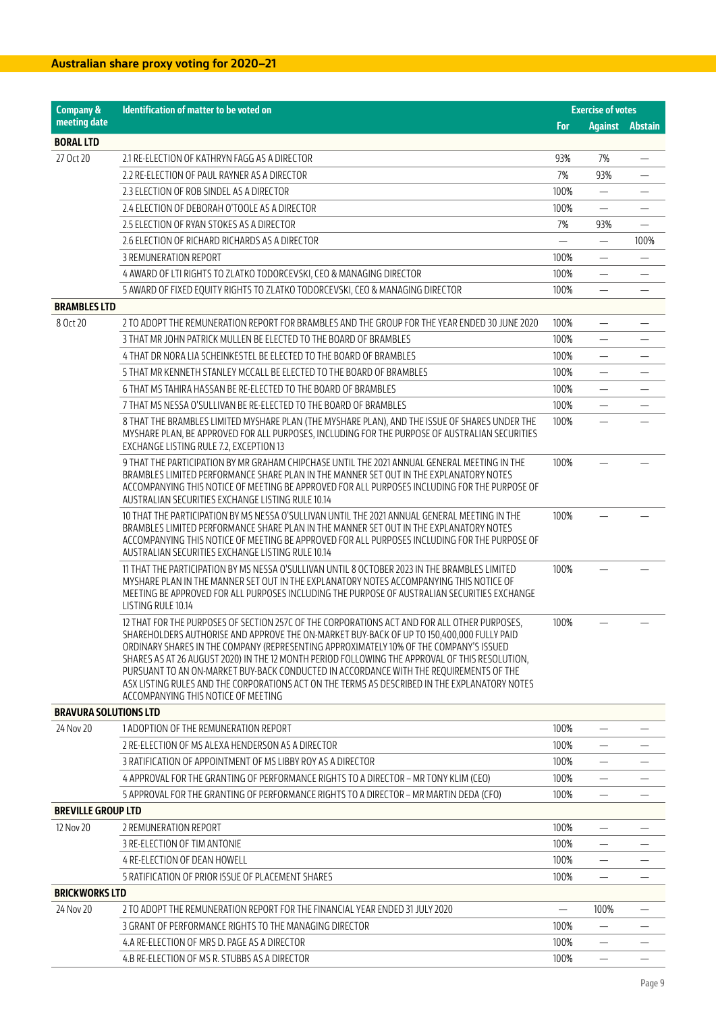| <b>Company &amp;</b>         | Identification of matter to be voted on                                                                                                                                                                                                                                                                                                                                                                                                                                                                                                                                                                                 |          | <b>Exercise of votes</b> |                |
|------------------------------|-------------------------------------------------------------------------------------------------------------------------------------------------------------------------------------------------------------------------------------------------------------------------------------------------------------------------------------------------------------------------------------------------------------------------------------------------------------------------------------------------------------------------------------------------------------------------------------------------------------------------|----------|--------------------------|----------------|
| meeting date                 |                                                                                                                                                                                                                                                                                                                                                                                                                                                                                                                                                                                                                         | For      | <b>Against</b>           | <b>Abstain</b> |
| <b>BORAL LTD</b>             |                                                                                                                                                                                                                                                                                                                                                                                                                                                                                                                                                                                                                         |          |                          |                |
| 27 Oct 20                    | 2.1 RE-ELECTION OF KATHRYN FAGG AS A DIRECTOR                                                                                                                                                                                                                                                                                                                                                                                                                                                                                                                                                                           | 93%      | 7%                       |                |
|                              | 2.2 RE-ELECTION OF PAUL RAYNER AS A DIRECTOR                                                                                                                                                                                                                                                                                                                                                                                                                                                                                                                                                                            | 7%       | 93%                      |                |
|                              | 2.3 ELECTION OF ROB SINDEL AS A DIRECTOR                                                                                                                                                                                                                                                                                                                                                                                                                                                                                                                                                                                | 100%     |                          |                |
|                              | 2.4 ELECTION OF DEBORAH O'TOOLE AS A DIRECTOR                                                                                                                                                                                                                                                                                                                                                                                                                                                                                                                                                                           | 100%     | $\overline{\phantom{0}}$ |                |
|                              | 2.5 ELECTION OF RYAN STOKES AS A DIRECTOR                                                                                                                                                                                                                                                                                                                                                                                                                                                                                                                                                                               | 7%       | 93%                      |                |
|                              | 2.6 ELECTION OF RICHARD RICHARDS AS A DIRECTOR                                                                                                                                                                                                                                                                                                                                                                                                                                                                                                                                                                          |          | $\overline{\phantom{0}}$ | 100%           |
|                              | 3 REMUNERATION REPORT                                                                                                                                                                                                                                                                                                                                                                                                                                                                                                                                                                                                   | 100%     | -                        | —              |
|                              | 4 AWARD OF LTI RIGHTS TO ZLATKO TODORCEVSKI, CEO & MANAGING DIRECTOR                                                                                                                                                                                                                                                                                                                                                                                                                                                                                                                                                    | 100%     | $\overline{\phantom{0}}$ |                |
|                              | 5 AWARD OF FIXED EQUITY RIGHTS TO ZLATKO TODORCEVSKI, CEO & MANAGING DIRECTOR                                                                                                                                                                                                                                                                                                                                                                                                                                                                                                                                           | 100%     |                          |                |
| <b>BRAMBLES LTD</b>          |                                                                                                                                                                                                                                                                                                                                                                                                                                                                                                                                                                                                                         |          |                          |                |
| 8 Oct 20                     | 2 TO ADOPT THE REMUNERATION REPORT FOR BRAMBLES AND THE GROUP FOR THE YEAR ENDED 30 JUNE 2020                                                                                                                                                                                                                                                                                                                                                                                                                                                                                                                           | 100%     |                          |                |
|                              | 3 THAT MR JOHN PATRICK MULLEN BE ELECTED TO THE BOARD OF BRAMBLES                                                                                                                                                                                                                                                                                                                                                                                                                                                                                                                                                       | 100%     | $\equiv$                 |                |
|                              | 4 THAT DR NORA LIA SCHEINKESTEL BE ELECTED TO THE BOARD OF BRAMBLES                                                                                                                                                                                                                                                                                                                                                                                                                                                                                                                                                     | 100%     |                          |                |
|                              | 5 THAT MR KENNETH STANLEY MCCALL BE ELECTED TO THE BOARD OF BRAMBLES                                                                                                                                                                                                                                                                                                                                                                                                                                                                                                                                                    | 100%     | $\overline{\phantom{0}}$ |                |
|                              | 6 THAT MS TAHIRA HASSAN BE RE-ELECTED TO THE BOARD OF BRAMBLES                                                                                                                                                                                                                                                                                                                                                                                                                                                                                                                                                          | 100%     | $\overline{\phantom{0}}$ |                |
|                              | 7 THAT MS NESSA O'SULLIVAN BE RE-ELECTED TO THE BOARD OF BRAMBLES                                                                                                                                                                                                                                                                                                                                                                                                                                                                                                                                                       | 100%     |                          |                |
|                              | 8 THAT THE BRAMBLES LIMITED MYSHARE PLAN (THE MYSHARE PLAN), AND THE ISSUE OF SHARES UNDER THE<br>MYSHARE PLAN, BE APPROVED FOR ALL PURPOSES, INCLUDING FOR THE PURPOSE OF AUSTRALIAN SECURITIES<br>EXCHANGE LISTING RULE 7.2, EXCEPTION 13                                                                                                                                                                                                                                                                                                                                                                             | 100%     |                          |                |
|                              | 9 THAT THE PARTICIPATION BY MR GRAHAM CHIPCHASE UNTIL THE 2021 ANNUAL GENERAL MEETING IN THE<br>BRAMBLES LIMITED PERFORMANCE SHARE PLAN IN THE MANNER SET OUT IN THE EXPLANATORY NOTES<br>ACCOMPANYING THIS NOTICE OF MEETING BE APPROVED FOR ALL PURPOSES INCLUDING FOR THE PURPOSE OF<br>AUSTRALIAN SECURITIES EXCHANGE LISTING RULE 10.14                                                                                                                                                                                                                                                                            | 100%     |                          |                |
|                              | 10 THAT THE PARTICIPATION BY MS NESSA O'SULLIVAN UNTIL THE 2021 ANNUAL GENERAL MEETING IN THE<br>BRAMBLES LIMITED PERFORMANCE SHARE PLAN IN THE MANNER SET OUT IN THE EXPLANATORY NOTES<br>ACCOMPANYING THIS NOTICE OF MEETING BE APPROVED FOR ALL PURPOSES INCLUDING FOR THE PURPOSE OF<br>AUSTRALIAN SECURITIES EXCHANGE LISTING RULE 10.14                                                                                                                                                                                                                                                                           | 100%     |                          |                |
|                              | 11 THAT THE PARTICIPATION BY MS NESSA O'SULLIVAN UNTIL 8 OCTOBER 2023 IN THE BRAMBLES LIMITED<br>MYSHARE PLAN IN THE MANNER SET OUT IN THE EXPLANATORY NOTES ACCOMPANYING THIS NOTICE OF<br>MEETING BE APPROVED FOR ALL PURPOSES INCLUDING THE PURPOSE OF AUSTRALIAN SECURITIES EXCHANGE<br>LISTING RULE 10.14                                                                                                                                                                                                                                                                                                          | 100%     |                          |                |
|                              | 12 THAT FOR THE PURPOSES OF SECTION 257C OF THE CORPORATIONS ACT AND FOR ALL OTHER PURPOSES,<br>SHAREHOLDERS AUTHORISE AND APPROVE THE ON-MARKET BUY-BACK OF UP TO 150,400,000 FULLY PAID<br>ORDINARY SHARES IN THE COMPANY (REPRESENTING APPROXIMATELY 10% OF THE COMPANY'S ISSUED<br>SHARES AS AT 26 AUGUST 2020) IN THE 12 MONTH PERIOD FOLLOWING THE APPROVAL OF THIS RESOLUTION,<br>PURSUANT TO AN ON-MARKET BUY-BACK CONDUCTED IN ACCORDANCE WITH THE REQUIREMENTS OF THE<br>ASX LISTING RULES AND THE CORPORATIONS ACT ON THE TERMS AS DESCRIBED IN THE EXPLANATORY NOTES<br>ACCOMPANYING THIS NOTICE OF MEETING | 100%     |                          |                |
| <b>BRAVURA SOLUTIONS LTD</b> |                                                                                                                                                                                                                                                                                                                                                                                                                                                                                                                                                                                                                         |          |                          |                |
| 24 Nov 20                    | 1 ADOPTION OF THE REMUNERATION REPORT                                                                                                                                                                                                                                                                                                                                                                                                                                                                                                                                                                                   | 100%     |                          |                |
|                              | 2 RE-ELECTION OF MS ALEXA HENDERSON AS A DIRECTOR                                                                                                                                                                                                                                                                                                                                                                                                                                                                                                                                                                       | 100%     |                          |                |
|                              | 3 RATIFICATION OF APPOINTMENT OF MS LIBBY ROY AS A DIRECTOR                                                                                                                                                                                                                                                                                                                                                                                                                                                                                                                                                             | 100%     |                          |                |
|                              | 4 APPROVAL FOR THE GRANTING OF PERFORMANCE RIGHTS TO A DIRECTOR - MR TONY KLIM (CEO)                                                                                                                                                                                                                                                                                                                                                                                                                                                                                                                                    | 100%     |                          |                |
|                              | 5 APPROVAL FOR THE GRANTING OF PERFORMANCE RIGHTS TO A DIRECTOR – MR MARTIN DEDA (CFO)                                                                                                                                                                                                                                                                                                                                                                                                                                                                                                                                  | 100%     |                          |                |
| <b>BREVILLE GROUP LTD</b>    |                                                                                                                                                                                                                                                                                                                                                                                                                                                                                                                                                                                                                         |          |                          |                |
| 12 Nov 20                    | 2 REMUNERATION REPORT                                                                                                                                                                                                                                                                                                                                                                                                                                                                                                                                                                                                   | 100%     | —                        |                |
|                              | 3 RE-ELECTION OF TIM ANTONIE                                                                                                                                                                                                                                                                                                                                                                                                                                                                                                                                                                                            | 100%     |                          |                |
|                              | 4 RE-ELECTION OF DEAN HOWELL                                                                                                                                                                                                                                                                                                                                                                                                                                                                                                                                                                                            | 100%     |                          |                |
|                              | 5 RATIFICATION OF PRIOR ISSUE OF PLACEMENT SHARES                                                                                                                                                                                                                                                                                                                                                                                                                                                                                                                                                                       | 100%     |                          |                |
| <b>BRICKWORKS LTD</b>        |                                                                                                                                                                                                                                                                                                                                                                                                                                                                                                                                                                                                                         |          |                          |                |
| 24 Nov 20                    | 2 TO ADOPT THE REMUNERATION REPORT FOR THE FINANCIAL YEAR ENDED 31 JULY 2020                                                                                                                                                                                                                                                                                                                                                                                                                                                                                                                                            | $\equiv$ | 100%                     |                |
|                              | 3 GRANT OF PERFORMANCE RIGHTS TO THE MANAGING DIRECTOR                                                                                                                                                                                                                                                                                                                                                                                                                                                                                                                                                                  | 100%     |                          |                |
|                              | 4.A RE-ELECTION OF MRS D. PAGE AS A DIRECTOR                                                                                                                                                                                                                                                                                                                                                                                                                                                                                                                                                                            | 100%     | —                        |                |
|                              | 4.B RE-ELECTION OF MS R. STUBBS AS A DIRECTOR                                                                                                                                                                                                                                                                                                                                                                                                                                                                                                                                                                           | 100%     |                          |                |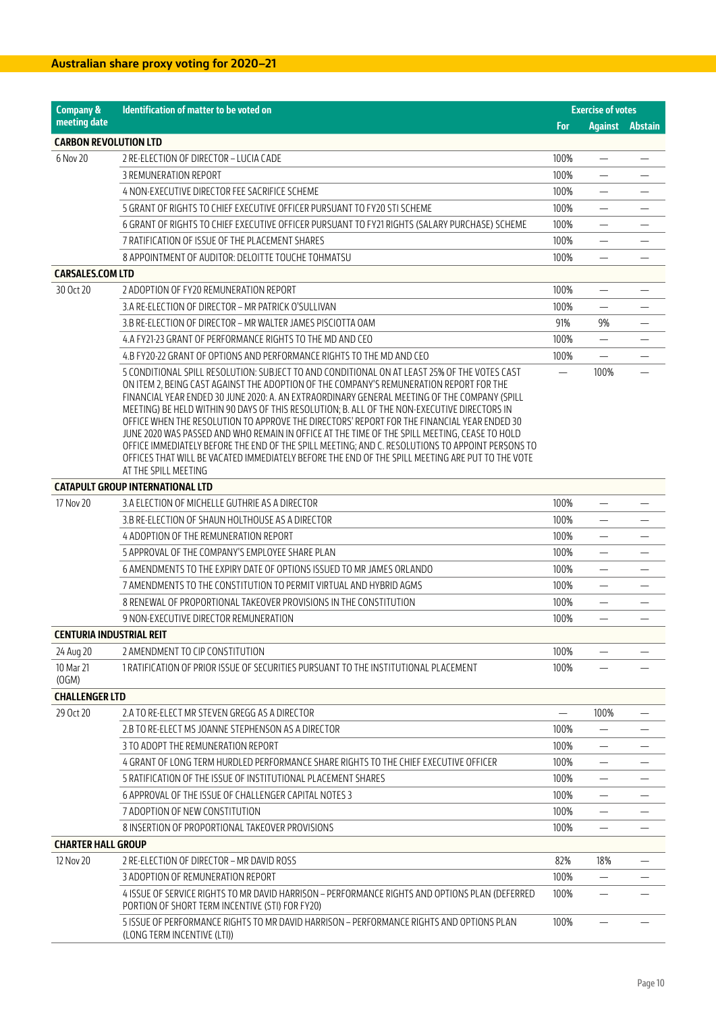| <b>Company &amp;</b>            | Identification of matter to be voted on                                                                                                                                                     |            | <b>Exercise of votes</b>       |                          |
|---------------------------------|---------------------------------------------------------------------------------------------------------------------------------------------------------------------------------------------|------------|--------------------------------|--------------------------|
| meeting date                    |                                                                                                                                                                                             | <b>For</b> | <b>Against</b>                 | Abstain                  |
| <b>CARBON REVOLUTION LTD</b>    |                                                                                                                                                                                             |            |                                |                          |
| 6 Nov 20                        | 2 RE-ELECTION OF DIRECTOR - LUCIA CADE                                                                                                                                                      | 100%       |                                |                          |
|                                 | 3 REMUNERATION REPORT                                                                                                                                                                       | 100%       |                                |                          |
|                                 | 4 NON-EXECUTIVE DIRECTOR FEE SACRIFICE SCHEME                                                                                                                                               | 100%       |                                |                          |
|                                 | 5 GRANT OF RIGHTS TO CHIEF EXECUTIVE OFFICER PURSUANT TO FY20 STI SCHEME                                                                                                                    | 100%       |                                |                          |
|                                 | 6 GRANT OF RIGHTS TO CHIEF EXECUTIVE OFFICER PURSUANT TO FY21 RIGHTS (SALARY PURCHASE) SCHEME                                                                                               | 100%       |                                |                          |
|                                 | 7 RATIFICATION OF ISSUE OF THE PLACEMENT SHARES                                                                                                                                             | 100%       |                                |                          |
|                                 | 8 APPOINTMENT OF AUDITOR: DELOITTE TOUCHE TOHMATSU                                                                                                                                          | 100%       |                                |                          |
| <b>CARSALES.COM LTD</b>         |                                                                                                                                                                                             |            |                                |                          |
| 30 Oct 20                       | 2 ADOPTION OF FY20 REMUNERATION REPORT                                                                                                                                                      | 100%       |                                |                          |
|                                 | 3.A RE-ELECTION OF DIRECTOR - MR PATRICK O'SULLIVAN                                                                                                                                         | 100%       |                                |                          |
|                                 | 3.B RE-ELECTION OF DIRECTOR – MR WALTER JAMES PISCIOTTA OAM                                                                                                                                 | 91%        | 9%                             | $\overline{\phantom{0}}$ |
|                                 | 4.A FY21-23 GRANT OF PERFORMANCE RIGHTS TO THE MD AND CEO                                                                                                                                   | 100%       | $\overline{\phantom{0}}$       |                          |
|                                 | 4.B FY20-22 GRANT OF OPTIONS AND PERFORMANCE RIGHTS TO THE MD AND CEO                                                                                                                       | 100%       |                                |                          |
|                                 | 5 CONDITIONAL SPILL RESOLUTION: SUBJECT TO AND CONDITIONAL ON AT LEAST 25% OF THE VOTES CAST<br>ON ITEM 2, BEING CAST AGAINST THE ADOPTION OF THE COMPANY'S REMUNERATION REPORT FOR THE     |            | 100%                           |                          |
|                                 | FINANCIAL YEAR ENDED 30 JUNE 2020: A. AN EXTRAORDINARY GENERAL MEETING OF THE COMPANY (SPILL                                                                                                |            |                                |                          |
|                                 | MEETING) BE HELD WITHIN 90 DAYS OF THIS RESOLUTION; B. ALL OF THE NON-EXECUTIVE DIRECTORS IN<br>OFFICE WHEN THE RESOLUTION TO APPROVE THE DIRECTORS' REPORT FOR THE FINANCIAL YEAR ENDED 30 |            |                                |                          |
|                                 | JUNE 2020 WAS PASSED AND WHO REMAIN IN OFFICE AT THE TIME OF THE SPILL MEETING, CEASE TO HOLD                                                                                               |            |                                |                          |
|                                 | OFFICE IMMEDIATELY BEFORE THE END OF THE SPILL MEETING; AND C. RESOLUTIONS TO APPOINT PERSONS TO                                                                                            |            |                                |                          |
|                                 | OFFICES THAT WILL BE VACATED IMMEDIATELY BEFORE THE END OF THE SPILL MEETING ARE PUT TO THE VOTE<br>AT THE SPILL MEETING                                                                    |            |                                |                          |
|                                 | <b>CATAPULT GROUP INTERNATIONAL LTD</b>                                                                                                                                                     |            |                                |                          |
| 17 Nov 20                       | 3.A ELECTION OF MICHELLE GUTHRIE AS A DIRECTOR                                                                                                                                              | 100%       |                                |                          |
|                                 | 3.B RE-ELECTION OF SHAUN HOLTHOUSE AS A DIRECTOR                                                                                                                                            | 100%       |                                |                          |
|                                 | 4 ADOPTION OF THE REMUNERATION REPORT                                                                                                                                                       | 100%       |                                |                          |
|                                 | 5 APPROVAL OF THE COMPANY'S EMPLOYEE SHARE PLAN                                                                                                                                             | 100%       |                                |                          |
|                                 | 6 AMENDMENTS TO THE EXPIRY DATE OF OPTIONS ISSUED TO MR JAMES ORLANDO                                                                                                                       | 100%       |                                |                          |
|                                 | 7 AMENDMENTS TO THE CONSTITUTION TO PERMIT VIRTUAL AND HYBRID AGMS                                                                                                                          | 100%       | $\qquad \qquad \longleftarrow$ |                          |
|                                 | 8 RENEWAL OF PROPORTIONAL TAKEOVER PROVISIONS IN THE CONSTITUTION                                                                                                                           | 100%       |                                |                          |
|                                 | 9 NON-EXECUTIVE DIRECTOR REMUNERATION                                                                                                                                                       | 100%       |                                |                          |
| <b>CENTURIA INDUSTRIAL REIT</b> |                                                                                                                                                                                             |            |                                |                          |
| 24 Aug 20                       | 2 AMENDMENT TO CIP CONSTITUTION                                                                                                                                                             | 100%       | $\qquad \qquad -$              |                          |
| 10 Mar 21                       | 1 RATIFICATION OF PRIOR ISSUE OF SECURITIES PURSUANT TO THE INSTITUTIONAL PLACEMENT                                                                                                         | 100%       |                                |                          |
| (OGM)                           |                                                                                                                                                                                             |            |                                |                          |
| <b>CHALLENGER LTD</b>           |                                                                                                                                                                                             |            |                                |                          |
| 29 Oct 20                       | 2.A TO RE-ELECT MR STEVEN GREGG AS A DIRECTOR                                                                                                                                               |            | 100%                           |                          |
|                                 | 2.B TO RE-ELECT MS JOANNE STEPHENSON AS A DIRECTOR                                                                                                                                          | 100%       |                                |                          |
|                                 | 3 TO ADOPT THE REMUNERATION REPORT                                                                                                                                                          | 100%       |                                |                          |
|                                 | 4 GRANT OF LONG TERM HURDLED PERFORMANCE SHARE RIGHTS TO THE CHIEF EXECUTIVE OFFICER                                                                                                        | 100%       |                                |                          |
|                                 | 5 RATIFICATION OF THE ISSUE OF INSTITUTIONAL PLACEMENT SHARES                                                                                                                               | 100%       |                                |                          |
|                                 | 6 APPROVAL OF THE ISSUE OF CHALLENGER CAPITAL NOTES 3                                                                                                                                       | 100%       |                                |                          |
|                                 | 7 ADOPTION OF NEW CONSTITUTION                                                                                                                                                              | 100%       |                                |                          |
|                                 | 8 INSERTION OF PROPORTIONAL TAKEOVER PROVISIONS                                                                                                                                             | 100%       |                                |                          |
| <b>CHARTER HALL GROUP</b>       |                                                                                                                                                                                             |            |                                |                          |
| 12 Nov 20                       | 2 RE-ELECTION OF DIRECTOR - MR DAVID ROSS                                                                                                                                                   | 82%        | 18%                            |                          |
|                                 | 3 ADOPTION OF REMUNERATION REPORT                                                                                                                                                           | 100%       |                                |                          |
|                                 | 4 ISSUE OF SERVICE RIGHTS TO MR DAVID HARRISON - PERFORMANCE RIGHTS AND OPTIONS PLAN (DEFERRED<br>PORTION OF SHORT TERM INCENTIVE (STI) FOR FY20)                                           | 100%       |                                |                          |
|                                 | 5 ISSUE OF PERFORMANCE RIGHTS TO MR DAVID HARRISON - PERFORMANCE RIGHTS AND OPTIONS PLAN<br>(LONG TERM INCENTIVE (LTI))                                                                     | 100%       |                                |                          |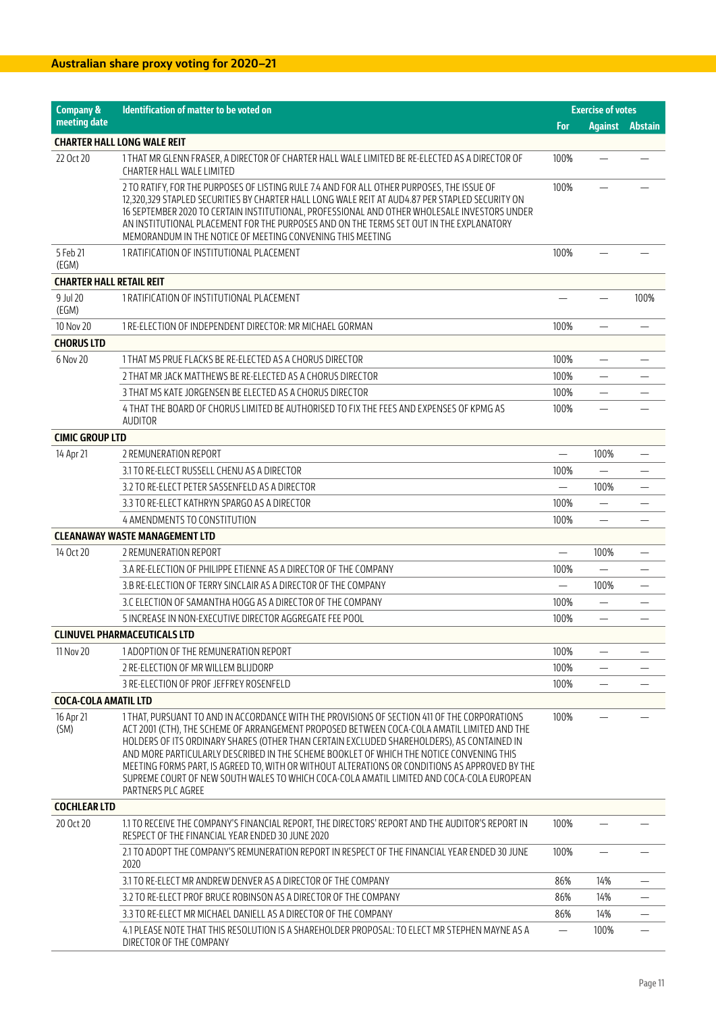| <b>Company &amp;</b>            | Identification of matter to be voted on                                                                                                                                                                                                                                                                                                                                                                                                                                                                                                                                                                    |                          | <b>Exercise of votes</b>       |         |
|---------------------------------|------------------------------------------------------------------------------------------------------------------------------------------------------------------------------------------------------------------------------------------------------------------------------------------------------------------------------------------------------------------------------------------------------------------------------------------------------------------------------------------------------------------------------------------------------------------------------------------------------------|--------------------------|--------------------------------|---------|
| meeting date                    |                                                                                                                                                                                                                                                                                                                                                                                                                                                                                                                                                                                                            | For                      | <b>Against</b>                 | Abstain |
|                                 | <b>CHARTER HALL LONG WALE REIT</b>                                                                                                                                                                                                                                                                                                                                                                                                                                                                                                                                                                         |                          |                                |         |
| 22 Oct 20                       | 1 THAT MR GLENN FRASER, A DIRECTOR OF CHARTER HALL WALE LIMITED BE RE-ELECTED AS A DIRECTOR OF<br>CHARTER HALL WALE LIMITED                                                                                                                                                                                                                                                                                                                                                                                                                                                                                | 100%                     |                                |         |
|                                 | 2 TO RATIFY, FOR THE PURPOSES OF LISTING RULE 7.4 AND FOR ALL OTHER PURPOSES, THE ISSUE OF<br>12,320,329 STAPLED SECURITIES BY CHARTER HALL LONG WALE REIT AT AUD4.87 PER STAPLED SECURITY ON<br>16 SEPTEMBER 2020 TO CERTAIN INSTITUTIONAL, PROFESSIONAL AND OTHER WHOLESALE INVESTORS UNDER<br>AN INSTITUTIONAL PLACEMENT FOR THE PURPOSES AND ON THE TERMS SET OUT IN THE EXPLANATORY<br>MEMORANDUM IN THE NOTICE OF MEETING CONVENING THIS MEETING                                                                                                                                                     | 100%                     |                                |         |
| 5 Feb 21<br>(EGM)               | 1 RATIFICATION OF INSTITUTIONAL PLACEMENT                                                                                                                                                                                                                                                                                                                                                                                                                                                                                                                                                                  | 100%                     |                                |         |
| <b>CHARTER HALL RETAIL REIT</b> |                                                                                                                                                                                                                                                                                                                                                                                                                                                                                                                                                                                                            |                          |                                |         |
| 9 Jul 20<br>(EGM)               | 1 RATIFICATION OF INSTITUTIONAL PLACEMENT                                                                                                                                                                                                                                                                                                                                                                                                                                                                                                                                                                  |                          |                                | 100%    |
| 10 Nov 20                       | 1 RE-ELECTION OF INDEPENDENT DIRECTOR: MR MICHAEL GORMAN                                                                                                                                                                                                                                                                                                                                                                                                                                                                                                                                                   | 100%                     |                                |         |
| <b>CHORUS LTD</b>               |                                                                                                                                                                                                                                                                                                                                                                                                                                                                                                                                                                                                            |                          |                                |         |
| 6 Nov 20                        | 1 THAT MS PRUE FLACKS BE RE-ELECTED AS A CHORUS DIRECTOR                                                                                                                                                                                                                                                                                                                                                                                                                                                                                                                                                   | 100%                     |                                |         |
|                                 | 2 THAT MR JACK MATTHEWS BE RE-ELECTED AS A CHORUS DIRECTOR                                                                                                                                                                                                                                                                                                                                                                                                                                                                                                                                                 | 100%                     | $\qquad \qquad \longleftarrow$ |         |
|                                 | 3 THAT MS KATE JORGENSEN BE ELECTED AS A CHORUS DIRECTOR                                                                                                                                                                                                                                                                                                                                                                                                                                                                                                                                                   | 100%                     |                                |         |
|                                 | 4 THAT THE BOARD OF CHORUS LIMITED BE AUTHORISED TO FIX THE FEES AND EXPENSES OF KPMG AS                                                                                                                                                                                                                                                                                                                                                                                                                                                                                                                   | 100%                     |                                |         |
|                                 | <b>AUDITOR</b>                                                                                                                                                                                                                                                                                                                                                                                                                                                                                                                                                                                             |                          |                                |         |
| <b>CIMIC GROUP LTD</b>          |                                                                                                                                                                                                                                                                                                                                                                                                                                                                                                                                                                                                            |                          |                                |         |
| 14 Apr 21                       | 2 REMUNERATION REPORT                                                                                                                                                                                                                                                                                                                                                                                                                                                                                                                                                                                      | $\overline{\phantom{0}}$ | 100%                           |         |
|                                 | 3.1 TO RE-ELECT RUSSELL CHENU AS A DIRECTOR                                                                                                                                                                                                                                                                                                                                                                                                                                                                                                                                                                | 100%                     | $\equiv$                       |         |
|                                 | 3.2 TO RE-ELECT PETER SASSENFELD AS A DIRECTOR                                                                                                                                                                                                                                                                                                                                                                                                                                                                                                                                                             |                          | 100%                           |         |
|                                 | 3.3 TO RE-ELECT KATHRYN SPARGO AS A DIRECTOR                                                                                                                                                                                                                                                                                                                                                                                                                                                                                                                                                               | 100%                     |                                |         |
|                                 | 4 AMENDMENTS TO CONSTITUTION                                                                                                                                                                                                                                                                                                                                                                                                                                                                                                                                                                               | 100%                     |                                |         |
|                                 | <b>CLEANAWAY WASTE MANAGEMENT LTD</b>                                                                                                                                                                                                                                                                                                                                                                                                                                                                                                                                                                      |                          |                                |         |
| 14 Oct 20                       | 2 REMUNERATION REPORT                                                                                                                                                                                                                                                                                                                                                                                                                                                                                                                                                                                      |                          | 100%                           |         |
|                                 | 3.A RE-ELECTION OF PHILIPPE ETIENNE AS A DIRECTOR OF THE COMPANY                                                                                                                                                                                                                                                                                                                                                                                                                                                                                                                                           | 100%                     |                                |         |
|                                 | 3.B RE-ELECTION OF TERRY SINCLAIR AS A DIRECTOR OF THE COMPANY                                                                                                                                                                                                                                                                                                                                                                                                                                                                                                                                             | $\qquad \qquad -$        | 100%                           | —       |
|                                 | 3.C ELECTION OF SAMANTHA HOGG AS A DIRECTOR OF THE COMPANY                                                                                                                                                                                                                                                                                                                                                                                                                                                                                                                                                 | 100%                     |                                |         |
|                                 | 5 INCREASE IN NON-EXECUTIVE DIRECTOR AGGREGATE FEE POOL                                                                                                                                                                                                                                                                                                                                                                                                                                                                                                                                                    | 100%                     |                                |         |
|                                 | <b>CLINUVEL PHARMACEUTICALS LTD</b>                                                                                                                                                                                                                                                                                                                                                                                                                                                                                                                                                                        |                          |                                |         |
| 11 Nov 20                       | 1 ADOPTION OF THE REMUNERATION REPORT                                                                                                                                                                                                                                                                                                                                                                                                                                                                                                                                                                      | 100%                     |                                |         |
|                                 | 2 RE-ELECTION OF MR WILLEM BLIJDORP                                                                                                                                                                                                                                                                                                                                                                                                                                                                                                                                                                        | 100%                     |                                |         |
|                                 | 3 RE-ELECTION OF PROF JEFFREY ROSENFELD                                                                                                                                                                                                                                                                                                                                                                                                                                                                                                                                                                    | 100%                     |                                |         |
| <b>COCA-COLA AMATIL LTD</b>     |                                                                                                                                                                                                                                                                                                                                                                                                                                                                                                                                                                                                            |                          |                                |         |
| 16 Apr 21<br>(SM)               | 1 THAT, PURSUANT TO AND IN ACCORDANCE WITH THE PROVISIONS OF SECTION 411 OF THE CORPORATIONS<br>ACT 2001 (CTH), THE SCHEME OF ARRANGEMENT PROPOSED BETWEEN COCA-COLA AMATIL LIMITED AND THE<br>HOLDERS OF ITS ORDINARY SHARES (OTHER THAN CERTAIN EXCLUDED SHAREHOLDERS), AS CONTAINED IN<br>AND MORE PARTICULARLY DESCRIBED IN THE SCHEME BOOKLET OF WHICH THE NOTICE CONVENING THIS<br>MEETING FORMS PART, IS AGREED TO, WITH OR WITHOUT ALTERATIONS OR CONDITIONS AS APPROVED BY THE<br>SUPREME COURT OF NEW SOUTH WALES TO WHICH COCA-COLA AMATIL LIMITED AND COCA-COLA EUROPEAN<br>PARTNERS PLC AGREE | 100%                     |                                |         |
| <b>COCHLEAR LTD</b>             |                                                                                                                                                                                                                                                                                                                                                                                                                                                                                                                                                                                                            |                          |                                |         |
| 20 Oct 20                       | 1.1 TO RECEIVE THE COMPANY'S FINANCIAL REPORT, THE DIRECTORS' REPORT AND THE AUDITOR'S REPORT IN<br>RESPECT OF THE FINANCIAL YEAR ENDED 30 JUNE 2020                                                                                                                                                                                                                                                                                                                                                                                                                                                       | 100%                     |                                |         |
|                                 | 2.1 TO ADOPT THE COMPANY'S REMUNERATION REPORT IN RESPECT OF THE FINANCIAL YEAR ENDED 30 JUNE<br>2020                                                                                                                                                                                                                                                                                                                                                                                                                                                                                                      | 100%                     | $\overline{\phantom{0}}$       |         |
|                                 | 3.1 TO RE-ELECT MR ANDREW DENVER AS A DIRECTOR OF THE COMPANY                                                                                                                                                                                                                                                                                                                                                                                                                                                                                                                                              | 86%                      | 14%                            |         |
|                                 | 3.2 TO RE-ELECT PROF BRUCE ROBINSON AS A DIRECTOR OF THE COMPANY                                                                                                                                                                                                                                                                                                                                                                                                                                                                                                                                           | 86%                      | 14%                            |         |
|                                 | 3.3 TO RE-ELECT MR MICHAEL DANIELL AS A DIRECTOR OF THE COMPANY                                                                                                                                                                                                                                                                                                                                                                                                                                                                                                                                            | 86%                      | 14%                            |         |
|                                 | 4.1 PLEASE NOTE THAT THIS RESOLUTION IS A SHAREHOLDER PROPOSAL: TO ELECT MR STEPHEN MAYNE AS A<br>DIRECTOR OF THE COMPANY                                                                                                                                                                                                                                                                                                                                                                                                                                                                                  |                          | 100%                           |         |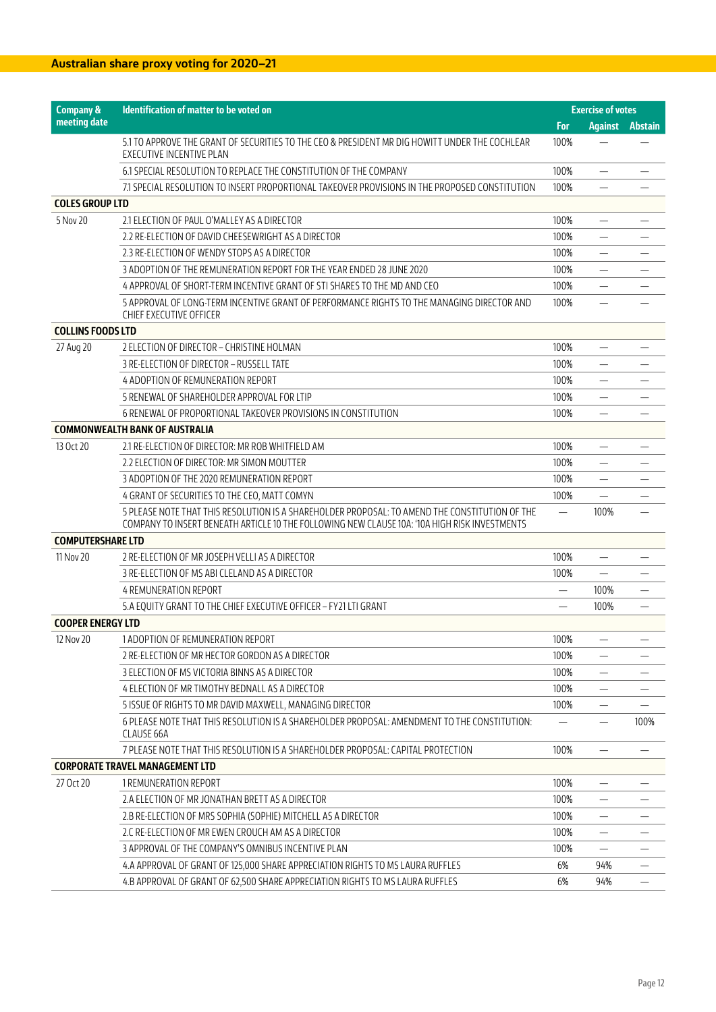| <b>Company &amp;</b>     | Identification of matter to be voted on                                                                                                                                                         |                          | <b>Exercise of votes</b>       |                          |
|--------------------------|-------------------------------------------------------------------------------------------------------------------------------------------------------------------------------------------------|--------------------------|--------------------------------|--------------------------|
| meeting date             |                                                                                                                                                                                                 | For                      | <b>Against</b>                 | <b>Abstain</b>           |
|                          | 5.1 TO APPROVE THE GRANT OF SECURITIES TO THE CEO & PRESIDENT MR DIG HOWITT UNDER THE COCHLEAR<br><b>EXECUTIVE INCENTIVE PLAN</b>                                                               | 100%                     |                                |                          |
|                          | 6.1 SPECIAL RESOLUTION TO REPLACE THE CONSTITUTION OF THE COMPANY                                                                                                                               | 100%                     |                                |                          |
|                          | 7.1 SPECIAL RESOLUTION TO INSERT PROPORTIONAL TAKEOVER PROVISIONS IN THE PROPOSED CONSTITUTION                                                                                                  | 100%                     | -                              |                          |
| <b>COLES GROUP LTD</b>   |                                                                                                                                                                                                 |                          |                                |                          |
| 5 Nov 20                 | 2.1 ELECTION OF PAUL O'MALLEY AS A DIRECTOR                                                                                                                                                     | 100%                     |                                |                          |
|                          | 2.2 RE-ELECTION OF DAVID CHEESEWRIGHT AS A DIRECTOR                                                                                                                                             | 100%                     |                                |                          |
|                          | 2.3 RE-ELECTION OF WENDY STOPS AS A DIRECTOR                                                                                                                                                    | 100%                     | $\overline{\phantom{0}}$       |                          |
|                          | 3 ADOPTION OF THE REMUNERATION REPORT FOR THE YEAR ENDED 28 JUNE 2020                                                                                                                           | 100%                     |                                |                          |
|                          | 4 APPROVAL OF SHORT-TERM INCENTIVE GRANT OF STI SHARES TO THE MD AND CEO                                                                                                                        | 100%                     |                                |                          |
|                          | 5 APPROVAL OF LONG-TERM INCENTIVE GRANT OF PERFORMANCE RIGHTS TO THE MANAGING DIRECTOR AND<br>CHIEF EXECUTIVE OFFICER                                                                           | 100%                     |                                |                          |
| <b>COLLINS FOODS LTD</b> |                                                                                                                                                                                                 |                          |                                |                          |
| 27 Aug 20                | 2 ELECTION OF DIRECTOR - CHRISTINE HOLMAN                                                                                                                                                       | 100%                     | $\overline{\phantom{0}}$       |                          |
|                          | 3 RE-ELECTION OF DIRECTOR - RUSSELL TATE                                                                                                                                                        | 100%                     |                                |                          |
|                          | 4 ADOPTION OF REMUNERATION REPORT                                                                                                                                                               | 100%                     |                                |                          |
|                          | 5 RENEWAL OF SHAREHOLDER APPROVAL FOR LTIP                                                                                                                                                      | 100%                     |                                |                          |
|                          | 6 RENEWAL OF PROPORTIONAL TAKEOVER PROVISIONS IN CONSTITUTION                                                                                                                                   | 100%                     |                                |                          |
|                          | <b>COMMONWEALTH BANK OF AUSTRALIA</b>                                                                                                                                                           |                          |                                |                          |
| 13 Oct 20                | 2.1 RE-ELECTION OF DIRECTOR: MR ROB WHITFIELD AM                                                                                                                                                | 100%                     | $\overline{\phantom{0}}$       |                          |
|                          | 2.2 ELECTION OF DIRECTOR: MR SIMON MOUTTER                                                                                                                                                      | 100%                     | $\overline{\phantom{0}}$       |                          |
|                          | 3 ADOPTION OF THE 2020 REMUNERATION REPORT                                                                                                                                                      | 100%                     |                                |                          |
|                          | 4 GRANT OF SECURITIES TO THE CEO, MATT COMYN                                                                                                                                                    | 100%                     |                                |                          |
|                          | 5 PLEASE NOTE THAT THIS RESOLUTION IS A SHAREHOLDER PROPOSAL: TO AMEND THE CONSTITUTION OF THE<br>COMPANY TO INSERT BENEATH ARTICLE 10 THE FOLLOWING NEW CLAUSE 10A: '10A HIGH RISK INVESTMENTS | $\overline{\phantom{0}}$ | 100%                           |                          |
| <b>COMPUTERSHARE LTD</b> |                                                                                                                                                                                                 |                          |                                |                          |
| 11 Nov 20                | 2 RE-ELECTION OF MR JOSEPH VELLI AS A DIRECTOR                                                                                                                                                  | 100%                     |                                |                          |
|                          | 3 RE-ELECTION OF MS ABI CLELAND AS A DIRECTOR                                                                                                                                                   | 100%                     | —                              |                          |
|                          | <b>4 REMUNERATION REPORT</b>                                                                                                                                                                    | —                        | 100%                           |                          |
|                          | 5.A EQUITY GRANT TO THE CHIEF EXECUTIVE OFFICER - FY21 LTI GRANT                                                                                                                                | —                        | 100%                           | $\overline{\phantom{0}}$ |
| <b>COOPER ENERGY LTD</b> |                                                                                                                                                                                                 |                          |                                |                          |
| 12 Nov 20                | 1 ADOPTION OF REMUNERATION REPORT                                                                                                                                                               | 100%                     | $\qquad \qquad -$              |                          |
|                          | 2 RE-ELECTION OF MR HECTOR GORDON AS A DIRECTOR                                                                                                                                                 | 100%                     | —                              |                          |
|                          | 3 ELECTION OF MS VICTORIA BINNS AS A DIRECTOR                                                                                                                                                   | 100%                     | $\overline{\phantom{0}}$       |                          |
|                          | 4 ELECTION OF MR TIMOTHY BEDNALL AS A DIRECTOR                                                                                                                                                  | 100%                     |                                |                          |
|                          | 5 ISSUE OF RIGHTS TO MR DAVID MAXWELL, MANAGING DIRECTOR                                                                                                                                        | 100%                     |                                |                          |
|                          | 6 PLEASE NOTE THAT THIS RESOLUTION IS A SHAREHOLDER PROPOSAL: AMENDMENT TO THE CONSTITUTION:<br>CLAUSE 66A                                                                                      | $\overline{\phantom{0}}$ | $\qquad \qquad \longleftarrow$ | 100%                     |
|                          | 7 PLEASE NOTE THAT THIS RESOLUTION IS A SHAREHOLDER PROPOSAL: CAPITAL PROTECTION                                                                                                                | 100%                     |                                |                          |
|                          | <b>CORPORATE TRAVEL MANAGEMENT LTD</b>                                                                                                                                                          |                          |                                |                          |
| 27 Oct 20                | 1 REMUNERATION REPORT                                                                                                                                                                           | 100%                     |                                |                          |
|                          | 2.A ELECTION OF MR JONATHAN BRETT AS A DIRECTOR                                                                                                                                                 | 100%                     | $\overline{\phantom{0}}$       |                          |
|                          | 2.B RE-ELECTION OF MRS SOPHIA (SOPHIE) MITCHELL AS A DIRECTOR                                                                                                                                   | 100%                     | $\overline{\phantom{0}}$       |                          |
|                          | 2.C RE-ELECTION OF MR EWEN CROUCH AM AS A DIRECTOR                                                                                                                                              | 100%                     |                                |                          |
|                          | 3 APPROVAL OF THE COMPANY'S OMNIBUS INCENTIVE PLAN                                                                                                                                              | 100%                     |                                |                          |
|                          | 4.A APPROVAL OF GRANT OF 125,000 SHARE APPRECIATION RIGHTS TO MS LAURA RUFFLES                                                                                                                  | 6%                       | 94%                            |                          |
|                          | 4.B APPROVAL OF GRANT OF 62,500 SHARE APPRECIATION RIGHTS TO MS LAURA RUFFLES                                                                                                                   | 6%                       | 94%                            |                          |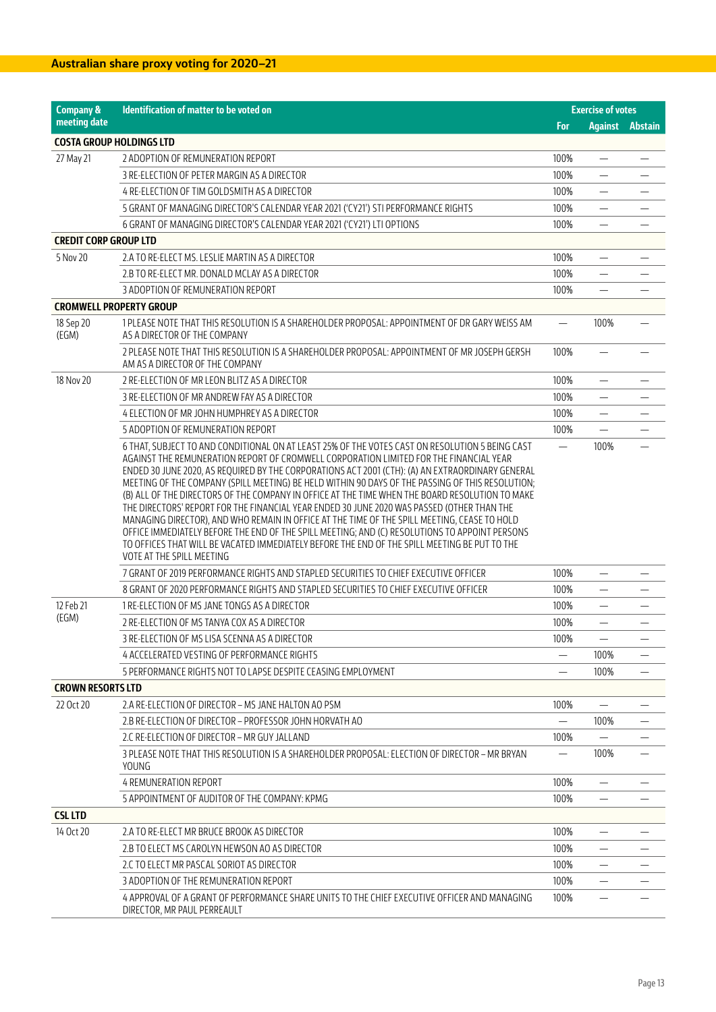| <b>Company &amp;</b>              | <b>Identification of matter to be voted on</b>                                                                                                                                                                                                                                                                                                                                                                                                                                                                                                                                                                                                                                                                                                                                                                                                                                                                                     |                          | <b>Exercise of votes</b> |                          |
|-----------------------------------|------------------------------------------------------------------------------------------------------------------------------------------------------------------------------------------------------------------------------------------------------------------------------------------------------------------------------------------------------------------------------------------------------------------------------------------------------------------------------------------------------------------------------------------------------------------------------------------------------------------------------------------------------------------------------------------------------------------------------------------------------------------------------------------------------------------------------------------------------------------------------------------------------------------------------------|--------------------------|--------------------------|--------------------------|
| meeting date                      |                                                                                                                                                                                                                                                                                                                                                                                                                                                                                                                                                                                                                                                                                                                                                                                                                                                                                                                                    | For                      |                          | <b>Against</b> Abstain   |
| <b>COSTA GROUP HOLDINGS LTD</b>   |                                                                                                                                                                                                                                                                                                                                                                                                                                                                                                                                                                                                                                                                                                                                                                                                                                                                                                                                    |                          |                          |                          |
| 27 May 21                         | 2 ADOPTION OF REMUNERATION REPORT                                                                                                                                                                                                                                                                                                                                                                                                                                                                                                                                                                                                                                                                                                                                                                                                                                                                                                  | 100%                     | $\overline{\phantom{0}}$ |                          |
|                                   | 3 RE-ELECTION OF PETER MARGIN AS A DIRECTOR                                                                                                                                                                                                                                                                                                                                                                                                                                                                                                                                                                                                                                                                                                                                                                                                                                                                                        | 100%                     | $\overline{\phantom{0}}$ |                          |
|                                   | 4 RE-ELECTION OF TIM GOLDSMITH AS A DIRECTOR                                                                                                                                                                                                                                                                                                                                                                                                                                                                                                                                                                                                                                                                                                                                                                                                                                                                                       | 100%                     |                          |                          |
|                                   | 5 GRANT OF MANAGING DIRECTOR'S CALENDAR YEAR 2021 ('CY21') STI PERFORMANCE RIGHTS                                                                                                                                                                                                                                                                                                                                                                                                                                                                                                                                                                                                                                                                                                                                                                                                                                                  | 100%                     |                          |                          |
|                                   | 6 GRANT OF MANAGING DIRECTOR'S CALENDAR YEAR 2021 ('CY21') LTI OPTIONS                                                                                                                                                                                                                                                                                                                                                                                                                                                                                                                                                                                                                                                                                                                                                                                                                                                             | 100%                     | —                        |                          |
| <b>CREDIT CORP GROUP LTD</b>      |                                                                                                                                                                                                                                                                                                                                                                                                                                                                                                                                                                                                                                                                                                                                                                                                                                                                                                                                    |                          |                          |                          |
| 5 Nov 20                          | 2.A TO RE-ELECT MS. LESLIE MARTIN AS A DIRECTOR                                                                                                                                                                                                                                                                                                                                                                                                                                                                                                                                                                                                                                                                                                                                                                                                                                                                                    | 100%                     |                          |                          |
|                                   | 2.B TO RE-ELECT MR. DONALD MCLAY AS A DIRECTOR                                                                                                                                                                                                                                                                                                                                                                                                                                                                                                                                                                                                                                                                                                                                                                                                                                                                                     | 100%                     | $\overline{\phantom{0}}$ |                          |
|                                   | 3 ADOPTION OF REMUNERATION REPORT                                                                                                                                                                                                                                                                                                                                                                                                                                                                                                                                                                                                                                                                                                                                                                                                                                                                                                  | 100%                     | $\overline{\phantom{0}}$ |                          |
| <b>CROMWELL PROPERTY GROUP</b>    |                                                                                                                                                                                                                                                                                                                                                                                                                                                                                                                                                                                                                                                                                                                                                                                                                                                                                                                                    |                          |                          |                          |
| 18 Sep 20<br>(EGM)                | 1 PLEASE NOTE THAT THIS RESOLUTION IS A SHAREHOLDER PROPOSAL: APPOINTMENT OF DR GARY WEISS AM<br>AS A DIRECTOR OF THE COMPANY                                                                                                                                                                                                                                                                                                                                                                                                                                                                                                                                                                                                                                                                                                                                                                                                      |                          | 100%                     |                          |
|                                   | 2 PLEASE NOTE THAT THIS RESOLUTION IS A SHAREHOLDER PROPOSAL: APPOINTMENT OF MR JOSEPH GERSH<br>AM AS A DIRECTOR OF THE COMPANY                                                                                                                                                                                                                                                                                                                                                                                                                                                                                                                                                                                                                                                                                                                                                                                                    | 100%                     |                          |                          |
| 18 Nov 20                         | 2 RE-ELECTION OF MR LEON BLITZ AS A DIRECTOR                                                                                                                                                                                                                                                                                                                                                                                                                                                                                                                                                                                                                                                                                                                                                                                                                                                                                       | 100%                     | $\overline{\phantom{0}}$ |                          |
|                                   | 3 RE-ELECTION OF MR ANDREW FAY AS A DIRECTOR                                                                                                                                                                                                                                                                                                                                                                                                                                                                                                                                                                                                                                                                                                                                                                                                                                                                                       | 100%                     |                          |                          |
|                                   | 4 ELECTION OF MR JOHN HUMPHREY AS A DIRECTOR                                                                                                                                                                                                                                                                                                                                                                                                                                                                                                                                                                                                                                                                                                                                                                                                                                                                                       | 100%                     | $\overline{\phantom{0}}$ |                          |
|                                   | 5 ADOPTION OF REMUNERATION REPORT                                                                                                                                                                                                                                                                                                                                                                                                                                                                                                                                                                                                                                                                                                                                                                                                                                                                                                  | 100%                     |                          |                          |
|                                   | 6 THAT, SUBJECT TO AND CONDITIONAL ON AT LEAST 25% OF THE VOTES CAST ON RESOLUTION 5 BEING CAST<br>AGAINST THE REMUNERATION REPORT OF CROMWELL CORPORATION LIMITED FOR THE FINANCIAL YEAR<br>ENDED 30 JUNE 2020, AS REQUIRED BY THE CORPORATIONS ACT 2001 (CTH): (A) AN EXTRAORDINARY GENERAL<br>MEETING OF THE COMPANY (SPILL MEETING) BE HELD WITHIN 90 DAYS OF THE PASSING OF THIS RESOLUTION;<br>(B) ALL OF THE DIRECTORS OF THE COMPANY IN OFFICE AT THE TIME WHEN THE BOARD RESOLUTION TO MAKE<br>THE DIRECTORS' REPORT FOR THE FINANCIAL YEAR ENDED 30 JUNE 2020 WAS PASSED (OTHER THAN THE<br>MANAGING DIRECTOR), AND WHO REMAIN IN OFFICE AT THE TIME OF THE SPILL MEETING, CEASE TO HOLD<br>OFFICE IMMEDIATELY BEFORE THE END OF THE SPILL MEETING; AND (C) RESOLUTIONS TO APPOINT PERSONS<br>TO OFFICES THAT WILL BE VACATED IMMEDIATELY BEFORE THE END OF THE SPILL MEETING BE PUT TO THE<br>VOTE AT THE SPILL MEETING | $\overline{\phantom{0}}$ | 100%                     |                          |
|                                   | 7 GRANT OF 2019 PERFORMANCE RIGHTS AND STAPLED SECURITIES TO CHIEF EXECUTIVE OFFICER                                                                                                                                                                                                                                                                                                                                                                                                                                                                                                                                                                                                                                                                                                                                                                                                                                               | 100%                     | $\overline{\phantom{0}}$ |                          |
|                                   | 8 GRANT OF 2020 PERFORMANCE RIGHTS AND STAPLED SECURITIES TO CHIEF EXECUTIVE OFFICER                                                                                                                                                                                                                                                                                                                                                                                                                                                                                                                                                                                                                                                                                                                                                                                                                                               | 100%                     |                          |                          |
| 12 Feb 21                         | 1 RE-ELECTION OF MS JANE TONGS AS A DIRECTOR                                                                                                                                                                                                                                                                                                                                                                                                                                                                                                                                                                                                                                                                                                                                                                                                                                                                                       | 100%                     | $\overline{\phantom{0}}$ |                          |
|                                   | 2 RE-ELECTION OF MS TANYA COX AS A DIRECTOR                                                                                                                                                                                                                                                                                                                                                                                                                                                                                                                                                                                                                                                                                                                                                                                                                                                                                        | 100%                     | -                        |                          |
|                                   | 3 RE-ELECTION OF MS LISA SCENNA AS A DIRECTOR                                                                                                                                                                                                                                                                                                                                                                                                                                                                                                                                                                                                                                                                                                                                                                                                                                                                                      | 100%                     |                          |                          |
|                                   | 4 ACCELERATED VESTING OF PERFORMANCE RIGHTS                                                                                                                                                                                                                                                                                                                                                                                                                                                                                                                                                                                                                                                                                                                                                                                                                                                                                        |                          | 100%                     | $\overline{\phantom{0}}$ |
|                                   | 5 PERFORMANCE RIGHTS NOT TO LAPSE DESPITE CEASING EMPLOYMENT                                                                                                                                                                                                                                                                                                                                                                                                                                                                                                                                                                                                                                                                                                                                                                                                                                                                       |                          | 100%                     |                          |
|                                   |                                                                                                                                                                                                                                                                                                                                                                                                                                                                                                                                                                                                                                                                                                                                                                                                                                                                                                                                    |                          |                          |                          |
| 22 Oct 20                         | 2.A RE-ELECTION OF DIRECTOR – MS JANE HALTON AO PSM                                                                                                                                                                                                                                                                                                                                                                                                                                                                                                                                                                                                                                                                                                                                                                                                                                                                                | 100%                     |                          |                          |
|                                   | 2.B RE-ELECTION OF DIRECTOR – PROFESSOR JOHN HORVATH AO                                                                                                                                                                                                                                                                                                                                                                                                                                                                                                                                                                                                                                                                                                                                                                                                                                                                            | $\overline{\phantom{0}}$ | 100%                     |                          |
|                                   | 2.C RE-ELECTION OF DIRECTOR - MR GUY JALLAND                                                                                                                                                                                                                                                                                                                                                                                                                                                                                                                                                                                                                                                                                                                                                                                                                                                                                       | 100%                     |                          |                          |
|                                   | 3 PLEASE NOTE THAT THIS RESOLUTION IS A SHAREHOLDER PROPOSAL: ELECTION OF DIRECTOR – MR BRYAN<br><b>YOUNG</b>                                                                                                                                                                                                                                                                                                                                                                                                                                                                                                                                                                                                                                                                                                                                                                                                                      |                          | 100%                     |                          |
|                                   | <b>4 REMUNERATION REPORT</b>                                                                                                                                                                                                                                                                                                                                                                                                                                                                                                                                                                                                                                                                                                                                                                                                                                                                                                       | 100%                     |                          |                          |
|                                   | 5 APPOINTMENT OF AUDITOR OF THE COMPANY: KPMG                                                                                                                                                                                                                                                                                                                                                                                                                                                                                                                                                                                                                                                                                                                                                                                                                                                                                      | 100%                     |                          |                          |
| <b>CSL LTD</b>                    |                                                                                                                                                                                                                                                                                                                                                                                                                                                                                                                                                                                                                                                                                                                                                                                                                                                                                                                                    |                          |                          |                          |
| 14 Oct 20                         | 2.A TO RE-ELECT MR BRUCE BROOK AS DIRECTOR                                                                                                                                                                                                                                                                                                                                                                                                                                                                                                                                                                                                                                                                                                                                                                                                                                                                                         | 100%                     |                          |                          |
|                                   | 2.B TO ELECT MS CAROLYN HEWSON AO AS DIRECTOR                                                                                                                                                                                                                                                                                                                                                                                                                                                                                                                                                                                                                                                                                                                                                                                                                                                                                      | 100%                     |                          |                          |
|                                   | 2.C TO ELECT MR PASCAL SORIOT AS DIRECTOR                                                                                                                                                                                                                                                                                                                                                                                                                                                                                                                                                                                                                                                                                                                                                                                                                                                                                          | 100%                     |                          |                          |
| (EGM)<br><b>CROWN RESORTS LTD</b> | 3 ADOPTION OF THE REMUNERATION REPORT                                                                                                                                                                                                                                                                                                                                                                                                                                                                                                                                                                                                                                                                                                                                                                                                                                                                                              | 100%                     | $\overline{\phantom{0}}$ |                          |
|                                   | 4 APPROVAL OF A GRANT OF PERFORMANCE SHARE UNITS TO THE CHIEF EXECUTIVE OFFICER AND MANAGING<br>DIRECTOR, MR PAUL PERREAULT                                                                                                                                                                                                                                                                                                                                                                                                                                                                                                                                                                                                                                                                                                                                                                                                        | 100%                     |                          |                          |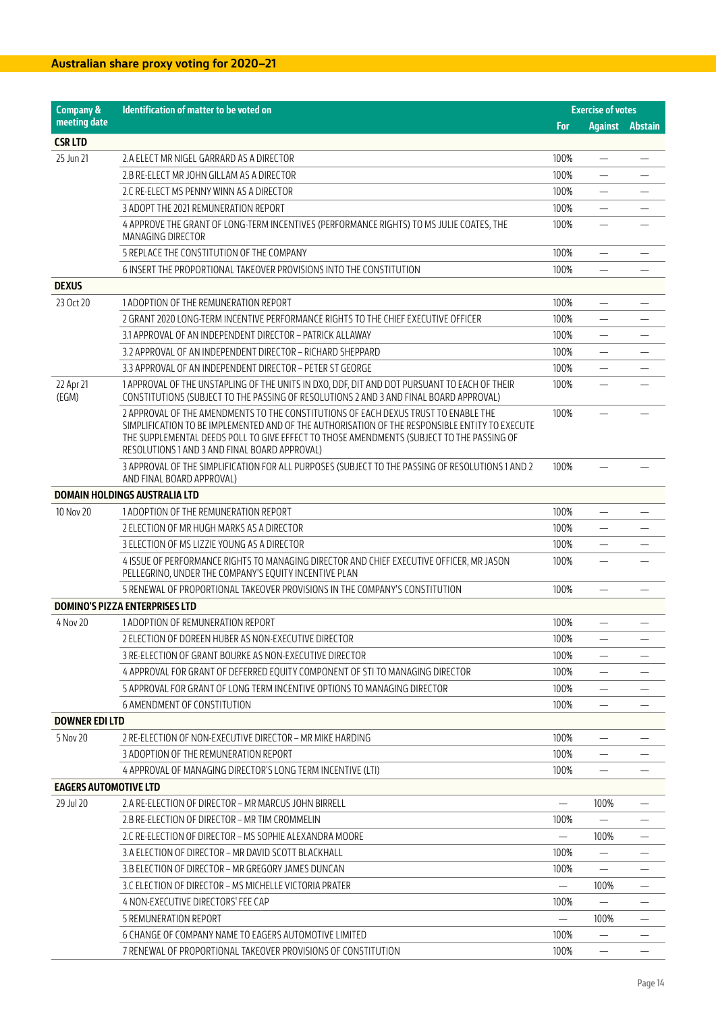| <b>Company &amp;</b>         | Identification of matter to be voted on                                                                                                                                                                                                                                                                                             |                          | <b>Exercise of votes</b>       |                |
|------------------------------|-------------------------------------------------------------------------------------------------------------------------------------------------------------------------------------------------------------------------------------------------------------------------------------------------------------------------------------|--------------------------|--------------------------------|----------------|
| meeting date                 |                                                                                                                                                                                                                                                                                                                                     | For                      | <b>Against</b>                 | <b>Abstain</b> |
| <b>CSRLTD</b>                |                                                                                                                                                                                                                                                                                                                                     |                          |                                |                |
| 25 Jun 21                    | 2.A ELECT MR NIGEL GARRARD AS A DIRECTOR                                                                                                                                                                                                                                                                                            | 100%                     |                                |                |
|                              | 2.B RE-ELECT MR JOHN GILLAM AS A DIRECTOR                                                                                                                                                                                                                                                                                           | 100%                     | $\overline{\phantom{0}}$       |                |
|                              | 2.C RE-ELECT MS PENNY WINN AS A DIRECTOR                                                                                                                                                                                                                                                                                            | 100%                     |                                |                |
|                              | 3 ADOPT THE 2021 REMUNERATION REPORT                                                                                                                                                                                                                                                                                                | 100%                     |                                |                |
|                              | 4 APPROVE THE GRANT OF LONG-TERM INCENTIVES (PERFORMANCE RIGHTS) TO MS JULIE COATES, THE<br><b>MANAGING DIRECTOR</b>                                                                                                                                                                                                                | 100%                     |                                |                |
|                              | 5 REPLACE THE CONSTITUTION OF THE COMPANY                                                                                                                                                                                                                                                                                           | 100%                     |                                |                |
|                              | 6 INSERT THE PROPORTIONAL TAKEOVER PROVISIONS INTO THE CONSTITUTION                                                                                                                                                                                                                                                                 | 100%                     |                                |                |
| <b>DEXUS</b>                 |                                                                                                                                                                                                                                                                                                                                     |                          |                                |                |
| 23 Oct 20                    | 1 ADOPTION OF THE REMUNERATION REPORT                                                                                                                                                                                                                                                                                               | 100%                     | $\overline{\phantom{0}}$       |                |
|                              | 2 GRANT 2020 LONG-TERM INCENTIVE PERFORMANCE RIGHTS TO THE CHIEF EXECUTIVE OFFICER                                                                                                                                                                                                                                                  | 100%                     |                                |                |
|                              | 3.1 APPROVAL OF AN INDEPENDENT DIRECTOR - PATRICK ALLAWAY                                                                                                                                                                                                                                                                           | 100%                     |                                |                |
|                              | 3.2 APPROVAL OF AN INDEPENDENT DIRECTOR - RICHARD SHEPPARD                                                                                                                                                                                                                                                                          | 100%                     | $\overline{\phantom{0}}$       |                |
|                              | 3.3 APPROVAL OF AN INDEPENDENT DIRECTOR - PETER ST GEORGE                                                                                                                                                                                                                                                                           | 100%                     |                                |                |
| 22 Apr 21<br>(EGM)           | 1 APPROVAL OF THE UNSTAPLING OF THE UNITS IN DXO, DDF, DIT AND DOT PURSUANT TO EACH OF THEIR<br>CONSTITUTIONS (SUBJECT TO THE PASSING OF RESOLUTIONS 2 AND 3 AND FINAL BOARD APPROVAL)                                                                                                                                              | 100%                     | $\equiv$                       |                |
|                              | 2 APPROVAL OF THE AMENDMENTS TO THE CONSTITUTIONS OF EACH DEXUS TRUST TO ENABLE THE<br>SIMPLIFICATION TO BE IMPLEMENTED AND OF THE AUTHORISATION OF THE RESPONSIBLE ENTITY TO EXECUTE<br>THE SUPPLEMENTAL DEEDS POLL TO GIVE EFFECT TO THOSE AMENDMENTS (SUBJECT TO THE PASSING OF<br>RESOLUTIONS 1 AND 3 AND FINAL BOARD APPROVAL) | 100%                     |                                |                |
|                              | 3 APPROVAL OF THE SIMPLIFICATION FOR ALL PURPOSES (SUBJECT TO THE PASSING OF RESOLUTIONS 1 AND 2<br>AND FINAL BOARD APPROVAL)                                                                                                                                                                                                       | 100%                     |                                |                |
|                              | <b>DOMAIN HOLDINGS AUSTRALIA LTD</b>                                                                                                                                                                                                                                                                                                |                          |                                |                |
| 10 Nov 20                    | 1 ADOPTION OF THE REMUNERATION REPORT                                                                                                                                                                                                                                                                                               | 100%                     |                                |                |
|                              | 2 ELECTION OF MR HUGH MARKS AS A DIRECTOR                                                                                                                                                                                                                                                                                           | 100%                     | $\overline{\phantom{0}}$       |                |
|                              | 3 ELECTION OF MS LIZZIE YOUNG AS A DIRECTOR                                                                                                                                                                                                                                                                                         | 100%                     |                                |                |
|                              | 4 ISSUE OF PERFORMANCE RIGHTS TO MANAGING DIRECTOR AND CHIEF EXECUTIVE OFFICER, MR JASON<br>PELLEGRINO, UNDER THE COMPANY'S EQUITY INCENTIVE PLAN                                                                                                                                                                                   | 100%                     |                                |                |
|                              | 5 RENEWAL OF PROPORTIONAL TAKEOVER PROVISIONS IN THE COMPANY'S CONSTITUTION                                                                                                                                                                                                                                                         | 100%                     |                                |                |
|                              | <b>DOMINO'S PIZZA ENTERPRISES LTD</b>                                                                                                                                                                                                                                                                                               |                          |                                |                |
| 4 Nov 20                     | 1 ADOPTION OF REMUNERATION REPORT                                                                                                                                                                                                                                                                                                   | 100%                     | $\overline{\phantom{0}}$       |                |
|                              | 2 ELECTION OF DOREEN HUBER AS NON-EXECUTIVE DIRECTOR                                                                                                                                                                                                                                                                                | 100%                     |                                |                |
|                              | 3 RE-ELECTION OF GRANT BOURKE AS NON-EXECUTIVE DIRECTOR                                                                                                                                                                                                                                                                             | 100%                     |                                |                |
|                              | 4 APPROVAL FOR GRANT OF DEFERRED EQUITY COMPONENT OF STI TO MANAGING DIRECTOR                                                                                                                                                                                                                                                       | 100%                     | $\qquad \qquad \longleftarrow$ |                |
|                              | 5 APPROVAL FOR GRANT OF LONG TERM INCENTIVE OPTIONS TO MANAGING DIRECTOR                                                                                                                                                                                                                                                            | 100%                     |                                |                |
|                              | 6 AMENDMENT OF CONSTITUTION                                                                                                                                                                                                                                                                                                         | 100%                     |                                |                |
| <b>DOWNER EDILTD</b>         |                                                                                                                                                                                                                                                                                                                                     |                          |                                |                |
| 5 Nov 20                     | 2 RE-ELECTION OF NON-EXECUTIVE DIRECTOR – MR MIKE HARDING                                                                                                                                                                                                                                                                           | 100%                     |                                |                |
|                              | 3 ADOPTION OF THE REMUNERATION REPORT                                                                                                                                                                                                                                                                                               | 100%                     |                                |                |
|                              | 4 APPROVAL OF MANAGING DIRECTOR'S LONG TERM INCENTIVE (LTI)                                                                                                                                                                                                                                                                         | 100%                     |                                |                |
| <b>EAGERS AUTOMOTIVE LTD</b> |                                                                                                                                                                                                                                                                                                                                     |                          |                                |                |
| 29 Jul 20                    | 2.A RE-ELECTION OF DIRECTOR - MR MARCUS JOHN BIRRELL                                                                                                                                                                                                                                                                                | $\overline{\phantom{0}}$ | 100%                           |                |
|                              | 2.B RE-ELECTION OF DIRECTOR – MR TIM CROMMELIN                                                                                                                                                                                                                                                                                      | 100%                     |                                |                |
|                              | 2.C RE-ELECTION OF DIRECTOR – MS SOPHIE ALEXANDRA MOORE                                                                                                                                                                                                                                                                             | $\qquad \qquad -$        | 100%                           |                |
|                              | 3.A ELECTION OF DIRECTOR - MR DAVID SCOTT BLACKHALL                                                                                                                                                                                                                                                                                 | 100%                     | $\overline{\phantom{0}}$       |                |
|                              | 3.B ELECTION OF DIRECTOR – MR GREGORY JAMES DUNCAN                                                                                                                                                                                                                                                                                  | 100%                     |                                |                |
|                              | 3.C ELECTION OF DIRECTOR – MS MICHELLE VICTORIA PRATER                                                                                                                                                                                                                                                                              |                          | 100%                           |                |
|                              | 4 NON-EXECUTIVE DIRECTORS' FEE CAP                                                                                                                                                                                                                                                                                                  | 100%                     |                                |                |
|                              | <b>5 REMUNERATION REPORT</b>                                                                                                                                                                                                                                                                                                        |                          | 100%                           |                |
|                              | 6 CHANGE OF COMPANY NAME TO EAGERS AUTOMOTIVE LIMITED                                                                                                                                                                                                                                                                               | 100%                     |                                |                |
|                              | 7 RENEWAL OF PROPORTIONAL TAKEOVER PROVISIONS OF CONSTITUTION                                                                                                                                                                                                                                                                       | 100%                     |                                |                |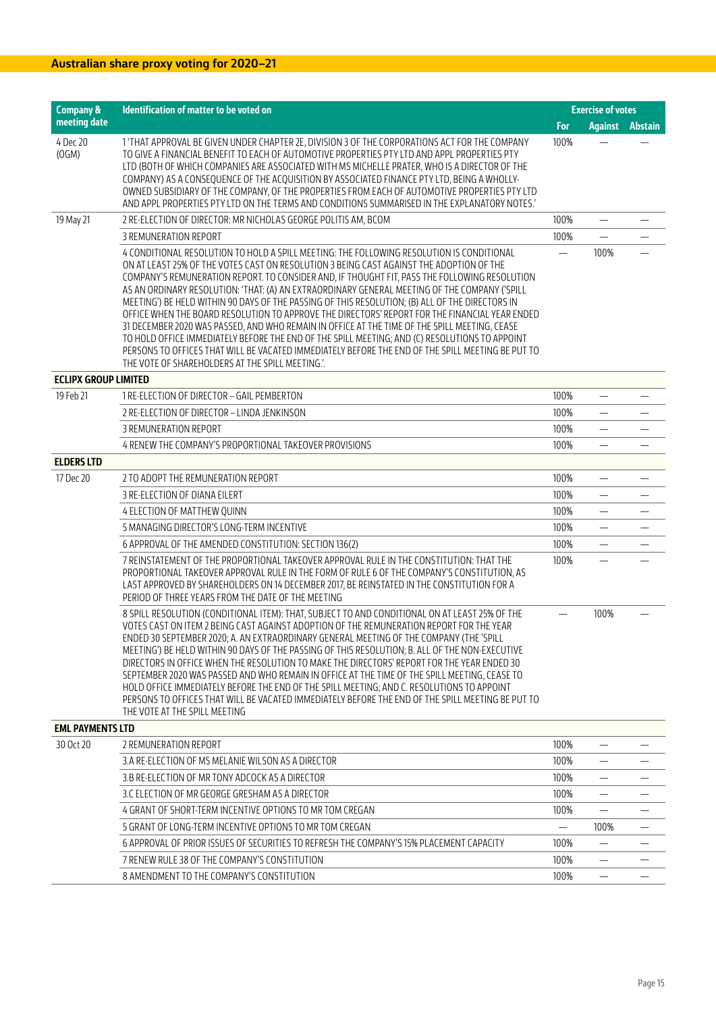| <b>Company &amp;</b>        | Identification of matter to be voted on                                                                                                                                                                                                                                                                                                                                                                                                                                                                                                                                                                                                                                                                                                                                                                                                                                                                                                                 | <b>Exercise of votes</b> |                          |  |
|-----------------------------|---------------------------------------------------------------------------------------------------------------------------------------------------------------------------------------------------------------------------------------------------------------------------------------------------------------------------------------------------------------------------------------------------------------------------------------------------------------------------------------------------------------------------------------------------------------------------------------------------------------------------------------------------------------------------------------------------------------------------------------------------------------------------------------------------------------------------------------------------------------------------------------------------------------------------------------------------------|--------------------------|--------------------------|--|
| meeting date                |                                                                                                                                                                                                                                                                                                                                                                                                                                                                                                                                                                                                                                                                                                                                                                                                                                                                                                                                                         | For                      | <b>Against Abstain</b>   |  |
| 4 Dec 20<br>(OGM)           | 1 'THAT APPROVAL BE GIVEN UNDER CHAPTER 2E, DIVISION 3 OF THE CORPORATIONS ACT FOR THE COMPANY<br>TO GIVE A FINANCIAL BENEFIT TO EACH OF AUTOMOTIVE PROPERTIES PTY LTD AND APPL PROPERTIES PTY<br>LTD (BOTH OF WHICH COMPANIES ARE ASSOCIATED WITH MS MICHELLE PRATER. WHO IS A DIRECTOR OF THE<br>COMPANY) AS A CONSEQUENCE OF THE ACQUISITION BY ASSOCIATED FINANCE PTY LTD, BEING A WHOLLY-<br>OWNED SUBSIDIARY OF THE COMPANY, OF THE PROPERTIES FROM EACH OF AUTOMOTIVE PROPERTIES PTY LTD<br>AND APPL PROPERTIES PTY LTD ON THE TERMS AND CONDITIONS SUMMARISED IN THE EXPLANATORY NOTES.'                                                                                                                                                                                                                                                                                                                                                        | 100%                     |                          |  |
| 19 May 21                   | 2 RE-ELECTION OF DIRECTOR: MR NICHOLAS GEORGE POLITIS AM, BCOM                                                                                                                                                                                                                                                                                                                                                                                                                                                                                                                                                                                                                                                                                                                                                                                                                                                                                          | 100%                     |                          |  |
|                             | 3 REMUNERATION REPORT                                                                                                                                                                                                                                                                                                                                                                                                                                                                                                                                                                                                                                                                                                                                                                                                                                                                                                                                   | 100%                     | $\equiv$                 |  |
|                             | 4 CONDITIONAL RESOLUTION TO HOLD A SPILL MEETING: THE FOLLOWING RESOLUTION IS CONDITIONAL<br>ON AT LEAST 25% OF THE VOTES CAST ON RESOLUTION 3 BEING CAST AGAINST THE ADOPTION OF THE<br>COMPANY'S REMUNERATION REPORT. TO CONSIDER AND, IF THOUGHT FIT, PASS THE FOLLOWING RESOLUTION<br>AS AN ORDINARY RESOLUTION: 'THAT: (A) AN EXTRAORDINARY GENERAL MEETING OF THE COMPANY ('SPILL<br>MEETING') BE HELD WITHIN 90 DAYS OF THE PASSING OF THIS RESOLUTION; (B) ALL OF THE DIRECTORS IN<br>OFFICE WHEN THE BOARD RESOLUTION TO APPROVE THE DIRECTORS' REPORT FOR THE FINANCIAL YEAR ENDED<br>31 DECEMBER 2020 WAS PASSED, AND WHO REMAIN IN OFFICE AT THE TIME OF THE SPILL MEETING, CEASE<br>TO HOLD OFFICE IMMEDIATELY BEFORE THE END OF THE SPILL MEETING; AND (C) RESOLUTIONS TO APPOINT<br>PERSONS TO OFFICES THAT WILL BE VACATED IMMEDIATELY BEFORE THE END OF THE SPILL MEETING BE PUT TO<br>THE VOTE OF SHAREHOLDERS AT THE SPILL MEETING." |                          | 100%                     |  |
| <b>ECLIPX GROUP LIMITED</b> |                                                                                                                                                                                                                                                                                                                                                                                                                                                                                                                                                                                                                                                                                                                                                                                                                                                                                                                                                         |                          |                          |  |
| 19 Feb 21                   | 1 RE-ELECTION OF DIRECTOR - GAIL PEMBERTON                                                                                                                                                                                                                                                                                                                                                                                                                                                                                                                                                                                                                                                                                                                                                                                                                                                                                                              | 100%                     | —                        |  |
|                             | 2 RE-ELECTION OF DIRECTOR - LINDA JENKINSON                                                                                                                                                                                                                                                                                                                                                                                                                                                                                                                                                                                                                                                                                                                                                                                                                                                                                                             | 100%                     | $\overline{\phantom{0}}$ |  |
|                             | 3 REMUNERATION REPORT                                                                                                                                                                                                                                                                                                                                                                                                                                                                                                                                                                                                                                                                                                                                                                                                                                                                                                                                   | 100%                     |                          |  |
|                             | 4 RENEW THE COMPANY'S PROPORTIONAL TAKEOVER PROVISIONS                                                                                                                                                                                                                                                                                                                                                                                                                                                                                                                                                                                                                                                                                                                                                                                                                                                                                                  | 100%                     |                          |  |
| <b>ELDERS LTD</b>           |                                                                                                                                                                                                                                                                                                                                                                                                                                                                                                                                                                                                                                                                                                                                                                                                                                                                                                                                                         |                          |                          |  |
| 17 Dec 20                   | 2 TO ADOPT THE REMUNERATION REPORT                                                                                                                                                                                                                                                                                                                                                                                                                                                                                                                                                                                                                                                                                                                                                                                                                                                                                                                      | 100%                     |                          |  |
|                             | 3 RE-ELECTION OF DIANA EILERT                                                                                                                                                                                                                                                                                                                                                                                                                                                                                                                                                                                                                                                                                                                                                                                                                                                                                                                           | 100%                     |                          |  |
|                             | 4 ELECTION OF MATTHEW QUINN                                                                                                                                                                                                                                                                                                                                                                                                                                                                                                                                                                                                                                                                                                                                                                                                                                                                                                                             | 100%                     | $\overline{\phantom{0}}$ |  |
|                             | 5 MANAGING DIRECTOR'S LONG-TERM INCENTIVE                                                                                                                                                                                                                                                                                                                                                                                                                                                                                                                                                                                                                                                                                                                                                                                                                                                                                                               | 100%                     |                          |  |
|                             | 6 APPROVAL OF THE AMENDED CONSTITUTION: SECTION 136(2)                                                                                                                                                                                                                                                                                                                                                                                                                                                                                                                                                                                                                                                                                                                                                                                                                                                                                                  | 100%                     |                          |  |
|                             | 7 REINSTATEMENT OF THE PROPORTIONAL TAKEOVER APPROVAL RULE IN THE CONSTITUTION: THAT THE<br>PROPORTIONAL TAKEOVER APPROVAL RULE IN THE FORM OF RULE 6 OF THE COMPANY'S CONSTITUTION, AS<br>LAST APPROVED BY SHAREHOLDERS ON 14 DECEMBER 2017, BE REINSTATED IN THE CONSTITUTION FOR A<br>PERIOD OF THREE YEARS FROM THE DATE OF THE MEETING                                                                                                                                                                                                                                                                                                                                                                                                                                                                                                                                                                                                             | 100%                     |                          |  |
|                             | 8 SPILL RESOLUTION (CONDITIONAL ITEM): THAT, SUBJECT TO AND CONDITIONAL ON AT LEAST 25% OF THE<br>VOTES CAST ON ITEM 2 BEING CAST AGAINST ADOPTION OF THE REMUNERATION REPORT FOR THE YEAR<br>ENDED 30 SEPTEMBER 2020; A. AN EXTRAORDINARY GENERAL MEETING OF THE COMPANY (THE 'SPILL<br>MEETING') BE HELD WITHIN 90 DAYS OF THE PASSING OF THIS RESOLUTION; B. ALL OF THE NON-EXECUTIVE<br>DIRECTORS IN OFFICE WHEN THE RESOLUTION TO MAKE THE DIRECTORS' REPORT FOR THE YEAR ENDED 30<br>SEPTEMBER 2020 WAS PASSED AND WHO REMAIN IN OFFICE AT THE TIME OF THE SPILL MEETING. CEASE TO<br>HOLD OFFICE IMMEDIATELY BEFORE THE END OF THE SPILL MEETING; AND C. RESOLUTIONS TO APPOINT<br>PERSONS TO OFFICES THAT WILL BE VACATED IMMEDIATELY BEFORE THE END OF THE SPILL MEETING BE PUT TO<br>THE VOTE AT THE SPILL MEETING                                                                                                                            | $\overline{\phantom{0}}$ | 100%                     |  |
| <b>EML PAYMENTS LTD</b>     |                                                                                                                                                                                                                                                                                                                                                                                                                                                                                                                                                                                                                                                                                                                                                                                                                                                                                                                                                         |                          |                          |  |
| 30 Oct 20                   | 2 REMUNERATION REPORT                                                                                                                                                                                                                                                                                                                                                                                                                                                                                                                                                                                                                                                                                                                                                                                                                                                                                                                                   | 100%                     |                          |  |
|                             | 3.A RE-ELECTION OF MS MELANIE WILSON AS A DIRECTOR                                                                                                                                                                                                                                                                                                                                                                                                                                                                                                                                                                                                                                                                                                                                                                                                                                                                                                      | 100%                     |                          |  |
|                             | 3.B RE-ELECTION OF MR TONY ADCOCK AS A DIRECTOR                                                                                                                                                                                                                                                                                                                                                                                                                                                                                                                                                                                                                                                                                                                                                                                                                                                                                                         | 100%                     |                          |  |
|                             | 3.C ELECTION OF MR GEORGE GRESHAM AS A DIRECTOR                                                                                                                                                                                                                                                                                                                                                                                                                                                                                                                                                                                                                                                                                                                                                                                                                                                                                                         | 100%                     |                          |  |
|                             | 4 GRANT OF SHORT-TERM INCENTIVE OPTIONS TO MR TOM CREGAN                                                                                                                                                                                                                                                                                                                                                                                                                                                                                                                                                                                                                                                                                                                                                                                                                                                                                                | 100%                     |                          |  |
|                             | 5 GRANT OF LONG-TERM INCENTIVE OPTIONS TO MR TOM CREGAN                                                                                                                                                                                                                                                                                                                                                                                                                                                                                                                                                                                                                                                                                                                                                                                                                                                                                                 |                          | 100%                     |  |
|                             | 6 APPROVAL OF PRIOR ISSUES OF SECURITIES TO REFRESH THE COMPANY'S 15% PLACEMENT CAPACITY                                                                                                                                                                                                                                                                                                                                                                                                                                                                                                                                                                                                                                                                                                                                                                                                                                                                | 100%                     |                          |  |
|                             | 7 RENEW RULE 38 OF THE COMPANY'S CONSTITUTION                                                                                                                                                                                                                                                                                                                                                                                                                                                                                                                                                                                                                                                                                                                                                                                                                                                                                                           | 100%                     |                          |  |
|                             | 8 AMENDMENT TO THE COMPANY'S CONSTITUTION                                                                                                                                                                                                                                                                                                                                                                                                                                                                                                                                                                                                                                                                                                                                                                                                                                                                                                               | 100%                     |                          |  |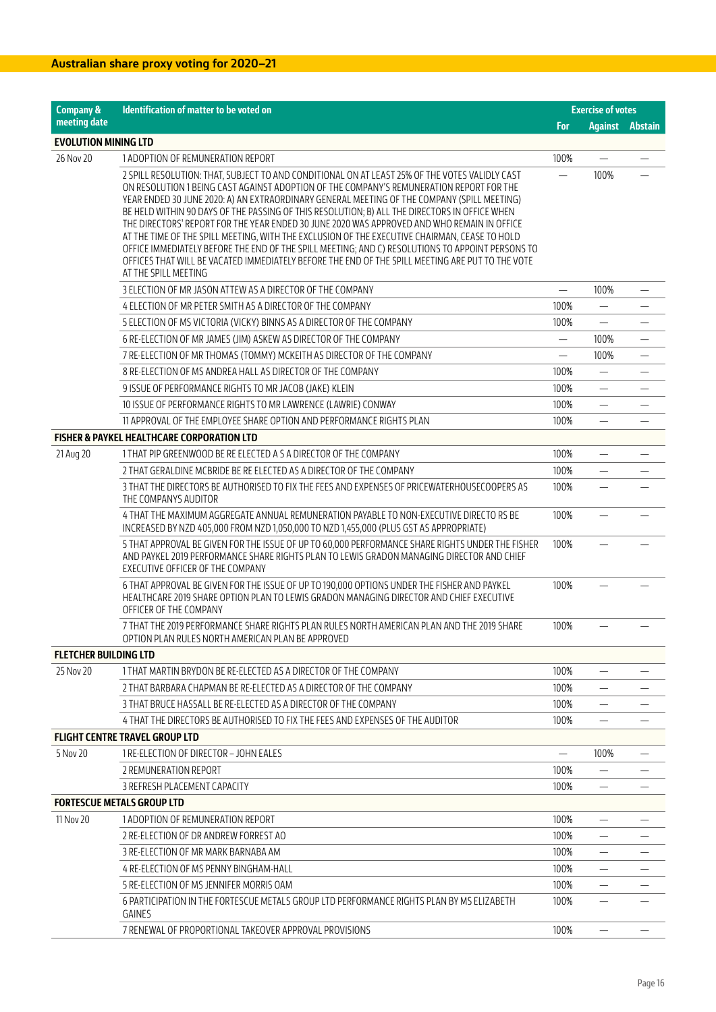| <b>Company &amp;</b>         | Identification of matter to be voted on                                                                                                                                                                                                                                                                                                                                                                                                                                                                                                                                                                                                                                                                                                                                                            |              | <b>Exercise of votes</b> |  |
|------------------------------|----------------------------------------------------------------------------------------------------------------------------------------------------------------------------------------------------------------------------------------------------------------------------------------------------------------------------------------------------------------------------------------------------------------------------------------------------------------------------------------------------------------------------------------------------------------------------------------------------------------------------------------------------------------------------------------------------------------------------------------------------------------------------------------------------|--------------|--------------------------|--|
| meeting date                 |                                                                                                                                                                                                                                                                                                                                                                                                                                                                                                                                                                                                                                                                                                                                                                                                    | <b>For</b>   | <b>Against Abstain</b>   |  |
| <b>EVOLUTION MINING LTD</b>  |                                                                                                                                                                                                                                                                                                                                                                                                                                                                                                                                                                                                                                                                                                                                                                                                    |              |                          |  |
| 26 Nov 20                    | 1 ADOPTION OF REMUNERATION REPORT                                                                                                                                                                                                                                                                                                                                                                                                                                                                                                                                                                                                                                                                                                                                                                  | 100%         |                          |  |
|                              | 2 SPILL RESOLUTION: THAT, SUBJECT TO AND CONDITIONAL ON AT LEAST 25% OF THE VOTES VALIDLY CAST<br>ON RESOLUTION 1 BEING CAST AGAINST ADOPTION OF THE COMPANY'S REMUNERATION REPORT FOR THE<br>YEAR ENDED 30 JUNE 2020: A) AN EXTRAORDINARY GENERAL MEETING OF THE COMPANY (SPILL MEETING)<br>BE HELD WITHIN 90 DAYS OF THE PASSING OF THIS RESOLUTION; B) ALL THE DIRECTORS IN OFFICE WHEN<br>THE DIRECTORS' REPORT FOR THE YEAR ENDED 30 JUNE 2020 WAS APPROVED AND WHO REMAIN IN OFFICE<br>AT THE TIME OF THE SPILL MEETING, WITH THE EXCLUSION OF THE EXECUTIVE CHAIRMAN, CEASE TO HOLD<br>OFFICE IMMEDIATELY BEFORE THE END OF THE SPILL MEETING; AND C) RESOLUTIONS TO APPOINT PERSONS TO<br>OFFICES THAT WILL BE VACATED IMMEDIATELY BEFORE THE END OF THE SPILL MEETING ARE PUT TO THE VOTE |              | 100%                     |  |
|                              | AT THE SPILL MEETING                                                                                                                                                                                                                                                                                                                                                                                                                                                                                                                                                                                                                                                                                                                                                                               |              |                          |  |
|                              | 3 ELECTION OF MR JASON ATTEW AS A DIRECTOR OF THE COMPANY                                                                                                                                                                                                                                                                                                                                                                                                                                                                                                                                                                                                                                                                                                                                          |              | 100%                     |  |
|                              | 4 ELECTION OF MR PETER SMITH AS A DIRECTOR OF THE COMPANY                                                                                                                                                                                                                                                                                                                                                                                                                                                                                                                                                                                                                                                                                                                                          | 100%<br>100% |                          |  |
|                              | 5 ELECTION OF MS VICTORIA (VICKY) BINNS AS A DIRECTOR OF THE COMPANY                                                                                                                                                                                                                                                                                                                                                                                                                                                                                                                                                                                                                                                                                                                               |              |                          |  |
|                              | 6 RE-ELECTION OF MR JAMES (JIM) ASKEW AS DIRECTOR OF THE COMPANY                                                                                                                                                                                                                                                                                                                                                                                                                                                                                                                                                                                                                                                                                                                                   |              | 100%                     |  |
|                              | 7 RE-ELECTION OF MR THOMAS (TOMMY) MCKEITH AS DIRECTOR OF THE COMPANY                                                                                                                                                                                                                                                                                                                                                                                                                                                                                                                                                                                                                                                                                                                              |              | 100%                     |  |
|                              | 8 RE-ELECTION OF MS ANDREA HALL AS DIRECTOR OF THE COMPANY                                                                                                                                                                                                                                                                                                                                                                                                                                                                                                                                                                                                                                                                                                                                         | 100%         |                          |  |
|                              | 9 ISSUE OF PERFORMANCE RIGHTS TO MR JACOB (JAKE) KLEIN                                                                                                                                                                                                                                                                                                                                                                                                                                                                                                                                                                                                                                                                                                                                             | 100%         | $\overline{\phantom{0}}$ |  |
|                              | 10 ISSUE OF PERFORMANCE RIGHTS TO MR LAWRENCE (LAWRIE) CONWAY                                                                                                                                                                                                                                                                                                                                                                                                                                                                                                                                                                                                                                                                                                                                      | 100%         |                          |  |
|                              | 11 APPROVAL OF THE EMPLOYEE SHARE OPTION AND PERFORMANCE RIGHTS PLAN                                                                                                                                                                                                                                                                                                                                                                                                                                                                                                                                                                                                                                                                                                                               | 100%         |                          |  |
|                              | <b>FISHER &amp; PAYKEL HEALTHCARE CORPORATION LTD</b>                                                                                                                                                                                                                                                                                                                                                                                                                                                                                                                                                                                                                                                                                                                                              | 100%         |                          |  |
| 21 Aug 20                    | 1 THAT PIP GREENWOOD BE RE ELECTED A S A DIRECTOR OF THE COMPANY                                                                                                                                                                                                                                                                                                                                                                                                                                                                                                                                                                                                                                                                                                                                   | 100%         |                          |  |
|                              | 2 THAT GERALDINE MCBRIDE BE RE ELECTED AS A DIRECTOR OF THE COMPANY<br>3 THAT THE DIRECTORS BE AUTHORISED TO FIX THE FEES AND EXPENSES OF PRICEWATERHOUSECOOPERS AS                                                                                                                                                                                                                                                                                                                                                                                                                                                                                                                                                                                                                                | 100%         |                          |  |
|                              | THE COMPANYS AUDITOR                                                                                                                                                                                                                                                                                                                                                                                                                                                                                                                                                                                                                                                                                                                                                                               |              |                          |  |
|                              | 4 THAT THE MAXIMUM AGGREGATE ANNUAL REMUNERATION PAYABLE TO NON-EXECUTIVE DIRECTO RS BE<br>INCREASED BY NZD 405,000 FROM NZD 1,050,000 TO NZD 1,455,000 (PLUS GST AS APPROPRIATE)                                                                                                                                                                                                                                                                                                                                                                                                                                                                                                                                                                                                                  | 100%         |                          |  |
|                              | 5 THAT APPROVAL BE GIVEN FOR THE ISSUE OF UP TO 60,000 PERFORMANCE SHARE RIGHTS UNDER THE FISHER<br>AND PAYKEL 2019 PERFORMANCE SHARE RIGHTS PLAN TO LEWIS GRADON MANAGING DIRECTOR AND CHIEF<br>EXECUTIVE OFFICER OF THE COMPANY                                                                                                                                                                                                                                                                                                                                                                                                                                                                                                                                                                  | 100%         |                          |  |
|                              | 6 THAT APPROVAL BE GIVEN FOR THE ISSUE OF UP TO 190,000 OPTIONS UNDER THE FISHER AND PAYKEL<br>HEALTHCARE 2019 SHARE OPTION PLAN TO LEWIS GRADON MANAGING DIRECTOR AND CHIEF EXECUTIVE<br>OFFICER OF THE COMPANY                                                                                                                                                                                                                                                                                                                                                                                                                                                                                                                                                                                   | 100%         |                          |  |
|                              | 7 THAT THE 2019 PERFORMANCE SHARE RIGHTS PLAN RULES NORTH AMERICAN PLAN AND THE 2019 SHARE<br>OPTION PLAN RULES NORTH AMERICAN PLAN BE APPROVED                                                                                                                                                                                                                                                                                                                                                                                                                                                                                                                                                                                                                                                    | 100%         |                          |  |
| <b>FLETCHER BUILDING LTD</b> |                                                                                                                                                                                                                                                                                                                                                                                                                                                                                                                                                                                                                                                                                                                                                                                                    |              |                          |  |
| 25 Nov 20                    | 1 THAT MARTIN BRYDON BE RE-ELECTED AS A DIRECTOR OF THE COMPANY                                                                                                                                                                                                                                                                                                                                                                                                                                                                                                                                                                                                                                                                                                                                    | 100%         |                          |  |
|                              | 2 THAT BARBARA CHAPMAN BE RE-ELECTED AS A DIRECTOR OF THE COMPANY                                                                                                                                                                                                                                                                                                                                                                                                                                                                                                                                                                                                                                                                                                                                  | 100%         |                          |  |
|                              | 3 THAT BRUCE HASSALL BE RE-ELECTED AS A DIRECTOR OF THE COMPANY                                                                                                                                                                                                                                                                                                                                                                                                                                                                                                                                                                                                                                                                                                                                    | 100%         |                          |  |
|                              | 4 THAT THE DIRECTORS BE AUTHORISED TO FIX THE FEES AND EXPENSES OF THE AUDITOR                                                                                                                                                                                                                                                                                                                                                                                                                                                                                                                                                                                                                                                                                                                     | 100%         |                          |  |
|                              | <b>FLIGHT CENTRE TRAVEL GROUP LTD</b>                                                                                                                                                                                                                                                                                                                                                                                                                                                                                                                                                                                                                                                                                                                                                              |              |                          |  |
| 5 Nov 20                     | 1 RE-ELECTION OF DIRECTOR - JOHN EALES                                                                                                                                                                                                                                                                                                                                                                                                                                                                                                                                                                                                                                                                                                                                                             |              | 100%                     |  |
|                              | 2 REMUNERATION REPORT                                                                                                                                                                                                                                                                                                                                                                                                                                                                                                                                                                                                                                                                                                                                                                              | 100%         |                          |  |
|                              | 3 REFRESH PLACEMENT CAPACITY                                                                                                                                                                                                                                                                                                                                                                                                                                                                                                                                                                                                                                                                                                                                                                       | 100%         |                          |  |
|                              | <b>FORTESCUE METALS GROUP LTD</b>                                                                                                                                                                                                                                                                                                                                                                                                                                                                                                                                                                                                                                                                                                                                                                  |              |                          |  |
| 11 Nov 20                    | 1 ADOPTION OF REMUNERATION REPORT                                                                                                                                                                                                                                                                                                                                                                                                                                                                                                                                                                                                                                                                                                                                                                  | 100%         |                          |  |
|                              | 2 RE-ELECTION OF DR ANDREW FORREST AO                                                                                                                                                                                                                                                                                                                                                                                                                                                                                                                                                                                                                                                                                                                                                              | 100%         |                          |  |
|                              | 3 RE-ELECTION OF MR MARK BARNABA AM                                                                                                                                                                                                                                                                                                                                                                                                                                                                                                                                                                                                                                                                                                                                                                | 100%         |                          |  |
|                              | 4 RE-ELECTION OF MS PENNY BINGHAM-HALL                                                                                                                                                                                                                                                                                                                                                                                                                                                                                                                                                                                                                                                                                                                                                             | 100%         |                          |  |
|                              | 5 RE-ELECTION OF MS JENNIFER MORRIS OAM                                                                                                                                                                                                                                                                                                                                                                                                                                                                                                                                                                                                                                                                                                                                                            | 100%         |                          |  |
|                              | 6 PARTICIPATION IN THE FORTESCUE METALS GROUP LTD PERFORMANCE RIGHTS PLAN BY MS ELIZABETH<br>GAINES                                                                                                                                                                                                                                                                                                                                                                                                                                                                                                                                                                                                                                                                                                | 100%         |                          |  |
|                              | 7 RENEWAL OF PROPORTIONAL TAKEOVER APPROVAL PROVISIONS                                                                                                                                                                                                                                                                                                                                                                                                                                                                                                                                                                                                                                                                                                                                             | 100%         |                          |  |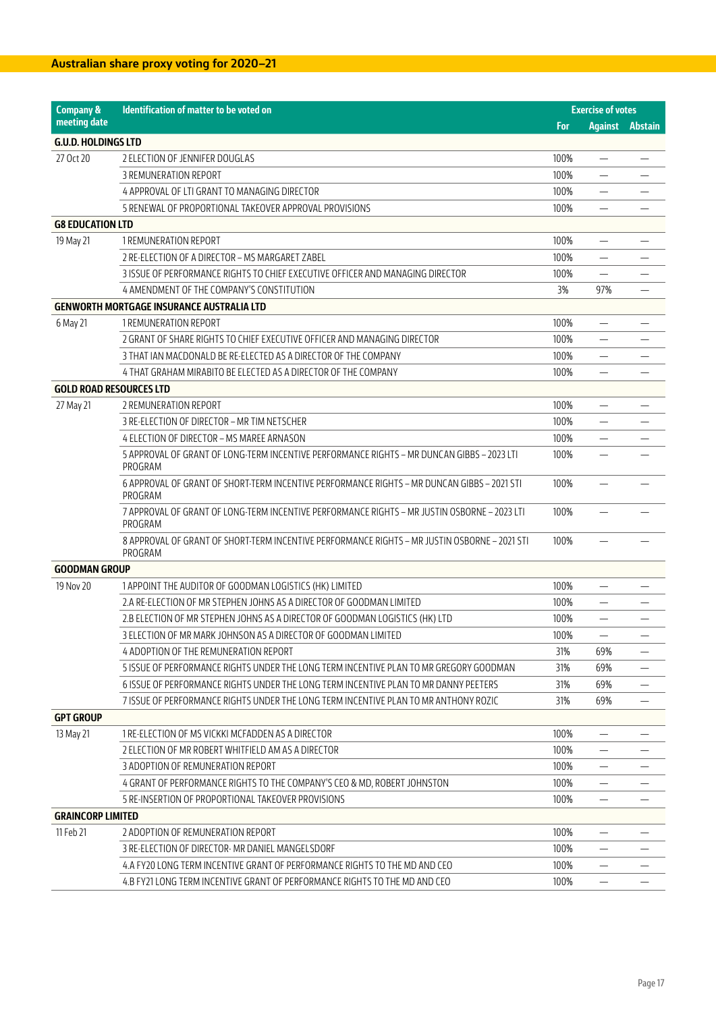| <b>Company &amp;</b>           | Identification of matter to be voted on                                                                  |            | <b>Exercise of votes</b>       |         |
|--------------------------------|----------------------------------------------------------------------------------------------------------|------------|--------------------------------|---------|
| meeting date                   |                                                                                                          | <b>For</b> | <b>Against</b>                 | Abstain |
| <b>G.U.D. HOLDINGS LTD</b>     |                                                                                                          |            |                                |         |
| 27 Oct 20                      | 2 ELECTION OF JENNIFER DOUGLAS                                                                           | 100%       |                                |         |
|                                | 3 REMUNERATION REPORT                                                                                    | 100%       | $\overline{\phantom{0}}$       |         |
|                                | 4 APPROVAL OF LTI GRANT TO MANAGING DIRECTOR                                                             | 100%       |                                |         |
|                                | 5 RENEWAL OF PROPORTIONAL TAKEOVER APPROVAL PROVISIONS                                                   | 100%       |                                |         |
| <b>G8 EDUCATION LTD</b>        |                                                                                                          |            |                                |         |
| 19 May 21                      | 1 REMUNERATION REPORT                                                                                    | 100%       |                                |         |
|                                | 2 RE-ELECTION OF A DIRECTOR – MS MARGARET ZABEL                                                          | 100%       | $\overline{\phantom{0}}$       |         |
|                                | 3 ISSUE OF PERFORMANCE RIGHTS TO CHIEF EXECUTIVE OFFICER AND MANAGING DIRECTOR                           | 100%       |                                |         |
|                                | 4 AMENDMENT OF THE COMPANY'S CONSTITUTION                                                                | 3%         | 97%                            |         |
|                                | <b>GENWORTH MORTGAGE INSURANCE AUSTRALIA LTD</b>                                                         |            |                                |         |
| 6 May 21                       | 1 REMUNERATION REPORT                                                                                    | 100%       |                                |         |
|                                | 2 GRANT OF SHARE RIGHTS TO CHIEF EXECUTIVE OFFICER AND MANAGING DIRECTOR                                 | 100%       | $\qquad \qquad \longleftarrow$ |         |
|                                | 3 THAT IAN MACDONALD BE RE-ELECTED AS A DIRECTOR OF THE COMPANY                                          | 100%       |                                |         |
|                                | 4 THAT GRAHAM MIRABITO BE ELECTED AS A DIRECTOR OF THE COMPANY                                           | 100%       |                                |         |
| <b>GOLD ROAD RESOURCES LTD</b> |                                                                                                          |            |                                |         |
| 27 May 21                      | 2 REMUNERATION REPORT                                                                                    | 100%       |                                |         |
|                                | 3 RE-ELECTION OF DIRECTOR - MR TIM NETSCHER                                                              | 100%       |                                |         |
|                                | 4 ELECTION OF DIRECTOR - MS MAREE ARNASON                                                                | 100%       |                                |         |
|                                | 5 APPROVAL OF GRANT OF LONG-TERM INCENTIVE PERFORMANCE RIGHTS - MR DUNCAN GIBBS - 2023 LTI<br>PROGRAM    | 100%       |                                |         |
|                                | 6 APPROVAL OF GRANT OF SHORT-TERM INCENTIVE PERFORMANCE RIGHTS - MR DUNCAN GIBBS - 2021 STI<br>PROGRAM   | 100%       |                                |         |
|                                | 7 APPROVAL OF GRANT OF LONG-TERM INCENTIVE PERFORMANCE RIGHTS - MR JUSTIN OSBORNE - 2023 LTI<br>PROGRAM  | 100%       |                                |         |
|                                | 8 APPROVAL OF GRANT OF SHORT-TERM INCENTIVE PERFORMANCE RIGHTS - MR JUSTIN OSBORNE - 2021 STI<br>PROGRAM | 100%       |                                |         |
| <b>GOODMAN GROUP</b>           |                                                                                                          |            |                                |         |
| 19 Nov 20                      | 1 APPOINT THE AUDITOR OF GOODMAN LOGISTICS (HK) LIMITED                                                  | 100%       | $\overline{\phantom{0}}$       |         |
|                                | 2.A RE-ELECTION OF MR STEPHEN JOHNS AS A DIRECTOR OF GOODMAN LIMITED                                     | 100%       |                                |         |
|                                | 2.B ELECTION OF MR STEPHEN JOHNS AS A DIRECTOR OF GOODMAN LOGISTICS (HK) LTD                             | 100%       |                                |         |
|                                | 3 ELECTION OF MR MARK JOHNSON AS A DIRECTOR OF GOODMAN LIMITED                                           | 100%       | —                              |         |
|                                | 4 ADOPTION OF THE REMUNERATION REPORT                                                                    | 31%        | 69%                            |         |
|                                | 5 ISSUE OF PERFORMANCE RIGHTS UNDER THE LONG TERM INCENTIVE PLAN TO MR GREGORY GOODMAN                   | 31%        | 69%                            |         |
|                                | 6 ISSUE OF PERFORMANCE RIGHTS UNDER THE LONG TERM INCENTIVE PLAN TO MR DANNY PEETERS                     | 31%        | 69%                            |         |
|                                | 7 ISSUE OF PERFORMANCE RIGHTS UNDER THE LONG TERM INCENTIVE PLAN TO MR ANTHONY ROZIC                     | 31%        | 69%                            |         |
| <b>GPT GROUP</b>               |                                                                                                          |            |                                |         |
| 13 May 21                      | 1 RE-ELECTION OF MS VICKKI MCFADDEN AS A DIRECTOR                                                        | 100%       |                                |         |
|                                | 2 ELECTION OF MR ROBERT WHITFIELD AM AS A DIRECTOR                                                       | 100%       |                                |         |
|                                | 3 ADOPTION OF REMUNERATION REPORT                                                                        | 100%       |                                |         |
|                                | 4 GRANT OF PERFORMANCE RIGHTS TO THE COMPANY'S CEO & MD, ROBERT JOHNSTON                                 | 100%       |                                |         |
|                                | 5 RE-INSERTION OF PROPORTIONAL TAKEOVER PROVISIONS                                                       | 100%       |                                |         |
| <b>GRAINCORP LIMITED</b>       |                                                                                                          |            |                                |         |
| 11 Feb 21                      | 2 ADOPTION OF REMUNERATION REPORT                                                                        | 100%       |                                |         |
|                                | 3 RE-ELECTION OF DIRECTOR- MR DANIEL MANGELSDORF                                                         | 100%       |                                |         |
|                                | 4.A FY20 LONG TERM INCENTIVE GRANT OF PERFORMANCE RIGHTS TO THE MD AND CEO                               | 100%       | —                              |         |
|                                | 4.B FY21 LONG TERM INCENTIVE GRANT OF PERFORMANCE RIGHTS TO THE MD AND CEO                               | 100%       | $\overline{\phantom{0}}$       |         |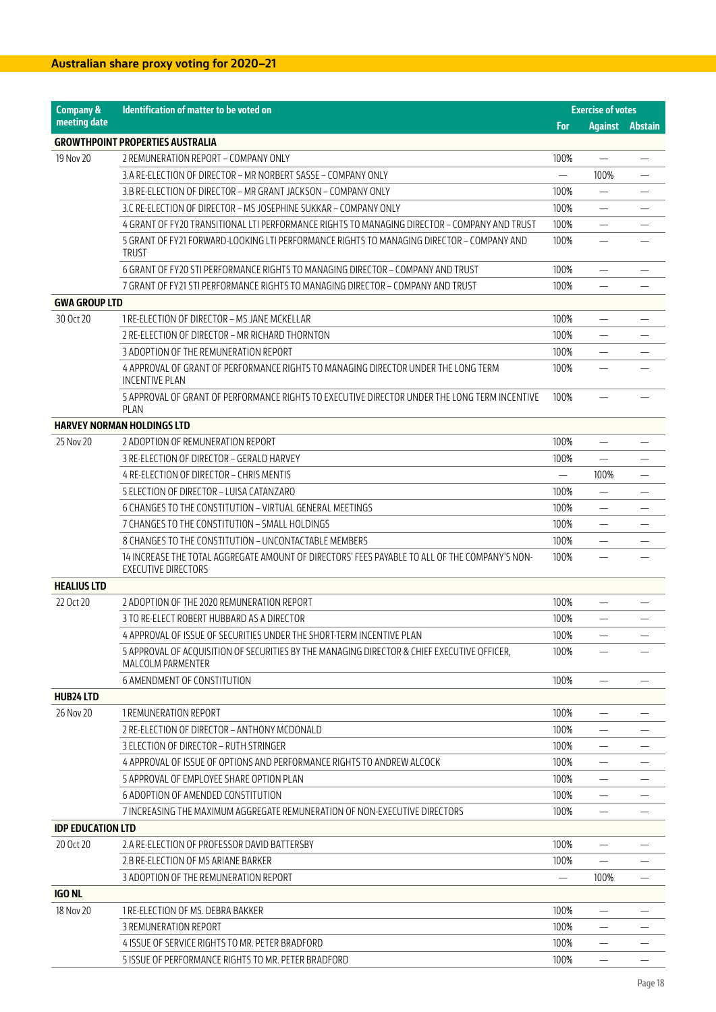| <b>Company &amp;</b>     | Identification of matter to be voted on                                                                                      |                          | <b>Exercise of votes</b> |                          |
|--------------------------|------------------------------------------------------------------------------------------------------------------------------|--------------------------|--------------------------|--------------------------|
| meeting date             |                                                                                                                              | For                      | <b>Against</b>           | <b>Abstain</b>           |
|                          | <b>GROWTHPOINT PROPERTIES AUSTRALIA</b>                                                                                      |                          |                          |                          |
| 19 Nov 20                | 2 REMUNERATION REPORT - COMPANY ONLY                                                                                         | 100%                     |                          |                          |
|                          | 3.A RE-ELECTION OF DIRECTOR - MR NORBERT SASSE - COMPANY ONLY                                                                | $\overline{\phantom{0}}$ | 100%                     | $\overline{\phantom{0}}$ |
|                          | 3.B RE-ELECTION OF DIRECTOR - MR GRANT JACKSON - COMPANY ONLY                                                                | 100%                     |                          |                          |
|                          | 3.C RE-ELECTION OF DIRECTOR – MS JOSEPHINE SUKKAR – COMPANY ONLY                                                             | 100%                     |                          |                          |
|                          | 4 GRANT OF FY20 TRANSITIONAL LTI PERFORMANCE RIGHTS TO MANAGING DIRECTOR – COMPANY AND TRUST                                 | 100%                     |                          |                          |
|                          | 5 GRANT OF FY21 FORWARD-LOOKING LTI PERFORMANCE RIGHTS TO MANAGING DIRECTOR - COMPANY AND<br><b>TRUST</b>                    | 100%                     | $\overline{\phantom{0}}$ |                          |
|                          | 6 GRANT OF FY20 STI PERFORMANCE RIGHTS TO MANAGING DIRECTOR - COMPANY AND TRUST                                              | 100%                     | $\overline{\phantom{0}}$ |                          |
|                          | 7 GRANT OF FY21 STI PERFORMANCE RIGHTS TO MANAGING DIRECTOR – COMPANY AND TRUST                                              | 100%                     |                          |                          |
| <b>GWA GROUP LTD</b>     |                                                                                                                              |                          |                          |                          |
| 30 Oct 20                | 1 RE-ELECTION OF DIRECTOR - MS JANE MCKELLAR                                                                                 | 100%                     |                          |                          |
|                          | 2 RE-ELECTION OF DIRECTOR - MR RICHARD THORNTON                                                                              | 100%                     |                          |                          |
|                          | 3 ADOPTION OF THE REMUNERATION REPORT                                                                                        | 100%                     |                          |                          |
|                          | 4 APPROVAL OF GRANT OF PERFORMANCE RIGHTS TO MANAGING DIRECTOR UNDER THE LONG TERM<br><b>INCENTIVE PLAN</b>                  | 100%                     |                          |                          |
|                          | 5 APPROVAL OF GRANT OF PERFORMANCE RIGHTS TO EXECUTIVE DIRECTOR UNDER THE LONG TERM INCENTIVE<br>PLAN                        | 100%                     |                          |                          |
|                          | <b>HARVEY NORMAN HOLDINGS LTD</b>                                                                                            |                          |                          |                          |
| 25 Nov 20                | 2 ADOPTION OF REMUNERATION REPORT                                                                                            | 100%                     | $\overline{\phantom{0}}$ |                          |
|                          | 3 RE-ELECTION OF DIRECTOR - GERALD HARVEY                                                                                    | 100%                     |                          |                          |
|                          | 4 RE-ELECTION OF DIRECTOR - CHRIS MENTIS                                                                                     | $\equiv$                 | 100%                     | —                        |
|                          | 5 ELECTION OF DIRECTOR - LUISA CATANZARO                                                                                     | 100%                     | —                        |                          |
|                          | 6 CHANGES TO THE CONSTITUTION - VIRTUAL GENERAL MEETINGS                                                                     | 100%                     | $\overline{\phantom{0}}$ |                          |
|                          | 7 CHANGES TO THE CONSTITUTION - SMALL HOLDINGS                                                                               | 100%                     |                          |                          |
|                          | 8 CHANGES TO THE CONSTITUTION - UNCONTACTABLE MEMBERS                                                                        | 100%                     | —                        |                          |
|                          | 14 INCREASE THE TOTAL AGGREGATE AMOUNT OF DIRECTORS' FEES PAYABLE TO ALL OF THE COMPANY'S NON-<br><b>EXECUTIVE DIRECTORS</b> | 100%                     | $\overline{\phantom{0}}$ |                          |
| <b>HEALIUS LTD</b>       |                                                                                                                              |                          |                          |                          |
| 22 Oct 20                | 2 ADOPTION OF THE 2020 REMUNERATION REPORT                                                                                   | 100%                     |                          |                          |
|                          | 3 TO RE-ELECT ROBERT HUBBARD AS A DIRECTOR                                                                                   | 100%                     |                          |                          |
|                          | 4 APPROVAL OF ISSUE OF SECURITIES UNDER THE SHORT-TERM INCENTIVE PLAN                                                        | 100%                     | —                        |                          |
|                          | 5 APPROVAL OF ACOUISITION OF SECURITIES BY THE MANAGING DIRECTOR & CHIEF EXECUTIVE OFFICER.<br>MALCOLM PARMENTER             | 100%                     | $\overline{\phantom{0}}$ |                          |
|                          | <b>6 AMENDMENT OF CONSTITUTION</b>                                                                                           | 100%                     | $\overline{\phantom{0}}$ |                          |
| <b>HUB24 LTD</b>         |                                                                                                                              |                          |                          |                          |
| 26 Nov 20                | 1 REMUNERATION REPORT                                                                                                        | 100%                     |                          |                          |
|                          | 2 RE-ELECTION OF DIRECTOR - ANTHONY MCDONALD                                                                                 | 100%                     |                          |                          |
|                          | 3 ELECTION OF DIRECTOR - RUTH STRINGER                                                                                       | 100%                     |                          |                          |
|                          | 4 APPROVAL OF ISSUE OF OPTIONS AND PERFORMANCE RIGHTS TO ANDREW ALCOCK                                                       | 100%                     |                          |                          |
|                          | 5 APPROVAL OF EMPLOYEE SHARE OPTION PLAN                                                                                     | 100%                     | $\overline{\phantom{0}}$ |                          |
|                          | 6 ADOPTION OF AMENDED CONSTITUTION                                                                                           | 100%                     | $\overline{\phantom{0}}$ |                          |
|                          | 7 INCREASING THE MAXIMUM AGGREGATE REMUNERATION OF NON-EXECUTIVE DIRECTORS                                                   | 100%                     |                          |                          |
| <b>IDP EDUCATION LTD</b> |                                                                                                                              |                          |                          |                          |
| 20 Oct 20                | 2.A RE-ELECTION OF PROFESSOR DAVID BATTERSBY                                                                                 | 100%                     | —                        |                          |
|                          | 2.B RE-ELECTION OF MS ARIANE BARKER                                                                                          | 100%                     | $\equiv$                 |                          |
|                          | 3 ADOPTION OF THE REMUNERATION REPORT                                                                                        |                          | 100%                     |                          |
| <b>IGO NL</b>            |                                                                                                                              |                          |                          |                          |
| 18 Nov 20                | 1 RE-ELECTION OF MS. DEBRA BAKKER                                                                                            | 100%                     | -                        |                          |
|                          | 3 REMUNERATION REPORT                                                                                                        | 100%                     |                          |                          |
|                          | 4 ISSUE OF SERVICE RIGHTS TO MR. PETER BRADFORD                                                                              | 100%                     |                          |                          |
|                          | 5 ISSUE OF PERFORMANCE RIGHTS TO MR. PETER BRADFORD                                                                          | 100%                     |                          |                          |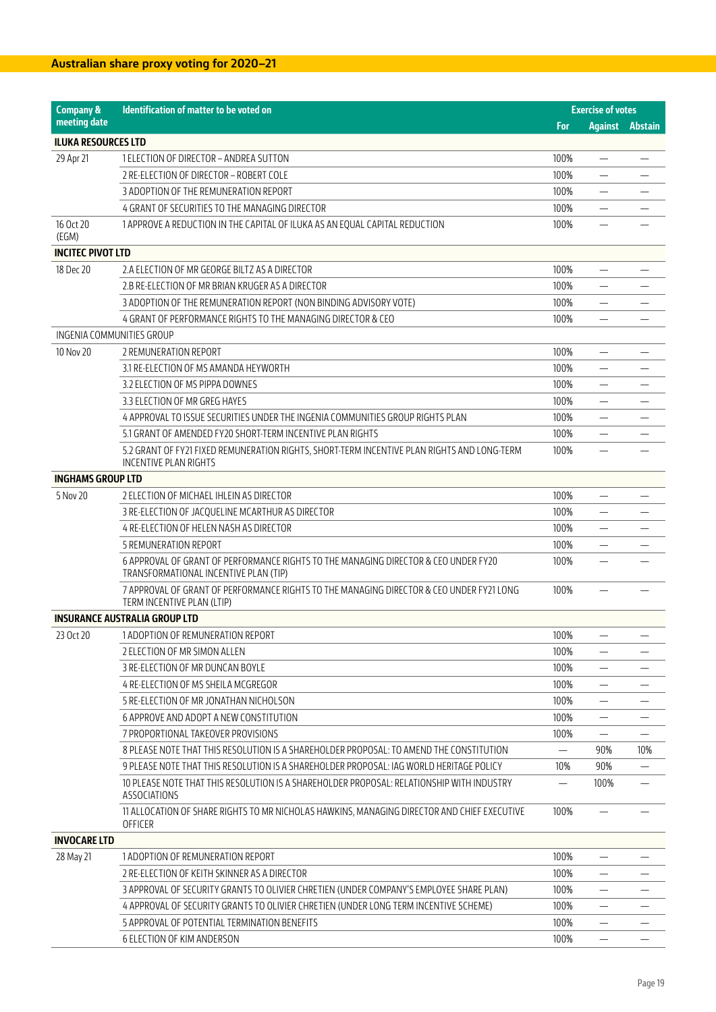| <b>Company &amp;</b>       | Identification of matter to be voted on                                                                                      |            | <b>Exercise of votes</b> |                |
|----------------------------|------------------------------------------------------------------------------------------------------------------------------|------------|--------------------------|----------------|
| meeting date               |                                                                                                                              | <b>For</b> | <b>Against</b>           | <b>Abstain</b> |
| <b>ILUKA RESOURCES LTD</b> |                                                                                                                              |            |                          |                |
| 29 Apr 21                  | 1 ELECTION OF DIRECTOR - ANDREA SUTTON                                                                                       | 100%       |                          |                |
|                            | 2 RE-ELECTION OF DIRECTOR - ROBERT COLE                                                                                      | 100%       | $\overline{\phantom{0}}$ |                |
|                            | 3 ADOPTION OF THE REMUNERATION REPORT                                                                                        | 100%       | $\overline{\phantom{0}}$ |                |
|                            | 4 GRANT OF SECURITIES TO THE MANAGING DIRECTOR                                                                               | 100%       |                          |                |
| 16 Oct 20                  | 1 APPROVE A REDUCTION IN THE CAPITAL OF ILUKA AS AN EQUAL CAPITAL REDUCTION                                                  | 100%       |                          |                |
| (EGM)                      |                                                                                                                              |            |                          |                |
| <b>INCITEC PIVOT LTD</b>   |                                                                                                                              |            |                          |                |
| 18 Dec 20                  | 2.A ELECTION OF MR GEORGE BILTZ AS A DIRECTOR                                                                                | 100%       | —                        |                |
|                            | 2.B RE-ELECTION OF MR BRIAN KRUGER AS A DIRECTOR                                                                             | 100%       |                          |                |
|                            | 3 ADOPTION OF THE REMUNERATION REPORT (NON BINDING ADVISORY VOTE)                                                            | 100%       |                          |                |
|                            | 4 GRANT OF PERFORMANCE RIGHTS TO THE MANAGING DIRECTOR & CEO                                                                 | 100%       |                          |                |
| INGENIA COMMUNITIES GROUP  |                                                                                                                              |            |                          |                |
| 10 Nov 20                  | 2 REMUNERATION REPORT                                                                                                        | 100%       | $\overline{\phantom{0}}$ |                |
|                            | 3.1 RE-ELECTION OF MS AMANDA HEYWORTH                                                                                        | 100%       |                          |                |
|                            | 3.2 ELECTION OF MS PIPPA DOWNES                                                                                              | 100%       | —                        |                |
|                            | 3.3 ELECTION OF MR GREG HAYES                                                                                                | 100%       |                          |                |
|                            | 4 APPROVAL TO ISSUE SECURITIES UNDER THE INGENIA COMMUNITIES GROUP RIGHTS PLAN                                               | 100%       |                          |                |
|                            | 5.1 GRANT OF AMENDED FY20 SHORT-TERM INCENTIVE PLAN RIGHTS                                                                   | 100%       |                          |                |
|                            | 5.2 GRANT OF FY21 FIXED REMUNERATION RIGHTS, SHORT-TERM INCENTIVE PLAN RIGHTS AND LONG-TERM                                  | 100%       |                          |                |
|                            | <b>INCENTIVE PLAN RIGHTS</b>                                                                                                 |            |                          |                |
| <b>INGHAMS GROUP LTD</b>   |                                                                                                                              |            |                          |                |
| 5 Nov 20                   | 2 ELECTION OF MICHAEL IHLEIN AS DIRECTOR                                                                                     | 100%       |                          |                |
|                            | 3 RE-ELECTION OF JACQUELINE MCARTHUR AS DIRECTOR                                                                             | 100%       |                          |                |
|                            | 4 RE-ELECTION OF HELEN NASH AS DIRECTOR                                                                                      | 100%       |                          |                |
|                            | <b>5 REMUNERATION REPORT</b>                                                                                                 | 100%       | $\overline{\phantom{0}}$ |                |
|                            | 6 APPROVAL OF GRANT OF PERFORMANCE RIGHTS TO THE MANAGING DIRECTOR & CEO UNDER FY20<br>TRANSFORMATIONAL INCENTIVE PLAN (TIP) | 100%       |                          |                |
|                            | 7 APPROVAL OF GRANT OF PERFORMANCE RIGHTS TO THE MANAGING DIRECTOR & CEO UNDER FY21 LONG<br>TERM INCENTIVE PLAN (LTIP)       | 100%       |                          |                |
|                            | <b>INSURANCE AUSTRALIA GROUP LTD</b>                                                                                         |            |                          |                |
| 23 Oct 20                  | 1 ADOPTION OF REMUNERATION REPORT                                                                                            | 100%       |                          |                |
|                            | 2 ELECTION OF MR SIMON ALLEN                                                                                                 | 100%       | —                        |                |
|                            | 3 RE-ELECTION OF MR DUNCAN BOYLE                                                                                             | 100%       |                          |                |
|                            | 4 RE-ELECTION OF MS SHEILA MCGREGOR                                                                                          | 100%       |                          |                |
|                            | 5 RE-ELECTION OF MR JONATHAN NICHOLSON                                                                                       | 100%       |                          |                |
|                            | 6 APPROVE AND ADOPT A NEW CONSTITUTION                                                                                       | 100%       | —                        |                |
|                            | 7 PROPORTIONAL TAKEOVER PROVISIONS                                                                                           | 100%       |                          |                |
|                            | 8 PLEASE NOTE THAT THIS RESOLUTION IS A SHAREHOLDER PROPOSAL: TO AMEND THE CONSTITUTION                                      | —<br>—     | 90%                      | 10%            |
|                            | 9 PLEASE NOTE THAT THIS RESOLUTION IS A SHAREHOLDER PROPOSAL: IAG WORLD HERITAGE POLICY                                      | 10%        | 90%                      |                |
|                            | 10 PLEASE NOTE THAT THIS RESOLUTION IS A SHAREHOLDER PROPOSAL: RELATIONSHIP WITH INDUSTRY                                    |            | 100%                     |                |
|                            | <b>ASSOCIATIONS</b>                                                                                                          |            |                          |                |
|                            | 11 ALLOCATION OF SHARE RIGHTS TO MR NICHOLAS HAWKINS, MANAGING DIRECTOR AND CHIEF EXECUTIVE<br>OFFICER                       | 100%       |                          |                |
| <b>INVOCARE LTD</b>        |                                                                                                                              |            |                          |                |
| 28 May 21                  | 1 ADOPTION OF REMUNERATION REPORT                                                                                            | 100%       |                          |                |
|                            | 2 RE-ELECTION OF KEITH SKINNER AS A DIRECTOR                                                                                 | 100%       | —                        |                |
|                            | 3 APPROVAL OF SECURITY GRANTS TO OLIVIER CHRETIEN (UNDER COMPANY'S EMPLOYEE SHARE PLAN)                                      | 100%       | —                        |                |
|                            | 4 APPROVAL OF SECURITY GRANTS TO OLIVIER CHRETIEN (UNDER LONG TERM INCENTIVE SCHEME)                                         | 100%       |                          |                |
|                            | 5 APPROVAL OF POTENTIAL TERMINATION BENEFITS                                                                                 | 100%       |                          |                |
|                            | 6 ELECTION OF KIM ANDERSON                                                                                                   | 100%       |                          |                |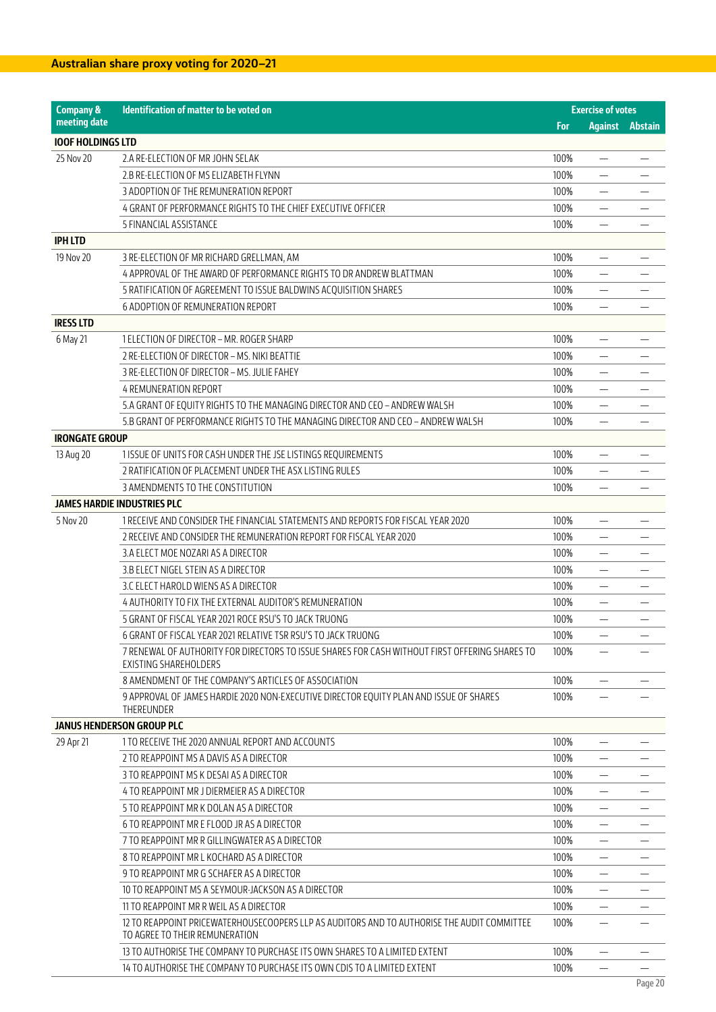| <b>Company &amp;</b>     | Identification of matter to be voted on                                                                                       |      | <b>Exercise of votes</b> |                |
|--------------------------|-------------------------------------------------------------------------------------------------------------------------------|------|--------------------------|----------------|
| meeting date             |                                                                                                                               | For  | <b>Against</b>           | <b>Abstain</b> |
| <b>IOOF HOLDINGS LTD</b> |                                                                                                                               |      |                          |                |
| 25 Nov 20                | 2.A RE-ELECTION OF MR JOHN SELAK                                                                                              | 100% |                          |                |
|                          | 2.B RE-ELECTION OF MS ELIZABETH FLYNN                                                                                         | 100% | $\overline{\phantom{0}}$ |                |
|                          | 3 ADOPTION OF THE REMUNERATION REPORT                                                                                         | 100% |                          |                |
|                          | 4 GRANT OF PERFORMANCE RIGHTS TO THE CHIEF EXECUTIVE OFFICER                                                                  | 100% |                          |                |
|                          | 5 FINANCIAL ASSISTANCE                                                                                                        | 100% | —                        |                |
| <b>IPH LTD</b>           |                                                                                                                               |      |                          |                |
| 19 Nov 20                | 3 RE-ELECTION OF MR RICHARD GRELLMAN, AM                                                                                      | 100% |                          |                |
|                          | 4 APPROVAL OF THE AWARD OF PERFORMANCE RIGHTS TO DR ANDREW BLATTMAN                                                           | 100% |                          |                |
|                          | 5 RATIFICATION OF AGREEMENT TO ISSUE BALDWINS ACQUISITION SHARES                                                              | 100% | —                        |                |
|                          | 6 ADOPTION OF REMUNERATION REPORT                                                                                             | 100% |                          |                |
| <b>IRESS LTD</b>         |                                                                                                                               |      |                          |                |
| 6 May 21                 | 1 ELECTION OF DIRECTOR – MR. ROGER SHARP                                                                                      | 100% | $\overline{\phantom{0}}$ |                |
|                          | 2 RE-ELECTION OF DIRECTOR - MS. NIKI BEATTIE                                                                                  | 100% |                          |                |
|                          | 3 RE-ELECTION OF DIRECTOR - MS. JULIE FAHEY                                                                                   | 100% |                          |                |
|                          | <b>4 REMUNERATION REPORT</b>                                                                                                  | 100% | $\equiv$                 |                |
|                          | 5.A GRANT OF EQUITY RIGHTS TO THE MANAGING DIRECTOR AND CEO - ANDREW WALSH                                                    | 100% |                          |                |
|                          | 5.B GRANT OF PERFORMANCE RIGHTS TO THE MANAGING DIRECTOR AND CEO - ANDREW WALSH                                               | 100% |                          |                |
| <b>IRONGATE GROUP</b>    |                                                                                                                               |      |                          |                |
| 13 Aug 20                | 1 ISSUE OF UNITS FOR CASH UNDER THE JSE LISTINGS REQUIREMENTS                                                                 | 100% | $\overline{\phantom{0}}$ |                |
|                          | 2 RATIFICATION OF PLACEMENT UNDER THE ASX LISTING RULES                                                                       | 100% | $\overline{\phantom{0}}$ |                |
|                          | 3 AMENDMENTS TO THE CONSTITUTION                                                                                              | 100% |                          |                |
|                          | <b>JAMES HARDIE INDUSTRIES PLC</b>                                                                                            |      |                          |                |
| 5 Nov 20                 | 1 RECEIVE AND CONSIDER THE FINANCIAL STATEMENTS AND REPORTS FOR FISCAL YEAR 2020                                              | 100% | $\qquad \qquad -$        |                |
|                          | 2 RECEIVE AND CONSIDER THE REMUNERATION REPORT FOR FISCAL YEAR 2020                                                           | 100% |                          |                |
|                          | 3.A ELECT MOE NOZARI AS A DIRECTOR                                                                                            | 100% |                          |                |
|                          | 3.B ELECT NIGEL STEIN AS A DIRECTOR                                                                                           | 100% | $\overline{\phantom{0}}$ |                |
|                          | 3.C ELECT HAROLD WIENS AS A DIRECTOR                                                                                          | 100% | $\overline{\phantom{0}}$ |                |
|                          | 4 AUTHORITY TO FIX THE EXTERNAL AUDITOR'S REMUNERATION                                                                        | 100% |                          |                |
|                          | 5 GRANT OF FISCAL YEAR 2021 ROCE RSU'S TO JACK TRUONG                                                                         | 100% |                          |                |
|                          | 6 GRANT OF FISCAL YEAR 2021 RELATIVE TSR RSU'S TO JACK TRUONG                                                                 | 100% | —                        |                |
|                          | 7 RENEWAL OF AUTHORITY FOR DIRECTORS TO ISSUE SHARES FOR CASH WITHOUT FIRST OFFERING SHARES TO                                | 100% | $\overline{\phantom{0}}$ |                |
|                          | <b>EXISTING SHAREHOLDERS</b>                                                                                                  |      |                          |                |
|                          | 8 AMENDMENT OF THE COMPANY'S ARTICLES OF ASSOCIATION                                                                          | 100% |                          |                |
|                          | 9 APPROVAL OF JAMES HARDIE 2020 NON-EXECUTIVE DIRECTOR EQUITY PLAN AND ISSUE OF SHARES<br>THEREUNDER                          | 100% |                          |                |
|                          | <b>JANUS HENDERSON GROUP PLC</b>                                                                                              |      |                          |                |
| 29 Apr 21                | 1 TO RECEIVE THE 2020 ANNUAL REPORT AND ACCOUNTS                                                                              | 100% | $\overline{\phantom{0}}$ |                |
|                          | 2 TO REAPPOINT MS A DAVIS AS A DIRECTOR                                                                                       | 100% |                          |                |
|                          | 3 TO REAPPOINT MS K DESALAS A DIRECTOR                                                                                        | 100% |                          |                |
|                          | 4 TO REAPPOINT MR J DIERMEIER AS A DIRECTOR                                                                                   | 100% |                          |                |
|                          | 5 TO REAPPOINT MR K DOLAN AS A DIRECTOR                                                                                       | 100% |                          |                |
|                          | 6 TO REAPPOINT MR E FLOOD JR AS A DIRECTOR                                                                                    |      |                          |                |
|                          |                                                                                                                               | 100% | -                        |                |
|                          | 7 TO REAPPOINT MR R GILLINGWATER AS A DIRECTOR                                                                                | 100% |                          |                |
|                          | 8 TO REAPPOINT MR L KOCHARD AS A DIRECTOR                                                                                     | 100% |                          |                |
|                          | 9 TO REAPPOINT MR G SCHAFER AS A DIRECTOR                                                                                     | 100% |                          |                |
|                          | 10 TO REAPPOINT MS A SEYMOUR-JACKSON AS A DIRECTOR                                                                            | 100% |                          |                |
|                          | 11 TO REAPPOINT MR R WEIL AS A DIRECTOR                                                                                       | 100% |                          |                |
|                          | 12 TO REAPPOINT PRICEWATERHOUSECOOPERS LLP AS AUDITORS AND TO AUTHORISE THE AUDIT COMMITTEE<br>TO AGREE TO THEIR REMUNERATION | 100% |                          |                |
|                          | 13 TO AUTHORISE THE COMPANY TO PURCHASE ITS OWN SHARES TO A LIMITED EXTENT                                                    | 100% | $\overline{\phantom{0}}$ |                |
|                          | 14 TO AUTHORISE THE COMPANY TO PURCHASE ITS OWN CDIS TO A LIMITED EXTENT                                                      | 100% | $\qquad \qquad$          |                |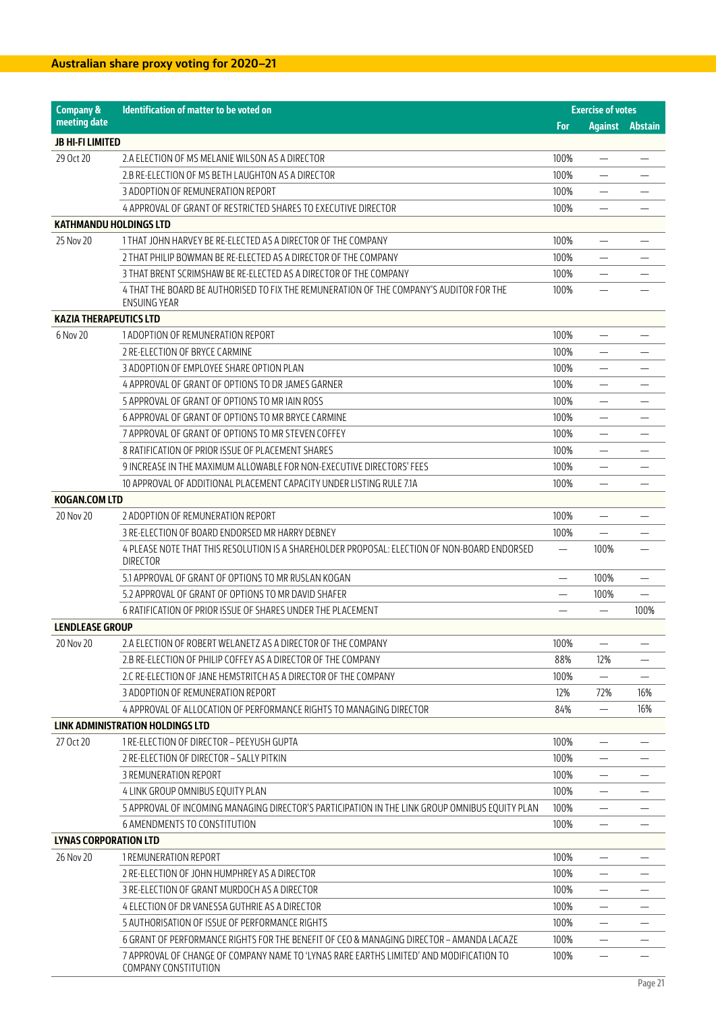| <b>Company &amp;</b>          | Identification of matter to be voted on                                                                         |      | <b>Exercise of votes</b> |                |
|-------------------------------|-----------------------------------------------------------------------------------------------------------------|------|--------------------------|----------------|
| meeting date                  |                                                                                                                 | For  | <b>Against</b>           | <b>Abstain</b> |
| JB HI-FI LIMITED              |                                                                                                                 |      |                          |                |
| 29 Oct 20                     | 2.A ELECTION OF MS MELANIE WILSON AS A DIRECTOR                                                                 | 100% | —                        |                |
|                               | 2.B RE-ELECTION OF MS BETH LAUGHTON AS A DIRECTOR                                                               | 100% | $\overline{\phantom{0}}$ |                |
|                               | 3 ADOPTION OF REMUNERATION REPORT                                                                               | 100% |                          |                |
|                               | 4 APPROVAL OF GRANT OF RESTRICTED SHARES TO EXECUTIVE DIRECTOR                                                  | 100% |                          |                |
| <b>KATHMANDU HOLDINGS LTD</b> |                                                                                                                 |      |                          |                |
| 25 Nov 20                     | 1 THAT JOHN HARVEY BE RE-ELECTED AS A DIRECTOR OF THE COMPANY                                                   | 100% |                          |                |
|                               | 2 THAT PHILIP BOWMAN BE RE-ELECTED AS A DIRECTOR OF THE COMPANY                                                 | 100% |                          |                |
|                               | 3 THAT BRENT SCRIMSHAW BE RE-ELECTED AS A DIRECTOR OF THE COMPANY                                               | 100% |                          |                |
|                               | 4 THAT THE BOARD BE AUTHORISED TO FIX THE REMUNERATION OF THE COMPANY'S AUDITOR FOR THE                         | 100% | $\overline{\phantom{0}}$ |                |
|                               | ENSUING YEAR                                                                                                    |      |                          |                |
| <b>KAZIA THERAPEUTICS LTD</b> |                                                                                                                 |      |                          |                |
| 6 Nov 20                      | 1 ADOPTION OF REMUNERATION REPORT                                                                               | 100% | $\overline{\phantom{0}}$ |                |
|                               | 2 RE-ELECTION OF BRYCE CARMINE                                                                                  | 100% |                          |                |
|                               | 3 ADOPTION OF EMPLOYEE SHARE OPTION PLAN                                                                        | 100% | $\overline{\phantom{0}}$ |                |
|                               | 4 APPROVAL OF GRANT OF OPTIONS TO DR JAMES GARNER                                                               | 100% | $\overline{\phantom{0}}$ |                |
|                               | 5 APPROVAL OF GRANT OF OPTIONS TO MR IAIN ROSS                                                                  | 100% |                          |                |
|                               | 6 APPROVAL OF GRANT OF OPTIONS TO MR BRYCE CARMINE                                                              | 100% |                          |                |
|                               | 7 APPROVAL OF GRANT OF OPTIONS TO MR STEVEN COFFEY                                                              | 100% | $\overline{\phantom{0}}$ |                |
|                               | 8 RATIFICATION OF PRIOR ISSUE OF PLACEMENT SHARES                                                               | 100% |                          |                |
|                               | 9 INCREASE IN THE MAXIMUM ALLOWABLE FOR NON-EXECUTIVE DIRECTORS' FEES                                           | 100% | —                        |                |
|                               | 10 APPROVAL OF ADDITIONAL PLACEMENT CAPACITY UNDER LISTING RULE 7.1A                                            | 100% | $\overline{\phantom{0}}$ |                |
| <b>KOGAN.COM LTD</b>          |                                                                                                                 |      |                          |                |
| 20 Nov 20                     | 2 ADOPTION OF REMUNERATION REPORT                                                                               | 100% |                          |                |
|                               | 3 RE-ELECTION OF BOARD ENDORSED MR HARRY DEBNEY                                                                 | 100% |                          |                |
|                               | 4 PLEASE NOTE THAT THIS RESOLUTION IS A SHAREHOLDER PROPOSAL: ELECTION OF NON-BOARD ENDORSED<br><b>DIRECTOR</b> |      | 100%                     |                |
|                               | 5.1 APPROVAL OF GRANT OF OPTIONS TO MR RUSLAN KOGAN                                                             |      | 100%                     |                |
|                               | 5.2 APPROVAL OF GRANT OF OPTIONS TO MR DAVID SHAFER                                                             |      | 100%                     |                |
|                               | 6 RATIFICATION OF PRIOR ISSUE OF SHARES UNDER THE PLACEMENT                                                     |      |                          | 100%           |
| <b>LENDLEASE GROUP</b>        |                                                                                                                 |      |                          |                |
| 20 Nov 20                     | 2.A ELECTION OF ROBERT WELANETZ AS A DIRECTOR OF THE COMPANY                                                    | 100% |                          | —              |
|                               | 2.B RE-ELECTION OF PHILIP COFFEY AS A DIRECTOR OF THE COMPANY                                                   | 88%  | 12%                      |                |
|                               | 2.C RE-ELECTION OF JANE HEMSTRITCH AS A DIRECTOR OF THE COMPANY                                                 | 100% |                          |                |
|                               | 3 ADOPTION OF REMUNERATION REPORT                                                                               | 12%  | 72%                      | 16%            |
|                               | 4 APPROVAL OF ALLOCATION OF PERFORMANCE RIGHTS TO MANAGING DIRECTOR                                             | 84%  | $\overline{\phantom{0}}$ | 16%            |
|                               | LINK ADMINISTRATION HOLDINGS LTD                                                                                |      |                          |                |
| 27 Oct 20                     | 1 RE-ELECTION OF DIRECTOR - PEEYUSH GUPTA                                                                       | 100% |                          |                |
|                               | 2 RE-ELECTION OF DIRECTOR - SALLY PITKIN                                                                        | 100% | $\overline{\phantom{0}}$ |                |
|                               | 3 REMUNERATION REPORT                                                                                           | 100% |                          |                |
|                               | 4 LINK GROUP OMNIBUS EQUITY PLAN                                                                                | 100% |                          |                |
|                               | 5 APPROVAL OF INCOMING MANAGING DIRECTOR'S PARTICIPATION IN THE LINK GROUP OMNIBUS EQUITY PLAN                  | 100% |                          |                |
|                               | 6 AMENDMENTS TO CONSTITUTION                                                                                    | 100% | —                        |                |
| <b>LYNAS CORPORATION LTD</b>  |                                                                                                                 |      |                          |                |
| 26 Nov 20                     | 1 REMUNERATION REPORT                                                                                           | 100% |                          |                |
|                               | 2 RE-ELECTION OF JOHN HUMPHREY AS A DIRECTOR                                                                    | 100% | —                        |                |
|                               | 3 RE-ELECTION OF GRANT MURDOCH AS A DIRECTOR                                                                    | 100% |                          |                |
|                               | 4 ELECTION OF DR VANESSA GUTHRIE AS A DIRECTOR                                                                  | 100% |                          |                |
|                               | 5 AUTHORISATION OF ISSUE OF PERFORMANCE RIGHTS                                                                  | 100% | —                        |                |
|                               | 6 GRANT OF PERFORMANCE RIGHTS FOR THE BENEFIT OF CEO & MANAGING DIRECTOR - AMANDA LACAZE                        | 100% | $\overline{\phantom{0}}$ |                |
|                               | 7 APPROVAL OF CHANGE OF COMPANY NAME TO 'LYNAS RARE EARTHS LIMITED' AND MODIFICATION TO<br>COMPANY CONSTITUTION | 100% |                          |                |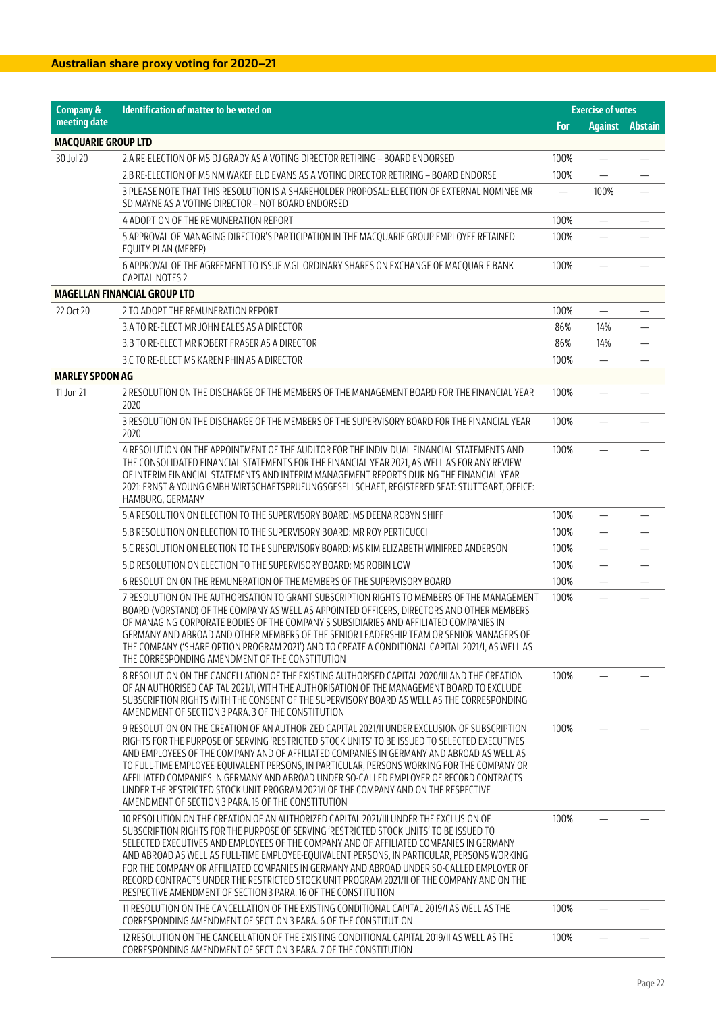| <b>Company &amp;</b>       | Identification of matter to be voted on                                                                                                                                                                                                                                                                                                                                                                                                                                                                                                                                                                                                  |                          | <b>Exercise of votes</b> |                        |
|----------------------------|------------------------------------------------------------------------------------------------------------------------------------------------------------------------------------------------------------------------------------------------------------------------------------------------------------------------------------------------------------------------------------------------------------------------------------------------------------------------------------------------------------------------------------------------------------------------------------------------------------------------------------------|--------------------------|--------------------------|------------------------|
| meeting date               |                                                                                                                                                                                                                                                                                                                                                                                                                                                                                                                                                                                                                                          | For                      |                          | <b>Against Abstain</b> |
| <b>MACQUARIE GROUP LTD</b> |                                                                                                                                                                                                                                                                                                                                                                                                                                                                                                                                                                                                                                          |                          |                          |                        |
| 30 Jul 20                  | 2.A RE-ELECTION OF MS DJ GRADY AS A VOTING DIRECTOR RETIRING - BOARD ENDORSED                                                                                                                                                                                                                                                                                                                                                                                                                                                                                                                                                            | 100%                     | -                        |                        |
|                            | 2.B RE-ELECTION OF MS NM WAKEFIELD EVANS AS A VOTING DIRECTOR RETIRING - BOARD ENDORSE                                                                                                                                                                                                                                                                                                                                                                                                                                                                                                                                                   | 100%                     |                          |                        |
|                            | 3 PLEASE NOTE THAT THIS RESOLUTION IS A SHAREHOLDER PROPOSAL: ELECTION OF EXTERNAL NOMINEE MR<br>SD MAYNE AS A VOTING DIRECTOR - NOT BOARD ENDORSED                                                                                                                                                                                                                                                                                                                                                                                                                                                                                      | $\overline{\phantom{0}}$ | 100%                     |                        |
|                            | 4 ADOPTION OF THE REMUNERATION REPORT                                                                                                                                                                                                                                                                                                                                                                                                                                                                                                                                                                                                    | 100%                     |                          |                        |
|                            | 5 APPROVAL OF MANAGING DIRECTOR'S PARTICIPATION IN THE MACQUARIE GROUP EMPLOYEE RETAINED<br>EQUITY PLAN (MEREP)                                                                                                                                                                                                                                                                                                                                                                                                                                                                                                                          | 100%                     |                          |                        |
|                            | 6 APPROVAL OF THE AGREEMENT TO ISSUE MGL ORDINARY SHARES ON EXCHANGE OF MACQUARIE BANK<br>CAPITAL NOTES 2                                                                                                                                                                                                                                                                                                                                                                                                                                                                                                                                | 100%                     |                          |                        |
|                            | <b>MAGELLAN FINANCIAL GROUP LTD</b>                                                                                                                                                                                                                                                                                                                                                                                                                                                                                                                                                                                                      |                          |                          |                        |
| 22 Oct 20                  | 2 TO ADOPT THE REMUNERATION REPORT                                                                                                                                                                                                                                                                                                                                                                                                                                                                                                                                                                                                       | 100%                     | $\overline{\phantom{0}}$ |                        |
|                            | 3.A TO RE-ELECT MR JOHN EALES AS A DIRECTOR                                                                                                                                                                                                                                                                                                                                                                                                                                                                                                                                                                                              | 86%                      | 14%                      |                        |
|                            | 3.B TO RE-ELECT MR ROBERT FRASER AS A DIRECTOR                                                                                                                                                                                                                                                                                                                                                                                                                                                                                                                                                                                           | 86%                      | 14%                      |                        |
|                            | 3.C TO RE-ELECT MS KAREN PHIN AS A DIRECTOR                                                                                                                                                                                                                                                                                                                                                                                                                                                                                                                                                                                              | 100%                     | $\overline{\phantom{0}}$ |                        |
| <b>MARLEY SPOON AG</b>     |                                                                                                                                                                                                                                                                                                                                                                                                                                                                                                                                                                                                                                          |                          |                          |                        |
| 11 Jun 21                  | 2 RESOLUTION ON THE DISCHARGE OF THE MEMBERS OF THE MANAGEMENT BOARD FOR THE FINANCIAL YEAR<br>2020                                                                                                                                                                                                                                                                                                                                                                                                                                                                                                                                      | 100%                     |                          |                        |
|                            | 3 RESOLUTION ON THE DISCHARGE OF THE MEMBERS OF THE SUPERVISORY BOARD FOR THE FINANCIAL YEAR<br>2020                                                                                                                                                                                                                                                                                                                                                                                                                                                                                                                                     | 100%                     |                          |                        |
|                            | 4 RESOLUTION ON THE APPOINTMENT OF THE AUDITOR FOR THE INDIVIDUAL FINANCIAL STATEMENTS AND<br>THE CONSOLIDATED FINANCIAL STATEMENTS FOR THE FINANCIAL YEAR 2021, AS WELL AS FOR ANY REVIEW<br>OF INTERIM FINANCIAL STATEMENTS AND INTERIM MANAGEMENT REPORTS DURING THE FINANCIAL YEAR<br>2021: ERNST & YOUNG GMBH WIRTSCHAFTSPRUFUNGSGESELLSCHAFT, REGISTERED SEAT: STUTTGART, OFFICE:<br>HAMBURG, GERMANY                                                                                                                                                                                                                              | 100%                     |                          |                        |
|                            | 5.A RESOLUTION ON ELECTION TO THE SUPERVISORY BOARD: MS DEENA ROBYN SHIFF                                                                                                                                                                                                                                                                                                                                                                                                                                                                                                                                                                | 100%                     |                          |                        |
|                            | 5.B RESOLUTION ON ELECTION TO THE SUPERVISORY BOARD: MR ROY PERTICUCCI                                                                                                                                                                                                                                                                                                                                                                                                                                                                                                                                                                   | 100%                     | $\overline{\phantom{0}}$ |                        |
|                            | 5.C RESOLUTION ON ELECTION TO THE SUPERVISORY BOARD: MS KIM ELIZABETH WINIFRED ANDERSON                                                                                                                                                                                                                                                                                                                                                                                                                                                                                                                                                  | 100%                     | $\overline{\phantom{0}}$ |                        |
|                            | 5.D RESOLUTION ON ELECTION TO THE SUPERVISORY BOARD: MS ROBIN LOW                                                                                                                                                                                                                                                                                                                                                                                                                                                                                                                                                                        | 100%                     |                          |                        |
|                            | 6 RESOLUTION ON THE REMUNERATION OF THE MEMBERS OF THE SUPERVISORY BOARD                                                                                                                                                                                                                                                                                                                                                                                                                                                                                                                                                                 | 100%                     |                          |                        |
|                            | 7 RESOLUTION ON THE AUTHORISATION TO GRANT SUBSCRIPTION RIGHTS TO MEMBERS OF THE MANAGEMENT<br>BOARD (VORSTAND) OF THE COMPANY AS WELL AS APPOINTED OFFICERS, DIRECTORS AND OTHER MEMBERS<br>OF MANAGING CORPORATE BODIES OF THE COMPANY'S SUBSIDIARIES AND AFFILIATED COMPANIES IN<br>GERMANY AND ABROAD AND OTHER MEMBERS OF THE SENIOR LEADERSHIP TEAM OR SENIOR MANAGERS OF<br>THE COMPANY ('SHARE OPTION PROGRAM 2021') AND TO CREATE A CONDITIONAL CAPITAL 2021/I, AS WELL AS<br>THE CORRESPONDING AMENDMENT OF THE CONSTITUTION                                                                                                   | 100%                     |                          |                        |
|                            | 8 RESOLUTION ON THE CANCELLATION OF THE EXISTING AUTHORISED CAPITAL 2020/III AND THE CREATION<br>OF AN AUTHORISED CAPITAL 2021/I, WITH THE AUTHORISATION OF THE MANAGEMENT BOARD TO EXCLUDE<br>SUBSCRIPTION RIGHTS WITH THE CONSENT OF THE SUPERVISORY BOARD AS WELL AS THE CORRESPONDING<br>AMENDMENT OF SECTION 3 PARA. 3 OF THE CONSTITUTION                                                                                                                                                                                                                                                                                          | 100%                     |                          |                        |
|                            | 9 RESOLUTION ON THE CREATION OF AN AUTHORIZED CAPITAL 2021/II UNDER EXCLUSION OF SUBSCRIPTION<br>RIGHTS FOR THE PURPOSE OF SERVING 'RESTRICTED STOCK UNITS' TO BE ISSUED TO SELECTED EXECUTIVES<br>AND EMPLOYEES OF THE COMPANY AND OF AFFILIATED COMPANIES IN GERMANY AND ABROAD AS WELL AS<br>TO FULL-TIME EMPLOYEE-EQUIVALENT PERSONS, IN PARTICULAR, PERSONS WORKING FOR THE COMPANY OR<br>AFFILIATED COMPANIES IN GERMANY AND ABROAD UNDER SO-CALLED EMPLOYER OF RECORD CONTRACTS<br>UNDER THE RESTRICTED STOCK UNIT PROGRAM 2021/I OF THE COMPANY AND ON THE RESPECTIVE<br>AMENDMENT OF SECTION 3 PARA. 15 OF THE CONSTITUTION     | 100%                     |                          |                        |
|                            | 10 RESOLUTION ON THE CREATION OF AN AUTHORIZED CAPITAL 2021/III UNDER THE EXCLUSION OF<br>SUBSCRIPTION RIGHTS FOR THE PURPOSE OF SERVING 'RESTRICTED STOCK UNITS' TO BE ISSUED TO<br>SELECTED EXECUTIVES AND EMPLOYEES OF THE COMPANY AND OF AFFILIATED COMPANIES IN GERMANY<br>AND ABROAD AS WELL AS FULL-TIME EMPLOYEE-EQUIVALENT PERSONS, IN PARTICULAR, PERSONS WORKING<br>FOR THE COMPANY OR AFFILIATED COMPANIES IN GERMANY AND ABROAD UNDER SO-CALLED EMPLOYER OF<br>RECORD CONTRACTS UNDER THE RESTRICTED STOCK UNIT PROGRAM 2021/II OF THE COMPANY AND ON THE<br>RESPECTIVE AMENDMENT OF SECTION 3 PARA. 16 OF THE CONSTITUTION | 100%                     |                          |                        |
|                            | 11 RESOLUTION ON THE CANCELLATION OF THE EXISTING CONDITIONAL CAPITAL 2019/LAS WELL AS THE<br>CORRESPONDING AMENDMENT OF SECTION 3 PARA. 6 OF THE CONSTITUTION                                                                                                                                                                                                                                                                                                                                                                                                                                                                           | 100%                     |                          |                        |
|                            | 12 RESOLUTION ON THE CANCELLATION OF THE EXISTING CONDITIONAL CAPITAL 2019/II AS WELL AS THE<br>CORRESPONDING AMENDMENT OF SECTION 3 PARA. 7 OF THE CONSTITUTION                                                                                                                                                                                                                                                                                                                                                                                                                                                                         | 100%                     |                          |                        |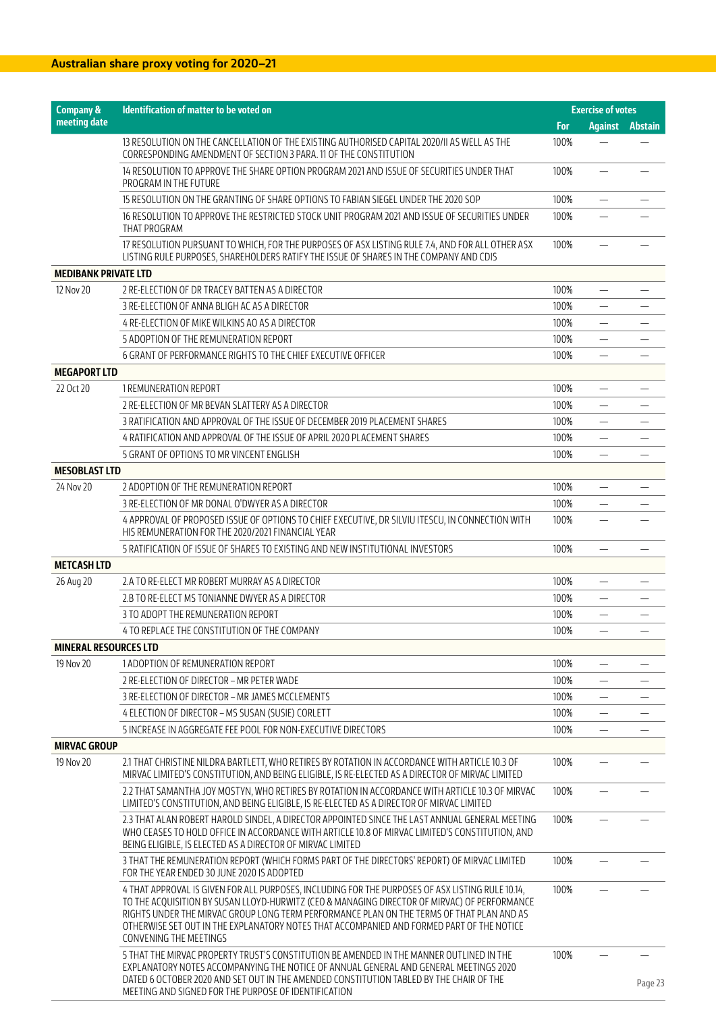| <b>Company &amp;</b>         | Identification of matter to be voted on                                                                                                                                                                                                                                                                                                                                                                              | <b>Exercise of votes</b> |                          |                |  |
|------------------------------|----------------------------------------------------------------------------------------------------------------------------------------------------------------------------------------------------------------------------------------------------------------------------------------------------------------------------------------------------------------------------------------------------------------------|--------------------------|--------------------------|----------------|--|
| meeting date                 |                                                                                                                                                                                                                                                                                                                                                                                                                      | <b>For</b>               | <b>Against</b>           | <b>Abstain</b> |  |
|                              | 13 RESOLUTION ON THE CANCELLATION OF THE EXISTING AUTHORISED CAPITAL 2020/II AS WELL AS THE<br>CORRESPONDING AMENDMENT OF SECTION 3 PARA. 11 OF THE CONSTITUTION                                                                                                                                                                                                                                                     | 100%                     |                          |                |  |
|                              | 14 RESOLUTION TO APPROVE THE SHARE OPTION PROGRAM 2021 AND ISSUE OF SECURITIES UNDER THAT<br>PROGRAM IN THE FUTURE                                                                                                                                                                                                                                                                                                   | 100%                     |                          |                |  |
|                              | 15 RESOLUTION ON THE GRANTING OF SHARE OPTIONS TO FABIAN SIEGEL UNDER THE 2020 SOP                                                                                                                                                                                                                                                                                                                                   | 100%                     |                          |                |  |
|                              | 16 RESOLUTION TO APPROVE THE RESTRICTED STOCK UNIT PROGRAM 2021 AND ISSUE OF SECURITIES UNDER<br>THAT PROGRAM                                                                                                                                                                                                                                                                                                        | 100%                     |                          |                |  |
|                              | 17 RESOLUTION PURSUANT TO WHICH, FOR THE PURPOSES OF ASX LISTING RULE 7.4, AND FOR ALL OTHER ASX<br>LISTING RULE PURPOSES, SHAREHOLDERS RATIFY THE ISSUE OF SHARES IN THE COMPANY AND CDIS                                                                                                                                                                                                                           | 100%                     |                          |                |  |
| <b>MEDIBANK PRIVATE LTD</b>  |                                                                                                                                                                                                                                                                                                                                                                                                                      |                          |                          |                |  |
| 12 Nov 20                    | 2 RE-ELECTION OF DR TRACEY BATTEN AS A DIRECTOR                                                                                                                                                                                                                                                                                                                                                                      | 100%                     |                          |                |  |
|                              | 3 RE-ELECTION OF ANNA BLIGH AC AS A DIRECTOR                                                                                                                                                                                                                                                                                                                                                                         | 100%                     | $\overline{\phantom{0}}$ |                |  |
|                              | 4 RE-ELECTION OF MIKE WILKINS AO AS A DIRECTOR                                                                                                                                                                                                                                                                                                                                                                       | 100%                     |                          |                |  |
|                              | 5 ADOPTION OF THE REMUNERATION REPORT                                                                                                                                                                                                                                                                                                                                                                                | 100%                     | $\overline{\phantom{0}}$ |                |  |
|                              | 6 GRANT OF PERFORMANCE RIGHTS TO THE CHIEF EXECUTIVE OFFICER                                                                                                                                                                                                                                                                                                                                                         | 100%                     | $\overline{\phantom{0}}$ |                |  |
| <b>MEGAPORT LTD</b>          |                                                                                                                                                                                                                                                                                                                                                                                                                      |                          |                          |                |  |
| 22 Oct 20                    | 1 REMUNERATION REPORT                                                                                                                                                                                                                                                                                                                                                                                                | 100%                     |                          |                |  |
|                              | 2 RE-ELECTION OF MR BEVAN SLATTERY AS A DIRECTOR                                                                                                                                                                                                                                                                                                                                                                     | 100%                     | $\overline{\phantom{0}}$ |                |  |
|                              | 3 RATIFICATION AND APPROVAL OF THE ISSUE OF DECEMBER 2019 PLACEMENT SHARES                                                                                                                                                                                                                                                                                                                                           | 100%                     | $\overline{\phantom{0}}$ |                |  |
|                              | 4 RATIFICATION AND APPROVAL OF THE ISSUE OF APRIL 2020 PLACEMENT SHARES                                                                                                                                                                                                                                                                                                                                              | 100%                     |                          |                |  |
|                              | 5 GRANT OF OPTIONS TO MR VINCENT ENGLISH                                                                                                                                                                                                                                                                                                                                                                             | 100%                     |                          |                |  |
| <b>MESOBLAST LTD</b>         |                                                                                                                                                                                                                                                                                                                                                                                                                      |                          |                          |                |  |
| 24 Nov 20                    | 2 ADOPTION OF THE REMUNERATION REPORT                                                                                                                                                                                                                                                                                                                                                                                | 100%                     |                          |                |  |
|                              | 3 RE-ELECTION OF MR DONAL O'DWYER AS A DIRECTOR                                                                                                                                                                                                                                                                                                                                                                      | 100%                     |                          |                |  |
|                              | 4 APPROVAL OF PROPOSED ISSUE OF OPTIONS TO CHIEF EXECUTIVE, DR SILVIU ITESCU, IN CONNECTION WITH<br>HIS REMUNERATION FOR THE 2020/2021 FINANCIAL YEAR                                                                                                                                                                                                                                                                | 100%                     |                          |                |  |
|                              | 5 RATIFICATION OF ISSUE OF SHARES TO EXISTING AND NEW INSTITUTIONAL INVESTORS                                                                                                                                                                                                                                                                                                                                        | 100%                     |                          |                |  |
| <b>METCASH LTD</b>           |                                                                                                                                                                                                                                                                                                                                                                                                                      |                          |                          |                |  |
| 26 Aug 20                    | 2.A TO RE-ELECT MR ROBERT MURRAY AS A DIRECTOR                                                                                                                                                                                                                                                                                                                                                                       | 100%                     |                          |                |  |
|                              | 2.B TO RE-ELECT MS TONIANNE DWYER AS A DIRECTOR                                                                                                                                                                                                                                                                                                                                                                      | 100%                     | $\overline{\phantom{0}}$ |                |  |
|                              | 3 TO ADOPT THE REMUNERATION REPORT                                                                                                                                                                                                                                                                                                                                                                                   | 100%                     |                          |                |  |
|                              | 4 TO REPLACE THE CONSTITUTION OF THE COMPANY                                                                                                                                                                                                                                                                                                                                                                         | 100%                     | $\equiv$                 |                |  |
| <b>MINERAL RESOURCES LTD</b> |                                                                                                                                                                                                                                                                                                                                                                                                                      |                          |                          |                |  |
| 19 Nov 20                    | 1 ADOPTION OF REMUNERATION REPORT                                                                                                                                                                                                                                                                                                                                                                                    | 100%                     |                          |                |  |
|                              | 2 RE-ELECTION OF DIRECTOR - MR PETER WADE                                                                                                                                                                                                                                                                                                                                                                            | 100%                     |                          |                |  |
|                              | 3 RE-ELECTION OF DIRECTOR - MR JAMES MCCLEMENTS                                                                                                                                                                                                                                                                                                                                                                      | 100%                     |                          |                |  |
|                              |                                                                                                                                                                                                                                                                                                                                                                                                                      | 100%                     |                          |                |  |
|                              | 4 ELECTION OF DIRECTOR - MS SUSAN (SUSIE) CORLETT<br>5 INCREASE IN AGGREGATE FEE POOL FOR NON-EXECUTIVE DIRECTORS                                                                                                                                                                                                                                                                                                    |                          | $\overline{\phantom{0}}$ |                |  |
| <b>MIRVAC GROUP</b>          |                                                                                                                                                                                                                                                                                                                                                                                                                      | 100%                     |                          |                |  |
| 19 Nov 20                    |                                                                                                                                                                                                                                                                                                                                                                                                                      |                          |                          |                |  |
|                              | 2.1 THAT CHRISTINE NILDRA BARTLETT, WHO RETIRES BY ROTATION IN ACCORDANCE WITH ARTICLE 10.3 OF<br>MIRVAC LIMITED'S CONSTITUTION, AND BEING ELIGIBLE, IS RE-ELECTED AS A DIRECTOR OF MIRVAC LIMITED                                                                                                                                                                                                                   | 100%                     |                          |                |  |
|                              | 2.2 THAT SAMANTHA JOY MOSTYN, WHO RETIRES BY ROTATION IN ACCORDANCE WITH ARTICLE 10.3 OF MIRVAC<br>LIMITED'S CONSTITUTION, AND BEING ELIGIBLE, IS RE-ELECTED AS A DIRECTOR OF MIRVAC LIMITED                                                                                                                                                                                                                         | 100%                     |                          |                |  |
|                              | 2.3 THAT ALAN ROBERT HAROLD SINDEL, A DIRECTOR APPOINTED SINCE THE LAST ANNUAL GENERAL MEETING<br>WHO CEASES TO HOLD OFFICE IN ACCORDANCE WITH ARTICLE 10.8 OF MIRVAC LIMITED'S CONSTITUTION, AND<br>BEING ELIGIBLE, IS ELECTED AS A DIRECTOR OF MIRVAC LIMITED                                                                                                                                                      | 100%                     |                          |                |  |
|                              | 3 THAT THE REMUNERATION REPORT (WHICH FORMS PART OF THE DIRECTORS' REPORT) OF MIRVAC LIMITED<br>FOR THE YEAR ENDED 30 JUNE 2020 IS ADOPTED                                                                                                                                                                                                                                                                           | 100%                     |                          |                |  |
|                              | 4 THAT APPROVAL IS GIVEN FOR ALL PURPOSES, INCLUDING FOR THE PURPOSES OF ASX LISTING RULE 10.14,<br>TO THE ACQUISITION BY SUSAN LLOYD-HURWITZ (CEO & MANAGING DIRECTOR OF MIRVAC) OF PERFORMANCE<br>RIGHTS UNDER THE MIRVAC GROUP LONG TERM PERFORMANCE PLAN ON THE TERMS OF THAT PLAN AND AS<br>OTHERWISE SET OUT IN THE EXPLANATORY NOTES THAT ACCOMPANIED AND FORMED PART OF THE NOTICE<br>CONVENING THE MEETINGS | 100%                     |                          |                |  |
|                              | 5 THAT THE MIRVAC PROPERTY TRUST'S CONSTITUTION BE AMENDED IN THE MANNER OUTLINED IN THE<br>EXPLANATORY NOTES ACCOMPANYING THE NOTICE OF ANNUAL GENERAL AND GENERAL MEETINGS 2020<br>DATED 6 OCTOBER 2020 AND SET OUT IN THE AMENDED CONSTITUTION TABLED BY THE CHAIR OF THE<br>MEETING AND SIGNED FOR THE PURPOSE OF IDENTIFICATION                                                                                 | 100%                     |                          | Page 23        |  |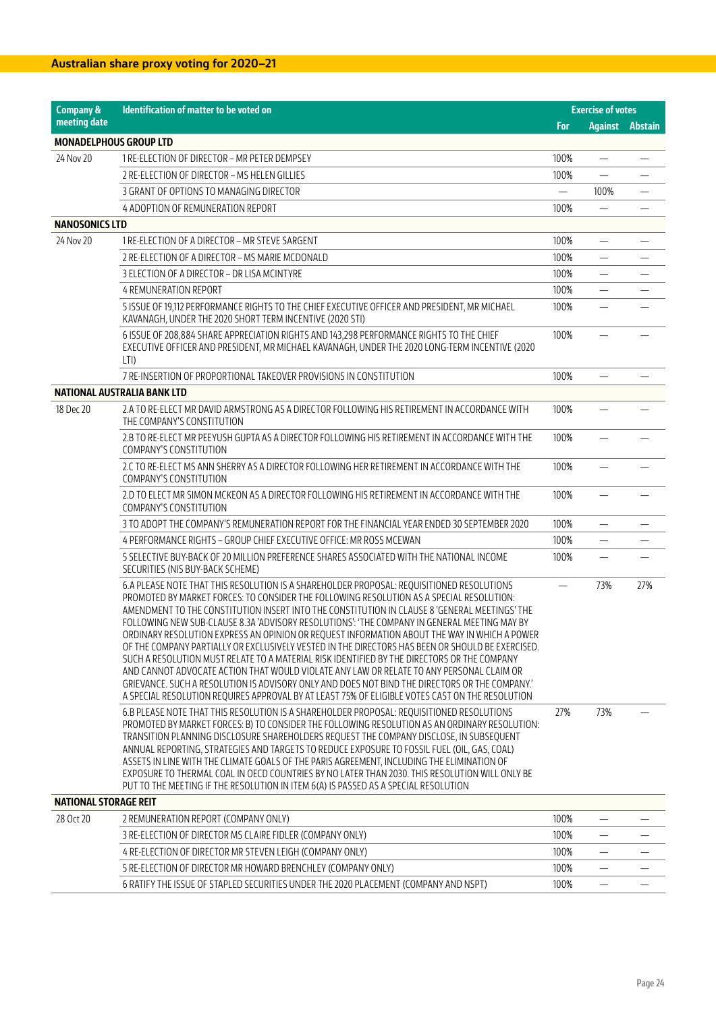| <b>Company &amp;</b>          | Identification of matter to be voted on                                                                                                                                                                                                                                                                                                                                                                                                                                                                                                                                                                                                                                                                                                                                                                                                                                                                                                                                                    |      | <b>Exercise of votes</b> |                        |
|-------------------------------|--------------------------------------------------------------------------------------------------------------------------------------------------------------------------------------------------------------------------------------------------------------------------------------------------------------------------------------------------------------------------------------------------------------------------------------------------------------------------------------------------------------------------------------------------------------------------------------------------------------------------------------------------------------------------------------------------------------------------------------------------------------------------------------------------------------------------------------------------------------------------------------------------------------------------------------------------------------------------------------------|------|--------------------------|------------------------|
| meeting date                  |                                                                                                                                                                                                                                                                                                                                                                                                                                                                                                                                                                                                                                                                                                                                                                                                                                                                                                                                                                                            | For  |                          | <b>Against Abstain</b> |
| <b>MONADELPHOUS GROUP LTD</b> |                                                                                                                                                                                                                                                                                                                                                                                                                                                                                                                                                                                                                                                                                                                                                                                                                                                                                                                                                                                            |      |                          |                        |
| 24 Nov 20                     | 1 RE-ELECTION OF DIRECTOR - MR PETER DEMPSEY                                                                                                                                                                                                                                                                                                                                                                                                                                                                                                                                                                                                                                                                                                                                                                                                                                                                                                                                               | 100% | —                        |                        |
|                               | 2 RE-ELECTION OF DIRECTOR - MS HELEN GILLIES                                                                                                                                                                                                                                                                                                                                                                                                                                                                                                                                                                                                                                                                                                                                                                                                                                                                                                                                               | 100% | $\equiv$                 |                        |
|                               | 3 GRANT OF OPTIONS TO MANAGING DIRECTOR                                                                                                                                                                                                                                                                                                                                                                                                                                                                                                                                                                                                                                                                                                                                                                                                                                                                                                                                                    |      | 100%                     |                        |
|                               | 4 ADOPTION OF REMUNERATION REPORT                                                                                                                                                                                                                                                                                                                                                                                                                                                                                                                                                                                                                                                                                                                                                                                                                                                                                                                                                          | 100% |                          |                        |
| <b>NANOSONICS LTD</b>         |                                                                                                                                                                                                                                                                                                                                                                                                                                                                                                                                                                                                                                                                                                                                                                                                                                                                                                                                                                                            |      |                          |                        |
| 24 Nov 20                     | 1 RE-ELECTION OF A DIRECTOR - MR STEVE SARGENT                                                                                                                                                                                                                                                                                                                                                                                                                                                                                                                                                                                                                                                                                                                                                                                                                                                                                                                                             | 100% |                          |                        |
|                               | 2 RE-ELECTION OF A DIRECTOR - MS MARIE MCDONALD                                                                                                                                                                                                                                                                                                                                                                                                                                                                                                                                                                                                                                                                                                                                                                                                                                                                                                                                            | 100% | $\overline{\phantom{0}}$ |                        |
|                               | 3 ELECTION OF A DIRECTOR - DR LISA MCINTYRE                                                                                                                                                                                                                                                                                                                                                                                                                                                                                                                                                                                                                                                                                                                                                                                                                                                                                                                                                | 100% | —                        |                        |
|                               | 4 REMUNERATION REPORT                                                                                                                                                                                                                                                                                                                                                                                                                                                                                                                                                                                                                                                                                                                                                                                                                                                                                                                                                                      | 100% | $\overline{\phantom{0}}$ |                        |
|                               | 5 ISSUE OF 19,112 PERFORMANCE RIGHTS TO THE CHIEF EXECUTIVE OFFICER AND PRESIDENT, MR MICHAEL<br>KAVANAGH, UNDER THE 2020 SHORT TERM INCENTIVE (2020 STI)                                                                                                                                                                                                                                                                                                                                                                                                                                                                                                                                                                                                                                                                                                                                                                                                                                  | 100% |                          |                        |
|                               | 6 ISSUE OF 208,884 SHARE APPRECIATION RIGHTS AND 143,298 PERFORMANCE RIGHTS TO THE CHIEF<br>EXECUTIVE OFFICER AND PRESIDENT, MR MICHAEL KAVANAGH, UNDER THE 2020 LONG-TERM INCENTIVE (2020<br>LTI)                                                                                                                                                                                                                                                                                                                                                                                                                                                                                                                                                                                                                                                                                                                                                                                         | 100% |                          |                        |
|                               | 7 RE-INSERTION OF PROPORTIONAL TAKEOVER PROVISIONS IN CONSTITUTION                                                                                                                                                                                                                                                                                                                                                                                                                                                                                                                                                                                                                                                                                                                                                                                                                                                                                                                         | 100% | $\overline{\phantom{0}}$ |                        |
|                               | NATIONAL AUSTRALIA BANK LTD                                                                                                                                                                                                                                                                                                                                                                                                                                                                                                                                                                                                                                                                                                                                                                                                                                                                                                                                                                |      |                          |                        |
| 18 Dec 20                     | 2.A TO RE-ELECT MR DAVID ARMSTRONG AS A DIRECTOR FOLLOWING HIS RETIREMENT IN ACCORDANCE WITH<br>THE COMPANY'S CONSTITUTION                                                                                                                                                                                                                                                                                                                                                                                                                                                                                                                                                                                                                                                                                                                                                                                                                                                                 | 100% |                          |                        |
|                               | 2.B TO RE-ELECT MR PEEYUSH GUPTA AS A DIRECTOR FOLLOWING HIS RETIREMENT IN ACCORDANCE WITH THE<br><b>COMPANY'S CONSTITUTION</b>                                                                                                                                                                                                                                                                                                                                                                                                                                                                                                                                                                                                                                                                                                                                                                                                                                                            | 100% |                          |                        |
|                               | 2.C TO RE-ELECT MS ANN SHERRY AS A DIRECTOR FOLLOWING HER RETIREMENT IN ACCORDANCE WITH THE<br><b>COMPANY'S CONSTITUTION</b>                                                                                                                                                                                                                                                                                                                                                                                                                                                                                                                                                                                                                                                                                                                                                                                                                                                               | 100% |                          |                        |
|                               | 2.D TO ELECT MR SIMON MCKEON AS A DIRECTOR FOLLOWING HIS RETIREMENT IN ACCORDANCE WITH THE<br><b>COMPANY'S CONSTITUTION</b>                                                                                                                                                                                                                                                                                                                                                                                                                                                                                                                                                                                                                                                                                                                                                                                                                                                                | 100% |                          |                        |
|                               | 3 TO ADOPT THE COMPANY'S REMUNERATION REPORT FOR THE FINANCIAL YEAR ENDED 30 SEPTEMBER 2020                                                                                                                                                                                                                                                                                                                                                                                                                                                                                                                                                                                                                                                                                                                                                                                                                                                                                                | 100% |                          |                        |
|                               | 4 PERFORMANCE RIGHTS – GROUP CHIEF EXECUTIVE OFFICE: MR ROSS MCEWAN                                                                                                                                                                                                                                                                                                                                                                                                                                                                                                                                                                                                                                                                                                                                                                                                                                                                                                                        | 100% | $\overline{\phantom{0}}$ |                        |
|                               | 5 SELECTIVE BUY-BACK OF 20 MILLION PREFERENCE SHARES ASSOCIATED WITH THE NATIONAL INCOME<br>SECURITIES (NIS BUY-BACK SCHEME)                                                                                                                                                                                                                                                                                                                                                                                                                                                                                                                                                                                                                                                                                                                                                                                                                                                               | 100% | $\overline{\phantom{0}}$ |                        |
|                               | 6.A PLEASE NOTE THAT THIS RESOLUTION IS A SHAREHOLDER PROPOSAL: REQUISITIONED RESOLUTIONS<br>PROMOTED BY MARKET FORCES: TO CONSIDER THE FOLLOWING RESOLUTION AS A SPECIAL RESOLUTION:<br>AMENDMENT TO THE CONSTITUTION INSERT INTO THE CONSTITUTION IN CLAUSE 8 'GENERAL MEETINGS' THE<br>FOLLOWING NEW SUB-CLAUSE 8.3A 'ADVISORY RESOLUTIONS': 'THE COMPANY IN GENERAL MEETING MAY BY<br>ORDINARY RESOLUTION EXPRESS AN OPINION OR REOUEST INFORMATION ABOUT THE WAY IN WHICH A POWER<br>OF THE COMPANY PARTIALLY OR EXCLUSIVELY VESTED IN THE DIRECTORS HAS BEEN OR SHOULD BE EXERCISED.<br>SUCH A RESOLUTION MUST RELATE TO A MATERIAL RISK IDENTIFIED BY THE DIRECTORS OR THE COMPANY<br>AND CANNOT ADVOCATE ACTION THAT WOULD VIOLATE ANY LAW OR RELATE TO ANY PERSONAL CLAIM OR<br>GRIEVANCE. SUCH A RESOLUTION IS ADVISORY ONLY AND DOES NOT BIND THE DIRECTORS OR THE COMPANY.'<br>A SPECIAL RESOLUTION REQUIRES APPROVAL BY AT LEAST 75% OF ELIGIBLE VOTES CAST ON THE RESOLUTION | —    | 73%                      | 27%                    |
|                               | 6.B PLEASE NOTE THAT THIS RESOLUTION IS A SHAREHOLDER PROPOSAL: REQUISITIONED RESOLUTIONS<br>PROMOTED BY MARKET FORCES: B) TO CONSIDER THE FOLLOWING RESOLUTION AS AN ORDINARY RESOLUTION:<br>TRANSITION PLANNING DISCLOSURE SHAREHOLDERS REQUEST THE COMPANY DISCLOSE, IN SUBSEQUENT<br>ANNUAL REPORTING, STRATEGIES AND TARGETS TO REDUCE EXPOSURE TO FOSSIL FUEL (OIL, GAS, COAL)<br>ASSETS IN LINE WITH THE CLIMATE GOALS OF THE PARIS AGREEMENT, INCLUDING THE ELIMINATION OF<br>EXPOSURE TO THERMAL COAL IN OECD COUNTRIES BY NO LATER THAN 2030. THIS RESOLUTION WILL ONLY BE<br>PUT TO THE MEETING IF THE RESOLUTION IN ITEM 6(A) IS PASSED AS A SPECIAL RESOLUTION                                                                                                                                                                                                                                                                                                                | 27%  | 73%                      |                        |
| <b>NATIONAL STORAGE REIT</b>  |                                                                                                                                                                                                                                                                                                                                                                                                                                                                                                                                                                                                                                                                                                                                                                                                                                                                                                                                                                                            |      |                          |                        |
| 28 Oct 20                     | 2 REMUNERATION REPORT (COMPANY ONLY)                                                                                                                                                                                                                                                                                                                                                                                                                                                                                                                                                                                                                                                                                                                                                                                                                                                                                                                                                       | 100% |                          |                        |
|                               | 3 RE-ELECTION OF DIRECTOR MS CLAIRE FIDLER (COMPANY ONLY)                                                                                                                                                                                                                                                                                                                                                                                                                                                                                                                                                                                                                                                                                                                                                                                                                                                                                                                                  | 100% |                          |                        |
|                               | 4 RE-ELECTION OF DIRECTOR MR STEVEN LEIGH (COMPANY ONLY)                                                                                                                                                                                                                                                                                                                                                                                                                                                                                                                                                                                                                                                                                                                                                                                                                                                                                                                                   | 100% |                          |                        |
|                               | 5 RE-ELECTION OF DIRECTOR MR HOWARD BRENCHLEY (COMPANY ONLY)                                                                                                                                                                                                                                                                                                                                                                                                                                                                                                                                                                                                                                                                                                                                                                                                                                                                                                                               | 100% |                          |                        |
|                               | 6 RATIFY THE ISSUE OF STAPLED SECURITIES UNDER THE 2020 PLACEMENT (COMPANY AND NSPT)                                                                                                                                                                                                                                                                                                                                                                                                                                                                                                                                                                                                                                                                                                                                                                                                                                                                                                       | 100% |                          |                        |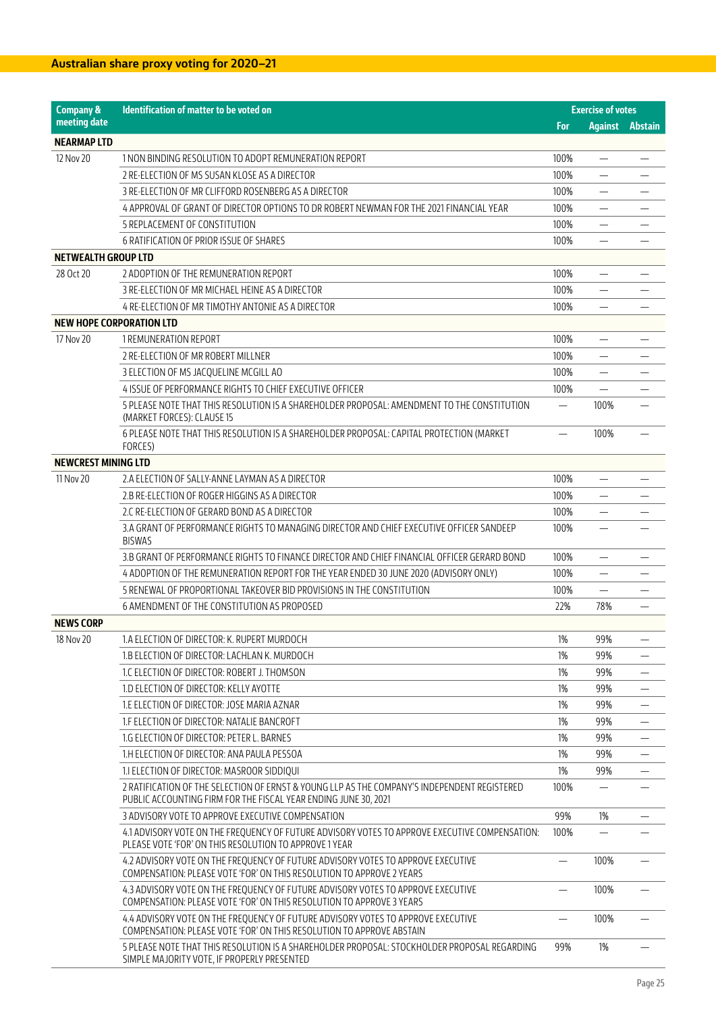| <b>Company &amp;</b>            | Identification of matter to be voted on                                                                                                                         | <b>Exercise of votes</b> |                                |                                |
|---------------------------------|-----------------------------------------------------------------------------------------------------------------------------------------------------------------|--------------------------|--------------------------------|--------------------------------|
| meeting date                    |                                                                                                                                                                 | For                      | <b>Against</b>                 | Abstain                        |
| <b>NEARMAP LTD</b>              |                                                                                                                                                                 |                          |                                |                                |
| 12 Nov 20                       | 1 NON BINDING RESOLUTION TO ADOPT REMUNERATION REPORT                                                                                                           | 100%                     | $\qquad \qquad \longleftarrow$ |                                |
|                                 | 2 RE-ELECTION OF MS SUSAN KLOSE AS A DIRECTOR                                                                                                                   | 100%                     |                                |                                |
|                                 | 3 RE-ELECTION OF MR CLIFFORD ROSENBERG AS A DIRECTOR                                                                                                            | 100%                     | $\overline{\phantom{0}}$       |                                |
|                                 | 4 APPROVAL OF GRANT OF DIRECTOR OPTIONS TO DR ROBERT NEWMAN FOR THE 2021 FINANCIAL YEAR                                                                         | 100%                     | —                              |                                |
|                                 | 5 REPLACEMENT OF CONSTITUTION                                                                                                                                   | 100%                     |                                |                                |
|                                 | 6 RATIFICATION OF PRIOR ISSUE OF SHARES                                                                                                                         | 100%                     |                                |                                |
| <b>NETWEALTH GROUP LTD</b>      |                                                                                                                                                                 |                          |                                |                                |
| 28 Oct 20                       | 2 ADOPTION OF THE REMUNERATION REPORT                                                                                                                           | 100%                     | $\overline{\phantom{m}}$       |                                |
|                                 | 3 RE-ELECTION OF MR MICHAEL HEINE AS A DIRECTOR                                                                                                                 | 100%                     |                                |                                |
|                                 | 4 RE-ELECTION OF MR TIMOTHY ANTONIE AS A DIRECTOR                                                                                                               | 100%                     |                                |                                |
| <b>NEW HOPE CORPORATION LTD</b> |                                                                                                                                                                 |                          |                                |                                |
| 17 Nov 20                       | 1 REMUNERATION REPORT                                                                                                                                           | 100%                     | $\overline{\phantom{0}}$       |                                |
|                                 | 2 RE-ELECTION OF MR ROBERT MILLNER                                                                                                                              | 100%                     |                                |                                |
|                                 | 3 ELECTION OF MS JACQUELINE MCGILL AO                                                                                                                           | 100%                     | $\overline{\phantom{0}}$       |                                |
|                                 | 4 ISSUE OF PERFORMANCE RIGHTS TO CHIEF EXECUTIVE OFFICER                                                                                                        | 100%                     |                                |                                |
|                                 | 5 PLEASE NOTE THAT THIS RESOLUTION IS A SHAREHOLDER PROPOSAL: AMENDMENT TO THE CONSTITUTION<br>(MARKET FORCES): CLAUSE 15                                       | $\overline{\phantom{0}}$ | 100%                           |                                |
|                                 | 6 PLEASE NOTE THAT THIS RESOLUTION IS A SHAREHOLDER PROPOSAL: CAPITAL PROTECTION (MARKET<br>FORCES)                                                             |                          | 100%                           |                                |
| <b>NEWCREST MINING LTD</b>      |                                                                                                                                                                 |                          |                                |                                |
| 11 Nov 20                       | 2.A ELECTION OF SALLY-ANNE LAYMAN AS A DIRECTOR                                                                                                                 | 100%                     |                                |                                |
|                                 | 2.B RE-ELECTION OF ROGER HIGGINS AS A DIRECTOR                                                                                                                  | 100%                     |                                |                                |
|                                 | 2.C RE-ELECTION OF GERARD BOND AS A DIRECTOR                                                                                                                    | 100%                     | $\overline{\phantom{0}}$       |                                |
|                                 | 3.A GRANT OF PERFORMANCE RIGHTS TO MANAGING DIRECTOR AND CHIEF EXECUTIVE OFFICER SANDEEP                                                                        | 100%                     | $\equiv$                       |                                |
|                                 | <b>BISWAS</b>                                                                                                                                                   |                          |                                |                                |
|                                 | 3.B GRANT OF PERFORMANCE RIGHTS TO FINANCE DIRECTOR AND CHIEF FINANCIAL OFFICER GERARD BOND                                                                     | 100%                     |                                |                                |
|                                 | 4 ADOPTION OF THE REMUNERATION REPORT FOR THE YEAR ENDED 30 JUNE 2020 (ADVISORY ONLY)                                                                           | 100%                     | $\overline{\phantom{0}}$       |                                |
|                                 | 5 RENEWAL OF PROPORTIONAL TAKEOVER BID PROVISIONS IN THE CONSTITUTION                                                                                           | 100%                     |                                |                                |
|                                 | 6 AMENDMENT OF THE CONSTITUTION AS PROPOSED                                                                                                                     | 22%                      | 78%                            |                                |
| <b>NEWS CORP</b>                |                                                                                                                                                                 |                          |                                |                                |
| 18 Nov 20                       | 1.A ELECTION OF DIRECTOR: K. RUPERT MURDOCH                                                                                                                     | $1\%$                    | 99%                            | $\overline{\phantom{m}}$       |
|                                 | 1.B ELECTION OF DIRECTOR: LACHLAN K. MURDOCH                                                                                                                    | 1%                       | 99%                            | $\qquad \qquad -$              |
|                                 | 1.C ELECTION OF DIRECTOR: ROBERT J. THOMSON                                                                                                                     | $1\%$                    | 99%                            |                                |
|                                 | 1.D ELECTION OF DIRECTOR: KELLY AYOTTE                                                                                                                          | 1%                       | 99%                            | $\overline{\phantom{0}}$       |
|                                 | 1.E ELECTION OF DIRECTOR: JOSE MARIA AZNAR                                                                                                                      | 1%                       | 99%                            | $\qquad \qquad \longleftarrow$ |
|                                 | 1.F ELECTION OF DIRECTOR: NATALIE BANCROFT                                                                                                                      | 1%                       | 99%                            |                                |
|                                 | 1.G ELECTION OF DIRECTOR: PETER L. BARNES                                                                                                                       | $1\%$                    | 99%                            |                                |
|                                 | 1.H ELECTION OF DIRECTOR: ANA PAULA PESSOA                                                                                                                      | 1%                       | 99%                            |                                |
|                                 | 1.1 ELECTION OF DIRECTOR: MASROOR SIDDIQUI                                                                                                                      | 1%                       | 99%                            | $\qquad \qquad -$              |
|                                 | 2 RATIFICATION OF THE SELECTION OF ERNST & YOUNG LLP AS THE COMPANY'S INDEPENDENT REGISTERED<br>PUBLIC ACCOUNTING FIRM FOR THE FISCAL YEAR ENDING JUNE 30, 2021 | 100%                     |                                |                                |
|                                 | 3 ADVISORY VOTE TO APPROVE EXECUTIVE COMPENSATION                                                                                                               | 99%                      | 1%                             |                                |
|                                 | 4.1 ADVISORY VOTE ON THE FREQUENCY OF FUTURE ADVISORY VOTES TO APPROVE EXECUTIVE COMPENSATION:<br>PLEASE VOTE 'FOR' ON THIS RESOLUTION TO APPROVE 1 YEAR        | 100%                     |                                |                                |
|                                 | 4.2 ADVISORY VOTE ON THE FREQUENCY OF FUTURE ADVISORY VOTES TO APPROVE EXECUTIVE<br>COMPENSATION: PLEASE VOTE 'FOR' ON THIS RESOLUTION TO APPROVE 2 YEARS       |                          | 100%                           |                                |
|                                 | 4.3 ADVISORY VOTE ON THE FREQUENCY OF FUTURE ADVISORY VOTES TO APPROVE EXECUTIVE<br>COMPENSATION: PLEASE VOTE 'FOR' ON THIS RESOLUTION TO APPROVE 3 YEARS       |                          | 100%                           |                                |
|                                 | 4.4 ADVISORY VOTE ON THE FREQUENCY OF FUTURE ADVISORY VOTES TO APPROVE EXECUTIVE<br>COMPENSATION: PLEASE VOTE 'FOR' ON THIS RESOLUTION TO APPROVE ABSTAIN       |                          | 100%                           |                                |
|                                 | 5 PLEASE NOTE THAT THIS RESOLUTION IS A SHAREHOLDER PROPOSAL: STOCKHOLDER PROPOSAL REGARDING<br>SIMPLE MAJORITY VOTE, IF PROPERLY PRESENTED                     | 99%                      | 1%                             |                                |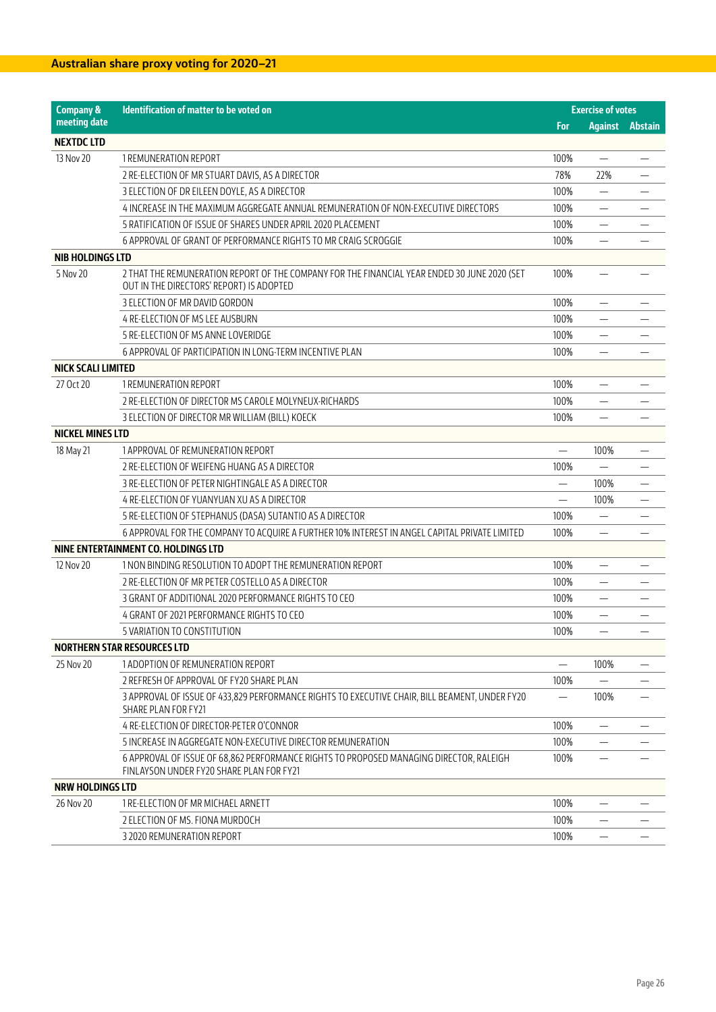| <b>Company &amp;</b>      | Identification of matter to be voted on                                                                                                  |      | <b>Exercise of votes</b> |         |
|---------------------------|------------------------------------------------------------------------------------------------------------------------------------------|------|--------------------------|---------|
| meeting date              |                                                                                                                                          | For  | <b>Against</b>           | Abstain |
| <b>NEXTDC LTD</b>         |                                                                                                                                          |      |                          |         |
| 13 Nov 20                 | 1 REMUNERATION REPORT                                                                                                                    | 100% | $\overline{\phantom{0}}$ |         |
|                           | 2 RE-ELECTION OF MR STUART DAVIS, AS A DIRECTOR                                                                                          | 78%  | 22%                      |         |
|                           | 3 ELECTION OF DR EILEEN DOYLE, AS A DIRECTOR                                                                                             | 100% |                          |         |
|                           | 4 INCREASE IN THE MAXIMUM AGGREGATE ANNUAL REMUNERATION OF NON-EXECUTIVE DIRECTORS                                                       | 100% | —                        |         |
|                           | 5 RATIFICATION OF ISSUE OF SHARES UNDER APRIL 2020 PLACEMENT                                                                             | 100% |                          |         |
|                           | 6 APPROVAL OF GRANT OF PERFORMANCE RIGHTS TO MR CRAIG SCROGGIE                                                                           | 100% |                          |         |
| <b>NIB HOLDINGS LTD</b>   |                                                                                                                                          |      |                          |         |
| 5 Nov 20                  | 2 THAT THE REMUNERATION REPORT OF THE COMPANY FOR THE FINANCIAL YEAR ENDED 30 JUNE 2020 (SET<br>OUT IN THE DIRECTORS' REPORT) IS ADOPTED | 100% |                          |         |
|                           | 3 ELECTION OF MR DAVID GORDON                                                                                                            | 100% | $\overline{\phantom{0}}$ |         |
|                           | 4 RE-ELECTION OF MS LEE AUSBURN                                                                                                          | 100% |                          |         |
|                           | 5 RE-ELECTION OF MS ANNE LOVERIDGE                                                                                                       | 100% | —                        |         |
|                           | 6 APPROVAL OF PARTICIPATION IN LONG-TERM INCENTIVE PLAN                                                                                  | 100% |                          |         |
| <b>NICK SCALI LIMITED</b> |                                                                                                                                          |      |                          |         |
| 27 Oct 20                 | 1 REMUNERATION REPORT                                                                                                                    | 100% |                          |         |
|                           | 2 RE-ELECTION OF DIRECTOR MS CAROLE MOLYNEUX-RICHARDS                                                                                    | 100% |                          |         |
|                           | 3 ELECTION OF DIRECTOR MR WILLIAM (BILL) KOECK                                                                                           | 100% | —                        |         |
| <b>NICKEL MINES LTD</b>   |                                                                                                                                          |      |                          |         |
| 18 May 21                 | 1 APPROVAL OF REMUNERATION REPORT                                                                                                        |      | 100%                     |         |
|                           | 2 RE-ELECTION OF WEIFENG HUANG AS A DIRECTOR                                                                                             | 100% |                          |         |
|                           | 3 RE-ELECTION OF PETER NIGHTINGALE AS A DIRECTOR                                                                                         |      | 100%                     | —       |
|                           | 4 RE-ELECTION OF YUANYUAN XU AS A DIRECTOR                                                                                               |      | 100%                     |         |
|                           | 5 RE-ELECTION OF STEPHANUS (DASA) SUTANTIO AS A DIRECTOR                                                                                 | 100% |                          |         |
|                           | 6 APPROVAL FOR THE COMPANY TO ACQUIRE A FURTHER 10% INTEREST IN ANGEL CAPITAL PRIVATE LIMITED                                            | 100% | —                        |         |
|                           | NINE ENTERTAINMENT CO. HOLDINGS LTD                                                                                                      |      |                          |         |
| 12 Nov 20                 | 1 NON BINDING RESOLUTION TO ADOPT THE REMUNERATION REPORT                                                                                | 100% |                          |         |
|                           | 2 RE-ELECTION OF MR PETER COSTELLO AS A DIRECTOR                                                                                         | 100% |                          |         |
|                           | 3 GRANT OF ADDITIONAL 2020 PERFORMANCE RIGHTS TO CEO                                                                                     | 100% | -                        |         |
|                           | 4 GRANT OF 2021 PERFORMANCE RIGHTS TO CEO                                                                                                | 100% |                          |         |
|                           | 5 VARIATION TO CONSTITUTION                                                                                                              | 100% | $\overline{\phantom{0}}$ |         |
|                           | <b>NORTHERN STAR RESOURCES LTD</b>                                                                                                       |      |                          |         |
| 25 Nov 20                 | 1 ADOPTION OF REMUNERATION REPORT                                                                                                        |      | 100%                     |         |
|                           | 2 REFRESH OF APPROVAL OF FY20 SHARE PLAN                                                                                                 | 100% |                          |         |
|                           | 3 APPROVAL OF ISSUE OF 433,829 PERFORMANCE RIGHTS TO EXECUTIVE CHAIR, BILL BEAMENT, UNDER FY20<br>SHARE PLAN FOR FY21                    |      | 100%                     |         |
|                           | 4 RE-ELECTION OF DIRECTOR-PETER O'CONNOR                                                                                                 | 100% |                          |         |
|                           | 5 INCREASE IN AGGREGATE NON-EXECUTIVE DIRECTOR REMUNERATION                                                                              | 100% | $\overline{\phantom{0}}$ |         |
|                           | 6 APPROVAL OF ISSUE OF 68,862 PERFORMANCE RIGHTS TO PROPOSED MANAGING DIRECTOR, RALEIGH<br>FINLAYSON UNDER FY20 SHARE PLAN FOR FY21      | 100% |                          |         |
| <b>NRW HOLDINGS LTD</b>   |                                                                                                                                          |      |                          |         |
| 26 Nov 20                 | 1 RE-ELECTION OF MR MICHAEL ARNETT                                                                                                       | 100% |                          |         |
|                           | 2 ELECTION OF MS. FIONA MURDOCH                                                                                                          | 100% | —                        |         |
|                           | 3 2020 REMUNERATION REPORT                                                                                                               | 100% | —                        |         |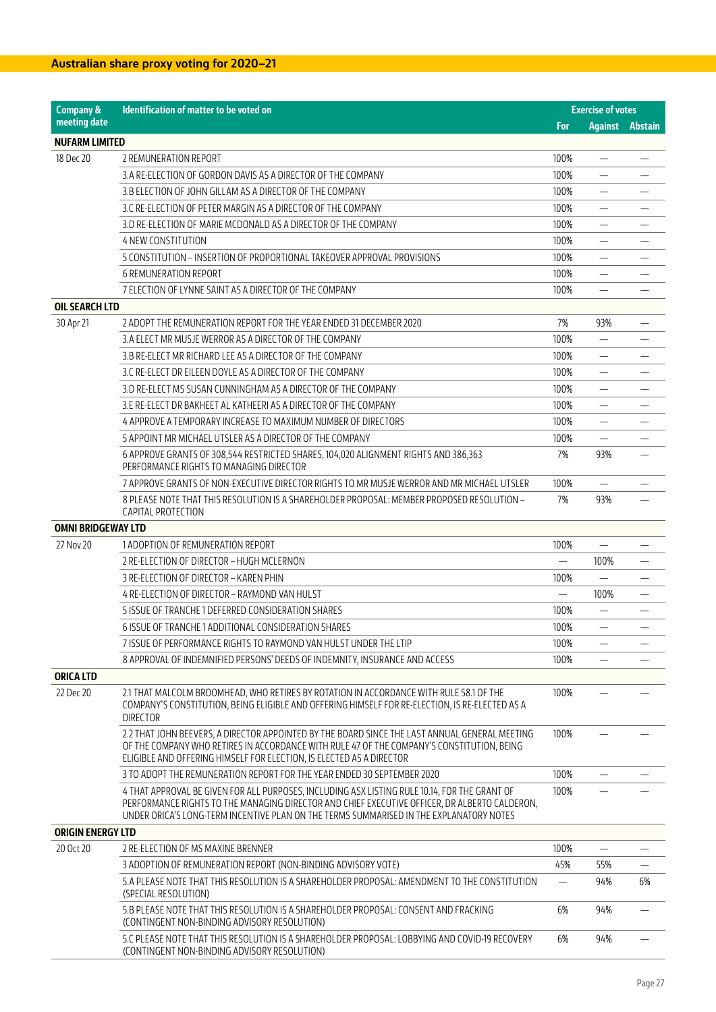| <b>Company &amp;</b>      | Identification of matter to be voted on                                                                                                                                                                                                                                                   |          | <b>Exercise of votes</b> |                |
|---------------------------|-------------------------------------------------------------------------------------------------------------------------------------------------------------------------------------------------------------------------------------------------------------------------------------------|----------|--------------------------|----------------|
| meeting date              |                                                                                                                                                                                                                                                                                           | For      | <b>Against</b>           | <b>Abstain</b> |
| <b>NUFARM LIMITED</b>     |                                                                                                                                                                                                                                                                                           |          |                          |                |
| 18 Dec 20                 | 2 REMUNERATION REPORT                                                                                                                                                                                                                                                                     | 100%     |                          |                |
|                           | 3.A RE-ELECTION OF GORDON DAVIS AS A DIRECTOR OF THE COMPANY                                                                                                                                                                                                                              | 100%     | —                        |                |
|                           | 3.B ELECTION OF JOHN GILLAM AS A DIRECTOR OF THE COMPANY                                                                                                                                                                                                                                  | 100%     |                          |                |
|                           | 3.C RE-ELECTION OF PETER MARGIN AS A DIRECTOR OF THE COMPANY                                                                                                                                                                                                                              | 100%     |                          |                |
|                           | 3.D RE-ELECTION OF MARIE MCDONALD AS A DIRECTOR OF THE COMPANY                                                                                                                                                                                                                            | 100%     | $\overline{\phantom{0}}$ |                |
|                           | <b>4 NEW CONSTITUTION</b>                                                                                                                                                                                                                                                                 | 100%     | $\overline{\phantom{0}}$ |                |
|                           | 5 CONSTITUTION - INSERTION OF PROPORTIONAL TAKEOVER APPROVAL PROVISIONS                                                                                                                                                                                                                   | 100%     |                          |                |
|                           | <b>6 REMUNERATION REPORT</b>                                                                                                                                                                                                                                                              | 100%     |                          |                |
|                           | 7 ELECTION OF LYNNE SAINT AS A DIRECTOR OF THE COMPANY                                                                                                                                                                                                                                    | 100%     |                          |                |
| <b>OIL SEARCH LTD</b>     |                                                                                                                                                                                                                                                                                           |          |                          |                |
| 30 Apr 21                 | 2 ADOPT THE REMUNERATION REPORT FOR THE YEAR ENDED 31 DECEMBER 2020                                                                                                                                                                                                                       | 7%       | 93%                      |                |
|                           | 3.A ELECT MR MUSJE WERROR AS A DIRECTOR OF THE COMPANY                                                                                                                                                                                                                                    | 100%     | $\overline{\phantom{0}}$ |                |
|                           | 3.B RE-ELECT MR RICHARD LEE AS A DIRECTOR OF THE COMPANY                                                                                                                                                                                                                                  | 100%     | $\overline{\phantom{0}}$ |                |
|                           | 3.C RE-ELECT DR EILEEN DOYLE AS A DIRECTOR OF THE COMPANY                                                                                                                                                                                                                                 | 100%     |                          |                |
|                           | 3.D RE-ELECT MS SUSAN CUNNINGHAM AS A DIRECTOR OF THE COMPANY                                                                                                                                                                                                                             | 100%     | $\overline{\phantom{0}}$ |                |
|                           | 3.E RE-ELECT DR BAKHEET AL KATHEERI AS A DIRECTOR OF THE COMPANY                                                                                                                                                                                                                          | 100%     | -                        |                |
|                           | 4 APPROVE A TEMPORARY INCREASE TO MAXIMUM NUMBER OF DIRECTORS                                                                                                                                                                                                                             | 100%     | $\equiv$                 |                |
|                           | 5 APPOINT MR MICHAEL UTSLER AS A DIRECTOR OF THE COMPANY                                                                                                                                                                                                                                  | 100%     |                          |                |
|                           | 6 APPROVE GRANTS OF 308,544 RESTRICTED SHARES, 104,020 ALIGNMENT RIGHTS AND 386,363                                                                                                                                                                                                       | 7%       | 93%                      |                |
|                           | PERFORMANCE RIGHTS TO MANAGING DIRECTOR                                                                                                                                                                                                                                                   |          |                          |                |
|                           | 7 APPROVE GRANTS OF NON-EXECUTIVE DIRECTOR RIGHTS TO MR MUSJE WERROR AND MR MICHAEL UTSLER                                                                                                                                                                                                | 100%     |                          |                |
|                           | 8 PLEASE NOTE THAT THIS RESOLUTION IS A SHAREHOLDER PROPOSAL: MEMBER PROPOSED RESOLUTION -<br>CAPITAL PROTECTION                                                                                                                                                                          | 7%       | 93%                      |                |
| <b>OMNI BRIDGEWAY LTD</b> |                                                                                                                                                                                                                                                                                           |          |                          |                |
| 27 Nov 20                 | 1 ADOPTION OF REMUNERATION REPORT                                                                                                                                                                                                                                                         | 100%     | $\equiv$                 |                |
|                           | 2 RE-ELECTION OF DIRECTOR - HUGH MCLERNON                                                                                                                                                                                                                                                 |          | 100%                     |                |
|                           | 3 RE-ELECTION OF DIRECTOR - KAREN PHIN                                                                                                                                                                                                                                                    | 100%     | $\overline{\phantom{0}}$ |                |
|                           | 4 RE-ELECTION OF DIRECTOR - RAYMOND VAN HULST                                                                                                                                                                                                                                             | $\equiv$ | 100%                     |                |
|                           | 5 ISSUE OF TRANCHE 1 DEFERRED CONSIDERATION SHARES                                                                                                                                                                                                                                        | 100%     |                          |                |
|                           | 6 ISSUE OF TRANCHE 1 ADDITIONAL CONSIDERATION SHARES                                                                                                                                                                                                                                      | 100%     | $\overline{\phantom{0}}$ |                |
|                           | 7 ISSUE OF PERFORMANCE RIGHTS TO RAYMOND VAN HULST UNDER THE LTIP                                                                                                                                                                                                                         | 100%     |                          |                |
|                           | 8 APPROVAL OF INDEMNIFIED PERSONS' DEEDS OF INDEMNITY, INSURANCE AND ACCESS                                                                                                                                                                                                               | 100%     |                          |                |
| <b>ORICA LTD</b>          |                                                                                                                                                                                                                                                                                           |          |                          |                |
| 22 Dec 20                 | 2.1 THAT MALCOLM BROOMHEAD, WHO RETIRES BY ROTATION IN ACCORDANCE WITH RULE 58.1 OF THE<br>COMPANY'S CONSTITUTION, BEING ELIGIBLE AND OFFERING HIMSELF FOR RE-ELECTION, IS RE-ELECTED AS A<br><b>DIRECTOR</b>                                                                             | 100%     |                          |                |
|                           | 2.2 THAT JOHN BEEVERS, A DIRECTOR APPOINTED BY THE BOARD SINCE THE LAST ANNUAL GENERAL MEETING<br>OF THE COMPANY WHO RETIRES IN ACCORDANCE WITH RULE 47 OF THE COMPANY'S CONSTITUTION, BEING<br>ELIGIBLE AND OFFERING HIMSELF FOR ELECTION, IS ELECTED AS A DIRECTOR                      | 100%     |                          |                |
|                           | 3 TO ADOPT THE REMUNERATION REPORT FOR THE YEAR ENDED 30 SEPTEMBER 2020                                                                                                                                                                                                                   | 100%     |                          |                |
|                           | 4 THAT APPROVAL BE GIVEN FOR ALL PURPOSES, INCLUDING ASX LISTING RULE 10.14, FOR THE GRANT OF<br>PERFORMANCE RIGHTS TO THE MANAGING DIRECTOR AND CHIEF EXECUTIVE OFFICER, DR ALBERTO CALDERON,<br>UNDER ORICA'S LONG-TERM INCENTIVE PLAN ON THE TERMS SUMMARISED IN THE EXPLANATORY NOTES | 100%     |                          |                |
| <b>ORIGIN ENERGY LTD</b>  |                                                                                                                                                                                                                                                                                           |          |                          |                |
| 20 Oct 20                 | 2 RE-ELECTION OF MS MAXINE BRENNER                                                                                                                                                                                                                                                        | 100%     |                          |                |
|                           | 3 ADOPTION OF REMUNERATION REPORT (NON-BINDING ADVISORY VOTE)                                                                                                                                                                                                                             | 45%      | 55%                      |                |
|                           | 5.A PLEASE NOTE THAT THIS RESOLUTION IS A SHAREHOLDER PROPOSAL: AMENDMENT TO THE CONSTITUTION<br>(SPECIAL RESOLUTION)                                                                                                                                                                     |          | 94%                      | 6%             |
|                           | 5.B PLEASE NOTE THAT THIS RESOLUTION IS A SHAREHOLDER PROPOSAL: CONSENT AND FRACKING<br>(CONTINGENT NON-BINDING ADVISORY RESOLUTION)                                                                                                                                                      | 6%       | 94%                      |                |
|                           | 5.C PLEASE NOTE THAT THIS RESOLUTION IS A SHAREHOLDER PROPOSAL: LOBBYING AND COVID-19 RECOVERY<br>(CONTINGENT NON-BINDING ADVISORY RESOLUTION)                                                                                                                                            | 6%       | 94%                      |                |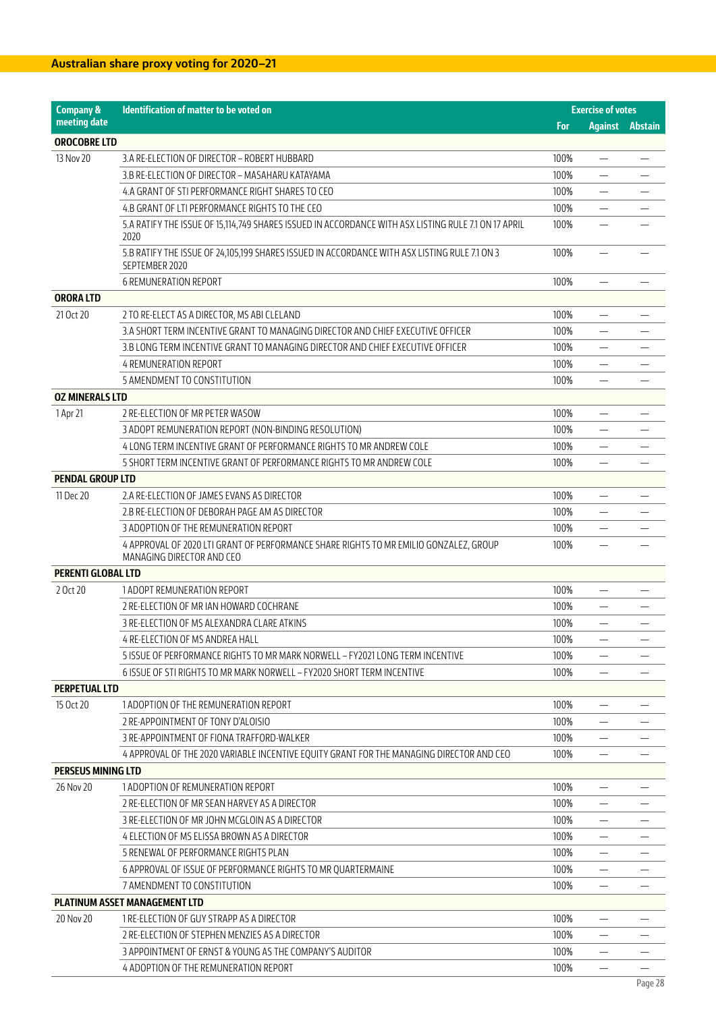| <b>Company &amp;</b><br>Identification of matter to be voted on |                                                                                                                    |      | <b>Exercise of votes</b> |                |
|-----------------------------------------------------------------|--------------------------------------------------------------------------------------------------------------------|------|--------------------------|----------------|
| meeting date                                                    |                                                                                                                    | For  | <b>Against</b>           | <b>Abstain</b> |
| <b>OROCOBRE LTD</b>                                             |                                                                                                                    |      |                          |                |
| 13 Nov 20                                                       | 3.A RE-ELECTION OF DIRECTOR - ROBERT HUBBARD                                                                       | 100% |                          |                |
|                                                                 | 3.B RE-ELECTION OF DIRECTOR - MASAHARU KATAYAMA                                                                    | 100% |                          |                |
|                                                                 | 4.A GRANT OF STI PERFORMANCE RIGHT SHARES TO CEO                                                                   | 100% |                          |                |
|                                                                 | 4.B GRANT OF LTI PERFORMANCE RIGHTS TO THE CEO                                                                     | 100% |                          |                |
|                                                                 | 5.A RATIFY THE ISSUE OF 15,114,749 SHARES ISSUED IN ACCORDANCE WITH ASX LISTING RULE 7.1 ON 17 APRIL<br>2020       | 100% |                          |                |
|                                                                 | 5.B RATIFY THE ISSUE OF 24,105,199 SHARES ISSUED IN ACCORDANCE WITH ASX LISTING RULE 7.1 ON 3<br>SEPTEMBER 2020    | 100% |                          |                |
|                                                                 | <b>6 REMUNERATION REPORT</b>                                                                                       | 100% | $\overline{\phantom{0}}$ |                |
| <b>ORORA LTD</b>                                                |                                                                                                                    |      |                          |                |
| 21 Oct 20                                                       | 2 TO RE-ELECT AS A DIRECTOR, MS ABI CLELAND                                                                        | 100% |                          |                |
|                                                                 | 3.A SHORT TERM INCENTIVE GRANT TO MANAGING DIRECTOR AND CHIEF EXECUTIVE OFFICER                                    | 100% | —                        |                |
|                                                                 | 3.B LONG TERM INCENTIVE GRANT TO MANAGING DIRECTOR AND CHIEF EXECUTIVE OFFICER                                     | 100% | $\overline{\phantom{0}}$ |                |
|                                                                 | <b>4 REMUNERATION REPORT</b>                                                                                       | 100% |                          |                |
|                                                                 | 5 AMENDMENT TO CONSTITUTION                                                                                        | 100% |                          |                |
| <b>OZ MINERALS LTD</b>                                          |                                                                                                                    |      |                          |                |
| 1 Apr 21                                                        | 2 RE-ELECTION OF MR PETER WASOW                                                                                    | 100% |                          |                |
|                                                                 | 3 ADOPT REMUNERATION REPORT (NON-BINDING RESOLUTION)                                                               | 100% |                          |                |
|                                                                 | 4 LONG TERM INCENTIVE GRANT OF PERFORMANCE RIGHTS TO MR ANDREW COLE                                                | 100% |                          |                |
|                                                                 | 5 SHORT TERM INCENTIVE GRANT OF PERFORMANCE RIGHTS TO MR ANDREW COLE                                               | 100% |                          |                |
| <b>PENDAL GROUP LTD</b>                                         |                                                                                                                    |      |                          |                |
| 11 Dec 20                                                       | 2.A RE-ELECTION OF JAMES EVANS AS DIRECTOR                                                                         | 100% |                          |                |
|                                                                 | 2.B RE-ELECTION OF DEBORAH PAGE AM AS DIRECTOR                                                                     | 100% |                          |                |
|                                                                 | 3 ADOPTION OF THE REMUNERATION REPORT                                                                              | 100% | $\overline{\phantom{0}}$ |                |
|                                                                 | 4 APPROVAL OF 2020 LTI GRANT OF PERFORMANCE SHARE RIGHTS TO MR EMILIO GONZALEZ, GROUP<br>MANAGING DIRECTOR AND CEO | 100% |                          |                |
| <b>PERENTI GLOBAL LTD</b>                                       |                                                                                                                    |      |                          |                |
| 2 Oct 20                                                        | <b>1 ADOPT REMUNERATION REPORT</b>                                                                                 | 100% |                          |                |
|                                                                 | 2 RE-ELECTION OF MR IAN HOWARD COCHRANE                                                                            | 100% | —                        |                |
|                                                                 | 3 RE-ELECTION OF MS ALEXANDRA CLARE ATKINS                                                                         | 100% |                          |                |
|                                                                 | 4 RE-ELECTION OF MS ANDREA HALL                                                                                    | 100% |                          |                |
|                                                                 | 5 ISSUE OF PERFORMANCE RIGHTS TO MR MARK NORWELL – FY2021 LONG TERM INCENTIVE                                      | 100% | $\overline{\phantom{0}}$ |                |
|                                                                 | 6 ISSUE OF STI RIGHTS TO MR MARK NORWELL - FY2020 SHORT TERM INCENTIVE                                             | 100% | $\overline{\phantom{0}}$ |                |
| <b>PERPETUAL LTD</b>                                            |                                                                                                                    |      |                          |                |
| 15 Oct 20                                                       | 1 ADOPTION OF THE REMUNERATION REPORT                                                                              | 100% |                          |                |
|                                                                 | 2 RE-APPOINTMENT OF TONY D'ALOISIO                                                                                 | 100% |                          |                |
|                                                                 | 3 RE-APPOINTMENT OF FIONA TRAFFORD-WALKER                                                                          | 100% |                          |                |
|                                                                 | 4 APPROVAL OF THE 2020 VARIABLE INCENTIVE EQUITY GRANT FOR THE MANAGING DIRECTOR AND CEO                           | 100% |                          |                |
| <b>PERSEUS MINING LTD</b>                                       |                                                                                                                    |      |                          |                |
| 26 Nov 20                                                       | 1 ADOPTION OF REMUNERATION REPORT                                                                                  | 100% | —                        |                |
|                                                                 | 2 RE-ELECTION OF MR SEAN HARVEY AS A DIRECTOR                                                                      | 100% |                          |                |
|                                                                 | 3 RE-ELECTION OF MR JOHN MCGLOIN AS A DIRECTOR                                                                     | 100% |                          |                |
|                                                                 | 4 ELECTION OF MS ELISSA BROWN AS A DIRECTOR                                                                        | 100% |                          |                |
|                                                                 | 5 RENEWAL OF PERFORMANCE RIGHTS PLAN                                                                               | 100% |                          |                |
|                                                                 | 6 APPROVAL OF ISSUE OF PERFORMANCE RIGHTS TO MR QUARTERMAINE                                                       | 100% |                          |                |
|                                                                 | 7 AMENDMENT TO CONSTITUTION                                                                                        | 100% |                          |                |
|                                                                 | <b>PLATINUM ASSET MANAGEMENT LTD</b>                                                                               |      |                          |                |
| 20 Nov 20                                                       | 1 RE-ELECTION OF GUY STRAPP AS A DIRECTOR                                                                          | 100% |                          |                |
|                                                                 | 2 RE-ELECTION OF STEPHEN MENZIES AS A DIRECTOR                                                                     | 100% |                          |                |
|                                                                 | 3 APPOINTMENT OF ERNST & YOUNG AS THE COMPANY'S AUDITOR                                                            | 100% | $\overline{\phantom{0}}$ |                |
|                                                                 | 4 ADOPTION OF THE REMUNERATION REPORT                                                                              | 100% |                          |                |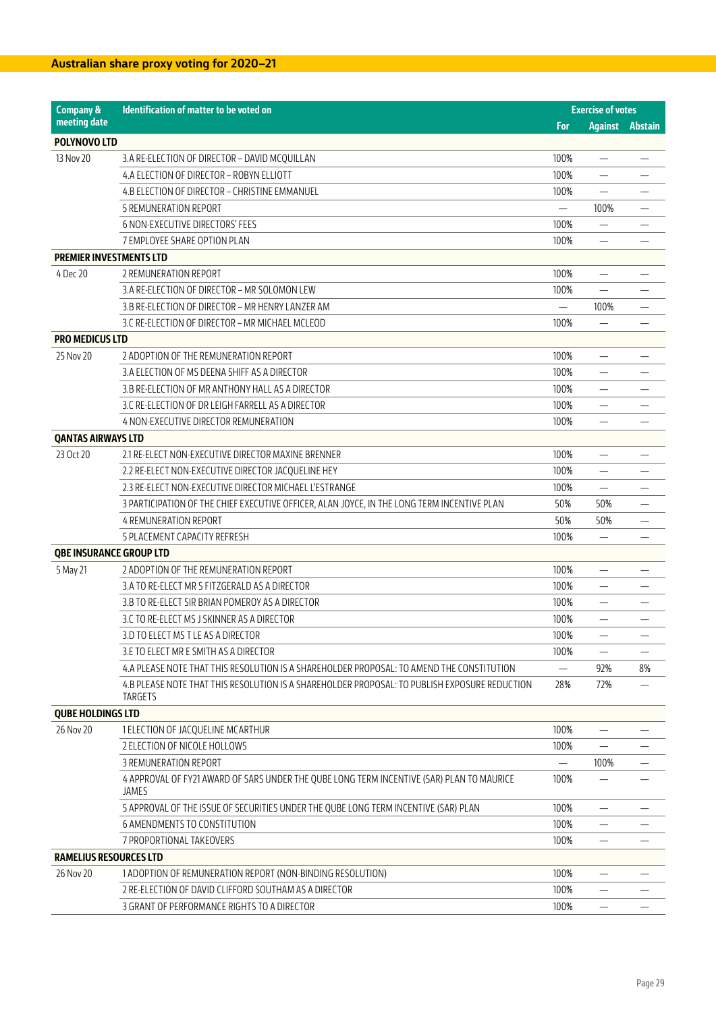| <b>Company &amp;</b>           | Identification of matter to be voted on                                                            |      | <b>Exercise of votes</b>       |                |
|--------------------------------|----------------------------------------------------------------------------------------------------|------|--------------------------------|----------------|
| meeting date                   |                                                                                                    | For  | <b>Against</b>                 | <b>Abstain</b> |
| POLYNOVO LTD                   |                                                                                                    |      |                                |                |
| 13 Nov 20                      | 3.A RE-ELECTION OF DIRECTOR - DAVID MCQUILLAN                                                      | 100% |                                |                |
|                                | 4.A ELECTION OF DIRECTOR - ROBYN ELLIOTT                                                           | 100% |                                |                |
|                                | 4.B ELECTION OF DIRECTOR - CHRISTINE EMMANUEL                                                      | 100% |                                |                |
|                                | <b>5 REMUNERATION REPORT</b>                                                                       |      | 100%                           |                |
|                                | <b>6 NON-EXECUTIVE DIRECTORS' FEES</b>                                                             | 100% | $\overline{\phantom{0}}$       |                |
|                                | 7 EMPLOYEE SHARE OPTION PLAN                                                                       | 100% |                                |                |
| <b>PREMIER INVESTMENTS LTD</b> |                                                                                                    |      |                                |                |
| 4 Dec 20                       | 2 REMUNERATION REPORT                                                                              | 100% |                                |                |
|                                | 3.A RE-ELECTION OF DIRECTOR - MR SOLOMON LEW                                                       | 100% | ÷                              |                |
|                                | 3.B RE-ELECTION OF DIRECTOR - MR HENRY LANZER AM                                                   |      | 100%                           |                |
|                                | 3.C RE-ELECTION OF DIRECTOR - MR MICHAEL MCLEOD                                                    | 100% |                                |                |
| <b>PRO MEDICUS LTD</b>         |                                                                                                    |      |                                |                |
| 25 Nov 20                      | 2 ADOPTION OF THE REMUNERATION REPORT                                                              | 100% |                                |                |
|                                | 3.A ELECTION OF MS DEENA SHIFF AS A DIRECTOR                                                       | 100% | $\overline{\phantom{0}}$       |                |
|                                | 3.B RE-ELECTION OF MR ANTHONY HALL AS A DIRECTOR                                                   | 100% | $\overline{\phantom{0}}$       |                |
|                                | 3.C RE-ELECTION OF DR LEIGH FARRELL AS A DIRECTOR                                                  | 100% | $\overline{\phantom{0}}$       |                |
|                                | 4 NON-EXECUTIVE DIRECTOR REMUNERATION                                                              | 100% |                                |                |
| <b>QANTAS AIRWAYS LTD</b>      |                                                                                                    |      |                                |                |
| 23 Oct 20                      | 2.1 RE-ELECT NON-EXECUTIVE DIRECTOR MAXINE BRENNER                                                 | 100% |                                |                |
|                                | 2.2 RE-ELECT NON-EXECUTIVE DIRECTOR JACQUELINE HEY                                                 | 100% | $\overline{\phantom{0}}$       |                |
|                                | 2.3 RE-ELECT NON-EXECUTIVE DIRECTOR MICHAEL L'ESTRANGE                                             | 100% |                                |                |
|                                | 3 PARTICIPATION OF THE CHIEF EXECUTIVE OFFICER, ALAN JOYCE, IN THE LONG TERM INCENTIVE PLAN        | 50%  | 50%                            |                |
|                                | <b>4 REMUNERATION REPORT</b>                                                                       | 50%  | 50%                            |                |
|                                | 5 PLACEMENT CAPACITY REFRESH                                                                       | 100% |                                |                |
| <b>QBE INSURANCE GROUP LTD</b> |                                                                                                    |      |                                |                |
| 5 May 21                       | 2 ADOPTION OF THE REMUNERATION REPORT                                                              | 100% | $\qquad \qquad \longleftarrow$ |                |
|                                | 3.A TO RE-ELECT MR S FITZGERALD AS A DIRECTOR                                                      | 100% |                                |                |
|                                | 3.B TO RE-ELECT SIR BRIAN POMEROY AS A DIRECTOR                                                    | 100% |                                |                |
|                                | 3.C TO RE-ELECT MS J SKINNER AS A DIRECTOR                                                         | 100% |                                |                |
|                                | 3.D TO ELECT MS T LE AS A DIRECTOR                                                                 | 100% |                                |                |
|                                | 3.E TO ELECT MR E SMITH AS A DIRECTOR                                                              | 100% |                                |                |
|                                | 4.A PLEASE NOTE THAT THIS RESOLUTION IS A SHAREHOLDER PROPOSAL: TO AMEND THE CONSTITUTION          |      | 92%                            | 8%             |
|                                | 4.B PLEASE NOTE THAT THIS RESOLUTION IS A SHAREHOLDER PROPOSAL: TO PUBLISH EXPOSURE REDUCTION      | 28%  | 72%                            |                |
|                                | TARGETS                                                                                            |      |                                |                |
| <b>QUBE HOLDINGS LTD</b>       |                                                                                                    |      |                                |                |
| 26 Nov 20                      | 1 ELECTION OF JACQUELINE MCARTHUR                                                                  | 100% | $\overline{\phantom{0}}$       |                |
|                                | 2 ELECTION OF NICOLE HOLLOWS                                                                       | 100% |                                |                |
|                                | 3 REMUNERATION REPORT                                                                              |      | 100%                           |                |
|                                | 4 APPROVAL OF FY21 AWARD OF SARS UNDER THE QUBE LONG TERM INCENTIVE (SAR) PLAN TO MAURICE<br>JAMES | 100% |                                |                |
|                                | 5 APPROVAL OF THE ISSUE OF SECURITIES UNDER THE QUBE LONG TERM INCENTIVE (SAR) PLAN                | 100% |                                |                |
|                                | 6 AMENDMENTS TO CONSTITUTION                                                                       | 100% |                                |                |
|                                | 7 PROPORTIONAL TAKEOVERS                                                                           | 100% |                                |                |
| <b>RAMELIUS RESOURCES LTD</b>  |                                                                                                    |      |                                |                |
| 26 Nov 20                      | 1 ADOPTION OF REMUNERATION REPORT (NON-BINDING RESOLUTION)                                         | 100% |                                |                |
|                                | 2 RE-ELECTION OF DAVID CLIFFORD SOUTHAM AS A DIRECTOR                                              | 100% |                                |                |
|                                | 3 GRANT OF PERFORMANCE RIGHTS TO A DIRECTOR                                                        | 100% |                                |                |
|                                |                                                                                                    |      |                                |                |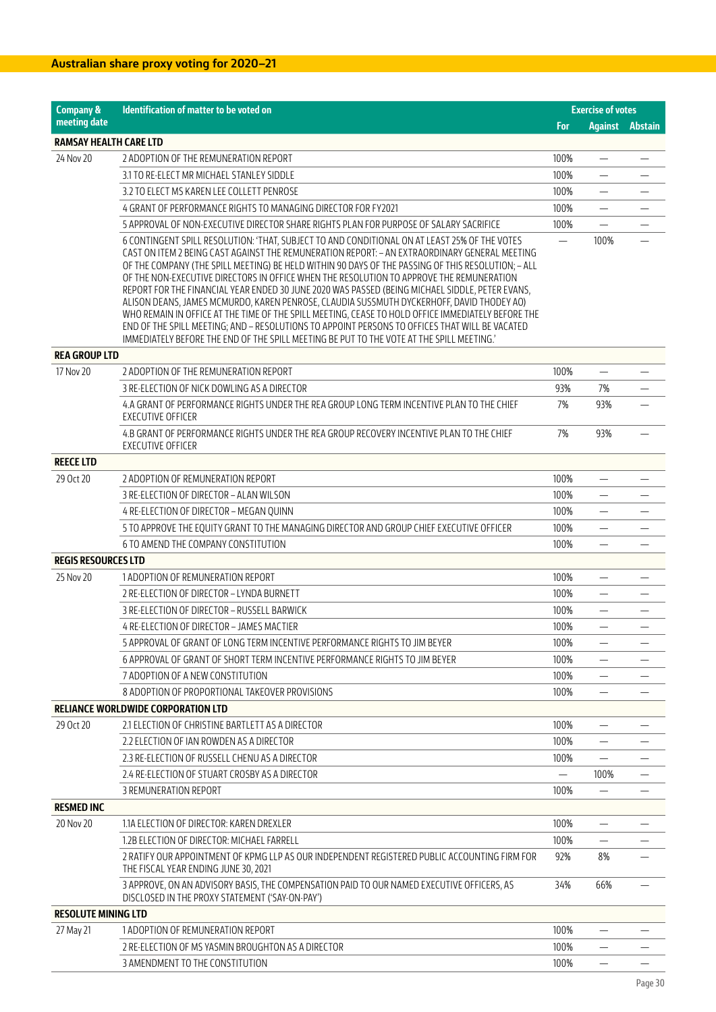| <b>Company &amp;</b>          | Identification of matter to be voted on                                                                                                                                                                                                                                                                                                                                                                                                                                                                                                                                                                                                                                                                                                                                                                                                                                                               |            | <b>Exercise of votes</b> |                        |
|-------------------------------|-------------------------------------------------------------------------------------------------------------------------------------------------------------------------------------------------------------------------------------------------------------------------------------------------------------------------------------------------------------------------------------------------------------------------------------------------------------------------------------------------------------------------------------------------------------------------------------------------------------------------------------------------------------------------------------------------------------------------------------------------------------------------------------------------------------------------------------------------------------------------------------------------------|------------|--------------------------|------------------------|
| meeting date                  |                                                                                                                                                                                                                                                                                                                                                                                                                                                                                                                                                                                                                                                                                                                                                                                                                                                                                                       | <b>For</b> |                          | <b>Against Abstain</b> |
| <b>RAMSAY HEALTH CARE LTD</b> |                                                                                                                                                                                                                                                                                                                                                                                                                                                                                                                                                                                                                                                                                                                                                                                                                                                                                                       |            |                          |                        |
| 24 Nov 20                     | 2 ADOPTION OF THE REMUNERATION REPORT                                                                                                                                                                                                                                                                                                                                                                                                                                                                                                                                                                                                                                                                                                                                                                                                                                                                 | 100%       |                          |                        |
|                               | 3.1 TO RE-ELECT MR MICHAEL STANLEY SIDDLE                                                                                                                                                                                                                                                                                                                                                                                                                                                                                                                                                                                                                                                                                                                                                                                                                                                             | 100%       |                          |                        |
|                               | 3.2 TO ELECT MS KAREN LEE COLLETT PENROSE                                                                                                                                                                                                                                                                                                                                                                                                                                                                                                                                                                                                                                                                                                                                                                                                                                                             | 100%       | $\overline{\phantom{0}}$ |                        |
|                               | 4 GRANT OF PERFORMANCE RIGHTS TO MANAGING DIRECTOR FOR FY2021                                                                                                                                                                                                                                                                                                                                                                                                                                                                                                                                                                                                                                                                                                                                                                                                                                         | 100%       | $\overline{\phantom{0}}$ |                        |
|                               | 5 APPROVAL OF NON-EXECUTIVE DIRECTOR SHARE RIGHTS PLAN FOR PURPOSE OF SALARY SACRIFICE                                                                                                                                                                                                                                                                                                                                                                                                                                                                                                                                                                                                                                                                                                                                                                                                                | 100%       |                          |                        |
|                               | 6 CONTINGENT SPILL RESOLUTION: 'THAT, SUBJECT TO AND CONDITIONAL ON AT LEAST 25% OF THE VOTES<br>CAST ON ITEM 2 BEING CAST AGAINST THE REMUNERATION REPORT: - AN EXTRAORDINARY GENERAL MEETING<br>OF THE COMPANY (THE SPILL MEETING) BE HELD WITHIN 90 DAYS OF THE PASSING OF THIS RESOLUTION: - ALL<br>OF THE NON-EXECUTIVE DIRECTORS IN OFFICE WHEN THE RESOLUTION TO APPROVE THE REMUNERATION<br>REPORT FOR THE FINANCIAL YEAR ENDED 30 JUNE 2020 WAS PASSED (BEING MICHAEL SIDDLE, PETER EVANS,<br>ALISON DEANS, JAMES MCMURDO, KAREN PENROSE, CLAUDIA SUSSMUTH DYCKERHOFF, DAVID THODEY AO)<br>WHO REMAIN IN OFFICE AT THE TIME OF THE SPILL MEETING, CEASE TO HOLD OFFICE IMMEDIATELY BEFORE THE<br>END OF THE SPILL MEETING; AND - RESOLUTIONS TO APPOINT PERSONS TO OFFICES THAT WILL BE VACATED<br>IMMEDIATELY BEFORE THE END OF THE SPILL MEETING BE PUT TO THE VOTE AT THE SPILL MEETING.' |            | 100%                     |                        |
| <b>REA GROUP LTD</b>          |                                                                                                                                                                                                                                                                                                                                                                                                                                                                                                                                                                                                                                                                                                                                                                                                                                                                                                       |            |                          |                        |
| 17 Nov 20                     | 2 ADOPTION OF THE REMUNERATION REPORT                                                                                                                                                                                                                                                                                                                                                                                                                                                                                                                                                                                                                                                                                                                                                                                                                                                                 | 100%       | $\overline{\phantom{0}}$ |                        |
|                               | 3 RE-ELECTION OF NICK DOWLING AS A DIRECTOR                                                                                                                                                                                                                                                                                                                                                                                                                                                                                                                                                                                                                                                                                                                                                                                                                                                           | 93%        | 7%                       |                        |
|                               | 4.A GRANT OF PERFORMANCE RIGHTS UNDER THE REA GROUP LONG TERM INCENTIVE PLAN TO THE CHIEF<br><b>EXECUTIVE OFFICER</b>                                                                                                                                                                                                                                                                                                                                                                                                                                                                                                                                                                                                                                                                                                                                                                                 | 7%         | 93%                      |                        |
|                               | 4.B GRANT OF PERFORMANCE RIGHTS UNDER THE REA GROUP RECOVERY INCENTIVE PLAN TO THE CHIEF<br>EXECUTIVE OFFICER                                                                                                                                                                                                                                                                                                                                                                                                                                                                                                                                                                                                                                                                                                                                                                                         | 7%         | 93%                      |                        |
| <b>REECE LTD</b>              |                                                                                                                                                                                                                                                                                                                                                                                                                                                                                                                                                                                                                                                                                                                                                                                                                                                                                                       |            |                          |                        |
| 29 Oct 20                     | 2 ADOPTION OF REMUNERATION REPORT                                                                                                                                                                                                                                                                                                                                                                                                                                                                                                                                                                                                                                                                                                                                                                                                                                                                     | 100%       | -                        |                        |
|                               | 3 RE-ELECTION OF DIRECTOR - ALAN WILSON                                                                                                                                                                                                                                                                                                                                                                                                                                                                                                                                                                                                                                                                                                                                                                                                                                                               | 100%       | $\overline{\phantom{0}}$ |                        |
|                               | 4 RE-ELECTION OF DIRECTOR - MEGAN QUINN                                                                                                                                                                                                                                                                                                                                                                                                                                                                                                                                                                                                                                                                                                                                                                                                                                                               | 100%       |                          |                        |
|                               | 5 TO APPROVE THE EQUITY GRANT TO THE MANAGING DIRECTOR AND GROUP CHIEF EXECUTIVE OFFICER                                                                                                                                                                                                                                                                                                                                                                                                                                                                                                                                                                                                                                                                                                                                                                                                              | 100%       |                          |                        |
|                               | 6 TO AMEND THE COMPANY CONSTITUTION                                                                                                                                                                                                                                                                                                                                                                                                                                                                                                                                                                                                                                                                                                                                                                                                                                                                   | 100%       |                          |                        |
| <b>REGIS RESOURCES LTD</b>    |                                                                                                                                                                                                                                                                                                                                                                                                                                                                                                                                                                                                                                                                                                                                                                                                                                                                                                       |            |                          |                        |
| 25 Nov 20                     | 1 ADOPTION OF REMUNERATION REPORT                                                                                                                                                                                                                                                                                                                                                                                                                                                                                                                                                                                                                                                                                                                                                                                                                                                                     | 100%       |                          |                        |
|                               | 2 RE-ELECTION OF DIRECTOR - LYNDA BURNETT                                                                                                                                                                                                                                                                                                                                                                                                                                                                                                                                                                                                                                                                                                                                                                                                                                                             | 100%       | $\overline{\phantom{0}}$ |                        |
|                               | 3 RE-ELECTION OF DIRECTOR - RUSSELL BARWICK                                                                                                                                                                                                                                                                                                                                                                                                                                                                                                                                                                                                                                                                                                                                                                                                                                                           | 100%       | $\overline{\phantom{0}}$ |                        |
|                               | 4 RE-ELECTION OF DIRECTOR - JAMES MACTIER                                                                                                                                                                                                                                                                                                                                                                                                                                                                                                                                                                                                                                                                                                                                                                                                                                                             | 100%       |                          |                        |
|                               | 5 APPROVAL OF GRANT OF LONG TERM INCENTIVE PERFORMANCE RIGHTS TO JIM BEYER                                                                                                                                                                                                                                                                                                                                                                                                                                                                                                                                                                                                                                                                                                                                                                                                                            | 100%       | $\overline{\phantom{0}}$ |                        |
|                               | 6 APPROVAL OF GRANT OF SHORT TERM INCENTIVE PERFORMANCE RIGHTS TO JIM BEYER                                                                                                                                                                                                                                                                                                                                                                                                                                                                                                                                                                                                                                                                                                                                                                                                                           | 100%       | —                        |                        |
|                               | 7 ADOPTION OF A NEW CONSTITUTION                                                                                                                                                                                                                                                                                                                                                                                                                                                                                                                                                                                                                                                                                                                                                                                                                                                                      | 100%       | $\overline{\phantom{0}}$ |                        |
|                               | 8 ADOPTION OF PROPORTIONAL TAKEOVER PROVISIONS                                                                                                                                                                                                                                                                                                                                                                                                                                                                                                                                                                                                                                                                                                                                                                                                                                                        | 100%       |                          |                        |
|                               | <b>RELIANCE WORLDWIDE CORPORATION LTD</b>                                                                                                                                                                                                                                                                                                                                                                                                                                                                                                                                                                                                                                                                                                                                                                                                                                                             |            |                          |                        |
| 29 Oct 20                     | 2.1 ELECTION OF CHRISTINE BARTLETT AS A DIRECTOR                                                                                                                                                                                                                                                                                                                                                                                                                                                                                                                                                                                                                                                                                                                                                                                                                                                      | 100%       | —                        |                        |
|                               | 2.2 ELECTION OF IAN ROWDEN AS A DIRECTOR                                                                                                                                                                                                                                                                                                                                                                                                                                                                                                                                                                                                                                                                                                                                                                                                                                                              | 100%       | $\overline{\phantom{0}}$ |                        |
|                               | 2.3 RE-ELECTION OF RUSSELL CHENU AS A DIRECTOR                                                                                                                                                                                                                                                                                                                                                                                                                                                                                                                                                                                                                                                                                                                                                                                                                                                        | 100%       |                          |                        |
|                               | 2.4 RE-ELECTION OF STUART CROSBY AS A DIRECTOR                                                                                                                                                                                                                                                                                                                                                                                                                                                                                                                                                                                                                                                                                                                                                                                                                                                        |            | 100%                     |                        |
|                               | 3 REMUNERATION REPORT                                                                                                                                                                                                                                                                                                                                                                                                                                                                                                                                                                                                                                                                                                                                                                                                                                                                                 | 100%       |                          |                        |
| <b>RESMED INC</b>             |                                                                                                                                                                                                                                                                                                                                                                                                                                                                                                                                                                                                                                                                                                                                                                                                                                                                                                       |            |                          |                        |
| 20 Nov 20                     | 1.1A ELECTION OF DIRECTOR: KAREN DREXLER                                                                                                                                                                                                                                                                                                                                                                                                                                                                                                                                                                                                                                                                                                                                                                                                                                                              | 100%       |                          |                        |
|                               | 1.2B ELECTION OF DIRECTOR: MICHAEL FARRELL                                                                                                                                                                                                                                                                                                                                                                                                                                                                                                                                                                                                                                                                                                                                                                                                                                                            | 100%       | $\overline{\phantom{0}}$ |                        |
|                               | 2 RATIFY OUR APPOINTMENT OF KPMG LLP AS OUR INDEPENDENT REGISTERED PUBLIC ACCOUNTING FIRM FOR<br>THE FISCAL YEAR ENDING JUNE 30, 2021                                                                                                                                                                                                                                                                                                                                                                                                                                                                                                                                                                                                                                                                                                                                                                 | 92%        | 8%                       |                        |
|                               | 3 APPROVE, ON AN ADVISORY BASIS, THE COMPENSATION PAID TO OUR NAMED EXECUTIVE OFFICERS, AS<br>DISCLOSED IN THE PROXY STATEMENT ('SAY-ON-PAY')                                                                                                                                                                                                                                                                                                                                                                                                                                                                                                                                                                                                                                                                                                                                                         | 34%        | 66%                      |                        |
| <b>RESOLUTE MINING LTD</b>    |                                                                                                                                                                                                                                                                                                                                                                                                                                                                                                                                                                                                                                                                                                                                                                                                                                                                                                       |            |                          |                        |
| 27 May 21                     | 1 ADOPTION OF REMUNERATION REPORT                                                                                                                                                                                                                                                                                                                                                                                                                                                                                                                                                                                                                                                                                                                                                                                                                                                                     | 100%       |                          |                        |
|                               | 2 RE-ELECTION OF MS YASMIN BROUGHTON AS A DIRECTOR                                                                                                                                                                                                                                                                                                                                                                                                                                                                                                                                                                                                                                                                                                                                                                                                                                                    | 100%       | —                        |                        |
|                               | 3 AMENDMENT TO THE CONSTITUTION                                                                                                                                                                                                                                                                                                                                                                                                                                                                                                                                                                                                                                                                                                                                                                                                                                                                       | 100%       | $\overline{\phantom{0}}$ |                        |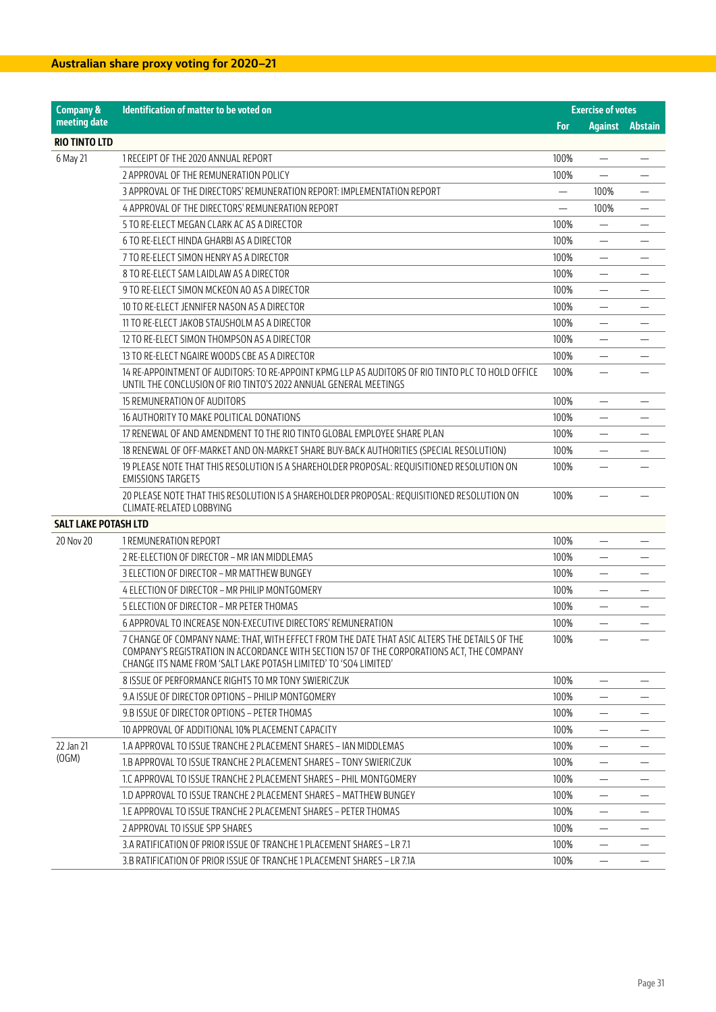| <b>Company &amp;</b>        | <b>Identification of matter to be voted on</b>                                                                                                                                                                                                                  |            | <b>Exercise of votes</b> |                        |  |
|-----------------------------|-----------------------------------------------------------------------------------------------------------------------------------------------------------------------------------------------------------------------------------------------------------------|------------|--------------------------|------------------------|--|
| meeting date                |                                                                                                                                                                                                                                                                 | <b>For</b> |                          | <b>Against</b> Abstain |  |
| <b>RIO TINTO LTD</b>        |                                                                                                                                                                                                                                                                 |            |                          |                        |  |
| 6 May 21                    | 1 RECEIPT OF THE 2020 ANNUAL REPORT                                                                                                                                                                                                                             | 100%       | —                        |                        |  |
|                             | 2 APPROVAL OF THE REMUNERATION POLICY                                                                                                                                                                                                                           | 100%       | $\overline{\phantom{0}}$ |                        |  |
|                             | 3 APPROVAL OF THE DIRECTORS' REMUNERATION REPORT: IMPLEMENTATION REPORT                                                                                                                                                                                         |            | 100%                     |                        |  |
|                             | 4 APPROVAL OF THE DIRECTORS' REMUNERATION REPORT                                                                                                                                                                                                                |            | 100%                     |                        |  |
|                             | 5 TO RE-ELECT MEGAN CLARK AC AS A DIRECTOR                                                                                                                                                                                                                      | 100%       |                          |                        |  |
|                             | 6 TO RE-ELECT HINDA GHARBI AS A DIRECTOR                                                                                                                                                                                                                        | 100%       |                          |                        |  |
|                             | 7 TO RE-ELECT SIMON HENRY AS A DIRECTOR                                                                                                                                                                                                                         | 100%       | $\overline{\phantom{0}}$ |                        |  |
|                             | 8 TO RE-ELECT SAM LAIDLAW AS A DIRECTOR                                                                                                                                                                                                                         | 100%       | $\overline{\phantom{0}}$ |                        |  |
|                             | 9 TO RE-ELECT SIMON MCKEON AO AS A DIRECTOR                                                                                                                                                                                                                     | 100%       |                          |                        |  |
|                             | 10 TO RE-ELECT JENNIFER NASON AS A DIRECTOR                                                                                                                                                                                                                     | 100%       |                          |                        |  |
|                             | 11 TO RE-ELECT JAKOB STAUSHOLM AS A DIRECTOR                                                                                                                                                                                                                    | 100%       |                          |                        |  |
|                             | 12 TO RE-ELECT SIMON THOMPSON AS A DIRECTOR                                                                                                                                                                                                                     | 100%       | —                        |                        |  |
|                             | 13 TO RE-ELECT NGAIRE WOODS CBE AS A DIRECTOR                                                                                                                                                                                                                   | 100%       |                          |                        |  |
|                             | 14 RE-APPOINTMENT OF AUDITORS: TO RE-APPOINT KPMG LLP AS AUDITORS OF RIO TINTO PLC TO HOLD OFFICE<br>UNTIL THE CONCLUSION OF RIO TINTO'S 2022 ANNUAL GENERAL MEETINGS                                                                                           | 100%       |                          |                        |  |
|                             | 15 REMUNERATION OF AUDITORS                                                                                                                                                                                                                                     | 100%       |                          |                        |  |
|                             | 16 AUTHORITY TO MAKE POLITICAL DONATIONS                                                                                                                                                                                                                        | 100%       | $\overline{\phantom{0}}$ |                        |  |
|                             | 17 RENEWAL OF AND AMENDMENT TO THE RIO TINTO GLOBAL EMPLOYEE SHARE PLAN                                                                                                                                                                                         | 100%       | $\overline{\phantom{0}}$ |                        |  |
|                             | 18 RENEWAL OF OFF-MARKET AND ON-MARKET SHARE BUY-BACK AUTHORITIES (SPECIAL RESOLUTION)                                                                                                                                                                          | 100%       |                          |                        |  |
|                             | 19 PLEASE NOTE THAT THIS RESOLUTION IS A SHAREHOLDER PROPOSAL: REQUISITIONED RESOLUTION ON<br><b>EMISSIONS TARGETS</b>                                                                                                                                          | 100%       |                          |                        |  |
|                             | 20 PLEASE NOTE THAT THIS RESOLUTION IS A SHAREHOLDER PROPOSAL: REQUISITIONED RESOLUTION ON<br>CLIMATE-RELATED LOBBYING                                                                                                                                          | 100%       |                          |                        |  |
| <b>SALT LAKE POTASH LTD</b> |                                                                                                                                                                                                                                                                 |            |                          |                        |  |
| 20 Nov 20                   | 1 REMUNERATION REPORT                                                                                                                                                                                                                                           | 100%       | —                        |                        |  |
|                             | 2 RE-ELECTION OF DIRECTOR - MR IAN MIDDLEMAS                                                                                                                                                                                                                    | 100%       |                          |                        |  |
|                             | 3 ELECTION OF DIRECTOR - MR MATTHEW BUNGEY                                                                                                                                                                                                                      | 100%       |                          |                        |  |
|                             | 4 ELECTION OF DIRECTOR - MR PHILIP MONTGOMERY                                                                                                                                                                                                                   | 100%       |                          |                        |  |
|                             | 5 ELECTION OF DIRECTOR - MR PETER THOMAS                                                                                                                                                                                                                        | 100%       | —                        |                        |  |
|                             | 6 APPROVAL TO INCREASE NON-EXECUTIVE DIRECTORS' REMUNERATION                                                                                                                                                                                                    | 100%       |                          |                        |  |
|                             | 7 CHANGE OF COMPANY NAME: THAT, WITH EFFECT FROM THE DATE THAT ASIC ALTERS THE DETAILS OF THE<br>COMPANY'S REGISTRATION IN ACCORDANCE WITH SECTION 157 OF THE CORPORATIONS ACT, THE COMPANY<br>CHANGE ITS NAME FROM 'SALT LAKE POTASH LIMITED' TO 'SO4 LIMITED' | 100%       |                          |                        |  |
|                             | 8 ISSUE OF PERFORMANCE RIGHTS TO MR TONY SWIERICZUK                                                                                                                                                                                                             | 100%       |                          |                        |  |
|                             | 9.A ISSUE OF DIRECTOR OPTIONS – PHILIP MONTGOMERY                                                                                                                                                                                                               | 100%       |                          |                        |  |
|                             | 9.B ISSUE OF DIRECTOR OPTIONS - PETER THOMAS                                                                                                                                                                                                                    | 100%       | $\overline{\phantom{0}}$ |                        |  |
|                             | 10 APPROVAL OF ADDITIONAL 10% PLACEMENT CAPACITY                                                                                                                                                                                                                | 100%       | $\overline{\phantom{0}}$ |                        |  |
| 22 Jan 21                   | 1.A APPROVAL TO ISSUE TRANCHE 2 PLACEMENT SHARES – IAN MIDDLEMAS                                                                                                                                                                                                | 100%       |                          |                        |  |
| (OGM)                       | 1.B APPROVAL TO ISSUE TRANCHE 2 PLACEMENT SHARES – TONY SWIERICZUK                                                                                                                                                                                              | 100%       |                          |                        |  |
|                             | 1.C APPROVAL TO ISSUE TRANCHE 2 PLACEMENT SHARES – PHIL MONTGOMERY                                                                                                                                                                                              | 100%       | —                        |                        |  |
|                             | 1.D APPROVAL TO ISSUE TRANCHE 2 PLACEMENT SHARES - MATTHEW BUNGEY                                                                                                                                                                                               | 100%       |                          |                        |  |
|                             | 1.E APPROVAL TO ISSUE TRANCHE 2 PLACEMENT SHARES - PETER THOMAS                                                                                                                                                                                                 | 100%       |                          |                        |  |
|                             | 2 APPROVAL TO ISSUE SPP SHARES                                                                                                                                                                                                                                  | 100%       | $\overline{\phantom{0}}$ |                        |  |
|                             | 3.A RATIFICATION OF PRIOR ISSUE OF TRANCHE 1 PLACEMENT SHARES - LR 7.1                                                                                                                                                                                          | 100%       | $\overline{\phantom{0}}$ |                        |  |
|                             | 3.B RATIFICATION OF PRIOR ISSUE OF TRANCHE 1 PLACEMENT SHARES – LR 7.1A                                                                                                                                                                                         | 100%       |                          |                        |  |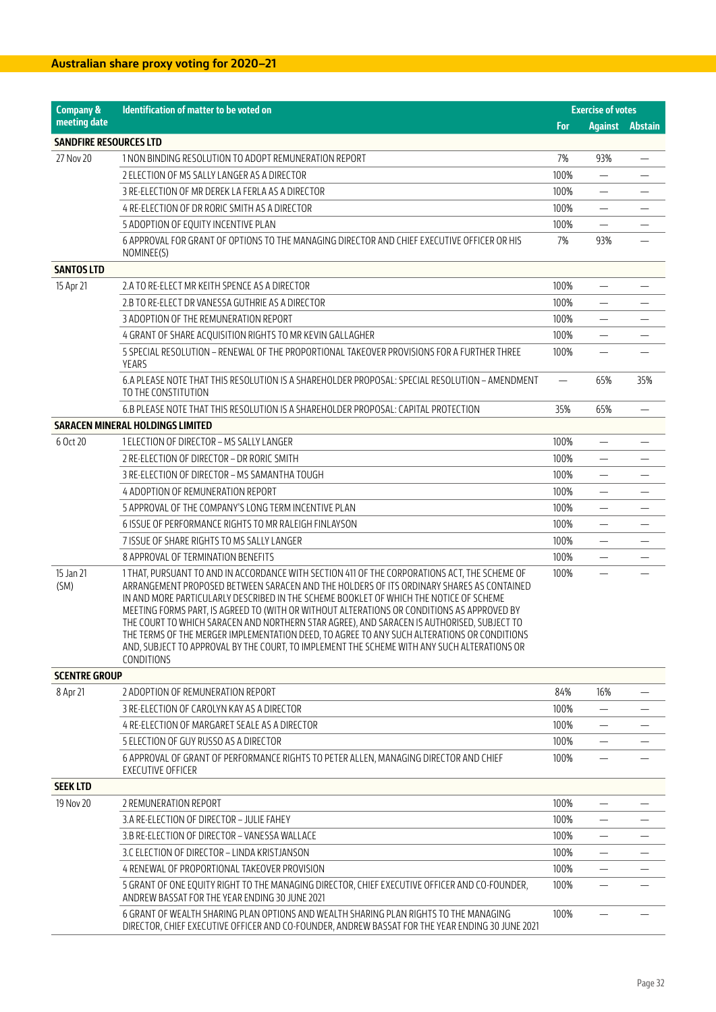| <b>Company &amp;</b>          | Identification of matter to be voted on                                                                                                                                                                                                                                                                                                                                                                                                                                                                                                                                                                                                                                                     |                          | <b>Exercise of votes</b> |         |
|-------------------------------|---------------------------------------------------------------------------------------------------------------------------------------------------------------------------------------------------------------------------------------------------------------------------------------------------------------------------------------------------------------------------------------------------------------------------------------------------------------------------------------------------------------------------------------------------------------------------------------------------------------------------------------------------------------------------------------------|--------------------------|--------------------------|---------|
| meeting date                  |                                                                                                                                                                                                                                                                                                                                                                                                                                                                                                                                                                                                                                                                                             | For                      | <b>Against</b>           | Abstain |
| <b>SANDFIRE RESOURCES LTD</b> |                                                                                                                                                                                                                                                                                                                                                                                                                                                                                                                                                                                                                                                                                             |                          |                          |         |
| 27 Nov 20                     | 1 NON BINDING RESOLUTION TO ADOPT REMUNERATION REPORT                                                                                                                                                                                                                                                                                                                                                                                                                                                                                                                                                                                                                                       | 7%                       | 93%                      |         |
|                               | 2 ELECTION OF MS SALLY LANGER AS A DIRECTOR                                                                                                                                                                                                                                                                                                                                                                                                                                                                                                                                                                                                                                                 | 100%                     |                          |         |
|                               | 3 RE-ELECTION OF MR DEREK LA FERLA AS A DIRECTOR                                                                                                                                                                                                                                                                                                                                                                                                                                                                                                                                                                                                                                            | 100%                     |                          |         |
|                               | 4 RE-ELECTION OF DR RORIC SMITH AS A DIRECTOR                                                                                                                                                                                                                                                                                                                                                                                                                                                                                                                                                                                                                                               | 100%                     | $\overline{\phantom{0}}$ |         |
|                               | 5 ADOPTION OF EQUITY INCENTIVE PLAN                                                                                                                                                                                                                                                                                                                                                                                                                                                                                                                                                                                                                                                         | 100%                     | $\equiv$                 |         |
|                               | 6 APPROVAL FOR GRANT OF OPTIONS TO THE MANAGING DIRECTOR AND CHIEF EXECUTIVE OFFICER OR HIS<br>NOMINEE(S)                                                                                                                                                                                                                                                                                                                                                                                                                                                                                                                                                                                   | 7%                       | 93%                      |         |
| <b>SANTOS LTD</b>             |                                                                                                                                                                                                                                                                                                                                                                                                                                                                                                                                                                                                                                                                                             |                          |                          |         |
| 15 Apr 21                     | 2.A TO RE-ELECT MR KEITH SPENCE AS A DIRECTOR                                                                                                                                                                                                                                                                                                                                                                                                                                                                                                                                                                                                                                               | 100%                     |                          |         |
|                               | 2.B TO RE-ELECT DR VANESSA GUTHRIE AS A DIRECTOR                                                                                                                                                                                                                                                                                                                                                                                                                                                                                                                                                                                                                                            | 100%                     | $\overline{\phantom{0}}$ |         |
|                               | 3 ADOPTION OF THE REMUNERATION REPORT                                                                                                                                                                                                                                                                                                                                                                                                                                                                                                                                                                                                                                                       | 100%                     |                          |         |
|                               | 4 GRANT OF SHARE ACOUISITION RIGHTS TO MR KEVIN GALLAGHER                                                                                                                                                                                                                                                                                                                                                                                                                                                                                                                                                                                                                                   | 100%                     |                          |         |
|                               | 5 SPECIAL RESOLUTION – RENEWAL OF THE PROPORTIONAL TAKEOVER PROVISIONS FOR A FURTHER THREE<br>YEARS                                                                                                                                                                                                                                                                                                                                                                                                                                                                                                                                                                                         | 100%                     |                          |         |
|                               | 6.A PLEASE NOTE THAT THIS RESOLUTION IS A SHAREHOLDER PROPOSAL: SPECIAL RESOLUTION - AMENDMENT<br>TO THE CONSTITUTION                                                                                                                                                                                                                                                                                                                                                                                                                                                                                                                                                                       | $\overline{\phantom{0}}$ | 65%                      | 35%     |
|                               | 6.B PLEASE NOTE THAT THIS RESOLUTION IS A SHAREHOLDER PROPOSAL: CAPITAL PROTECTION                                                                                                                                                                                                                                                                                                                                                                                                                                                                                                                                                                                                          | 35%                      | 65%                      |         |
|                               | SARACEN MINERAL HOLDINGS LIMITED                                                                                                                                                                                                                                                                                                                                                                                                                                                                                                                                                                                                                                                            |                          |                          |         |
| 6 Oct 20                      | 1 ELECTION OF DIRECTOR - MS SALLY LANGER                                                                                                                                                                                                                                                                                                                                                                                                                                                                                                                                                                                                                                                    | 100%                     |                          |         |
|                               | 2 RE-ELECTION OF DIRECTOR - DR RORIC SMITH                                                                                                                                                                                                                                                                                                                                                                                                                                                                                                                                                                                                                                                  | 100%                     |                          |         |
|                               | 3 RE-ELECTION OF DIRECTOR - MS SAMANTHA TOUGH                                                                                                                                                                                                                                                                                                                                                                                                                                                                                                                                                                                                                                               | 100%                     | —                        |         |
|                               | 4 ADOPTION OF REMUNERATION REPORT                                                                                                                                                                                                                                                                                                                                                                                                                                                                                                                                                                                                                                                           | 100%                     |                          |         |
|                               | 5 APPROVAL OF THE COMPANY'S LONG TERM INCENTIVE PLAN                                                                                                                                                                                                                                                                                                                                                                                                                                                                                                                                                                                                                                        | 100%                     | —                        |         |
|                               | 6 ISSUE OF PERFORMANCE RIGHTS TO MR RALEIGH FINLAYSON                                                                                                                                                                                                                                                                                                                                                                                                                                                                                                                                                                                                                                       | 100%                     | $\overline{\phantom{0}}$ |         |
|                               | 7 ISSUE OF SHARE RIGHTS TO MS SALLY LANGER                                                                                                                                                                                                                                                                                                                                                                                                                                                                                                                                                                                                                                                  | 100%                     | $\overline{\phantom{0}}$ |         |
|                               | 8 APPROVAL OF TERMINATION BENEFITS                                                                                                                                                                                                                                                                                                                                                                                                                                                                                                                                                                                                                                                          | 100%                     |                          |         |
| 15 Jan 21<br>(SM)             | 1 THAT, PURSUANT TO AND IN ACCORDANCE WITH SECTION 411 OF THE CORPORATIONS ACT, THE SCHEME OF<br>ARRANGEMENT PROPOSED BETWEEN SARACEN AND THE HOLDERS OF ITS ORDINARY SHARES AS CONTAINED<br>IN AND MORE PARTICULARLY DESCRIBED IN THE SCHEME BOOKLET OF WHICH THE NOTICE OF SCHEME<br>MEETING FORMS PART, IS AGREED TO (WITH OR WITHOUT ALTERATIONS OR CONDITIONS AS APPROVED BY<br>THE COURT TO WHICH SARACEN AND NORTHERN STAR AGREE), AND SARACEN IS AUTHORISED, SUBJECT TO<br>THE TERMS OF THE MERGER IMPLEMENTATION DEED, TO AGREE TO ANY SUCH ALTERATIONS OR CONDITIONS<br>AND, SUBJECT TO APPROVAL BY THE COURT, TO IMPLEMENT THE SCHEME WITH ANY SUCH ALTERATIONS OR<br>CONDITIONS | 100%                     |                          |         |
| <b>SCENTRE GROUP</b>          |                                                                                                                                                                                                                                                                                                                                                                                                                                                                                                                                                                                                                                                                                             |                          |                          |         |
| 8 Apr 21                      | 2 ADOPTION OF REMUNERATION REPORT                                                                                                                                                                                                                                                                                                                                                                                                                                                                                                                                                                                                                                                           | 84%                      | 16%                      |         |
|                               | 3 RE-ELECTION OF CAROLYN KAY AS A DIRECTOR                                                                                                                                                                                                                                                                                                                                                                                                                                                                                                                                                                                                                                                  | 100%                     |                          |         |
|                               | 4 RE-ELECTION OF MARGARET SEALE AS A DIRECTOR                                                                                                                                                                                                                                                                                                                                                                                                                                                                                                                                                                                                                                               | 100%                     |                          |         |
|                               | 5 ELECTION OF GUY RUSSO AS A DIRECTOR                                                                                                                                                                                                                                                                                                                                                                                                                                                                                                                                                                                                                                                       | 100%                     | $\overline{\phantom{0}}$ |         |
|                               | 6 APPROVAL OF GRANT OF PERFORMANCE RIGHTS TO PETER ALLEN, MANAGING DIRECTOR AND CHIEF<br><b>EXECUTIVE OFFICER</b>                                                                                                                                                                                                                                                                                                                                                                                                                                                                                                                                                                           | 100%                     |                          |         |
| <b>SEEK LTD</b>               |                                                                                                                                                                                                                                                                                                                                                                                                                                                                                                                                                                                                                                                                                             |                          |                          |         |
| 19 Nov 20                     | 2 REMUNERATION REPORT                                                                                                                                                                                                                                                                                                                                                                                                                                                                                                                                                                                                                                                                       | 100%                     |                          |         |
|                               | 3.A RE-ELECTION OF DIRECTOR - JULIE FAHEY                                                                                                                                                                                                                                                                                                                                                                                                                                                                                                                                                                                                                                                   | 100%                     |                          |         |
|                               | 3.B RE-ELECTION OF DIRECTOR - VANESSA WALLACE                                                                                                                                                                                                                                                                                                                                                                                                                                                                                                                                                                                                                                               | 100%                     |                          |         |
|                               | 3.C ELECTION OF DIRECTOR - LINDA KRISTJANSON                                                                                                                                                                                                                                                                                                                                                                                                                                                                                                                                                                                                                                                | 100%                     |                          |         |
|                               | 4 RENEWAL OF PROPORTIONAL TAKEOVER PROVISION                                                                                                                                                                                                                                                                                                                                                                                                                                                                                                                                                                                                                                                | 100%                     |                          |         |
|                               | 5 GRANT OF ONE EQUITY RIGHT TO THE MANAGING DIRECTOR, CHIEF EXECUTIVE OFFICER AND CO-FOUNDER,<br>ANDREW BASSAT FOR THE YEAR ENDING 30 JUNE 2021                                                                                                                                                                                                                                                                                                                                                                                                                                                                                                                                             | 100%                     |                          |         |
|                               | 6 GRANT OF WEALTH SHARING PLAN OPTIONS AND WEALTH SHARING PLAN RIGHTS TO THE MANAGING<br>DIRECTOR, CHIEF EXECUTIVE OFFICER AND CO-FOUNDER, ANDREW BASSAT FOR THE YEAR ENDING 30 JUNE 2021                                                                                                                                                                                                                                                                                                                                                                                                                                                                                                   | 100%                     |                          |         |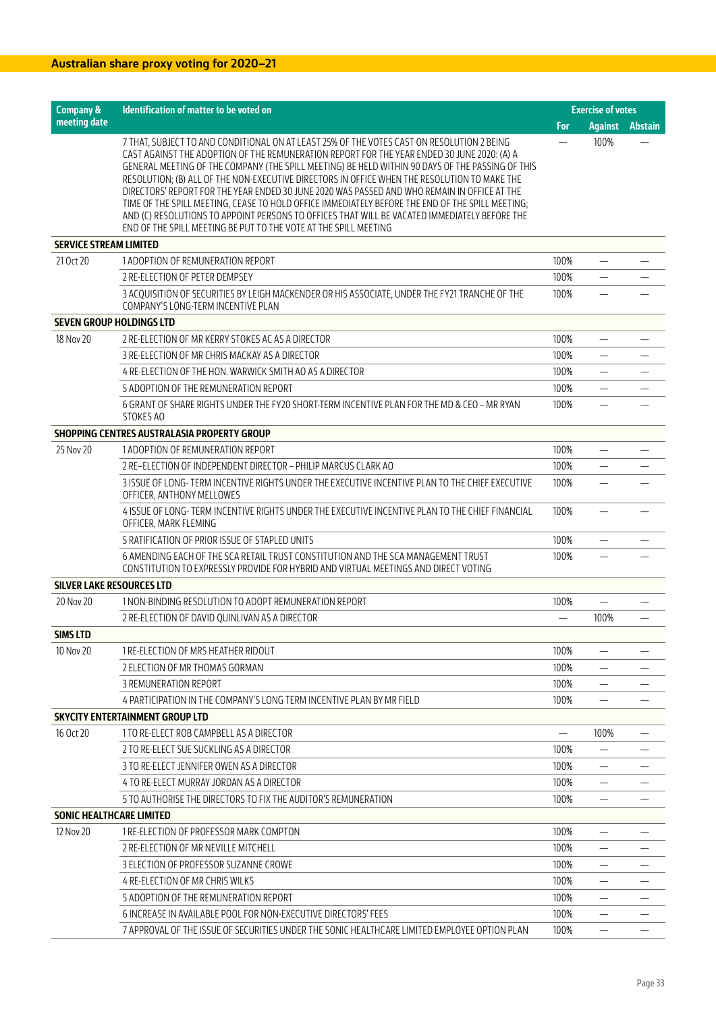| <b>Company &amp;</b>             | <b>Identification of matter to be voted on</b>                                                                                                                                                                                                                                                                                                                                                                                                                                                                                                                                                                                                                                                                                                                         | <b>Exercise of votes</b> |                                |                |
|----------------------------------|------------------------------------------------------------------------------------------------------------------------------------------------------------------------------------------------------------------------------------------------------------------------------------------------------------------------------------------------------------------------------------------------------------------------------------------------------------------------------------------------------------------------------------------------------------------------------------------------------------------------------------------------------------------------------------------------------------------------------------------------------------------------|--------------------------|--------------------------------|----------------|
| meeting date                     |                                                                                                                                                                                                                                                                                                                                                                                                                                                                                                                                                                                                                                                                                                                                                                        | For                      | <b>Against</b>                 | <b>Abstain</b> |
|                                  | 7 THAT, SUBJECT TO AND CONDITIONAL ON AT LEAST 25% OF THE VOTES CAST ON RESOLUTION 2 BEING<br>CAST AGAINST THE ADOPTION OF THE REMUNERATION REPORT FOR THE YEAR ENDED 30 JUNE 2020: (A) A<br>GENERAL MEETING OF THE COMPANY (THE SPILL MEETING) BE HELD WITHIN 90 DAYS OF THE PASSING OF THIS<br>RESOLUTION: (B) ALL OF THE NON-EXECUTIVE DIRECTORS IN OFFICE WHEN THE RESOLUTION TO MAKE THE<br>DIRECTORS' REPORT FOR THE YEAR ENDED 30 JUNE 2020 WAS PASSED AND WHO REMAIN IN OFFICE AT THE<br>TIME OF THE SPILL MEETING, CEASE TO HOLD OFFICE IMMEDIATELY BEFORE THE END OF THE SPILL MEETING;<br>AND (C) RESOLUTIONS TO APPOINT PERSONS TO OFFICES THAT WILL BE VACATED IMMEDIATELY BEFORE THE<br>END OF THE SPILL MEETING BE PUT TO THE VOTE AT THE SPILL MEETING |                          | 100%                           |                |
| <b>SERVICE STREAM LIMITED</b>    |                                                                                                                                                                                                                                                                                                                                                                                                                                                                                                                                                                                                                                                                                                                                                                        |                          |                                |                |
| 21 Oct 20                        | 1 ADOPTION OF REMUNERATION REPORT                                                                                                                                                                                                                                                                                                                                                                                                                                                                                                                                                                                                                                                                                                                                      | 100%                     |                                |                |
|                                  | 2 RE-ELECTION OF PETER DEMPSEY                                                                                                                                                                                                                                                                                                                                                                                                                                                                                                                                                                                                                                                                                                                                         | 100%                     |                                |                |
|                                  | 3 ACQUISITION OF SECURITIES BY LEIGH MACKENDER OR HIS ASSOCIATE, UNDER THE FY21 TRANCHE OF THE<br>COMPANY'S LONG-TERM INCENTIVE PLAN                                                                                                                                                                                                                                                                                                                                                                                                                                                                                                                                                                                                                                   | 100%                     |                                |                |
| <b>SEVEN GROUP HOLDINGS LTD</b>  |                                                                                                                                                                                                                                                                                                                                                                                                                                                                                                                                                                                                                                                                                                                                                                        |                          |                                |                |
| 18 Nov 20                        | 2 RE-ELECTION OF MR KERRY STOKES AC AS A DIRECTOR                                                                                                                                                                                                                                                                                                                                                                                                                                                                                                                                                                                                                                                                                                                      | 100%                     | $\overline{\phantom{0}}$       |                |
|                                  | 3 RE-ELECTION OF MR CHRIS MACKAY AS A DIRECTOR                                                                                                                                                                                                                                                                                                                                                                                                                                                                                                                                                                                                                                                                                                                         | 100%                     |                                |                |
|                                  | 4 RE-ELECTION OF THE HON. WARWICK SMITH AO AS A DIRECTOR                                                                                                                                                                                                                                                                                                                                                                                                                                                                                                                                                                                                                                                                                                               | 100%                     | $\equiv$                       |                |
|                                  | 5 ADOPTION OF THE REMUNERATION REPORT                                                                                                                                                                                                                                                                                                                                                                                                                                                                                                                                                                                                                                                                                                                                  | 100%                     |                                |                |
|                                  | 6 GRANT OF SHARE RIGHTS UNDER THE FY20 SHORT-TERM INCENTIVE PLAN FOR THE MD & CEO - MR RYAN<br>STOKES AO                                                                                                                                                                                                                                                                                                                                                                                                                                                                                                                                                                                                                                                               | 100%                     | $\overline{\phantom{0}}$       |                |
|                                  | SHOPPING CENTRES AUSTRALASIA PROPERTY GROUP                                                                                                                                                                                                                                                                                                                                                                                                                                                                                                                                                                                                                                                                                                                            |                          |                                |                |
| 25 Nov 20                        | 1 ADOPTION OF REMUNERATION REPORT                                                                                                                                                                                                                                                                                                                                                                                                                                                                                                                                                                                                                                                                                                                                      | 100%                     |                                |                |
|                                  | 2 RE-ELECTION OF INDEPENDENT DIRECTOR - PHILIP MARCUS CLARK AO                                                                                                                                                                                                                                                                                                                                                                                                                                                                                                                                                                                                                                                                                                         | 100%                     | $\qquad \qquad -$              |                |
|                                  | 3 ISSUE OF LONG- TERM INCENTIVE RIGHTS UNDER THE EXECUTIVE INCENTIVE PLAN TO THE CHIEF EXECUTIVE<br>OFFICER, ANTHONY MELLOWES                                                                                                                                                                                                                                                                                                                                                                                                                                                                                                                                                                                                                                          | 100%                     | $\overline{\phantom{0}}$       |                |
|                                  | 4 ISSUE OF LONG- TERM INCENTIVE RIGHTS UNDER THE EXECUTIVE INCENTIVE PLAN TO THE CHIEF FINANCIAL<br>OFFICER, MARK FLEMING                                                                                                                                                                                                                                                                                                                                                                                                                                                                                                                                                                                                                                              | 100%                     |                                |                |
|                                  | 5 RATIFICATION OF PRIOR ISSUE OF STAPLED UNITS                                                                                                                                                                                                                                                                                                                                                                                                                                                                                                                                                                                                                                                                                                                         | 100%                     | $\overline{\phantom{0}}$       |                |
|                                  | 6 AMENDING EACH OF THE SCA RETAIL TRUST CONSTITUTION AND THE SCA MANAGEMENT TRUST<br>CONSTITUTION TO EXPRESSLY PROVIDE FOR HYBRID AND VIRTUAL MEETINGS AND DIRECT VOTING                                                                                                                                                                                                                                                                                                                                                                                                                                                                                                                                                                                               | 100%                     |                                |                |
| <b>SILVER LAKE RESOURCES LTD</b> |                                                                                                                                                                                                                                                                                                                                                                                                                                                                                                                                                                                                                                                                                                                                                                        |                          |                                |                |
| 20 Nov 20                        | 1 NON-BINDING RESOLUTION TO ADOPT REMUNERATION REPORT                                                                                                                                                                                                                                                                                                                                                                                                                                                                                                                                                                                                                                                                                                                  | 100%                     |                                |                |
|                                  | 2 RE-ELECTION OF DAVID QUINLIVAN AS A DIRECTOR                                                                                                                                                                                                                                                                                                                                                                                                                                                                                                                                                                                                                                                                                                                         |                          | 100%                           |                |
| <b>SIMS LTD</b>                  |                                                                                                                                                                                                                                                                                                                                                                                                                                                                                                                                                                                                                                                                                                                                                                        |                          |                                |                |
| 10 Nov 20                        | 1 RE-ELECTION OF MRS HEATHER RIDOUT                                                                                                                                                                                                                                                                                                                                                                                                                                                                                                                                                                                                                                                                                                                                    | 100%                     |                                |                |
|                                  | 2 ELECTION OF MR THOMAS GORMAN                                                                                                                                                                                                                                                                                                                                                                                                                                                                                                                                                                                                                                                                                                                                         | 100%                     |                                |                |
|                                  | 3 REMUNERATION REPORT                                                                                                                                                                                                                                                                                                                                                                                                                                                                                                                                                                                                                                                                                                                                                  | 100%                     |                                |                |
|                                  | 4 PARTICIPATION IN THE COMPANY'S LONG TERM INCENTIVE PLAN BY MR FIELD                                                                                                                                                                                                                                                                                                                                                                                                                                                                                                                                                                                                                                                                                                  | 100%                     |                                |                |
|                                  | <b>SKYCITY ENTERTAINMENT GROUP LTD</b>                                                                                                                                                                                                                                                                                                                                                                                                                                                                                                                                                                                                                                                                                                                                 |                          |                                |                |
| 16 Oct 20                        | 1 TO RE-ELECT ROB CAMPBELL AS A DIRECTOR                                                                                                                                                                                                                                                                                                                                                                                                                                                                                                                                                                                                                                                                                                                               |                          | 100%                           |                |
|                                  | 2 TO RE-ELECT SUE SUCKLING AS A DIRECTOR                                                                                                                                                                                                                                                                                                                                                                                                                                                                                                                                                                                                                                                                                                                               | 100%                     |                                |                |
|                                  | 3 TO RE-ELECT JENNIFER OWEN AS A DIRECTOR                                                                                                                                                                                                                                                                                                                                                                                                                                                                                                                                                                                                                                                                                                                              | 100%                     |                                |                |
|                                  | 4 TO RE-ELECT MURRAY JORDAN AS A DIRECTOR                                                                                                                                                                                                                                                                                                                                                                                                                                                                                                                                                                                                                                                                                                                              | 100%                     |                                |                |
|                                  | 5 TO AUTHORISE THE DIRECTORS TO FIX THE AUDITOR'S REMUNERATION                                                                                                                                                                                                                                                                                                                                                                                                                                                                                                                                                                                                                                                                                                         | 100%                     | $\qquad \qquad \longleftarrow$ |                |
| <b>SONIC HEALTHCARE LIMITED</b>  |                                                                                                                                                                                                                                                                                                                                                                                                                                                                                                                                                                                                                                                                                                                                                                        |                          |                                |                |
| 12 Nov 20                        | 1 RE-ELECTION OF PROFESSOR MARK COMPTON                                                                                                                                                                                                                                                                                                                                                                                                                                                                                                                                                                                                                                                                                                                                | 100%                     |                                |                |
|                                  | 2 RE-ELECTION OF MR NEVILLE MITCHELL                                                                                                                                                                                                                                                                                                                                                                                                                                                                                                                                                                                                                                                                                                                                   | 100%                     |                                |                |
|                                  | 3 ELECTION OF PROFESSOR SUZANNE CROWE                                                                                                                                                                                                                                                                                                                                                                                                                                                                                                                                                                                                                                                                                                                                  | 100%                     |                                |                |
|                                  | 4 RE-ELECTION OF MR CHRIS WILKS                                                                                                                                                                                                                                                                                                                                                                                                                                                                                                                                                                                                                                                                                                                                        | 100%                     |                                |                |
|                                  | 5 ADOPTION OF THE REMUNERATION REPORT                                                                                                                                                                                                                                                                                                                                                                                                                                                                                                                                                                                                                                                                                                                                  | 100%                     |                                |                |
|                                  | 6 INCREASE IN AVAILABLE POOL FOR NON-EXECUTIVE DIRECTORS' FEES                                                                                                                                                                                                                                                                                                                                                                                                                                                                                                                                                                                                                                                                                                         | 100%                     | $\overbrace{\phantom{13333}}$  |                |
|                                  | 7 APPROVAL OF THE ISSUE OF SECURITIES UNDER THE SONIC HEALTHCARE LIMITED EMPLOYEE OPTION PLAN                                                                                                                                                                                                                                                                                                                                                                                                                                                                                                                                                                                                                                                                          | 100%                     | $\qquad \qquad -$              |                |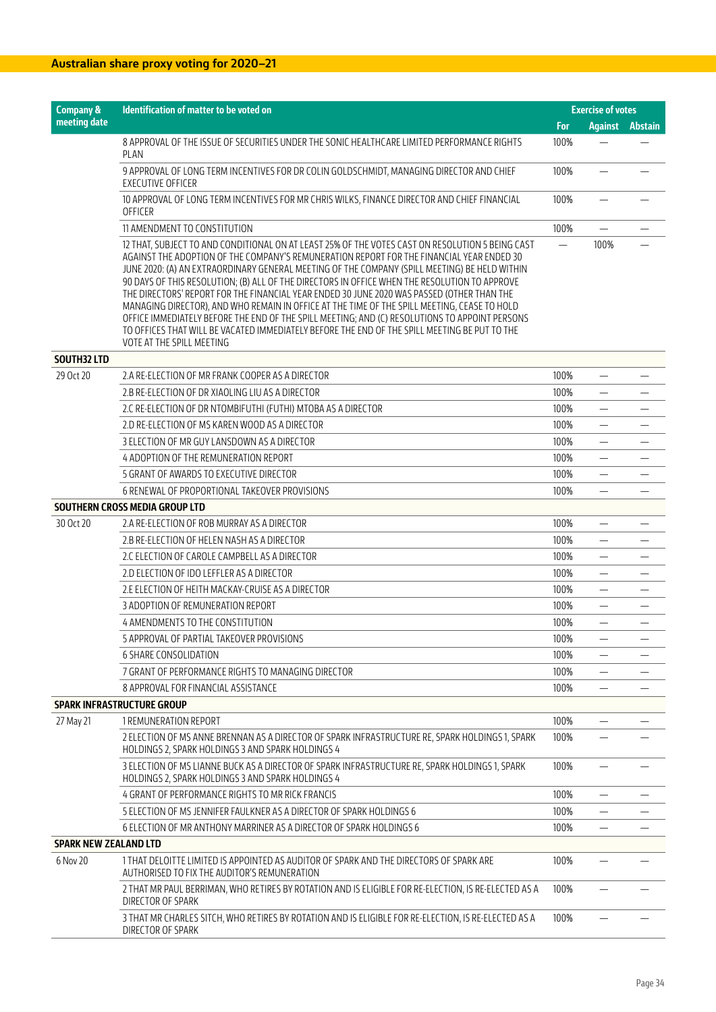| <b>Company &amp;</b>         | Identification of matter to be voted on                                                                                                                                                                                                                                                                                                                                                                                                                                                                                                                                                                                                                                                                                                                                                                                       |                   | <b>Exercise of votes</b>       |                |
|------------------------------|-------------------------------------------------------------------------------------------------------------------------------------------------------------------------------------------------------------------------------------------------------------------------------------------------------------------------------------------------------------------------------------------------------------------------------------------------------------------------------------------------------------------------------------------------------------------------------------------------------------------------------------------------------------------------------------------------------------------------------------------------------------------------------------------------------------------------------|-------------------|--------------------------------|----------------|
| meeting date                 |                                                                                                                                                                                                                                                                                                                                                                                                                                                                                                                                                                                                                                                                                                                                                                                                                               | For               | <b>Against</b>                 | <b>Abstain</b> |
|                              | 8 APPROVAL OF THE ISSUE OF SECURITIES UNDER THE SONIC HEALTHCARE LIMITED PERFORMANCE RIGHTS<br>PLAN                                                                                                                                                                                                                                                                                                                                                                                                                                                                                                                                                                                                                                                                                                                           | 100%              |                                |                |
|                              | 9 APPROVAL OF LONG TERM INCENTIVES FOR DR COLIN GOLDSCHMIDT, MANAGING DIRECTOR AND CHIEF<br><b>EXECUTIVE OFFICER</b>                                                                                                                                                                                                                                                                                                                                                                                                                                                                                                                                                                                                                                                                                                          | 100%              |                                |                |
|                              | 10 APPROVAL OF LONG TERM INCENTIVES FOR MR CHRIS WILKS, FINANCE DIRECTOR AND CHIEF FINANCIAL<br>OFFICER                                                                                                                                                                                                                                                                                                                                                                                                                                                                                                                                                                                                                                                                                                                       | 100%              |                                |                |
|                              | 11 AMENDMENT TO CONSTITUTION                                                                                                                                                                                                                                                                                                                                                                                                                                                                                                                                                                                                                                                                                                                                                                                                  | 100%              |                                |                |
|                              | 12 THAT, SUBJECT TO AND CONDITIONAL ON AT LEAST 25% OF THE VOTES CAST ON RESOLUTION 5 BEING CAST<br>AGAINST THE ADOPTION OF THE COMPANY'S REMUNERATION REPORT FOR THE FINANCIAL YEAR ENDED 30<br>JUNE 2020: (A) AN EXTRAORDINARY GENERAL MEETING OF THE COMPANY (SPILL MEETING) BE HELD WITHIN<br>90 DAYS OF THIS RESOLUTION; (B) ALL OF THE DIRECTORS IN OFFICE WHEN THE RESOLUTION TO APPROVE<br>THE DIRECTORS' REPORT FOR THE FINANCIAL YEAR ENDED 30 JUNE 2020 WAS PASSED (OTHER THAN THE<br>MANAGING DIRECTOR), AND WHO REMAIN IN OFFICE AT THE TIME OF THE SPILL MEETING, CEASE TO HOLD<br>OFFICE IMMEDIATELY BEFORE THE END OF THE SPILL MEETING; AND (C) RESOLUTIONS TO APPOINT PERSONS<br>TO OFFICES THAT WILL BE VACATED IMMEDIATELY BEFORE THE END OF THE SPILL MEETING BE PUT TO THE<br>VOTE AT THE SPILL MEETING | $\qquad \qquad -$ | 100%                           |                |
| <b>SOUTH32 LTD</b>           |                                                                                                                                                                                                                                                                                                                                                                                                                                                                                                                                                                                                                                                                                                                                                                                                                               |                   |                                |                |
| 29 Oct 20                    | 2.A RE-ELECTION OF MR FRANK COOPER AS A DIRECTOR                                                                                                                                                                                                                                                                                                                                                                                                                                                                                                                                                                                                                                                                                                                                                                              | 100%              |                                |                |
|                              | 2.B RE-ELECTION OF DR XIAOLING LIU AS A DIRECTOR                                                                                                                                                                                                                                                                                                                                                                                                                                                                                                                                                                                                                                                                                                                                                                              | 100%              |                                |                |
|                              | 2.C RE-ELECTION OF DR NTOMBIFUTHI (FUTHI) MTOBA AS A DIRECTOR                                                                                                                                                                                                                                                                                                                                                                                                                                                                                                                                                                                                                                                                                                                                                                 | 100%              |                                |                |
|                              | 2.D RE-ELECTION OF MS KAREN WOOD AS A DIRECTOR                                                                                                                                                                                                                                                                                                                                                                                                                                                                                                                                                                                                                                                                                                                                                                                | 100%              |                                |                |
|                              | 3 ELECTION OF MR GUY LANSDOWN AS A DIRECTOR                                                                                                                                                                                                                                                                                                                                                                                                                                                                                                                                                                                                                                                                                                                                                                                   | 100%              |                                |                |
|                              | 4 ADOPTION OF THE REMUNERATION REPORT                                                                                                                                                                                                                                                                                                                                                                                                                                                                                                                                                                                                                                                                                                                                                                                         | 100%              |                                |                |
|                              | 5 GRANT OF AWARDS TO EXECUTIVE DIRECTOR                                                                                                                                                                                                                                                                                                                                                                                                                                                                                                                                                                                                                                                                                                                                                                                       | 100%              |                                |                |
|                              | 6 RENEWAL OF PROPORTIONAL TAKEOVER PROVISIONS                                                                                                                                                                                                                                                                                                                                                                                                                                                                                                                                                                                                                                                                                                                                                                                 | 100%              |                                |                |
|                              | SOUTHERN CROSS MEDIA GROUP LTD                                                                                                                                                                                                                                                                                                                                                                                                                                                                                                                                                                                                                                                                                                                                                                                                |                   |                                |                |
| 30 Oct 20                    | 2.A RE-ELECTION OF ROB MURRAY AS A DIRECTOR                                                                                                                                                                                                                                                                                                                                                                                                                                                                                                                                                                                                                                                                                                                                                                                   | 100%              |                                |                |
|                              | 2.B RE-ELECTION OF HELEN NASH AS A DIRECTOR                                                                                                                                                                                                                                                                                                                                                                                                                                                                                                                                                                                                                                                                                                                                                                                   | 100%              |                                |                |
|                              | 2.C ELECTION OF CAROLE CAMPBELL AS A DIRECTOR                                                                                                                                                                                                                                                                                                                                                                                                                                                                                                                                                                                                                                                                                                                                                                                 | 100%              | $\overline{\phantom{0}}$       |                |
|                              | 2.D ELECTION OF IDO LEFFLER AS A DIRECTOR                                                                                                                                                                                                                                                                                                                                                                                                                                                                                                                                                                                                                                                                                                                                                                                     | 100%              | $\qquad \qquad -$              |                |
|                              | 2.E ELECTION OF HEITH MACKAY-CRUISE AS A DIRECTOR                                                                                                                                                                                                                                                                                                                                                                                                                                                                                                                                                                                                                                                                                                                                                                             | 100%              | $\overline{\phantom{0}}$       |                |
|                              | 3 ADOPTION OF REMUNERATION REPORT                                                                                                                                                                                                                                                                                                                                                                                                                                                                                                                                                                                                                                                                                                                                                                                             | 100%              |                                |                |
|                              | 4 AMENDMENTS TO THE CONSTITUTION                                                                                                                                                                                                                                                                                                                                                                                                                                                                                                                                                                                                                                                                                                                                                                                              | 100%              | $\overline{\phantom{0}}$       |                |
|                              | 5 APPROVAL OF PARTIAL TAKEOVER PROVISIONS                                                                                                                                                                                                                                                                                                                                                                                                                                                                                                                                                                                                                                                                                                                                                                                     | 100%              |                                |                |
|                              | 6 SHARE CONSOLIDATION                                                                                                                                                                                                                                                                                                                                                                                                                                                                                                                                                                                                                                                                                                                                                                                                         | 100%              |                                |                |
|                              | 7 GRANT OF PERFORMANCE RIGHTS TO MANAGING DIRECTOR                                                                                                                                                                                                                                                                                                                                                                                                                                                                                                                                                                                                                                                                                                                                                                            | 100%              | $\qquad \qquad -$              |                |
|                              | 8 APPROVAL FOR FINANCIAL ASSISTANCE                                                                                                                                                                                                                                                                                                                                                                                                                                                                                                                                                                                                                                                                                                                                                                                           | 100%              |                                |                |
|                              | <b>SPARK INFRASTRUCTURE GROUP</b>                                                                                                                                                                                                                                                                                                                                                                                                                                                                                                                                                                                                                                                                                                                                                                                             |                   |                                |                |
| 27 May 21                    | 1 REMUNERATION REPORT                                                                                                                                                                                                                                                                                                                                                                                                                                                                                                                                                                                                                                                                                                                                                                                                         | 100%              |                                |                |
|                              | 2 ELECTION OF MS ANNE BRENNAN AS A DIRECTOR OF SPARK INFRASTRUCTURE RE, SPARK HOLDINGS 1, SPARK<br>HOLDINGS 2, SPARK HOLDINGS 3 AND SPARK HOLDINGS 4                                                                                                                                                                                                                                                                                                                                                                                                                                                                                                                                                                                                                                                                          | 100%              |                                |                |
|                              | 3 ELECTION OF MS LIANNE BUCK AS A DIRECTOR OF SPARK INFRASTRUCTURE RE. SPARK HOLDINGS 1. SPARK<br>HOLDINGS 2, SPARK HOLDINGS 3 AND SPARK HOLDINGS 4                                                                                                                                                                                                                                                                                                                                                                                                                                                                                                                                                                                                                                                                           | 100%              |                                |                |
|                              | 4 GRANT OF PERFORMANCE RIGHTS TO MR RICK FRANCIS                                                                                                                                                                                                                                                                                                                                                                                                                                                                                                                                                                                                                                                                                                                                                                              | 100%              | $\qquad \qquad \longleftarrow$ |                |
|                              | 5 ELECTION OF MS JENNIFER FAULKNER AS A DIRECTOR OF SPARK HOLDINGS 6                                                                                                                                                                                                                                                                                                                                                                                                                                                                                                                                                                                                                                                                                                                                                          | 100%              |                                |                |
|                              | 6 ELECTION OF MR ANTHONY MARRINER AS A DIRECTOR OF SPARK HOLDINGS 6                                                                                                                                                                                                                                                                                                                                                                                                                                                                                                                                                                                                                                                                                                                                                           | 100%              |                                |                |
| <b>SPARK NEW ZEALAND LTD</b> |                                                                                                                                                                                                                                                                                                                                                                                                                                                                                                                                                                                                                                                                                                                                                                                                                               |                   |                                |                |
| 6 Nov 20                     | 1 THAT DELOITTE LIMITED IS APPOINTED AS AUDITOR OF SPARK AND THE DIRECTORS OF SPARK ARE<br>AUTHORISED TO FIX THE AUDITOR'S REMUNERATION                                                                                                                                                                                                                                                                                                                                                                                                                                                                                                                                                                                                                                                                                       | 100%              |                                |                |
|                              | 2 THAT MR PAUL BERRIMAN, WHO RETIRES BY ROTATION AND IS ELIGIBLE FOR RE-ELECTION, IS RE-ELECTED AS A<br>DIRECTOR OF SPARK                                                                                                                                                                                                                                                                                                                                                                                                                                                                                                                                                                                                                                                                                                     | 100%              |                                |                |
|                              | 3 THAT MR CHARLES SITCH, WHO RETIRES BY ROTATION AND IS ELIGIBLE FOR RE-ELECTION, IS RE-ELECTED AS A<br>DIRECTOR OF SPARK                                                                                                                                                                                                                                                                                                                                                                                                                                                                                                                                                                                                                                                                                                     | 100%              |                                |                |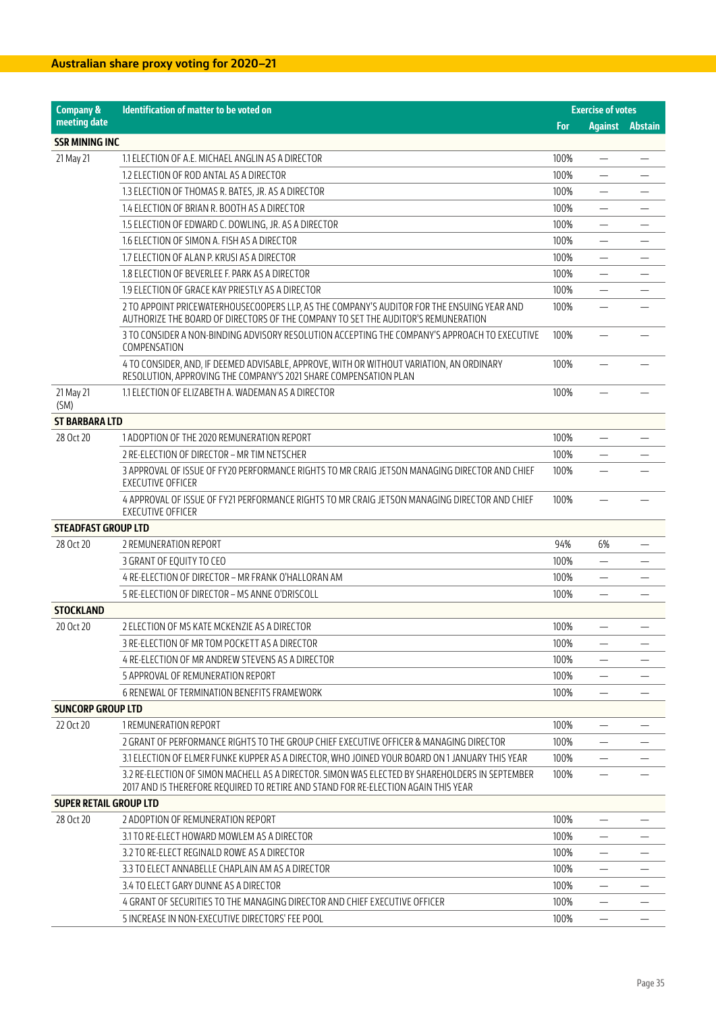| <b>Company &amp;</b>          | Identification of matter to be voted on                                                                                                                                              |            | <b>Exercise of votes</b> |         |
|-------------------------------|--------------------------------------------------------------------------------------------------------------------------------------------------------------------------------------|------------|--------------------------|---------|
| meeting date                  |                                                                                                                                                                                      | <b>For</b> | <b>Against</b>           | Abstain |
| <b>SSR MINING INC</b>         |                                                                                                                                                                                      |            |                          |         |
| 21 May 21                     | 1.1 ELECTION OF A.E. MICHAEL ANGLIN AS A DIRECTOR                                                                                                                                    | 100%       | $\overline{\phantom{0}}$ |         |
|                               | 1.2 ELECTION OF ROD ANTAL AS A DIRECTOR                                                                                                                                              | 100%       |                          |         |
|                               | 1.3 ELECTION OF THOMAS R. BATES, JR. AS A DIRECTOR                                                                                                                                   | 100%       | $\overline{\phantom{0}}$ |         |
|                               | 1.4 ELECTION OF BRIAN R. BOOTH AS A DIRECTOR                                                                                                                                         | 100%       | —                        |         |
|                               | 1.5 ELECTION OF EDWARD C. DOWLING, JR. AS A DIRECTOR                                                                                                                                 | 100%       | $\overline{\phantom{0}}$ |         |
|                               | 1.6 ELECTION OF SIMON A. FISH AS A DIRECTOR                                                                                                                                          | 100%       |                          |         |
|                               | 1.7 ELECTION OF ALAN P. KRUSI AS A DIRECTOR                                                                                                                                          | 100%       | $\qquad \qquad -$        |         |
|                               | 1.8 ELECTION OF BEVERLEE F. PARK AS A DIRECTOR                                                                                                                                       | 100%       | $\overline{\phantom{0}}$ |         |
|                               | 1.9 ELECTION OF GRACE KAY PRIESTLY AS A DIRECTOR                                                                                                                                     | 100%       |                          |         |
|                               | 2 TO APPOINT PRICEWATERHOUSECOOPERS LLP, AS THE COMPANY'S AUDITOR FOR THE ENSUING YEAR AND<br>AUTHORIZE THE BOARD OF DIRECTORS OF THE COMPANY TO SET THE AUDITOR'S REMUNERATION      | 100%       |                          |         |
|                               | 3 TO CONSIDER A NON-BINDING ADVISORY RESOLUTION ACCEPTING THE COMPANY'S APPROACH TO EXECUTIVE<br>COMPENSATION                                                                        | 100%       |                          |         |
|                               | 4 TO CONSIDER, AND, IF DEEMED ADVISABLE, APPROVE, WITH OR WITHOUT VARIATION, AN ORDINARY<br>RESOLUTION, APPROVING THE COMPANY'S 2021 SHARE COMPENSATION PLAN                         | 100%       |                          |         |
| 21 May 21<br>(SM)             | 1.1 ELECTION OF ELIZABETH A. WADEMAN AS A DIRECTOR                                                                                                                                   | 100%       |                          |         |
| <b>ST BARBARA LTD</b>         |                                                                                                                                                                                      |            |                          |         |
| 28 Oct 20                     | 1 ADOPTION OF THE 2020 REMUNERATION REPORT                                                                                                                                           | 100%       | —                        |         |
|                               | 2 RE-ELECTION OF DIRECTOR - MR TIM NETSCHER                                                                                                                                          | 100%       | $\overline{\phantom{0}}$ |         |
|                               | 3 APPROVAL OF ISSUE OF FY20 PERFORMANCE RIGHTS TO MR CRAIG JETSON MANAGING DIRECTOR AND CHIEF<br><b>EXECUTIVE OFFICER</b>                                                            | 100%       |                          |         |
|                               | 4 APPROVAL OF ISSUE OF FY21 PERFORMANCE RIGHTS TO MR CRAIG JETSON MANAGING DIRECTOR AND CHIEF<br><b>EXECUTIVE OFFICER</b>                                                            | 100%       |                          |         |
| <b>STEADFAST GROUP LTD</b>    |                                                                                                                                                                                      |            |                          |         |
| 28 Oct 20                     | 2 REMUNERATION REPORT                                                                                                                                                                | 94%        | 6%                       |         |
|                               | 3 GRANT OF EQUITY TO CEO                                                                                                                                                             | 100%       | $\qquad \qquad -$        |         |
|                               | 4 RE-ELECTION OF DIRECTOR - MR FRANK O'HALLORAN AM                                                                                                                                   | 100%       | $\overline{\phantom{0}}$ |         |
|                               | 5 RE-ELECTION OF DIRECTOR - MS ANNE O'DRISCOLL                                                                                                                                       | 100%       |                          |         |
| <b>STOCKLAND</b>              |                                                                                                                                                                                      |            |                          |         |
| 20 Oct 20                     | 2 ELECTION OF MS KATE MCKENZIE AS A DIRECTOR                                                                                                                                         | 100%       | —                        |         |
|                               | 3 RE-ELECTION OF MR TOM POCKETT AS A DIRECTOR                                                                                                                                        | 100%       |                          |         |
|                               | 4 RE-ELECTION OF MR ANDREW STEVENS AS A DIRECTOR                                                                                                                                     | 100%       |                          |         |
|                               | 5 APPROVAL OF REMUNERATION REPORT                                                                                                                                                    | 100%       |                          |         |
|                               | 6 RENEWAL OF TERMINATION BENEFITS FRAMEWORK                                                                                                                                          | 100%       |                          |         |
| <b>SUNCORP GROUP LTD</b>      |                                                                                                                                                                                      |            |                          |         |
| 22 Oct 20                     | 1 REMUNERATION REPORT                                                                                                                                                                | 100%       |                          |         |
|                               | 2 GRANT OF PERFORMANCE RIGHTS TO THE GROUP CHIEF EXECUTIVE OFFICER & MANAGING DIRECTOR                                                                                               | 100%       | —                        |         |
|                               | 3.1 ELECTION OF ELMER FUNKE KUPPER AS A DIRECTOR, WHO JOINED YOUR BOARD ON 1 JANUARY THIS YEAR                                                                                       | 100%       |                          |         |
|                               | 3.2 RE-ELECTION OF SIMON MACHELL AS A DIRECTOR. SIMON WAS ELECTED BY SHAREHOLDERS IN SEPTEMBER<br>2017 AND IS THEREFORE REQUIRED TO RETIRE AND STAND FOR RE-ELECTION AGAIN THIS YEAR | 100%       |                          |         |
| <b>SUPER RETAIL GROUP LTD</b> |                                                                                                                                                                                      |            |                          |         |
| 28 Oct 20                     | 2 ADOPTION OF REMUNERATION REPORT                                                                                                                                                    | 100%       |                          |         |
|                               | 3.1 TO RE-ELECT HOWARD MOWLEM AS A DIRECTOR                                                                                                                                          | 100%       |                          |         |
|                               | 3.2 TO RE-ELECT REGINALD ROWE AS A DIRECTOR                                                                                                                                          | 100%       |                          |         |
|                               | 3.3 TO ELECT ANNABELLE CHAPLAIN AM AS A DIRECTOR                                                                                                                                     | 100%       |                          |         |
|                               | 3.4 TO ELECT GARY DUNNE AS A DIRECTOR                                                                                                                                                | 100%       | —                        |         |
|                               | 4 GRANT OF SECURITIES TO THE MANAGING DIRECTOR AND CHIEF EXECUTIVE OFFICER                                                                                                           | 100%       |                          |         |
|                               | 5 INCREASE IN NON-EXECUTIVE DIRECTORS' FEE POOL                                                                                                                                      | 100%       |                          |         |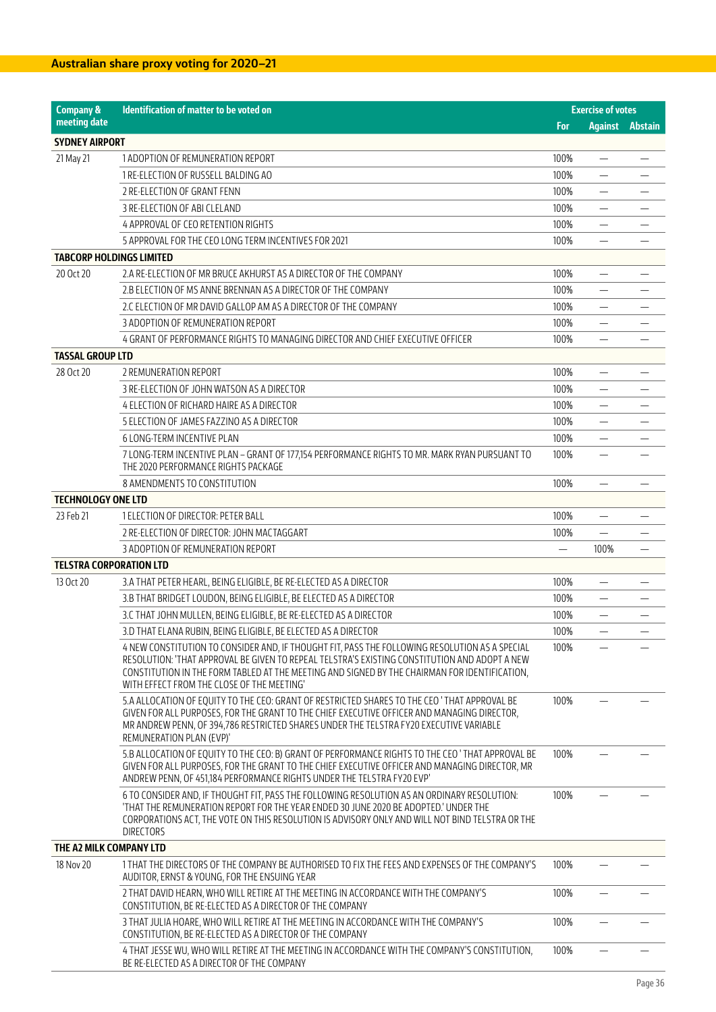| <b>Company &amp;</b>            | Identification of matter to be voted on                                                                                                                                                                                                                                                                                                        |      | <b>Exercise of votes</b> |                        |
|---------------------------------|------------------------------------------------------------------------------------------------------------------------------------------------------------------------------------------------------------------------------------------------------------------------------------------------------------------------------------------------|------|--------------------------|------------------------|
| meeting date                    |                                                                                                                                                                                                                                                                                                                                                | For  |                          | <b>Against Abstain</b> |
| <b>SYDNEY AIRPORT</b>           |                                                                                                                                                                                                                                                                                                                                                |      |                          |                        |
| 21 May 21                       | 1 ADOPTION OF REMUNERATION REPORT                                                                                                                                                                                                                                                                                                              | 100% | $\overline{\phantom{0}}$ |                        |
|                                 | 1 RE-ELECTION OF RUSSELL BALDING AO                                                                                                                                                                                                                                                                                                            | 100% |                          |                        |
|                                 | 2 RE-ELECTION OF GRANT FENN                                                                                                                                                                                                                                                                                                                    | 100% |                          |                        |
|                                 | 3 RE-ELECTION OF ABI CLELAND                                                                                                                                                                                                                                                                                                                   | 100% | —                        |                        |
|                                 | 4 APPROVAL OF CEO RETENTION RIGHTS                                                                                                                                                                                                                                                                                                             | 100% |                          |                        |
|                                 | 5 APPROVAL FOR THE CEO LONG TERM INCENTIVES FOR 2021                                                                                                                                                                                                                                                                                           | 100% |                          |                        |
| <b>TABCORP HOLDINGS LIMITED</b> |                                                                                                                                                                                                                                                                                                                                                |      |                          |                        |
| 20 Oct 20                       | 2.A RE-ELECTION OF MR BRUCE AKHURST AS A DIRECTOR OF THE COMPANY                                                                                                                                                                                                                                                                               | 100% | —                        |                        |
|                                 | 2.B ELECTION OF MS ANNE BRENNAN AS A DIRECTOR OF THE COMPANY                                                                                                                                                                                                                                                                                   | 100% | $\overline{\phantom{0}}$ |                        |
|                                 | 2.C ELECTION OF MR DAVID GALLOP AM AS A DIRECTOR OF THE COMPANY                                                                                                                                                                                                                                                                                | 100% |                          |                        |
|                                 | 3 ADOPTION OF REMUNERATION REPORT                                                                                                                                                                                                                                                                                                              | 100% | $\overline{\phantom{0}}$ |                        |
|                                 | 4 GRANT OF PERFORMANCE RIGHTS TO MANAGING DIRECTOR AND CHIEF EXECUTIVE OFFICER                                                                                                                                                                                                                                                                 | 100% | $\overline{\phantom{0}}$ |                        |
| <b>TASSAL GROUP LTD</b>         |                                                                                                                                                                                                                                                                                                                                                |      |                          |                        |
| 28 Oct 20                       | 2 REMUNERATION REPORT                                                                                                                                                                                                                                                                                                                          | 100% |                          |                        |
|                                 | 3 RE-ELECTION OF JOHN WATSON AS A DIRECTOR                                                                                                                                                                                                                                                                                                     | 100% |                          |                        |
|                                 | 4 ELECTION OF RICHARD HAIRE AS A DIRECTOR                                                                                                                                                                                                                                                                                                      | 100% |                          |                        |
| <b>TECHNOLOGY ONE LTD</b>       | 5 ELECTION OF JAMES FAZZINO AS A DIRECTOR                                                                                                                                                                                                                                                                                                      | 100% |                          |                        |
|                                 | 6 LONG-TERM INCENTIVE PLAN                                                                                                                                                                                                                                                                                                                     | 100% | $\overline{\phantom{0}}$ |                        |
|                                 | 7 LONG-TERM INCENTIVE PLAN - GRANT OF 177,154 PERFORMANCE RIGHTS TO MR. MARK RYAN PURSUANT TO                                                                                                                                                                                                                                                  | 100% | $\overline{\phantom{0}}$ |                        |
|                                 | THE 2020 PERFORMANCE RIGHTS PACKAGE                                                                                                                                                                                                                                                                                                            |      |                          |                        |
|                                 | 8 AMENDMENTS TO CONSTITUTION                                                                                                                                                                                                                                                                                                                   | 100% | —                        |                        |
|                                 |                                                                                                                                                                                                                                                                                                                                                |      |                          |                        |
| 23 Feb 21                       | 1 ELECTION OF DIRECTOR: PETER BALL                                                                                                                                                                                                                                                                                                             | 100% |                          |                        |
|                                 | 2 RE-ELECTION OF DIRECTOR: JOHN MACTAGGART                                                                                                                                                                                                                                                                                                     | 100% | —                        |                        |
|                                 | 3 ADOPTION OF REMUNERATION REPORT                                                                                                                                                                                                                                                                                                              |      | 100%                     |                        |
| <b>TELSTRA CORPORATION LTD</b>  |                                                                                                                                                                                                                                                                                                                                                |      |                          |                        |
| 13 Oct 20                       | 3.A THAT PETER HEARL, BEING ELIGIBLE, BE RE-ELECTED AS A DIRECTOR                                                                                                                                                                                                                                                                              | 100% |                          |                        |
|                                 | 3.B THAT BRIDGET LOUDON, BEING ELIGIBLE, BE ELECTED AS A DIRECTOR                                                                                                                                                                                                                                                                              | 100% | —                        |                        |
|                                 | 3.C THAT JOHN MULLEN, BEING ELIGIBLE, BE RE-ELECTED AS A DIRECTOR                                                                                                                                                                                                                                                                              | 100% |                          |                        |
|                                 | 3.D THAT ELANA RUBIN, BEING ELIGIBLE, BE ELECTED AS A DIRECTOR                                                                                                                                                                                                                                                                                 | 100% | $\overline{\phantom{0}}$ |                        |
|                                 | 4 NEW CONSTITUTION TO CONSIDER AND, IF THOUGHT FIT, PASS THE FOLLOWING RESOLUTION AS A SPECIAL<br>RESOLUTION: 'THAT APPROVAL BE GIVEN TO REPEAL TELSTRA'S EXISTING CONSTITUTION AND ADOPT A NEW<br>CONSTITUTION IN THE FORM TABLED AT THE MEETING AND SIGNED BY THE CHAIRMAN FOR IDENTIFICATION.<br>WITH EFFECT FROM THE CLOSE OF THE MEETING' | 100% |                          |                        |
|                                 | 5.A ALLOCATION OF EQUITY TO THE CEO: GRANT OF RESTRICTED SHARES TO THE CEO 'THAT APPROVAL BE<br>GIVEN FOR ALL PURPOSES, FOR THE GRANT TO THE CHIEF EXECUTIVE OFFICER AND MANAGING DIRECTOR,<br>MR ANDREW PENN, OF 394,786 RESTRICTED SHARES UNDER THE TELSTRA FY20 EXECUTIVE VARIABLE<br>REMUNERATION PLAN (EVP)'                              | 100% |                          |                        |
|                                 | 5.B ALLOCATION OF EQUITY TO THE CEO: B) GRANT OF PERFORMANCE RIGHTS TO THE CEO 'THAT APPROVAL BE<br>GIVEN FOR ALL PURPOSES, FOR THE GRANT TO THE CHIEF EXECUTIVE OFFICER AND MANAGING DIRECTOR, MR<br>ANDREW PENN, OF 451,184 PERFORMANCE RIGHTS UNDER THE TELSTRA FY20 EVP'                                                                   | 100% |                          |                        |
|                                 | 6 TO CONSIDER AND, IF THOUGHT FIT, PASS THE FOLLOWING RESOLUTION AS AN ORDINARY RESOLUTION:<br>'THAT THE REMUNERATION REPORT FOR THE YEAR ENDED 30 JUNE 2020 BE ADOPTED.' UNDER THE<br>CORPORATIONS ACT, THE VOTE ON THIS RESOLUTION IS ADVISORY ONLY AND WILL NOT BIND TELSTRA OR THE<br><b>DIRECTORS</b>                                     | 100% |                          |                        |
| THE A2 MILK COMPANY LTD         |                                                                                                                                                                                                                                                                                                                                                |      |                          |                        |
| 18 Nov 20                       | 1 THAT THE DIRECTORS OF THE COMPANY BE AUTHORISED TO FIX THE FEES AND EXPENSES OF THE COMPANY'S<br>AUDITOR, ERNST & YOUNG, FOR THE ENSUING YEAR                                                                                                                                                                                                | 100% |                          |                        |
|                                 | 2 THAT DAVID HEARN, WHO WILL RETIRE AT THE MEETING IN ACCORDANCE WITH THE COMPANY'S<br>CONSTITUTION, BE RE-ELECTED AS A DIRECTOR OF THE COMPANY                                                                                                                                                                                                | 100% | —                        |                        |
|                                 | 3 THAT JULIA HOARE, WHO WILL RETIRE AT THE MEETING IN ACCORDANCE WITH THE COMPANY'S<br>CONSTITUTION, BE RE-ELECTED AS A DIRECTOR OF THE COMPANY                                                                                                                                                                                                | 100% |                          |                        |
|                                 | 4 THAT JESSE WU, WHO WILL RETIRE AT THE MEETING IN ACCORDANCE WITH THE COMPANY'S CONSTITUTION,<br>BE RE-ELECTED AS A DIRECTOR OF THE COMPANY                                                                                                                                                                                                   | 100% |                          |                        |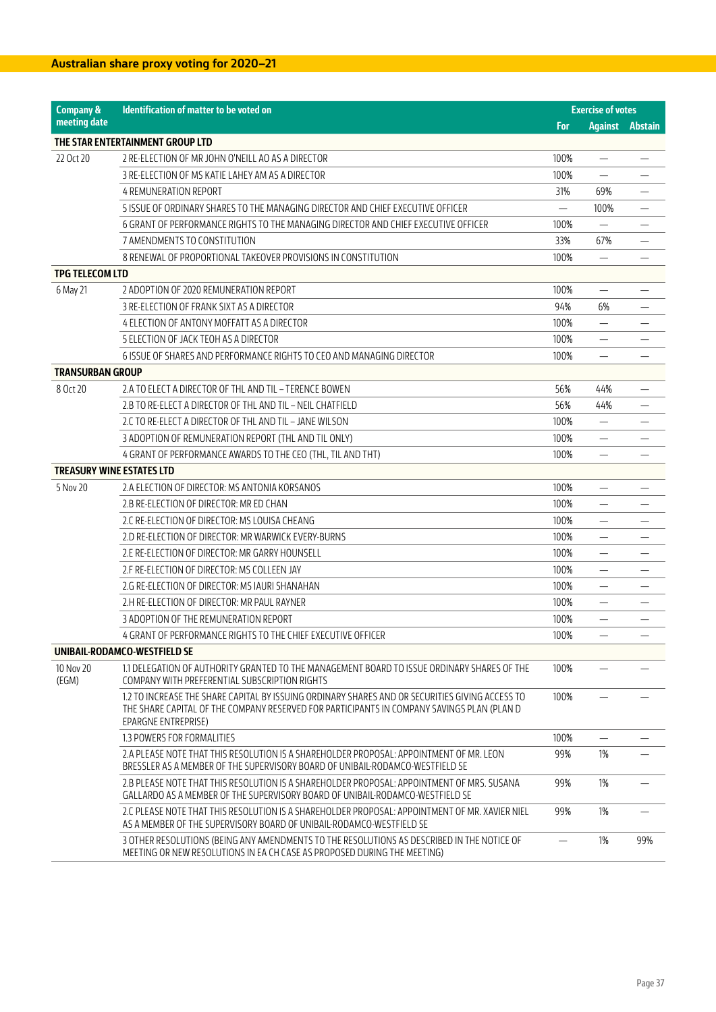| <b>Company &amp;</b>             | Identification of matter to be voted on                                                                                                                                                                              | <b>Exercise of votes</b> |                                 |     |
|----------------------------------|----------------------------------------------------------------------------------------------------------------------------------------------------------------------------------------------------------------------|--------------------------|---------------------------------|-----|
| meeting date                     |                                                                                                                                                                                                                      | For                      | <b>Against Abstain</b>          |     |
|                                  | THE STAR ENTERTAINMENT GROUP LTD                                                                                                                                                                                     |                          |                                 |     |
| 22 Oct 20                        | 2 RE-ELECTION OF MR JOHN O'NEILL AO AS A DIRECTOR                                                                                                                                                                    | 100%                     |                                 |     |
|                                  | 3 RE-ELECTION OF MS KATIE LAHEY AM AS A DIRECTOR                                                                                                                                                                     | 100%                     | $\equiv$                        |     |
|                                  | <b>4 REMUNERATION REPORT</b>                                                                                                                                                                                         | 31%                      | 69%                             |     |
|                                  | 5 ISSUE OF ORDINARY SHARES TO THE MANAGING DIRECTOR AND CHIEF EXECUTIVE OFFICER                                                                                                                                      |                          | 100%                            |     |
|                                  | 6 GRANT OF PERFORMANCE RIGHTS TO THE MANAGING DIRECTOR AND CHIEF EXECUTIVE OFFICER                                                                                                                                   | 100%                     |                                 |     |
|                                  | 7 AMENDMENTS TO CONSTITUTION                                                                                                                                                                                         | 33%                      | 67%                             |     |
|                                  | 8 RENEWAL OF PROPORTIONAL TAKEOVER PROVISIONS IN CONSTITUTION                                                                                                                                                        | 100%                     |                                 |     |
| <b>TPG TELECOM LTD</b>           |                                                                                                                                                                                                                      |                          |                                 |     |
| 6 May 21                         | 2 ADOPTION OF 2020 REMUNERATION REPORT                                                                                                                                                                               | 100%                     | $\overline{\phantom{0}}$        |     |
|                                  | 3 RE-ELECTION OF FRANK SIXT AS A DIRECTOR                                                                                                                                                                            | 94%                      | 6%                              |     |
|                                  | 4 ELECTION OF ANTONY MOFFATT AS A DIRECTOR                                                                                                                                                                           | 100%                     |                                 |     |
|                                  | 5 ELECTION OF JACK TEOH AS A DIRECTOR                                                                                                                                                                                | 100%                     | $\hspace{0.1mm}-\hspace{0.1mm}$ |     |
|                                  | 6 ISSUE OF SHARES AND PERFORMANCE RIGHTS TO CEO AND MANAGING DIRECTOR                                                                                                                                                | 100%                     |                                 |     |
| <b>TRANSURBAN GROUP</b>          |                                                                                                                                                                                                                      |                          |                                 |     |
| 8 Oct 20                         | 2.A TO ELECT A DIRECTOR OF THL AND TIL - TERENCE BOWEN                                                                                                                                                               | 56%                      | 44%                             |     |
|                                  | 2.B TO RE-ELECT A DIRECTOR OF THL AND TIL - NEIL CHATFIELD                                                                                                                                                           | 56%                      | 44%                             |     |
|                                  | 2.C TO RE-ELECT A DIRECTOR OF THL AND TIL - JANE WILSON                                                                                                                                                              | 100%                     |                                 |     |
|                                  | 3 ADOPTION OF REMUNERATION REPORT (THL AND TIL ONLY)                                                                                                                                                                 | 100%                     |                                 |     |
|                                  | 4 GRANT OF PERFORMANCE AWARDS TO THE CEO (THL, TIL AND THT)                                                                                                                                                          | 100%                     | $\overline{\phantom{0}}$        |     |
| <b>TREASURY WINE ESTATES LTD</b> |                                                                                                                                                                                                                      |                          |                                 |     |
| 5 Nov 20                         | 2.A ELECTION OF DIRECTOR: MS ANTONIA KORSANOS                                                                                                                                                                        | 100%                     |                                 |     |
|                                  | 2.B RE-ELECTION OF DIRECTOR: MR ED CHAN                                                                                                                                                                              | 100%                     | $\qquad \qquad -$               |     |
|                                  | 2.C RE-ELECTION OF DIRECTOR: MS LOUISA CHEANG                                                                                                                                                                        | 100%                     | $\overline{\phantom{0}}$        |     |
|                                  | 2.D RE-ELECTION OF DIRECTOR: MR WARWICK EVERY-BURNS                                                                                                                                                                  | 100%                     |                                 |     |
|                                  | 2.E RE-ELECTION OF DIRECTOR: MR GARRY HOUNSELL                                                                                                                                                                       | 100%                     |                                 |     |
|                                  | 2 F RE-ELECTION OF DIRECTOR: MS COLLEEN JAY                                                                                                                                                                          | 100%                     | $\qquad \qquad -$               |     |
|                                  | 2.G RE-ELECTION OF DIRECTOR: MS IAURI SHANAHAN                                                                                                                                                                       | 100%                     | $\overline{\phantom{0}}$        |     |
|                                  | 2.H RE-ELECTION OF DIRECTOR: MR PAUL RAYNER                                                                                                                                                                          | 100%                     |                                 |     |
|                                  | 3 ADOPTION OF THE REMUNERATION REPORT                                                                                                                                                                                | 100%                     |                                 |     |
|                                  | 4 GRANT OF PERFORMANCE RIGHTS TO THE CHIEF EXECUTIVE OFFICER                                                                                                                                                         | 100%                     | $\hspace{0.1mm}-\hspace{0.1mm}$ |     |
|                                  | UNIBAIL-RODAMCO-WESTFIELD SE                                                                                                                                                                                         |                          |                                 |     |
| 10 Nov 20<br>(EGM)               | 1.1 DELEGATION OF AUTHORITY GRANTED TO THE MANAGEMENT BOARD TO ISSUE ORDINARY SHARES OF THE<br>COMPANY WITH PREFERENTIAL SUBSCRIPTION RIGHTS                                                                         | 100%                     |                                 |     |
|                                  | 1.2 TO INCREASE THE SHARE CAPITAL BY ISSUING ORDINARY SHARES AND OR SECURITIES GIVING ACCESS TO<br>THE SHARE CAPITAL OF THE COMPANY RESERVED FOR PARTICIPANTS IN COMPANY SAVINGS PLAN (PLAN D<br>EPARGNE ENTREPRISE) | 100%                     |                                 |     |
|                                  | 1.3 POWERS FOR FORMALITIES                                                                                                                                                                                           | 100%                     |                                 |     |
|                                  | 2.A PLEASE NOTE THAT THIS RESOLUTION IS A SHAREHOLDER PROPOSAL: APPOINTMENT OF MR. LEON<br>BRESSLER AS A MEMBER OF THE SUPERVISORY BOARD OF UNIBAIL-RODAMCO-WESTFIELD SE                                             | 99%                      | 1%                              |     |
|                                  | 2.B PLEASE NOTE THAT THIS RESOLUTION IS A SHAREHOLDER PROPOSAL: APPOINTMENT OF MRS. SUSANA<br>GALLARDO AS A MEMBER OF THE SUPERVISORY BOARD OF UNIBAIL-RODAMCO-WESTFIELD SE                                          | 99%                      | 1%                              |     |
|                                  | 2.C PLEASE NOTE THAT THIS RESOLUTION IS A SHAREHOLDER PROPOSAL: APPOINTMENT OF MR. XAVIER NIEL<br>AS A MEMBER OF THE SUPERVISORY BOARD OF UNIBAIL-RODAMCO-WESTFIELD SE                                               | 99%                      | 1%                              |     |
|                                  | 3 OTHER RESOLUTIONS (BEING ANY AMENDMENTS TO THE RESOLUTIONS AS DESCRIBED IN THE NOTICE OF<br>MEETING OR NEW RESOLUTIONS IN EA CH CASE AS PROPOSED DURING THE MEETING)                                               |                          | 1%                              | 99% |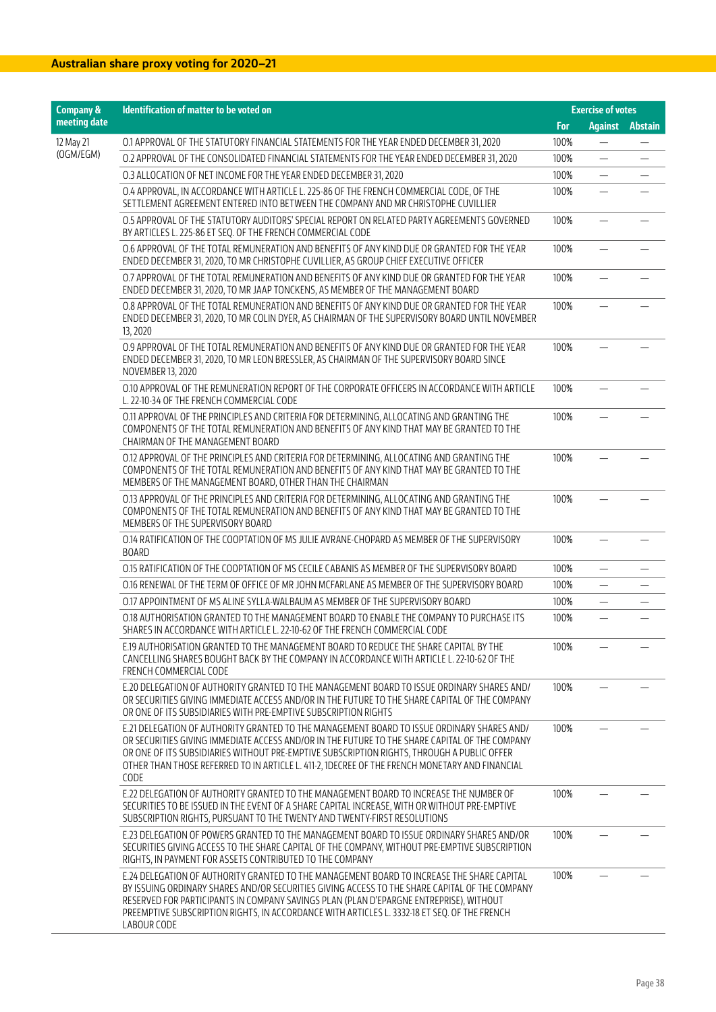| <b>Company &amp;</b> | <b>Identification of matter to be voted on</b>                                                                                                                                                                                                                                                                                                                                                        |      | <b>Exercise of votes</b> |                |
|----------------------|-------------------------------------------------------------------------------------------------------------------------------------------------------------------------------------------------------------------------------------------------------------------------------------------------------------------------------------------------------------------------------------------------------|------|--------------------------|----------------|
| meeting date         |                                                                                                                                                                                                                                                                                                                                                                                                       | For  | <b>Against</b>           | <b>Abstain</b> |
| 12 May 21            | O.1 APPROVAL OF THE STATUTORY FINANCIAL STATEMENTS FOR THE YEAR ENDED DECEMBER 31, 2020                                                                                                                                                                                                                                                                                                               | 100% |                          |                |
| (OGM/EGM)            | 0.2 APPROVAL OF THE CONSOLIDATED FINANCIAL STATEMENTS FOR THE YEAR ENDED DECEMBER 31, 2020                                                                                                                                                                                                                                                                                                            | 100% | —                        |                |
|                      | 0.3 ALLOCATION OF NET INCOME FOR THE YEAR ENDED DECEMBER 31, 2020                                                                                                                                                                                                                                                                                                                                     | 100% | $\overline{\phantom{0}}$ |                |
|                      | O.4 APPROVAL, IN ACCORDANCE WITH ARTICLE L. 225-86 OF THE FRENCH COMMERCIAL CODE, OF THE<br>SETTLEMENT AGREEMENT ENTERED INTO BETWEEN THE COMPANY AND MR CHRISTOPHE CUVILLIER                                                                                                                                                                                                                         | 100% |                          |                |
|                      | 0.5 APPROVAL OF THE STATUTORY AUDITORS' SPECIAL REPORT ON RELATED PARTY AGREEMENTS GOVERNED<br>BY ARTICLES L. 225-86 ET SEQ. OF THE FRENCH COMMERCIAL CODE                                                                                                                                                                                                                                            | 100% | <u>in</u>                |                |
|                      | 0.6 APPROVAL OF THE TOTAL REMUNERATION AND BENEFITS OF ANY KIND DUE OR GRANTED FOR THE YEAR<br>ENDED DECEMBER 31, 2020, TO MR CHRISTOPHE CUVILLIER, AS GROUP CHIEF EXECUTIVE OFFICER                                                                                                                                                                                                                  | 100% |                          |                |
|                      | 0.7 APPROVAL OF THE TOTAL REMUNERATION AND BENEFITS OF ANY KIND DUE OR GRANTED FOR THE YEAR<br>ENDED DECEMBER 31, 2020, TO MR JAAP TONCKENS, AS MEMBER OF THE MANAGEMENT BOARD                                                                                                                                                                                                                        | 100% |                          |                |
|                      | 0.8 APPROVAL OF THE TOTAL REMUNERATION AND BENEFITS OF ANY KIND DUE OR GRANTED FOR THE YEAR<br>ENDED DECEMBER 31, 2020, TO MR COLIN DYER, AS CHAIRMAN OF THE SUPERVISORY BOARD UNTIL NOVEMBER<br>13, 2020                                                                                                                                                                                             | 100% |                          |                |
|                      | 0.9 APPROVAL OF THE TOTAL REMUNERATION AND BENEFITS OF ANY KIND DUE OR GRANTED FOR THE YEAR<br>ENDED DECEMBER 31, 2020, TO MR LEON BRESSLER, AS CHAIRMAN OF THE SUPERVISORY BOARD SINCE<br>NOVEMBER 13, 2020                                                                                                                                                                                          | 100% |                          |                |
|                      | 0.10 APPROVAL OF THE REMUNERATION REPORT OF THE CORPORATE OFFICERS IN ACCORDANCE WITH ARTICLE<br>L. 22-10-34 OF THE FRENCH COMMERCIAL CODE                                                                                                                                                                                                                                                            | 100% |                          |                |
|                      | 0.11 APPROVAL OF THE PRINCIPLES AND CRITERIA FOR DETERMINING, ALLOCATING AND GRANTING THE<br>COMPONENTS OF THE TOTAL REMUNERATION AND BENEFITS OF ANY KIND THAT MAY BE GRANTED TO THE<br>CHAIRMAN OF THE MANAGEMENT BOARD                                                                                                                                                                             | 100% |                          |                |
|                      | 0.12 APPROVAL OF THE PRINCIPLES AND CRITERIA FOR DETERMINING, ALLOCATING AND GRANTING THE<br>COMPONENTS OF THE TOTAL REMUNERATION AND BENEFITS OF ANY KIND THAT MAY BE GRANTED TO THE<br>MEMBERS OF THE MANAGEMENT BOARD, OTHER THAN THE CHAIRMAN                                                                                                                                                     | 100% |                          |                |
|                      | 0.13 APPROVAL OF THE PRINCIPLES AND CRITERIA FOR DETERMINING, ALLOCATING AND GRANTING THE<br>COMPONENTS OF THE TOTAL REMUNERATION AND BENEFITS OF ANY KIND THAT MAY BE GRANTED TO THE<br>MEMBERS OF THE SUPERVISORY BOARD                                                                                                                                                                             | 100% |                          |                |
|                      | 0.14 RATIFICATION OF THE COOPTATION OF MS JULIE AVRANE-CHOPARD AS MEMBER OF THE SUPERVISORY<br><b>BOARD</b>                                                                                                                                                                                                                                                                                           | 100% |                          |                |
|                      | 0.15 RATIFICATION OF THE COOPTATION OF MS CECILE CABANIS AS MEMBER OF THE SUPERVISORY BOARD                                                                                                                                                                                                                                                                                                           | 100% |                          |                |
|                      | 0.16 RENEWAL OF THE TERM OF OFFICE OF MR JOHN MCFARLANE AS MEMBER OF THE SUPERVISORY BOARD                                                                                                                                                                                                                                                                                                            | 100% | $\overline{\phantom{0}}$ |                |
|                      | 0.17 APPOINTMENT OF MS ALINE SYLLA-WALBAUM AS MEMBER OF THE SUPERVISORY BOARD                                                                                                                                                                                                                                                                                                                         | 100% | $\overline{\phantom{0}}$ |                |
|                      | 0.18 AUTHORISATION GRANTED TO THE MANAGEMENT BOARD TO ENABLE THE COMPANY TO PURCHASE ITS<br>SHARES IN ACCORDANCE WITH ARTICLE L. 22-10-62 OF THE FRENCH COMMERCIAL CODE                                                                                                                                                                                                                               | 100% |                          |                |
|                      | E.19 AUTHORISATION GRANTED TO THE MANAGEMENT BOARD TO REDUCE THE SHARE CAPITAL BY THE<br>CANCELLING SHARES BOUGHT BACK BY THE COMPANY IN ACCORDANCE WITH ARTICLE L. 22-10-62 OF THE<br>FRENCH COMMERCIAL CODE                                                                                                                                                                                         | 100% |                          |                |
|                      | E.20 DELEGATION OF AUTHORITY GRANTED TO THE MANAGEMENT BOARD TO ISSUE ORDINARY SHARES AND/<br>OR SECURITIES GIVING IMMEDIATE ACCESS AND/OR IN THE FUTURE TO THE SHARE CAPITAL OF THE COMPANY<br>OR ONE OF ITS SUBSIDIARIES WITH PRE-EMPTIVE SUBSCRIPTION RIGHTS                                                                                                                                       | 100% |                          |                |
|                      | E.21 DELEGATION OF AUTHORITY GRANTED TO THE MANAGEMENT BOARD TO ISSUE ORDINARY SHARES AND/<br>OR SECURITIES GIVING IMMEDIATE ACCESS AND/OR IN THE FUTURE TO THE SHARE CAPITAL OF THE COMPANY<br>OR ONE OF ITS SUBSIDIARIES WITHOUT PRE-EMPTIVE SUBSCRIPTION RIGHTS, THROUGH A PUBLIC OFFER<br>OTHER THAN THOSE REFERRED TO IN ARTICLE L. 411-2, 1DECREE OF THE FRENCH MONETARY AND FINANCIAL<br>CODE  | 100% |                          |                |
|                      | E.22 DELEGATION OF AUTHORITY GRANTED TO THE MANAGEMENT BOARD TO INCREASE THE NUMBER OF<br>SECURITIES TO BE ISSUED IN THE EVENT OF A SHARE CAPITAL INCREASE, WITH OR WITHOUT PRE-EMPTIVE<br>SUBSCRIPTION RIGHTS, PURSUANT TO THE TWENTY AND TWENTY-FIRST RESOLUTIONS                                                                                                                                   | 100% |                          |                |
|                      | E.23 DELEGATION OF POWERS GRANTED TO THE MANAGEMENT BOARD TO ISSUE ORDINARY SHARES AND/OR<br>SECURITIES GIVING ACCESS TO THE SHARE CAPITAL OF THE COMPANY, WITHOUT PRE-EMPTIVE SUBSCRIPTION<br>RIGHTS, IN PAYMENT FOR ASSETS CONTRIBUTED TO THE COMPANY                                                                                                                                               | 100% |                          |                |
|                      | E.24 DELEGATION OF AUTHORITY GRANTED TO THE MANAGEMENT BOARD TO INCREASE THE SHARE CAPITAL<br>BY ISSUING ORDINARY SHARES AND/OR SECURITIES GIVING ACCESS TO THE SHARE CAPITAL OF THE COMPANY<br>RESERVED FOR PARTICIPANTS IN COMPANY SAVINGS PLAN (PLAN D'EPARGNE ENTREPRISE), WITHOUT<br>PREEMPTIVE SUBSCRIPTION RIGHTS, IN ACCORDANCE WITH ARTICLES L. 3332-18 ET SEQ. OF THE FRENCH<br>LABOUR CODE | 100% |                          |                |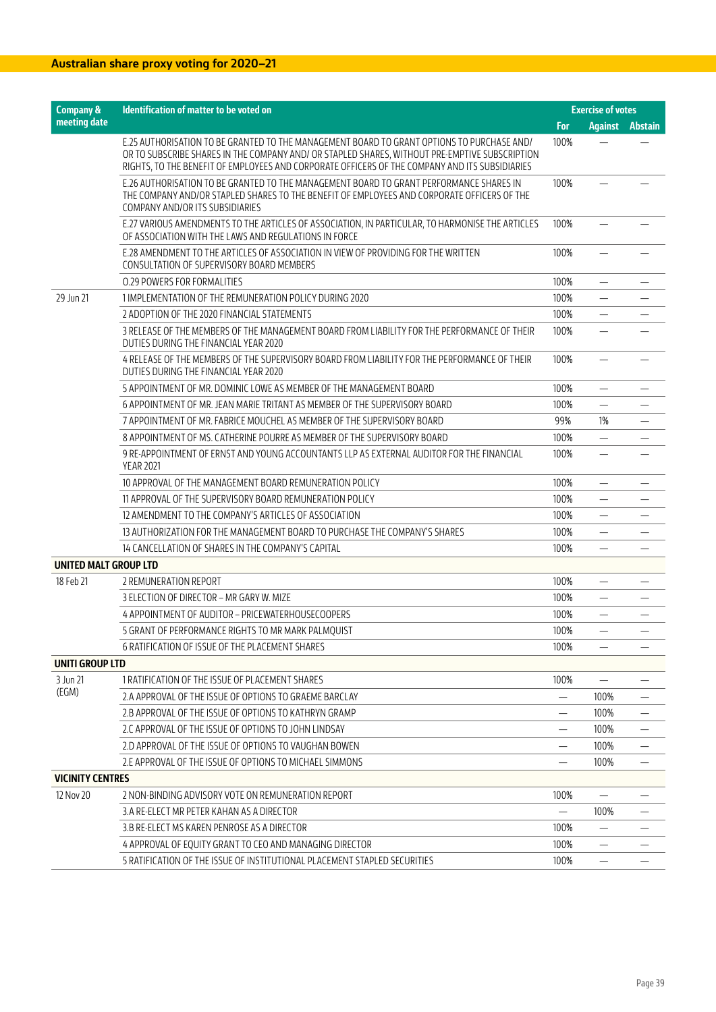## **Australian share proxy voting for 2020–21**

| <b>Company &amp;</b>         | Identification of matter to be voted on                                                                                                                                                                                                                                                        | <b>Exercise of votes</b> |                          |                          |
|------------------------------|------------------------------------------------------------------------------------------------------------------------------------------------------------------------------------------------------------------------------------------------------------------------------------------------|--------------------------|--------------------------|--------------------------|
| meeting date                 |                                                                                                                                                                                                                                                                                                | For                      |                          | <b>Against Abstain</b>   |
|                              | E.25 AUTHORISATION TO BE GRANTED TO THE MANAGEMENT BOARD TO GRANT OPTIONS TO PURCHASE AND/<br>OR TO SUBSCRIBE SHARES IN THE COMPANY AND/ OR STAPLED SHARES, WITHOUT PRE-EMPTIVE SUBSCRIPTION<br>RIGHTS, TO THE BENEFIT OF EMPLOYEES AND CORPORATE OFFICERS OF THE COMPANY AND ITS SUBSIDIARIES | 100%                     |                          |                          |
|                              | E.26 AUTHORISATION TO BE GRANTED TO THE MANAGEMENT BOARD TO GRANT PERFORMANCE SHARES IN<br>THE COMPANY AND/OR STAPLED SHARES TO THE BENEFIT OF EMPLOYEES AND CORPORATE OFFICERS OF THE<br>COMPANY AND/OR ITS SUBSIDIARIES                                                                      | 100%                     |                          |                          |
|                              | E.27 VARIOUS AMENDMENTS TO THE ARTICLES OF ASSOCIATION, IN PARTICULAR, TO HARMONISE THE ARTICLES<br>OF ASSOCIATION WITH THE LAWS AND REGULATIONS IN FORCE                                                                                                                                      | 100%                     |                          |                          |
|                              | E.28 AMENDMENT TO THE ARTICLES OF ASSOCIATION IN VIEW OF PROVIDING FOR THE WRITTEN<br>CONSULTATION OF SUPERVISORY BOARD MEMBERS                                                                                                                                                                | 100%                     |                          |                          |
|                              | <b>0.29 POWERS FOR FORMALITIES</b>                                                                                                                                                                                                                                                             | 100%                     | —                        |                          |
| 29 Jun 21                    | 1 IMPLEMENTATION OF THE REMUNERATION POLICY DURING 2020                                                                                                                                                                                                                                        | 100%                     | $\overline{\phantom{0}}$ |                          |
|                              | 2 ADOPTION OF THE 2020 FINANCIAL STATEMENTS                                                                                                                                                                                                                                                    | 100%                     |                          |                          |
|                              | 3 RELEASE OF THE MEMBERS OF THE MANAGEMENT BOARD FROM LIABILITY FOR THE PERFORMANCE OF THEIR<br>DUTIES DURING THE FINANCIAL YEAR 2020                                                                                                                                                          | 100%                     |                          |                          |
|                              | 4 RELEASE OF THE MEMBERS OF THE SUPERVISORY BOARD FROM LIABILITY FOR THE PERFORMANCE OF THEIR<br>DUTIES DURING THE FINANCIAL YEAR 2020                                                                                                                                                         | 100%                     |                          |                          |
|                              | 5 APPOINTMENT OF MR. DOMINIC LOWE AS MEMBER OF THE MANAGEMENT BOARD                                                                                                                                                                                                                            | 100%                     | $\overline{\phantom{m}}$ |                          |
|                              | 6 APPOINTMENT OF MR. JEAN MARIE TRITANT AS MEMBER OF THE SUPERVISORY BOARD                                                                                                                                                                                                                     | 100%                     | $\overline{\phantom{0}}$ |                          |
|                              | 7 APPOINTMENT OF MR. FABRICE MOUCHEL AS MEMBER OF THE SUPERVISORY BOARD                                                                                                                                                                                                                        | 99%                      | 1%                       |                          |
|                              | 8 APPOINTMENT OF MS. CATHERINE POURRE AS MEMBER OF THE SUPERVISORY BOARD                                                                                                                                                                                                                       | 100%                     | $\overline{\phantom{0}}$ |                          |
|                              | 9 RE-APPOINTMENT OF ERNST AND YOUNG ACCOUNTANTS LLP AS EXTERNAL AUDITOR FOR THE FINANCIAL<br><b>YEAR 2021</b>                                                                                                                                                                                  | 100%                     | —                        |                          |
|                              | 10 APPROVAL OF THE MANAGEMENT BOARD REMUNERATION POLICY                                                                                                                                                                                                                                        | 100%                     | —                        |                          |
|                              | 11 APPROVAL OF THE SUPERVISORY BOARD REMUNERATION POLICY                                                                                                                                                                                                                                       | 100%                     | $\overline{\phantom{0}}$ | $\overline{\phantom{0}}$ |
|                              | 12 AMENDMENT TO THE COMPANY'S ARTICLES OF ASSOCIATION                                                                                                                                                                                                                                          | 100%                     |                          |                          |
|                              | 13 AUTHORIZATION FOR THE MANAGEMENT BOARD TO PURCHASE THE COMPANY'S SHARES                                                                                                                                                                                                                     | 100%                     | $\overline{\phantom{0}}$ |                          |
|                              | 14 CANCELLATION OF SHARES IN THE COMPANY'S CAPITAL                                                                                                                                                                                                                                             | 100%                     | $\overline{\phantom{0}}$ |                          |
| <b>UNITED MALT GROUP LTD</b> |                                                                                                                                                                                                                                                                                                |                          |                          |                          |
| 18 Feb 21                    | 2 REMUNERATION REPORT                                                                                                                                                                                                                                                                          | 100%                     |                          |                          |
|                              | 3 ELECTION OF DIRECTOR – MR GARY W. MIZE                                                                                                                                                                                                                                                       | 100%                     | —                        |                          |
|                              | 4 APPOINTMENT OF AUDITOR - PRICEWATERHOUSECOOPERS                                                                                                                                                                                                                                              | 100%                     | $\overline{\phantom{0}}$ |                          |
|                              | 5 GRANT OF PERFORMANCE RIGHTS TO MR MARK PALMOUIST                                                                                                                                                                                                                                             | 100%                     |                          |                          |
|                              | 6 RATIFICATION OF ISSUE OF THE PLACEMENT SHARES                                                                                                                                                                                                                                                | 100%                     | $\overline{\phantom{0}}$ |                          |
| UNITI GROUP LTD              |                                                                                                                                                                                                                                                                                                |                          |                          |                          |
| 3 Jun 21                     | 1 RATIFICATION OF THE ISSUE OF PLACEMENT SHARES                                                                                                                                                                                                                                                | 100%                     |                          |                          |
| (EGM)                        | 2.A APPROVAL OF THE ISSUE OF OPTIONS TO GRAEME BARCLAY                                                                                                                                                                                                                                         |                          | 100%                     |                          |
|                              | 2.B APPROVAL OF THE ISSUE OF OPTIONS TO KATHRYN GRAMP                                                                                                                                                                                                                                          | $\qquad \qquad -$        | 100%                     |                          |
|                              | 2.C APPROVAL OF THE ISSUE OF OPTIONS TO JOHN LINDSAY                                                                                                                                                                                                                                           | $\overline{\phantom{0}}$ | 100%                     |                          |
|                              | 2.D APPROVAL OF THE ISSUE OF OPTIONS TO VAUGHAN BOWEN                                                                                                                                                                                                                                          | $\overline{\phantom{0}}$ | 100%                     |                          |
|                              | 2.E APPROVAL OF THE ISSUE OF OPTIONS TO MICHAEL SIMMONS                                                                                                                                                                                                                                        |                          | 100%                     |                          |
| <b>VICINITY CENTRES</b>      |                                                                                                                                                                                                                                                                                                |                          |                          |                          |
| 12 Nov 20                    | 2 NON-BINDING ADVISORY VOTE ON REMUNERATION REPORT                                                                                                                                                                                                                                             | 100%                     |                          |                          |
|                              | 3.A RE-ELECT MR PETER KAHAN AS A DIRECTOR                                                                                                                                                                                                                                                      |                          | 100%                     |                          |
|                              | 3.B RE-ELECT MS KAREN PENROSE AS A DIRECTOR                                                                                                                                                                                                                                                    | 100%                     | $\overline{\phantom{0}}$ |                          |
|                              | 4 APPROVAL OF EQUITY GRANT TO CEO AND MANAGING DIRECTOR                                                                                                                                                                                                                                        | 100%                     | $\overline{\phantom{0}}$ |                          |
|                              | 5 RATIFICATION OF THE ISSUE OF INSTITUTIONAL PLACEMENT STAPLED SECURITIES                                                                                                                                                                                                                      | 100%                     |                          |                          |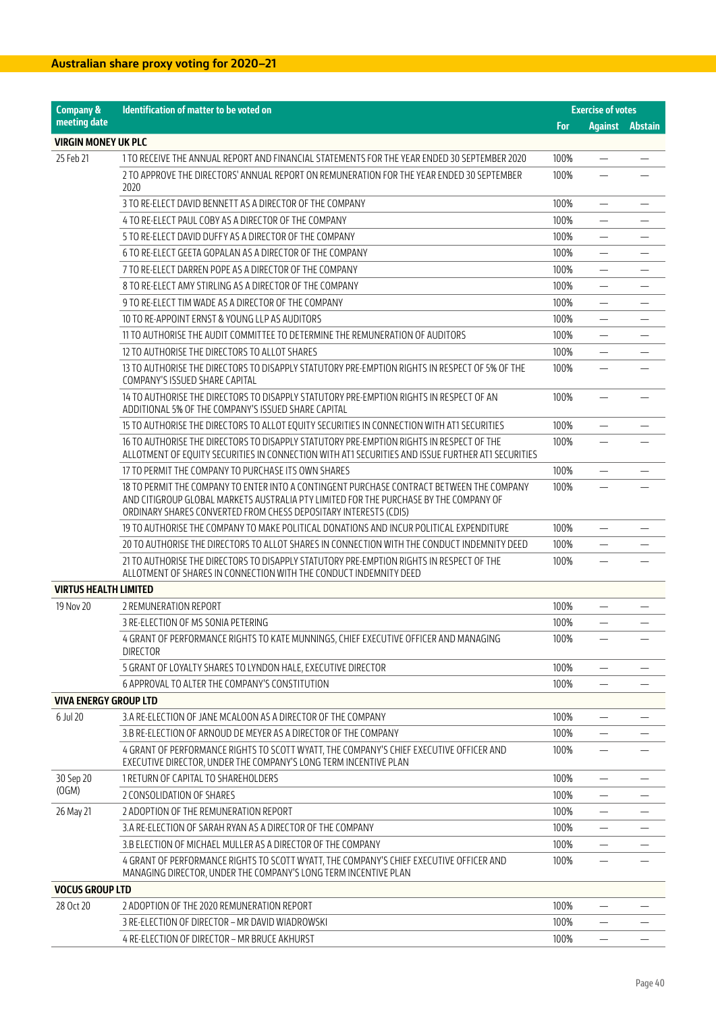| <b>Company &amp;</b>         | Identification of matter to be voted on                                                                                                                                                                                                                | <b>Exercise of votes</b> |                          |                        |
|------------------------------|--------------------------------------------------------------------------------------------------------------------------------------------------------------------------------------------------------------------------------------------------------|--------------------------|--------------------------|------------------------|
| meeting date                 |                                                                                                                                                                                                                                                        | <b>For</b>               |                          | <b>Against Abstain</b> |
| <b>VIRGIN MONEY UK PLC</b>   |                                                                                                                                                                                                                                                        |                          |                          |                        |
| 25 Feb 21                    | 1 TO RECEIVE THE ANNUAL REPORT AND FINANCIAL STATEMENTS FOR THE YEAR ENDED 30 SEPTEMBER 2020                                                                                                                                                           | 100%                     |                          |                        |
|                              | 2 TO APPROVE THE DIRECTORS' ANNUAL REPORT ON REMUNERATION FOR THE YEAR ENDED 30 SEPTEMBER<br>2020                                                                                                                                                      | 100%                     |                          |                        |
|                              | 3 TO RE-ELECT DAVID BENNETT AS A DIRECTOR OF THE COMPANY                                                                                                                                                                                               | 100%                     | —                        |                        |
|                              | 4 TO RE-ELECT PAUL COBY AS A DIRECTOR OF THE COMPANY                                                                                                                                                                                                   | 100%                     | $\overline{\phantom{0}}$ |                        |
|                              | 5 TO RE-ELECT DAVID DUFFY AS A DIRECTOR OF THE COMPANY                                                                                                                                                                                                 | 100%                     |                          |                        |
|                              | 6 TO RE-ELECT GEETA GOPALAN AS A DIRECTOR OF THE COMPANY                                                                                                                                                                                               | 100%                     |                          |                        |
|                              | 7 TO RE-ELECT DARREN POPE AS A DIRECTOR OF THE COMPANY                                                                                                                                                                                                 | 100%                     | —                        |                        |
|                              | 8 TO RE-ELECT AMY STIRLING AS A DIRECTOR OF THE COMPANY                                                                                                                                                                                                | 100%                     | $\overline{\phantom{0}}$ |                        |
|                              | 9 TO RE-ELECT TIM WADE AS A DIRECTOR OF THE COMPANY                                                                                                                                                                                                    | 100%                     |                          |                        |
|                              | 10 TO RE-APPOINT ERNST & YOUNG LLP AS AUDITORS                                                                                                                                                                                                         | 100%                     | -                        |                        |
|                              | 11 TO AUTHORISE THE AUDIT COMMITTEE TO DETERMINE THE REMUNERATION OF AUDITORS                                                                                                                                                                          | 100%                     | $\overline{\phantom{0}}$ |                        |
|                              | 12 TO AUTHORISE THE DIRECTORS TO ALLOT SHARES                                                                                                                                                                                                          | 100%                     |                          |                        |
|                              | 13 TO AUTHORISE THE DIRECTORS TO DISAPPLY STATUTORY PRE-EMPTION RIGHTS IN RESPECT OF 5% OF THE<br>COMPANY'S ISSUED SHARE CAPITAL                                                                                                                       | 100%                     |                          |                        |
|                              | 14 TO AUTHORISE THE DIRECTORS TO DISAPPLY STATUTORY PRE-EMPTION RIGHTS IN RESPECT OF AN<br>ADDITIONAL 5% OF THE COMPANY'S ISSUED SHARE CAPITAL                                                                                                         | 100%                     |                          |                        |
|                              | 15 TO AUTHORISE THE DIRECTORS TO ALLOT EQUITY SECURITIES IN CONNECTION WITH AT1 SECURITIES                                                                                                                                                             | 100%                     |                          |                        |
|                              | 16 TO AUTHORISE THE DIRECTORS TO DISAPPLY STATUTORY PRE-EMPTION RIGHTS IN RESPECT OF THE<br>ALLOTMENT OF EQUITY SECURITIES IN CONNECTION WITH AT1 SECURITIES AND ISSUE FURTHER AT1 SECURITIES                                                          | 100%                     |                          |                        |
|                              | 17 TO PERMIT THE COMPANY TO PURCHASE ITS OWN SHARES                                                                                                                                                                                                    | 100%                     | —                        |                        |
|                              | 18 TO PERMIT THE COMPANY TO ENTER INTO A CONTINGENT PURCHASE CONTRACT BETWEEN THE COMPANY<br>AND CITIGROUP GLOBAL MARKETS AUSTRALIA PTY LIMITED FOR THE PURCHASE BY THE COMPANY OF<br>ORDINARY SHARES CONVERTED FROM CHESS DEPOSITARY INTERESTS (CDIS) | 100%                     |                          |                        |
|                              | 19 TO AUTHORISE THE COMPANY TO MAKE POLITICAL DONATIONS AND INCUR POLITICAL EXPENDITURE                                                                                                                                                                | 100%                     | —                        |                        |
|                              | 20 TO AUTHORISE THE DIRECTORS TO ALLOT SHARES IN CONNECTION WITH THE CONDUCT INDEMNITY DEED                                                                                                                                                            | 100%                     | $\overline{\phantom{0}}$ |                        |
|                              | 21 TO AUTHORISE THE DIRECTORS TO DISAPPLY STATUTORY PRE-EMPTION RIGHTS IN RESPECT OF THE<br>ALLOTMENT OF SHARES IN CONNECTION WITH THE CONDUCT INDEMNITY DEED                                                                                          | 100%                     |                          |                        |
| <b>VIRTUS HEALTH LIMITED</b> |                                                                                                                                                                                                                                                        |                          |                          |                        |
| 19 Nov 20                    | 2 REMUNERATION REPORT                                                                                                                                                                                                                                  | 100%                     |                          |                        |
|                              | 3 RE-ELECTION OF MS SONIA PETERING                                                                                                                                                                                                                     | 100%                     | $\overline{\phantom{0}}$ |                        |
|                              | 4 GRANT OF PERFORMANCE RIGHTS TO KATE MUNNINGS, CHIEF EXECUTIVE OFFICER AND MANAGING<br><b>DIRECTOR</b>                                                                                                                                                | 100%                     |                          |                        |
|                              | 5 GRANT OF LOYALTY SHARES TO LYNDON HALE, EXECUTIVE DIRECTOR                                                                                                                                                                                           | 100%                     |                          |                        |
|                              | 6 APPROVAL TO ALTER THE COMPANY'S CONSTITUTION                                                                                                                                                                                                         | 100%                     |                          |                        |
| VIVA ENERGY GROUP LTD        |                                                                                                                                                                                                                                                        |                          |                          |                        |
| 6 Jul 20                     | 3.A RE-ELECTION OF JANE MCALOON AS A DIRECTOR OF THE COMPANY                                                                                                                                                                                           | 100%                     | $\overline{\phantom{0}}$ |                        |
|                              | 3.B RE-ELECTION OF ARNOUD DE MEYER AS A DIRECTOR OF THE COMPANY                                                                                                                                                                                        | 100%                     |                          |                        |
|                              | 4 GRANT OF PERFORMANCE RIGHTS TO SCOTT WYATT, THE COMPANY'S CHIEF EXECUTIVE OFFICER AND<br>EXECUTIVE DIRECTOR, UNDER THE COMPANY'S LONG TERM INCENTIVE PLAN                                                                                            | 100%                     |                          |                        |
| 30 Sep 20                    | 1 RETURN OF CAPITAL TO SHAREHOLDERS                                                                                                                                                                                                                    | 100%                     | —                        |                        |
| (OGM)                        | 2 CONSOLIDATION OF SHARES                                                                                                                                                                                                                              | 100%                     | —                        |                        |
| 26 May 21                    | 2 ADOPTION OF THE REMUNERATION REPORT                                                                                                                                                                                                                  | 100%                     | $\overline{\phantom{0}}$ |                        |
|                              | 3.A RE-ELECTION OF SARAH RYAN AS A DIRECTOR OF THE COMPANY                                                                                                                                                                                             | 100%                     |                          |                        |
|                              | 3.B ELECTION OF MICHAEL MULLER AS A DIRECTOR OF THE COMPANY                                                                                                                                                                                            | 100%                     |                          |                        |
|                              | 4 GRANT OF PERFORMANCE RIGHTS TO SCOTT WYATT, THE COMPANY'S CHIEF EXECUTIVE OFFICER AND<br>MANAGING DIRECTOR, UNDER THE COMPANY'S LONG TERM INCENTIVE PLAN                                                                                             | 100%                     | $\overline{\phantom{0}}$ |                        |
| <b>VOCUS GROUP LTD</b>       |                                                                                                                                                                                                                                                        |                          |                          |                        |
| 28 Oct 20                    | 2 ADOPTION OF THE 2020 REMUNERATION REPORT                                                                                                                                                                                                             | 100%                     |                          |                        |
|                              | 3 RE-ELECTION OF DIRECTOR – MR DAVID WIADROWSKI                                                                                                                                                                                                        | 100%                     |                          |                        |
|                              | 4 RE-ELECTION OF DIRECTOR - MR BRUCE AKHURST                                                                                                                                                                                                           | 100%                     |                          |                        |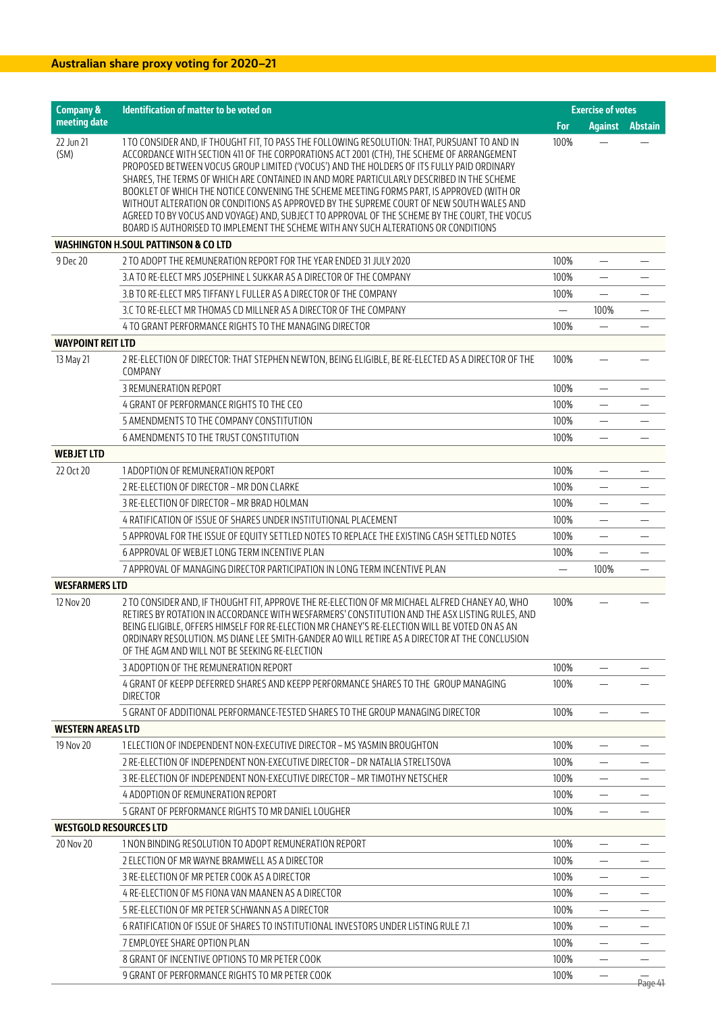| <b>Company &amp;</b>          | Identification of matter to be voted on                                                                                                                                                                                                                                                                                                                                                                                                                                                                                                                                                                                                                                                                                                                               | <b>Exercise of votes</b> |                          |                          |
|-------------------------------|-----------------------------------------------------------------------------------------------------------------------------------------------------------------------------------------------------------------------------------------------------------------------------------------------------------------------------------------------------------------------------------------------------------------------------------------------------------------------------------------------------------------------------------------------------------------------------------------------------------------------------------------------------------------------------------------------------------------------------------------------------------------------|--------------------------|--------------------------|--------------------------|
| meeting date                  |                                                                                                                                                                                                                                                                                                                                                                                                                                                                                                                                                                                                                                                                                                                                                                       | For                      | <b>Against</b>           | <b>Abstain</b>           |
| 22 Jun 21<br>(SM)             | 1 TO CONSIDER AND, IF THOUGHT FIT, TO PASS THE FOLLOWING RESOLUTION: THAT, PURSUANT TO AND IN<br>ACCORDANCE WITH SECTION 411 OF THE CORPORATIONS ACT 2001 (CTH), THE SCHEME OF ARRANGEMENT<br>PROPOSED BETWEEN VOCUS GROUP LIMITED ('VOCUS') AND THE HOLDERS OF ITS FULLY PAID ORDINARY<br>SHARES, THE TERMS OF WHICH ARE CONTAINED IN AND MORE PARTICULARLY DESCRIBED IN THE SCHEME<br>BOOKLET OF WHICH THE NOTICE CONVENING THE SCHEME MEETING FORMS PART, IS APPROVED (WITH OR<br>WITHOUT ALTERATION OR CONDITIONS AS APPROVED BY THE SUPREME COURT OF NEW SOUTH WALES AND<br>AGREED TO BY VOCUS AND VOYAGE) AND, SUBJECT TO APPROVAL OF THE SCHEME BY THE COURT, THE VOCUS<br>BOARD IS AUTHORISED TO IMPLEMENT THE SCHEME WITH ANY SUCH ALTERATIONS OR CONDITIONS | 100%                     |                          |                          |
|                               | <b>WASHINGTON H.SOUL PATTINSON &amp; CO LTD</b>                                                                                                                                                                                                                                                                                                                                                                                                                                                                                                                                                                                                                                                                                                                       |                          |                          |                          |
| 9 Dec 20                      | 2 TO ADOPT THE REMUNERATION REPORT FOR THE YEAR ENDED 31 JULY 2020                                                                                                                                                                                                                                                                                                                                                                                                                                                                                                                                                                                                                                                                                                    | 100%                     | $\qquad \qquad -$        |                          |
|                               | 3.A TO RE-ELECT MRS JOSEPHINE L SUKKAR AS A DIRECTOR OF THE COMPANY                                                                                                                                                                                                                                                                                                                                                                                                                                                                                                                                                                                                                                                                                                   | 100%                     |                          |                          |
|                               | 3.B TO RE-ELECT MRS TIFFANY L FULLER AS A DIRECTOR OF THE COMPANY                                                                                                                                                                                                                                                                                                                                                                                                                                                                                                                                                                                                                                                                                                     | 100%                     |                          |                          |
|                               | 3.C TO RE-ELECT MR THOMAS CD MILLNER AS A DIRECTOR OF THE COMPANY                                                                                                                                                                                                                                                                                                                                                                                                                                                                                                                                                                                                                                                                                                     | $\overline{\phantom{0}}$ | 100%                     | $\overline{\phantom{m}}$ |
|                               | 4 TO GRANT PERFORMANCE RIGHTS TO THE MANAGING DIRECTOR                                                                                                                                                                                                                                                                                                                                                                                                                                                                                                                                                                                                                                                                                                                | 100%                     |                          |                          |
| <b>WAYPOINT REIT LTD</b>      |                                                                                                                                                                                                                                                                                                                                                                                                                                                                                                                                                                                                                                                                                                                                                                       |                          |                          |                          |
| 13 May 21                     | 2 RE-ELECTION OF DIRECTOR: THAT STEPHEN NEWTON, BEING ELIGIBLE, BE RE-ELECTED AS A DIRECTOR OF THE<br>COMPANY                                                                                                                                                                                                                                                                                                                                                                                                                                                                                                                                                                                                                                                         | 100%                     |                          |                          |
|                               | 3 REMUNERATION REPORT                                                                                                                                                                                                                                                                                                                                                                                                                                                                                                                                                                                                                                                                                                                                                 | 100%                     |                          |                          |
|                               | 4 GRANT OF PERFORMANCE RIGHTS TO THE CEO                                                                                                                                                                                                                                                                                                                                                                                                                                                                                                                                                                                                                                                                                                                              | 100%                     |                          |                          |
|                               | 5 AMENDMENTS TO THE COMPANY CONSTITUTION                                                                                                                                                                                                                                                                                                                                                                                                                                                                                                                                                                                                                                                                                                                              | 100%                     | $\overline{\phantom{0}}$ |                          |
|                               | 6 AMENDMENTS TO THE TRUST CONSTITUTION                                                                                                                                                                                                                                                                                                                                                                                                                                                                                                                                                                                                                                                                                                                                | 100%                     |                          |                          |
| <b>WEBJET LTD</b>             |                                                                                                                                                                                                                                                                                                                                                                                                                                                                                                                                                                                                                                                                                                                                                                       |                          |                          |                          |
| 22 Oct 20                     | 1 ADOPTION OF REMUNERATION REPORT                                                                                                                                                                                                                                                                                                                                                                                                                                                                                                                                                                                                                                                                                                                                     | 100%                     |                          |                          |
|                               | 2 RE-ELECTION OF DIRECTOR - MR DON CLARKE                                                                                                                                                                                                                                                                                                                                                                                                                                                                                                                                                                                                                                                                                                                             | 100%                     |                          |                          |
|                               | 3 RE-ELECTION OF DIRECTOR - MR BRAD HOLMAN                                                                                                                                                                                                                                                                                                                                                                                                                                                                                                                                                                                                                                                                                                                            | 100%                     | $\overline{\phantom{0}}$ |                          |
|                               | 4 RATIFICATION OF ISSUE OF SHARES UNDER INSTITUTIONAL PLACEMENT                                                                                                                                                                                                                                                                                                                                                                                                                                                                                                                                                                                                                                                                                                       | 100%                     | $\overline{\phantom{0}}$ |                          |
|                               | 5 APPROVAL FOR THE ISSUE OF EQUITY SETTLED NOTES TO REPLACE THE EXISTING CASH SETTLED NOTES                                                                                                                                                                                                                                                                                                                                                                                                                                                                                                                                                                                                                                                                           | 100%                     | $\qquad \qquad -$        |                          |
|                               | 6 APPROVAL OF WEBJET LONG TERM INCENTIVE PLAN                                                                                                                                                                                                                                                                                                                                                                                                                                                                                                                                                                                                                                                                                                                         | 100%                     |                          |                          |
|                               | 7 APPROVAL OF MANAGING DIRECTOR PARTICIPATION IN LONG TERM INCENTIVE PLAN                                                                                                                                                                                                                                                                                                                                                                                                                                                                                                                                                                                                                                                                                             | $\overline{\phantom{0}}$ | 100%                     |                          |
| <b>WESFARMERS LTD</b>         |                                                                                                                                                                                                                                                                                                                                                                                                                                                                                                                                                                                                                                                                                                                                                                       |                          |                          |                          |
| 12 Nov 20                     | 2 TO CONSIDER AND, IF THOUGHT FIT, APPROVE THE RE-ELECTION OF MR MICHAEL ALFRED CHANEY AO, WHO<br>RETIRES BY ROTATION IN ACCORDANCE WITH WESFARMERS' CONSTITUTION AND THE ASX LISTING RULES, AND<br>BEING ELIGIBLE, OFFERS HIMSELF FOR RE-ELECTION MR CHANEY'S RE-ELECTION WILL BE VOTED ON AS AN<br>ORDINARY RESOLUTION. MS DIANE LEE SMITH-GANDER AO WILL RETIRE AS A DIRECTOR AT THE CONCLUSION<br>OF THE AGM AND WILL NOT BE SEEKING RE-ELECTION                                                                                                                                                                                                                                                                                                                  | 100%                     |                          |                          |
|                               | 3 ADOPTION OF THE REMUNERATION REPORT                                                                                                                                                                                                                                                                                                                                                                                                                                                                                                                                                                                                                                                                                                                                 | 100%                     |                          |                          |
|                               | 4 GRANT OF KEEPP DEFERRED SHARES AND KEEPP PERFORMANCE SHARES TO THE  GROUP MANAGING<br><b>DIRECTOR</b>                                                                                                                                                                                                                                                                                                                                                                                                                                                                                                                                                                                                                                                               | 100%                     |                          |                          |
|                               | 5 GRANT OF ADDITIONAL PERFORMANCE-TESTED SHARES TO THE GROUP MANAGING DIRECTOR                                                                                                                                                                                                                                                                                                                                                                                                                                                                                                                                                                                                                                                                                        | 100%                     |                          |                          |
| <b>WESTERN AREAS LTD</b>      |                                                                                                                                                                                                                                                                                                                                                                                                                                                                                                                                                                                                                                                                                                                                                                       |                          |                          |                          |
| 19 Nov 20                     | 1 ELECTION OF INDEPENDENT NON-EXECUTIVE DIRECTOR - MS YASMIN BROUGHTON                                                                                                                                                                                                                                                                                                                                                                                                                                                                                                                                                                                                                                                                                                | 100%                     |                          |                          |
|                               | 2 RE-ELECTION OF INDEPENDENT NON-EXECUTIVE DIRECTOR – DR NATALIA STRELTSOVA                                                                                                                                                                                                                                                                                                                                                                                                                                                                                                                                                                                                                                                                                           | 100%                     |                          |                          |
|                               | 3 RE-ELECTION OF INDEPENDENT NON-EXECUTIVE DIRECTOR – MR TIMOTHY NETSCHER                                                                                                                                                                                                                                                                                                                                                                                                                                                                                                                                                                                                                                                                                             | 100%                     |                          |                          |
|                               | 4 ADOPTION OF REMUNERATION REPORT                                                                                                                                                                                                                                                                                                                                                                                                                                                                                                                                                                                                                                                                                                                                     | 100%                     |                          |                          |
|                               | 5 GRANT OF PERFORMANCE RIGHTS TO MR DANIEL LOUGHER                                                                                                                                                                                                                                                                                                                                                                                                                                                                                                                                                                                                                                                                                                                    | 100%                     |                          |                          |
| <b>WESTGOLD RESOURCES LTD</b> |                                                                                                                                                                                                                                                                                                                                                                                                                                                                                                                                                                                                                                                                                                                                                                       |                          |                          |                          |
| 20 Nov 20                     | 1 NON BINDING RESOLUTION TO ADOPT REMUNERATION REPORT                                                                                                                                                                                                                                                                                                                                                                                                                                                                                                                                                                                                                                                                                                                 | 100%                     | $\qquad \qquad -$        |                          |
|                               | 2 ELECTION OF MR WAYNE BRAMWELL AS A DIRECTOR                                                                                                                                                                                                                                                                                                                                                                                                                                                                                                                                                                                                                                                                                                                         | 100%                     |                          |                          |
|                               | 3 RE-ELECTION OF MR PETER COOK AS A DIRECTOR                                                                                                                                                                                                                                                                                                                                                                                                                                                                                                                                                                                                                                                                                                                          | 100%                     |                          |                          |
|                               | 4 RE-ELECTION OF MS FIONA VAN MAANEN AS A DIRECTOR                                                                                                                                                                                                                                                                                                                                                                                                                                                                                                                                                                                                                                                                                                                    | 100%                     |                          |                          |
|                               | 5 RE-ELECTION OF MR PETER SCHWANN AS A DIRECTOR                                                                                                                                                                                                                                                                                                                                                                                                                                                                                                                                                                                                                                                                                                                       | 100%                     | $\overline{\phantom{0}}$ |                          |
|                               | <u>6 RATIFICATION OF ISSUE OF SHARES TO INSTITUTIONAL INVESTORS UNDER LISTING RULE 7.1</u>                                                                                                                                                                                                                                                                                                                                                                                                                                                                                                                                                                                                                                                                            | 100%                     |                          |                          |
|                               | 7 EMPLOYEE SHARE OPTION PLAN                                                                                                                                                                                                                                                                                                                                                                                                                                                                                                                                                                                                                                                                                                                                          | 100%                     | $\overline{\phantom{0}}$ |                          |
|                               | 8 GRANT OF INCENTIVE OPTIONS TO MR PETER COOK                                                                                                                                                                                                                                                                                                                                                                                                                                                                                                                                                                                                                                                                                                                         | 100%                     | $\qquad \qquad -$        |                          |
|                               | 9 GRANT OF PERFORMANCE RIGHTS TO MR PETER COOK                                                                                                                                                                                                                                                                                                                                                                                                                                                                                                                                                                                                                                                                                                                        | 100%                     |                          | Page 41                  |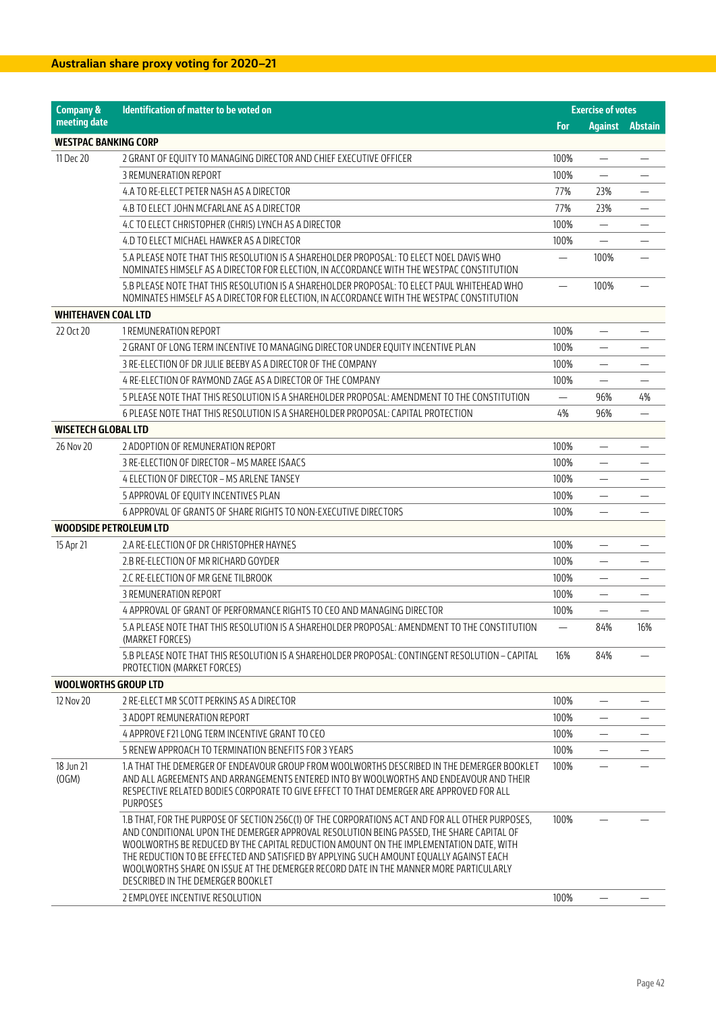| <b>Company &amp;</b>          | <b>Identification of matter to be voted on</b>                                                                                                                                                                                                                                                                                                                                                                                                                                                                  |                          | <b>Exercise of votes</b> |         |
|-------------------------------|-----------------------------------------------------------------------------------------------------------------------------------------------------------------------------------------------------------------------------------------------------------------------------------------------------------------------------------------------------------------------------------------------------------------------------------------------------------------------------------------------------------------|--------------------------|--------------------------|---------|
| meeting date                  |                                                                                                                                                                                                                                                                                                                                                                                                                                                                                                                 | <b>For</b>               | <b>Against</b>           | Abstain |
| <b>WESTPAC BANKING CORP</b>   |                                                                                                                                                                                                                                                                                                                                                                                                                                                                                                                 |                          |                          |         |
| 11 Dec 20                     | 2 GRANT OF EQUITY TO MANAGING DIRECTOR AND CHIEF EXECUTIVE OFFICER                                                                                                                                                                                                                                                                                                                                                                                                                                              | 100%                     | $\overline{\phantom{0}}$ |         |
|                               | 3 REMUNERATION REPORT                                                                                                                                                                                                                                                                                                                                                                                                                                                                                           | 100%                     | $\equiv$                 |         |
|                               | 4.A TO RE-ELECT PETER NASH AS A DIRECTOR                                                                                                                                                                                                                                                                                                                                                                                                                                                                        | 77%                      | 23%                      |         |
|                               | 4.B TO ELECT JOHN MCFARLANE AS A DIRECTOR                                                                                                                                                                                                                                                                                                                                                                                                                                                                       | 77%                      | 23%                      |         |
|                               | 4.C TO ELECT CHRISTOPHER (CHRIS) LYNCH AS A DIRECTOR                                                                                                                                                                                                                                                                                                                                                                                                                                                            | 100%                     | $\overline{\phantom{0}}$ |         |
|                               | 4.D TO ELECT MICHAEL HAWKER AS A DIRECTOR                                                                                                                                                                                                                                                                                                                                                                                                                                                                       | 100%                     |                          |         |
|                               | 5.A PLEASE NOTE THAT THIS RESOLUTION IS A SHAREHOLDER PROPOSAL: TO ELECT NOEL DAVIS WHO<br>NOMINATES HIMSELF AS A DIRECTOR FOR ELECTION, IN ACCORDANCE WITH THE WESTPAC CONSTITUTION                                                                                                                                                                                                                                                                                                                            |                          | 100%                     |         |
|                               | 5.B PLEASE NOTE THAT THIS RESOLUTION IS A SHAREHOLDER PROPOSAL: TO ELECT PAUL WHITEHEAD WHO<br>NOMINATES HIMSELF AS A DIRECTOR FOR ELECTION, IN ACCORDANCE WITH THE WESTPAC CONSTITUTION                                                                                                                                                                                                                                                                                                                        |                          | 100%                     |         |
| <b>WHITEHAVEN COAL LTD</b>    |                                                                                                                                                                                                                                                                                                                                                                                                                                                                                                                 |                          |                          |         |
| 22 Oct 20                     | 1 REMUNERATION REPORT                                                                                                                                                                                                                                                                                                                                                                                                                                                                                           | 100%                     | $\overline{\phantom{0}}$ |         |
|                               | 2 GRANT OF LONG TERM INCENTIVE TO MANAGING DIRECTOR UNDER EQUITY INCENTIVE PLAN                                                                                                                                                                                                                                                                                                                                                                                                                                 | 100%                     | $\overline{\phantom{0}}$ |         |
|                               | 3 RE-ELECTION OF DR JULIE BEEBY AS A DIRECTOR OF THE COMPANY                                                                                                                                                                                                                                                                                                                                                                                                                                                    | 100%                     | —                        |         |
|                               | 4 RE-ELECTION OF RAYMOND ZAGE AS A DIRECTOR OF THE COMPANY                                                                                                                                                                                                                                                                                                                                                                                                                                                      | 100%                     | $\overline{\phantom{0}}$ |         |
|                               | 5 PLEASE NOTE THAT THIS RESOLUTION IS A SHAREHOLDER PROPOSAL: AMENDMENT TO THE CONSTITUTION                                                                                                                                                                                                                                                                                                                                                                                                                     |                          | 96%                      | 4%      |
|                               | 6 PLEASE NOTE THAT THIS RESOLUTION IS A SHAREHOLDER PROPOSAL: CAPITAL PROTECTION                                                                                                                                                                                                                                                                                                                                                                                                                                | 4%                       | 96%                      |         |
| <b>WISETECH GLOBAL LTD</b>    |                                                                                                                                                                                                                                                                                                                                                                                                                                                                                                                 |                          |                          |         |
| 26 Nov 20                     | 2 ADOPTION OF REMUNERATION REPORT                                                                                                                                                                                                                                                                                                                                                                                                                                                                               | 100%                     | $\overline{\phantom{0}}$ |         |
|                               | 3 RE-ELECTION OF DIRECTOR - MS MAREE ISAACS                                                                                                                                                                                                                                                                                                                                                                                                                                                                     | 100%                     | $\equiv$                 |         |
|                               | 4 ELECTION OF DIRECTOR - MS ARLENE TANSEY                                                                                                                                                                                                                                                                                                                                                                                                                                                                       | 100%                     |                          |         |
|                               | 5 APPROVAL OF EQUITY INCENTIVES PLAN                                                                                                                                                                                                                                                                                                                                                                                                                                                                            | 100%                     |                          |         |
|                               | 6 APPROVAL OF GRANTS OF SHARE RIGHTS TO NON-EXECUTIVE DIRECTORS                                                                                                                                                                                                                                                                                                                                                                                                                                                 | 100%                     | —                        |         |
| <b>WOODSIDE PETROLEUM LTD</b> |                                                                                                                                                                                                                                                                                                                                                                                                                                                                                                                 |                          |                          |         |
| 15 Apr 21                     | 2.A RE-ELECTION OF DR CHRISTOPHER HAYNES                                                                                                                                                                                                                                                                                                                                                                                                                                                                        | 100%                     |                          |         |
|                               | 2.B RE-ELECTION OF MR RICHARD GOYDER                                                                                                                                                                                                                                                                                                                                                                                                                                                                            | 100%                     | $\overline{\phantom{0}}$ |         |
|                               | 2.C RE-ELECTION OF MR GENE TILBROOK                                                                                                                                                                                                                                                                                                                                                                                                                                                                             | 100%                     | $\overline{\phantom{0}}$ |         |
|                               | 3 REMUNERATION REPORT                                                                                                                                                                                                                                                                                                                                                                                                                                                                                           | 100%                     |                          |         |
|                               | 4 APPROVAL OF GRANT OF PERFORMANCE RIGHTS TO CEO AND MANAGING DIRECTOR                                                                                                                                                                                                                                                                                                                                                                                                                                          | 100%                     |                          |         |
|                               | 5.A PLEASE NOTE THAT THIS RESOLUTION IS A SHAREHOLDER PROPOSAL: AMENDMENT TO THE CONSTITUTION<br>(MARKET FORCES)                                                                                                                                                                                                                                                                                                                                                                                                | $\overline{\phantom{m}}$ | 84%                      | 16%     |
|                               | 5.B PLEASE NOTE THAT THIS RESOLUTION IS A SHAREHOLDER PROPOSAL: CONTINGENT RESOLUTION – CAPITAL<br>PROTECTION (MARKET FORCES)                                                                                                                                                                                                                                                                                                                                                                                   | 16%                      | 84%                      |         |
| <b>WOOLWORTHS GROUP LTD</b>   |                                                                                                                                                                                                                                                                                                                                                                                                                                                                                                                 |                          |                          |         |
| 12 Nov 20                     | 2 RE-ELECT MR SCOTT PERKINS AS A DIRECTOR                                                                                                                                                                                                                                                                                                                                                                                                                                                                       | 100%                     | $\overline{\phantom{0}}$ |         |
|                               | 3 ADOPT REMUNERATION REPORT                                                                                                                                                                                                                                                                                                                                                                                                                                                                                     | 100%                     |                          |         |
|                               | 4 APPROVE F21 LONG TERM INCENTIVE GRANT TO CEO                                                                                                                                                                                                                                                                                                                                                                                                                                                                  | 100%                     | —                        |         |
|                               | 5 RENEW APPROACH TO TERMINATION BENEFITS FOR 3 YEARS                                                                                                                                                                                                                                                                                                                                                                                                                                                            | 100%                     |                          |         |
| 18 Jun 21<br>(OGM)            | 1.A THAT THE DEMERGER OF ENDEAVOUR GROUP FROM WOOLWORTHS DESCRIBED IN THE DEMERGER BOOKLET<br>AND ALL AGREEMENTS AND ARRANGEMENTS ENTERED INTO BY WOOLWORTHS AND ENDEAVOUR AND THEIR<br>RESPECTIVE RELATED BODIES CORPORATE TO GIVE EFFECT TO THAT DEMERGER ARE APPROVED FOR ALL<br><b>PURPOSES</b>                                                                                                                                                                                                             | 100%                     |                          |         |
|                               | 1.B THAT, FOR THE PURPOSE OF SECTION 256C(1) OF THE CORPORATIONS ACT AND FOR ALL OTHER PURPOSES,<br>AND CONDITIONAL UPON THE DEMERGER APPROVAL RESOLUTION BEING PASSED, THE SHARE CAPITAL OF<br>WOOLWORTHS BE REDUCED BY THE CAPITAL REDUCTION AMOUNT ON THE IMPLEMENTATION DATE, WITH<br>THE REDUCTION TO BE EFFECTED AND SATISFIED BY APPLYING SUCH AMOUNT EQUALLY AGAINST EACH<br>WOOLWORTHS SHARE ON ISSUE AT THE DEMERGER RECORD DATE IN THE MANNER MORE PARTICULARLY<br>DESCRIBED IN THE DEMERGER BOOKLET | 100%                     |                          |         |
|                               | 2 EMPLOYEE INCENTIVE RESOLUTION                                                                                                                                                                                                                                                                                                                                                                                                                                                                                 | 100%                     |                          |         |